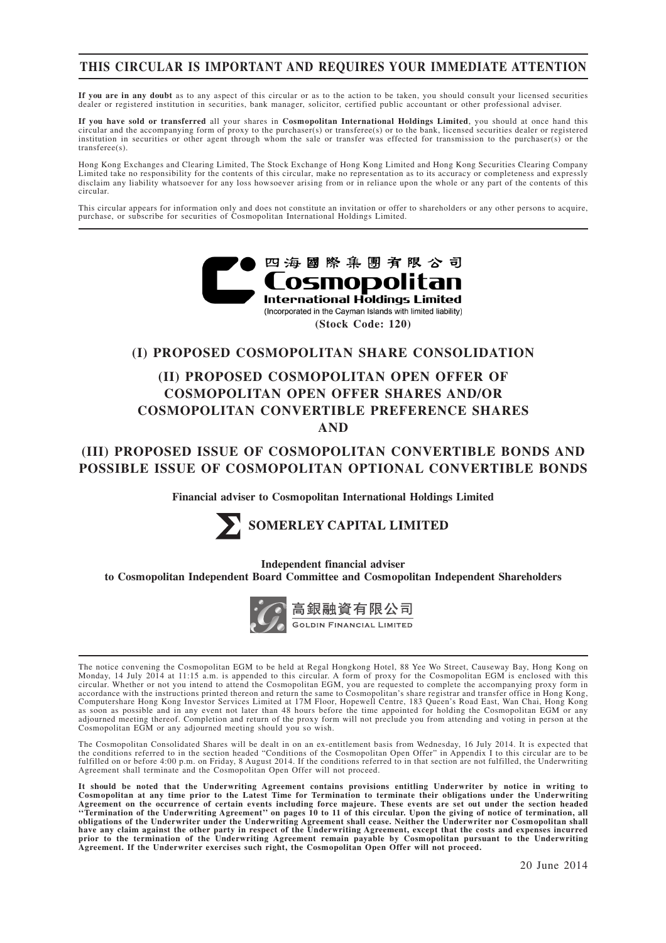# **THIS CIRCULAR IS IMPORTANT AND REQUIRES YOUR IMMEDIATE ATTENTION**

**If you are in any doubt** as to any aspect of this circular or as to the action to be taken, you should consult your licensed securities dealer or registered institution in securities, bank manager, solicitor, certified public accountant or other professional adviser.

If you have sold or transferred all your shares in Cosmopolitan International Holdings Limited, you should at once hand this<br>circular and the accompanying form of proxy to the purchaser(s) or transferee(s) or to the bank, institution in securities or other agent through whom the sale or transfer was effected for transmission to the purchaser(s) or the transferee(s).

Hong Kong Exchanges and Clearing Limited, The Stock Exchange of Hong Kong Limited and Hong Kong Securities Clearing Company<br>Limited take no responsibility for the contents of this circular, make no representation as to its disclaim any liability whatsoever for any loss howsoever arising from or in reliance upon the whole or any part of the contents of this circular.

This circular appears for information only and does not constitute an invitation or offer to shareholders or any other persons to acquire, purchase, or subscribe for securities of Cosmopolitan International Holdings Limited.



(Incorporated in the Cayman Islands with limited liability) **(Stock Code: 120)**

**(I) PROPOSED COSMOPOLITAN SHARE CONSOLIDATION**

# **(II) PROPOSED COSMOPOLITAN OPEN OFFER OF COSMOPOLITAN OPEN OFFER SHARES AND/OR COSMOPOLITAN CONVERTIBLE PREFERENCE SHARES AND**

**(III) PROPOSED ISSUE OF COSMOPOLITAN CONVERTIBLE BONDS AND POSSIBLE ISSUE OF COSMOPOLITAN OPTIONAL CONVERTIBLE BONDS**

**Financial adviser to Cosmopolitan International Holdings Limited**



**Independent financial adviser to Cosmopolitan Independent Board Committee and Cosmopolitan Independent Shareholders**



The notice convening the Cosmopolitan EGM to be held at Regal Hongkong Hotel, 88 Yee Wo Street, Causeway Bay, Hong Kong on<br>Monday, 14 July 2014 at 11:15 a.m. is appended to this circular. A form of proxy for the Cosmopolit circular. Whether or not you intend to attend the Cosmopolitan EGM, you are requested to complete the accompanying proxy form in<br>accordance with the instructions printed thereon and return the same to Cosmopolitan's share adjourned meeting thereof. Completion and return of the proxy form will not preclude you from attending and voting in person at the Cosmopolitan EGM or any adjourned meeting should you so wish.

The Cosmopolitan Consolidated Shares will be dealt in on an ex-entitlement basis from Wednesday, 16 July 2014. It is expected that<br>the conditions referred to in the section headed "Conditions of the Cosmopolitan Open Offer Agreement shall terminate and the Cosmopolitan Open Offer will not proceed.

It should be noted that the Underwriting Agreement contains provisions entitling Underwriter by notice in writing to<br>Cosmopolitan at any time prior to the Latest Time for Termination to terminate their obligations under th Agreement on the occurrence of certain events including force majeure. These events are set out under the section headed<br>"Termination of the Underwriting Agreement" on pages 10 to 11 of this circular. Upon the giving of no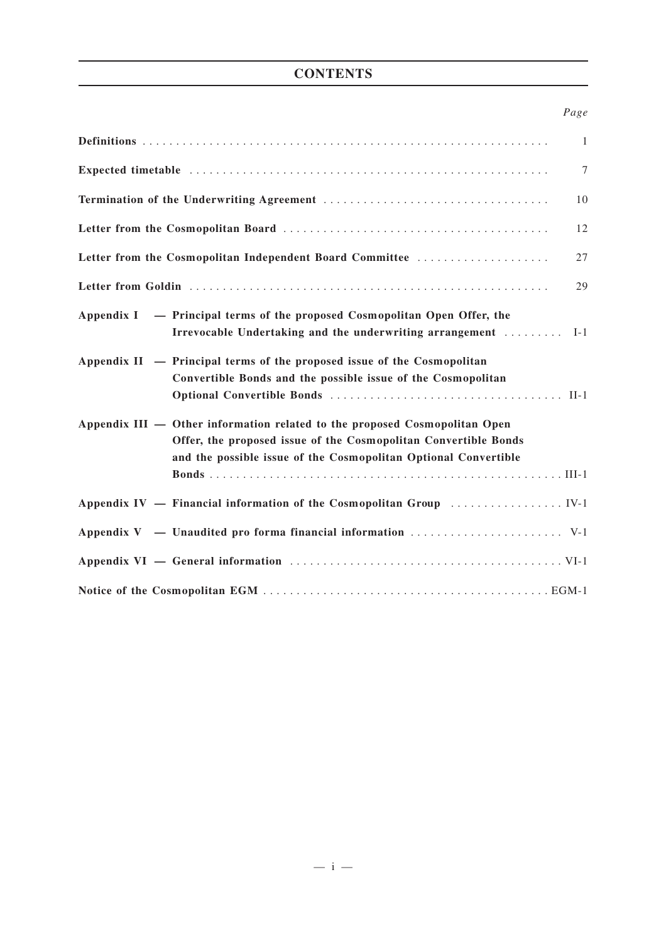# **CONTENTS**

## *Page*

|                                                                                                                                                                                                                  | $\mathbf{1}$ |
|------------------------------------------------------------------------------------------------------------------------------------------------------------------------------------------------------------------|--------------|
|                                                                                                                                                                                                                  | $\tau$       |
|                                                                                                                                                                                                                  | 10           |
|                                                                                                                                                                                                                  | 12           |
| Letter from the Cosmopolitan Independent Board Committee                                                                                                                                                         | 27           |
|                                                                                                                                                                                                                  | 29           |
| Appendix I — Principal terms of the proposed Cosmopolitan Open Offer, the<br>Irrevocable Undertaking and the underwriting arrangement                                                                            | $I-1$        |
| Appendix II — Principal terms of the proposed issue of the Cosmopolitan<br>Convertible Bonds and the possible issue of the Cosmopolitan                                                                          |              |
| Appendix III — Other information related to the proposed Cosmopolitan Open<br>Offer, the proposed issue of the Cosmopolitan Convertible Bonds<br>and the possible issue of the Cosmopolitan Optional Convertible |              |
| Appendix IV — Financial information of the Cosmopolitan Group  IV-1                                                                                                                                              |              |
|                                                                                                                                                                                                                  |              |
|                                                                                                                                                                                                                  |              |
|                                                                                                                                                                                                                  |              |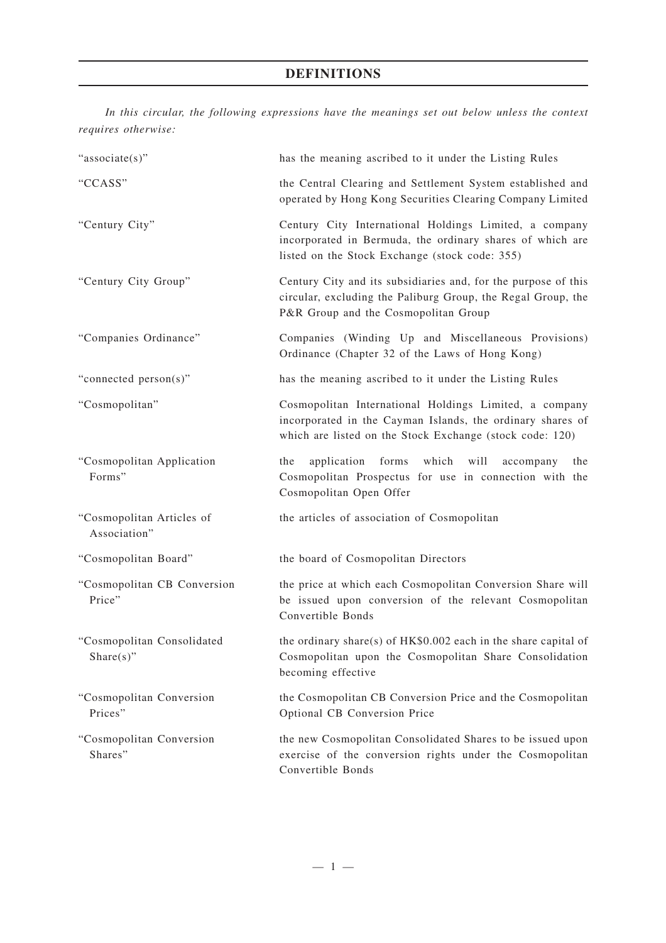*In this circular, the following expressions have the meanings set out below unless the context requires otherwise:*

| "associate(s)"                             | has the meaning ascribed to it under the Listing Rules                                                                                                                           |  |
|--------------------------------------------|----------------------------------------------------------------------------------------------------------------------------------------------------------------------------------|--|
| "CCASS"                                    | the Central Clearing and Settlement System established and<br>operated by Hong Kong Securities Clearing Company Limited                                                          |  |
| "Century City"                             | Century City International Holdings Limited, a company<br>incorporated in Bermuda, the ordinary shares of which are<br>listed on the Stock Exchange (stock code: 355)            |  |
| "Century City Group"                       | Century City and its subsidiaries and, for the purpose of this<br>circular, excluding the Paliburg Group, the Regal Group, the<br>P&R Group and the Cosmopolitan Group           |  |
| "Companies Ordinance"                      | Companies (Winding Up and Miscellaneous Provisions)<br>Ordinance (Chapter 32 of the Laws of Hong Kong)                                                                           |  |
| "connected person(s)"                      | has the meaning ascribed to it under the Listing Rules                                                                                                                           |  |
| "Cosmopolitan"                             | Cosmopolitan International Holdings Limited, a company<br>incorporated in the Cayman Islands, the ordinary shares of<br>which are listed on the Stock Exchange (stock code: 120) |  |
| "Cosmopolitan Application<br>Forms"        | which<br>application<br>forms<br>will<br>the<br>the<br>accompany<br>Cosmopolitan Prospectus for use in connection with the<br>Cosmopolitan Open Offer                            |  |
| "Cosmopolitan Articles of<br>Association"  | the articles of association of Cosmopolitan                                                                                                                                      |  |
| "Cosmopolitan Board"                       | the board of Cosmopolitan Directors                                                                                                                                              |  |
| "Cosmopolitan CB Conversion<br>Price"      | the price at which each Cosmopolitan Conversion Share will<br>be issued upon conversion of the relevant Cosmopolitan<br>Convertible Bonds                                        |  |
| "Cosmopolitan Consolidated<br>$Share(s)$ " | the ordinary share(s) of $HK$0.002$ each in the share capital of<br>Cosmopolitan upon the Cosmopolitan Share Consolidation<br>becoming effective                                 |  |
| "Cosmopolitan Conversion<br>Prices"        | the Cosmopolitan CB Conversion Price and the Cosmopolitan<br>Optional CB Conversion Price                                                                                        |  |
| "Cosmopolitan Conversion<br>Shares"        | the new Cosmopolitan Consolidated Shares to be issued upon<br>exercise of the conversion rights under the Cosmopolitan<br>Convertible Bonds                                      |  |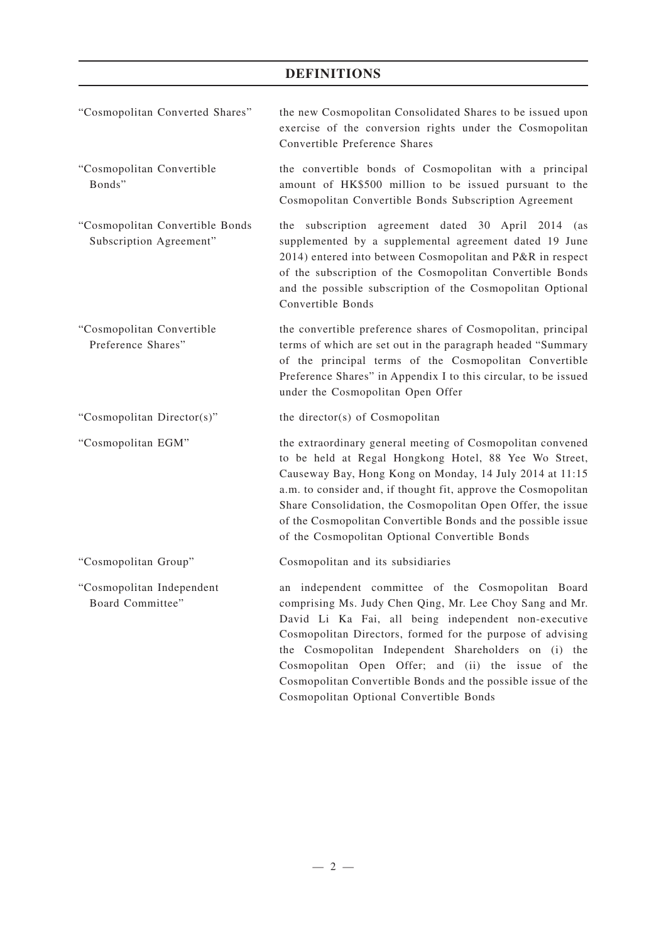| "Cosmopolitan Converted Shares"                            | the new Cosmopolitan Consolidated Shares to be issued upon<br>exercise of the conversion rights under the Cosmopolitan<br>Convertible Preference Shares                                                                                                                                                                                                                                                                            |
|------------------------------------------------------------|------------------------------------------------------------------------------------------------------------------------------------------------------------------------------------------------------------------------------------------------------------------------------------------------------------------------------------------------------------------------------------------------------------------------------------|
| "Cosmopolitan Convertible<br>Bonds"                        | the convertible bonds of Cosmopolitan with a principal<br>amount of HK\$500 million to be issued pursuant to the<br>Cosmopolitan Convertible Bonds Subscription Agreement                                                                                                                                                                                                                                                          |
| "Cosmopolitan Convertible Bonds<br>Subscription Agreement" | the subscription agreement dated 30 April 2014 (as<br>supplemented by a supplemental agreement dated 19 June<br>2014) entered into between Cosmopolitan and P&R in respect<br>of the subscription of the Cosmopolitan Convertible Bonds<br>and the possible subscription of the Cosmopolitan Optional<br>Convertible Bonds                                                                                                         |
| "Cosmopolitan Convertible<br>Preference Shares"            | the convertible preference shares of Cosmopolitan, principal<br>terms of which are set out in the paragraph headed "Summary<br>of the principal terms of the Cosmopolitan Convertible<br>Preference Shares" in Appendix I to this circular, to be issued<br>under the Cosmopolitan Open Offer                                                                                                                                      |
| "Cosmopolitan Director(s)"                                 | the director(s) of Cosmopolitan                                                                                                                                                                                                                                                                                                                                                                                                    |
| "Cosmopolitan EGM"                                         | the extraordinary general meeting of Cosmopolitan convened<br>to be held at Regal Hongkong Hotel, 88 Yee Wo Street,<br>Causeway Bay, Hong Kong on Monday, 14 July 2014 at 11:15<br>a.m. to consider and, if thought fit, approve the Cosmopolitan<br>Share Consolidation, the Cosmopolitan Open Offer, the issue<br>of the Cosmopolitan Convertible Bonds and the possible issue<br>of the Cosmopolitan Optional Convertible Bonds |
| "Cosmopolitan Group"                                       | Cosmopolitan and its subsidiaries                                                                                                                                                                                                                                                                                                                                                                                                  |
| "Cosmopolitan Independent<br>Board Committee"              | independent committee of the Cosmopolitan Board<br>an<br>comprising Ms. Judy Chen Qing, Mr. Lee Choy Sang and Mr.<br>David Li Ka Fai, all being independent non-executive<br>Cosmopolitan Directors, formed for the purpose of advising<br>the Cosmopolitan Independent Shareholders on (i) the<br>Cosmopolitan Open Offer; and (ii) the issue of the<br>Cosmopolitan Convertible Bonds and the possible issue of the              |

Cosmopolitan Optional Convertible Bonds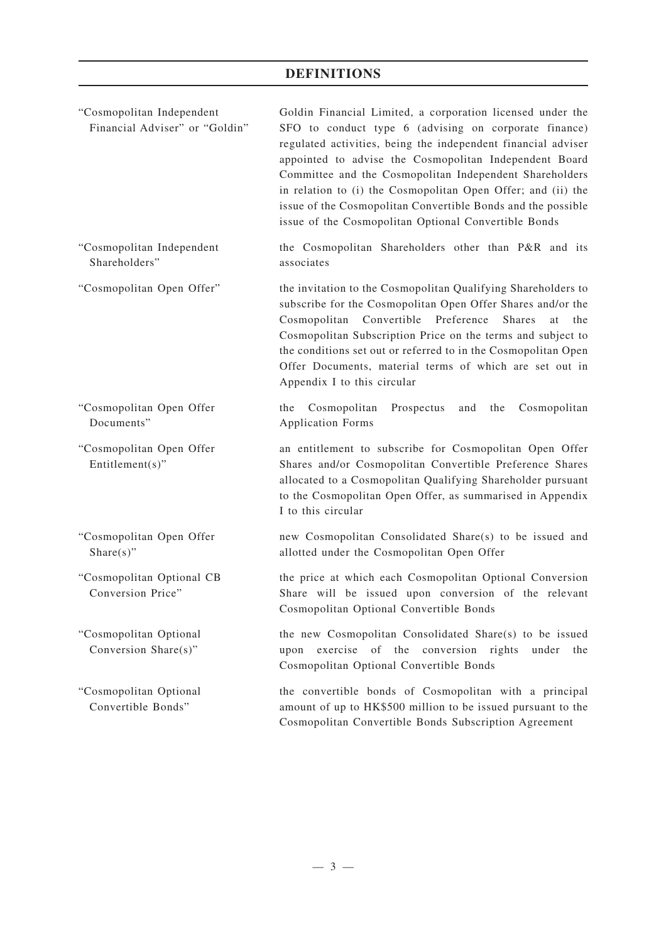| "Cosmopolitan Independent<br>Financial Adviser" or "Goldin" | Goldin Financial Limited, a corporation licensed under the<br>SFO to conduct type 6 (advising on corporate finance)<br>regulated activities, being the independent financial adviser<br>appointed to advise the Cosmopolitan Independent Board<br>Committee and the Cosmopolitan Independent Shareholders<br>in relation to (i) the Cosmopolitan Open Offer; and (ii) the<br>issue of the Cosmopolitan Convertible Bonds and the possible<br>issue of the Cosmopolitan Optional Convertible Bonds |
|-------------------------------------------------------------|---------------------------------------------------------------------------------------------------------------------------------------------------------------------------------------------------------------------------------------------------------------------------------------------------------------------------------------------------------------------------------------------------------------------------------------------------------------------------------------------------|
| "Cosmopolitan Independent<br>Shareholders"                  | the Cosmopolitan Shareholders other than P&R and its<br>associates                                                                                                                                                                                                                                                                                                                                                                                                                                |
| "Cosmopolitan Open Offer"                                   | the invitation to the Cosmopolitan Qualifying Shareholders to<br>subscribe for the Cosmopolitan Open Offer Shares and/or the<br>Cosmopolitan Convertible Preference<br><b>Shares</b><br>at<br>the<br>Cosmopolitan Subscription Price on the terms and subject to<br>the conditions set out or referred to in the Cosmopolitan Open<br>Offer Documents, material terms of which are set out in<br>Appendix I to this circular                                                                      |
| "Cosmopolitan Open Offer<br>Documents"                      | Prospectus<br>Cosmopolitan<br>and<br>the<br>Cosmopolitan<br>the<br><b>Application Forms</b>                                                                                                                                                                                                                                                                                                                                                                                                       |
| "Cosmopolitan Open Offer<br>Entitlement(s)"                 | an entitlement to subscribe for Cosmopolitan Open Offer<br>Shares and/or Cosmopolitan Convertible Preference Shares<br>allocated to a Cosmopolitan Qualifying Shareholder pursuant<br>to the Cosmopolitan Open Offer, as summarised in Appendix<br>I to this circular                                                                                                                                                                                                                             |
| "Cosmopolitan Open Offer<br>Share $(s)$ "                   | new Cosmopolitan Consolidated Share(s) to be issued and<br>allotted under the Cosmopolitan Open Offer                                                                                                                                                                                                                                                                                                                                                                                             |
| "Cosmopolitan Optional CB<br>Conversion Price"              | the price at which each Cosmopolitan Optional Conversion<br>Share will be issued upon conversion of the relevant<br>Cosmopolitan Optional Convertible Bonds                                                                                                                                                                                                                                                                                                                                       |
| "Cosmopolitan Optional<br>Conversion Share(s)"              | the new Cosmopolitan Consolidated Share(s) to be issued<br>exercise of the conversion rights<br>under<br>upon<br>the<br>Cosmopolitan Optional Convertible Bonds                                                                                                                                                                                                                                                                                                                                   |
| "Cosmopolitan Optional<br>Convertible Bonds"                | the convertible bonds of Cosmopolitan with a principal<br>amount of up to HK\$500 million to be issued pursuant to the<br>Cosmopolitan Convertible Bonds Subscription Agreement                                                                                                                                                                                                                                                                                                                   |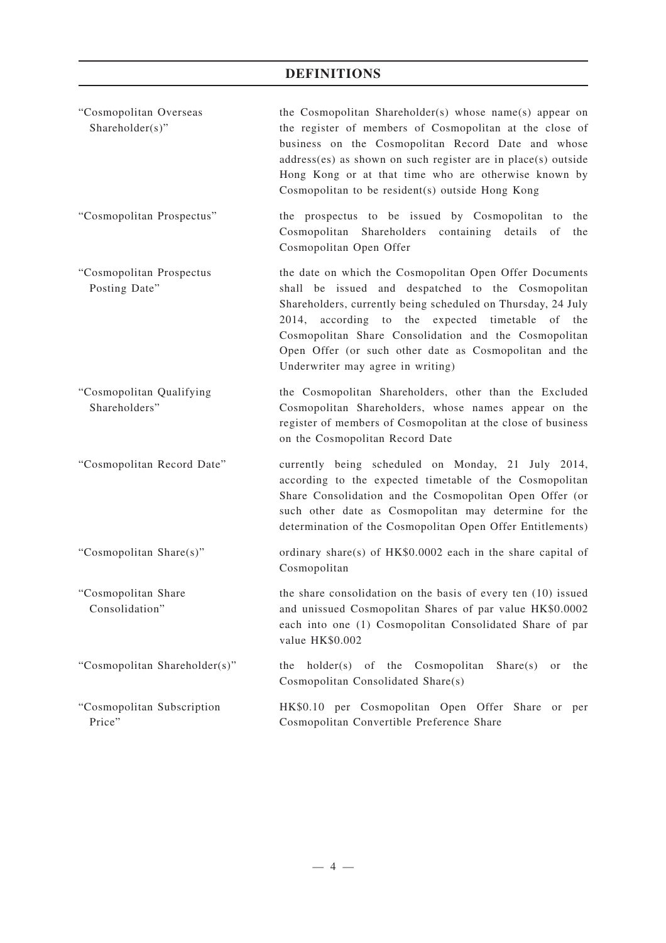| "Cosmopolitan Overseas<br>Shareholder(s)" | the Cosmopolitan Shareholder(s) whose name(s) appear on<br>the register of members of Cosmopolitan at the close of<br>business on the Cosmopolitan Record Date and whose<br>address(es) as shown on such register are in place(s) outside<br>Hong Kong or at that time who are otherwise known by<br>Cosmopolitan to be resident(s) outside Hong Kong                                     |
|-------------------------------------------|-------------------------------------------------------------------------------------------------------------------------------------------------------------------------------------------------------------------------------------------------------------------------------------------------------------------------------------------------------------------------------------------|
| "Cosmopolitan Prospectus"                 | the prospectus to be issued by Cosmopolitan to<br>the<br>Cosmopolitan Shareholders containing details<br>of<br>the<br>Cosmopolitan Open Offer                                                                                                                                                                                                                                             |
| "Cosmopolitan Prospectus<br>Posting Date" | the date on which the Cosmopolitan Open Offer Documents<br>shall be issued and despatched to the Cosmopolitan<br>Shareholders, currently being scheduled on Thursday, 24 July<br>2014, according to the expected timetable of the<br>Cosmopolitan Share Consolidation and the Cosmopolitan<br>Open Offer (or such other date as Cosmopolitan and the<br>Underwriter may agree in writing) |
| "Cosmopolitan Qualifying<br>Shareholders" | the Cosmopolitan Shareholders, other than the Excluded<br>Cosmopolitan Shareholders, whose names appear on the<br>register of members of Cosmopolitan at the close of business<br>on the Cosmopolitan Record Date                                                                                                                                                                         |
| "Cosmopolitan Record Date"                | currently being scheduled on Monday, 21 July 2014,<br>according to the expected timetable of the Cosmopolitan<br>Share Consolidation and the Cosmopolitan Open Offer (or<br>such other date as Cosmopolitan may determine for the<br>determination of the Cosmopolitan Open Offer Entitlements)                                                                                           |
| "Cosmopolitan Share(s)"                   | ordinary share(s) of HK\$0.0002 each in the share capital of<br>Cosmopolitan                                                                                                                                                                                                                                                                                                              |
| "Cosmopolitan Share<br>Consolidation"     | the share consolidation on the basis of every ten (10) issued<br>and unissued Cosmopolitan Shares of par value HK\$0.0002<br>each into one (1) Cosmopolitan Consolidated Share of par<br>value HK\$0.002                                                                                                                                                                                  |
| "Cosmopolitan Shareholder(s)"             | $holder(s)$ of the<br>the<br>Cosmopolitan<br>Share(s)<br>the<br>or<br>Cosmopolitan Consolidated Share(s)                                                                                                                                                                                                                                                                                  |
| "Cosmopolitan Subscription<br>Price"      | HK\$0.10 per Cosmopolitan Open Offer Share or per<br>Cosmopolitan Convertible Preference Share                                                                                                                                                                                                                                                                                            |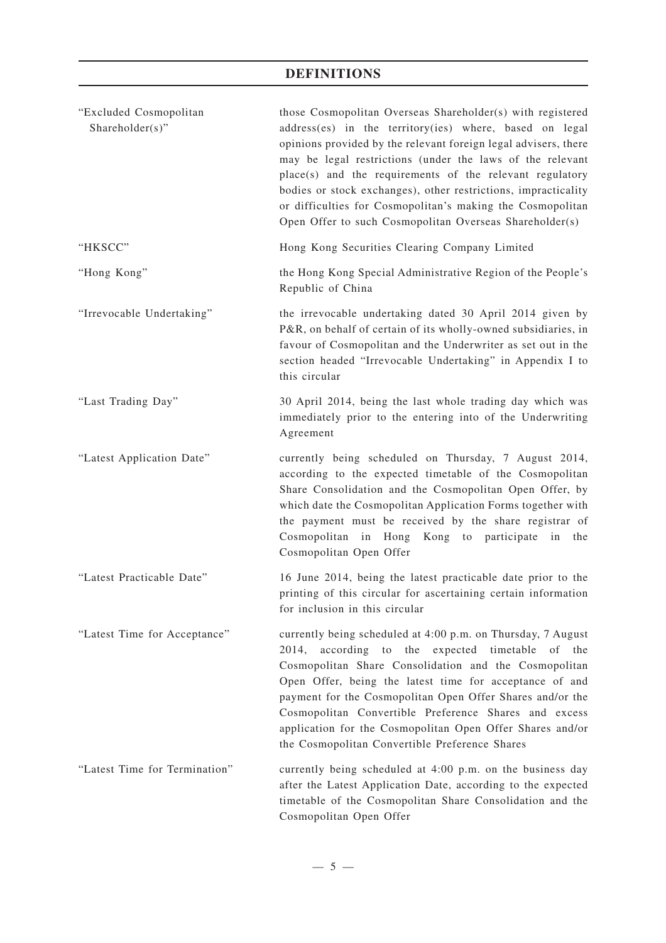| "Excluded Cosmopolitan<br>Shareholder(s)" | those Cosmopolitan Overseas Shareholder(s) with registered<br>address(es) in the territory(ies) where, based on legal<br>opinions provided by the relevant foreign legal advisers, there<br>may be legal restrictions (under the laws of the relevant<br>place(s) and the requirements of the relevant regulatory<br>bodies or stock exchanges), other restrictions, impracticality<br>or difficulties for Cosmopolitan's making the Cosmopolitan<br>Open Offer to such Cosmopolitan Overseas Shareholder(s) |
|-------------------------------------------|--------------------------------------------------------------------------------------------------------------------------------------------------------------------------------------------------------------------------------------------------------------------------------------------------------------------------------------------------------------------------------------------------------------------------------------------------------------------------------------------------------------|
| "HKSCC"                                   | Hong Kong Securities Clearing Company Limited                                                                                                                                                                                                                                                                                                                                                                                                                                                                |
| "Hong Kong"                               | the Hong Kong Special Administrative Region of the People's<br>Republic of China                                                                                                                                                                                                                                                                                                                                                                                                                             |
| "Irrevocable Undertaking"                 | the irrevocable undertaking dated 30 April 2014 given by<br>P&R, on behalf of certain of its wholly-owned subsidiaries, in<br>favour of Cosmopolitan and the Underwriter as set out in the<br>section headed "Irrevocable Undertaking" in Appendix I to<br>this circular                                                                                                                                                                                                                                     |
| "Last Trading Day"                        | 30 April 2014, being the last whole trading day which was<br>immediately prior to the entering into of the Underwriting<br>Agreement                                                                                                                                                                                                                                                                                                                                                                         |
| "Latest Application Date"                 | currently being scheduled on Thursday, 7 August 2014,<br>according to the expected timetable of the Cosmopolitan<br>Share Consolidation and the Cosmopolitan Open Offer, by<br>which date the Cosmopolitan Application Forms together with<br>the payment must be received by the share registrar of<br>Cosmopolitan in Hong Kong to participate in the<br>Cosmopolitan Open Offer                                                                                                                           |
| "Latest Practicable Date"                 | 16 June 2014, being the latest practicable date prior to the<br>printing of this circular for ascertaining certain information<br>for inclusion in this circular                                                                                                                                                                                                                                                                                                                                             |
| "Latest Time for Acceptance"              | currently being scheduled at 4:00 p.m. on Thursday, 7 August<br>2014,<br>according to the expected timetable of the<br>Cosmopolitan Share Consolidation and the Cosmopolitan<br>Open Offer, being the latest time for acceptance of and<br>payment for the Cosmopolitan Open Offer Shares and/or the<br>Cosmopolitan Convertible Preference Shares and excess<br>application for the Cosmopolitan Open Offer Shares and/or<br>the Cosmopolitan Convertible Preference Shares                                 |
| "Latest Time for Termination"             | currently being scheduled at 4:00 p.m. on the business day<br>after the Latest Application Date, according to the expected<br>timetable of the Cosmopolitan Share Consolidation and the<br>Cosmopolitan Open Offer                                                                                                                                                                                                                                                                                           |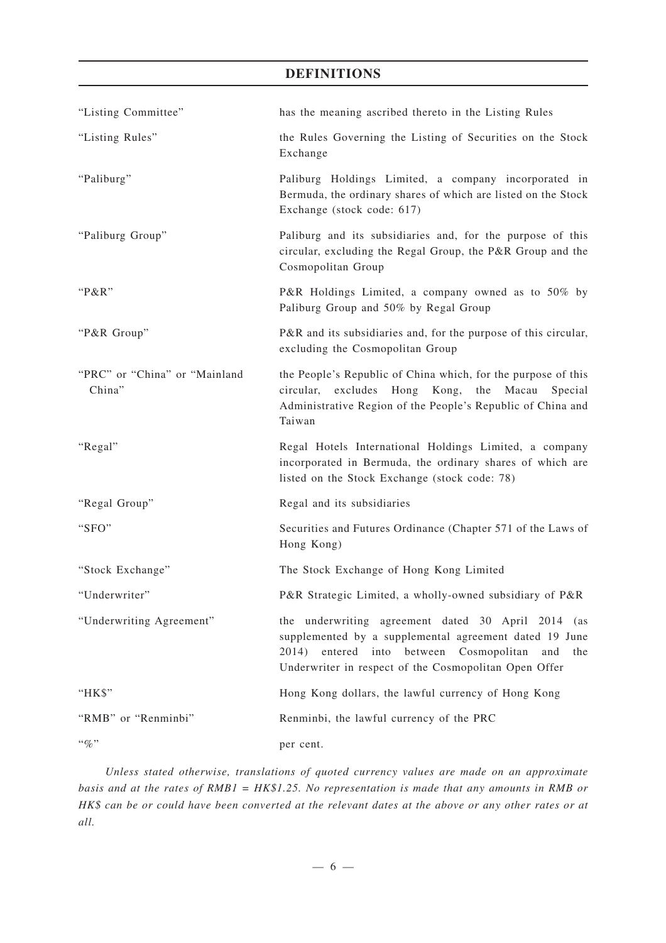| "Listing Committee"                     | has the meaning ascribed thereto in the Listing Rules                                                                                                                                                                          |
|-----------------------------------------|--------------------------------------------------------------------------------------------------------------------------------------------------------------------------------------------------------------------------------|
| "Listing Rules"                         | the Rules Governing the Listing of Securities on the Stock<br>Exchange                                                                                                                                                         |
| "Paliburg"                              | Paliburg Holdings Limited, a company incorporated in<br>Bermuda, the ordinary shares of which are listed on the Stock<br>Exchange (stock code: 617)                                                                            |
| "Paliburg Group"                        | Paliburg and its subsidiaries and, for the purpose of this<br>circular, excluding the Regal Group, the P&R Group and the<br>Cosmopolitan Group                                                                                 |
| " $P&R$ "                               | P&R Holdings Limited, a company owned as to 50% by<br>Paliburg Group and 50% by Regal Group                                                                                                                                    |
| "P&R Group"                             | P&R and its subsidiaries and, for the purpose of this circular,<br>excluding the Cosmopolitan Group                                                                                                                            |
| "PRC" or "China" or "Mainland<br>China" | the People's Republic of China which, for the purpose of this<br>circular, excludes Hong Kong, the Macau<br>Special<br>Administrative Region of the People's Republic of China and<br>Taiwan                                   |
| "Regal"                                 | Regal Hotels International Holdings Limited, a company<br>incorporated in Bermuda, the ordinary shares of which are<br>listed on the Stock Exchange (stock code: 78)                                                           |
| "Regal Group"                           | Regal and its subsidiaries                                                                                                                                                                                                     |
| "SFO"                                   | Securities and Futures Ordinance (Chapter 571 of the Laws of<br>Hong Kong)                                                                                                                                                     |
| "Stock Exchange"                        | The Stock Exchange of Hong Kong Limited                                                                                                                                                                                        |
| "Underwriter"                           | P&R Strategic Limited, a wholly-owned subsidiary of P&R                                                                                                                                                                        |
| "Underwriting Agreement"                | the underwriting agreement dated 30 April 2014 (as<br>supplemented by a supplemental agreement dated 19 June<br>2014) entered into between Cosmopolitan<br>and<br>the<br>Underwriter in respect of the Cosmopolitan Open Offer |
| " $HKS$ "                               | Hong Kong dollars, the lawful currency of Hong Kong                                                                                                                                                                            |
| "RMB" or "Renminbi"                     | Renminbi, the lawful currency of the PRC                                                                                                                                                                                       |
| $``\%"$                                 | per cent.                                                                                                                                                                                                                      |

*Unless stated otherwise, translations of quoted currency values are made on an approximate basis and at the rates of RMB1 = HK\$1.25. No representation is made that any amounts in RMB or HK\$ can be or could have been converted at the relevant dates at the above or any other rates or at all.*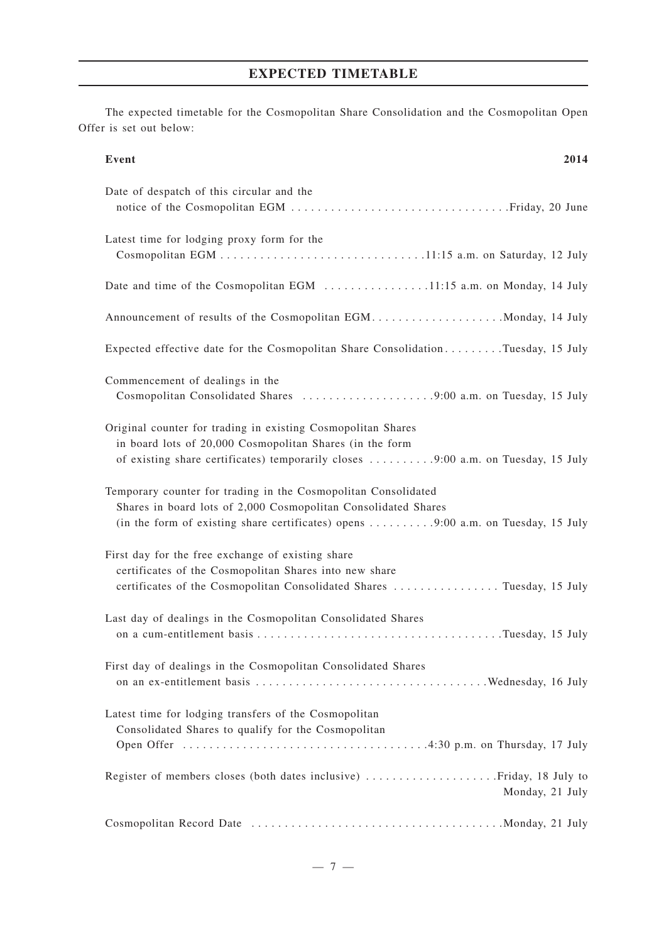The expected timetable for the Cosmopolitan Share Consolidation and the Cosmopolitan Open Offer is set out below:

#### **Event 2014**

| Date of despatch of this circular and the                                                                                                                                                                                                |
|------------------------------------------------------------------------------------------------------------------------------------------------------------------------------------------------------------------------------------------|
| Latest time for lodging proxy form for the                                                                                                                                                                                               |
| Date and time of the Cosmopolitan EGM 11:15 a.m. on Monday, 14 July                                                                                                                                                                      |
| Announcement of results of the Cosmopolitan EGMMonday, 14 July                                                                                                                                                                           |
| Expected effective date for the Cosmopolitan Share ConsolidationTuesday, 15 July                                                                                                                                                         |
| Commencement of dealings in the<br>Cosmopolitan Consolidated Shares 9:00 a.m. on Tuesday, 15 July                                                                                                                                        |
| Original counter for trading in existing Cosmopolitan Shares<br>in board lots of 20,000 Cosmopolitan Shares (in the form<br>of existing share certificates) temporarily closes 9:00 a.m. on Tuesday, 15 July                             |
| Temporary counter for trading in the Cosmopolitan Consolidated<br>Shares in board lots of 2,000 Cosmopolitan Consolidated Shares<br>(in the form of existing share certificates) opens $\dots \dots \dots$ 9:00 a.m. on Tuesday, 15 July |
| First day for the free exchange of existing share<br>certificates of the Cosmopolitan Shares into new share<br>certificates of the Cosmopolitan Consolidated Shares  Tuesday, 15 July                                                    |
| Last day of dealings in the Cosmopolitan Consolidated Shares                                                                                                                                                                             |
| First day of dealings in the Cosmopolitan Consolidated Shares                                                                                                                                                                            |
| Latest time for lodging transfers of the Cosmopolitan<br>Consolidated Shares to qualify for the Cosmopolitan                                                                                                                             |
| Monday, 21 July                                                                                                                                                                                                                          |
|                                                                                                                                                                                                                                          |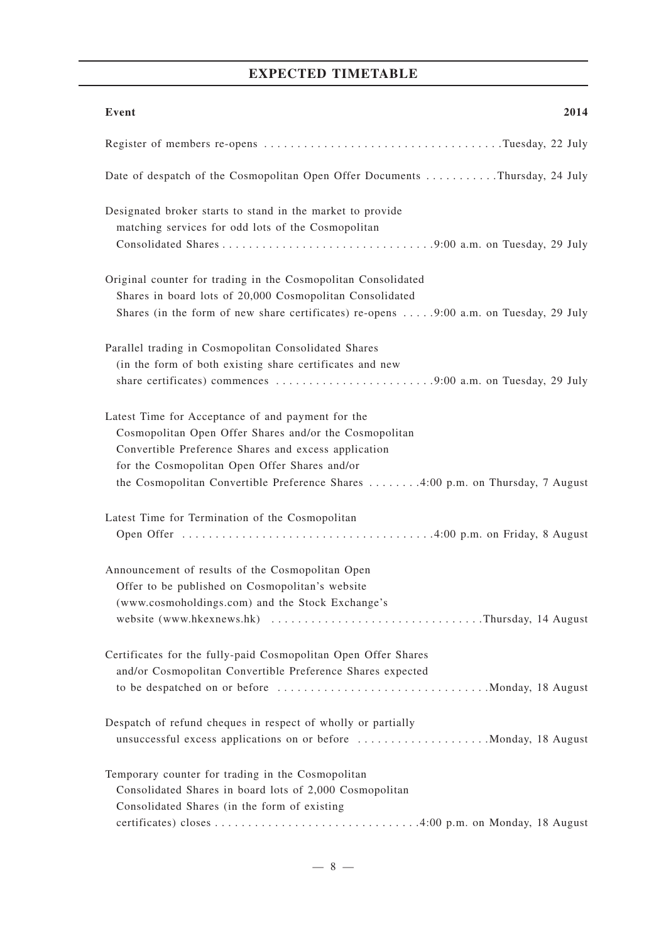# **EXPECTED TIMETABLE**

| Event<br>2014                                                                                                                                                                                                                                                                                          |
|--------------------------------------------------------------------------------------------------------------------------------------------------------------------------------------------------------------------------------------------------------------------------------------------------------|
| Register of members re-opens Tuesday, 22 July                                                                                                                                                                                                                                                          |
| Date of despatch of the Cosmopolitan Open Offer Documents Thursday, 24 July                                                                                                                                                                                                                            |
| Designated broker starts to stand in the market to provide<br>matching services for odd lots of the Cosmopolitan                                                                                                                                                                                       |
| Original counter for trading in the Cosmopolitan Consolidated<br>Shares in board lots of 20,000 Cosmopolitan Consolidated<br>Shares (in the form of new share certificates) re-opens 9:00 a.m. on Tuesday, 29 July                                                                                     |
| Parallel trading in Cosmopolitan Consolidated Shares<br>(in the form of both existing share certificates and new<br>share certificates) commences 9:00 a.m. on Tuesday, 29 July                                                                                                                        |
| Latest Time for Acceptance of and payment for the<br>Cosmopolitan Open Offer Shares and/or the Cosmopolitan<br>Convertible Preference Shares and excess application<br>for the Cosmopolitan Open Offer Shares and/or<br>the Cosmopolitan Convertible Preference Shares 4:00 p.m. on Thursday, 7 August |
| Latest Time for Termination of the Cosmopolitan                                                                                                                                                                                                                                                        |
| Announcement of results of the Cosmopolitan Open<br>Offer to be published on Cosmopolitan's website<br>(www.cosmoholdings.com) and the Stock Exchange's<br>website (www.hkexnews.hk) Thursday, 14 August                                                                                               |
| Certificates for the fully-paid Cosmopolitan Open Offer Shares<br>and/or Cosmopolitan Convertible Preference Shares expected                                                                                                                                                                           |
| Despatch of refund cheques in respect of wholly or partially<br>unsuccessful excess applications on or before Monday, 18 August                                                                                                                                                                        |
| Temporary counter for trading in the Cosmopolitan<br>Consolidated Shares in board lots of 2,000 Cosmopolitan<br>Consolidated Shares (in the form of existing                                                                                                                                           |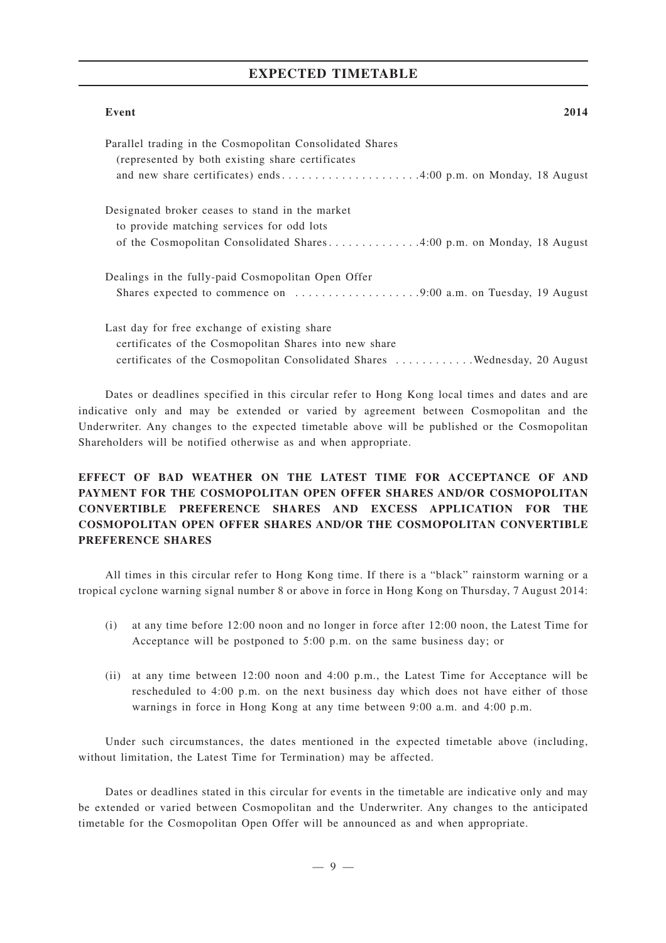## **EXPECTED TIMETABLE**

| Event                                                                                                                                                                               | 2014 |
|-------------------------------------------------------------------------------------------------------------------------------------------------------------------------------------|------|
| Parallel trading in the Cosmopolitan Consolidated Shares<br>(represented by both existing share certificates)<br>and new share certificates) ends4:00 p.m. on Monday, 18 August     |      |
| Designated broker ceases to stand in the market<br>to provide matching services for odd lots<br>of the Cosmopolitan Consolidated Shares4:00 p.m. on Monday, 18 August               |      |
| Dealings in the fully-paid Cosmopolitan Open Offer                                                                                                                                  |      |
| Last day for free exchange of existing share<br>certificates of the Cosmopolitan Shares into new share<br>certificates of the Cosmopolitan Consolidated Shares Wednesday, 20 August |      |

Dates or deadlines specified in this circular refer to Hong Kong local times and dates and are indicative only and may be extended or varied by agreement between Cosmopolitan and the Underwriter. Any changes to the expected timetable above will be published or the Cosmopolitan Shareholders will be notified otherwise as and when appropriate.

# **EFFECT OF BAD WEATHER ON THE LATEST TIME FOR ACCEPTANCE OF AND PAYMENT FOR THE COSMOPOLITAN OPEN OFFER SHARES AND/OR COSMOPOLITAN CONVERTIBLE PREFERENCE SHARES AND EXCESS APPLICATION FOR THE COSMOPOLITAN OPEN OFFER SHARES AND/OR THE COSMOPOLITAN CONVERTIBLE PREFERENCE SHARES**

All times in this circular refer to Hong Kong time. If there is a "black" rainstorm warning or a tropical cyclone warning signal number 8 or above in force in Hong Kong on Thursday, 7 August 2014:

- (i) at any time before 12:00 noon and no longer in force after 12:00 noon, the Latest Time for Acceptance will be postponed to 5:00 p.m. on the same business day; or
- (ii) at any time between 12:00 noon and 4:00 p.m., the Latest Time for Acceptance will be rescheduled to 4:00 p.m. on the next business day which does not have either of those warnings in force in Hong Kong at any time between 9:00 a.m. and 4:00 p.m.

Under such circumstances, the dates mentioned in the expected timetable above (including, without limitation, the Latest Time for Termination) may be affected.

Dates or deadlines stated in this circular for events in the timetable are indicative only and may be extended or varied between Cosmopolitan and the Underwriter. Any changes to the anticipated timetable for the Cosmopolitan Open Offer will be announced as and when appropriate.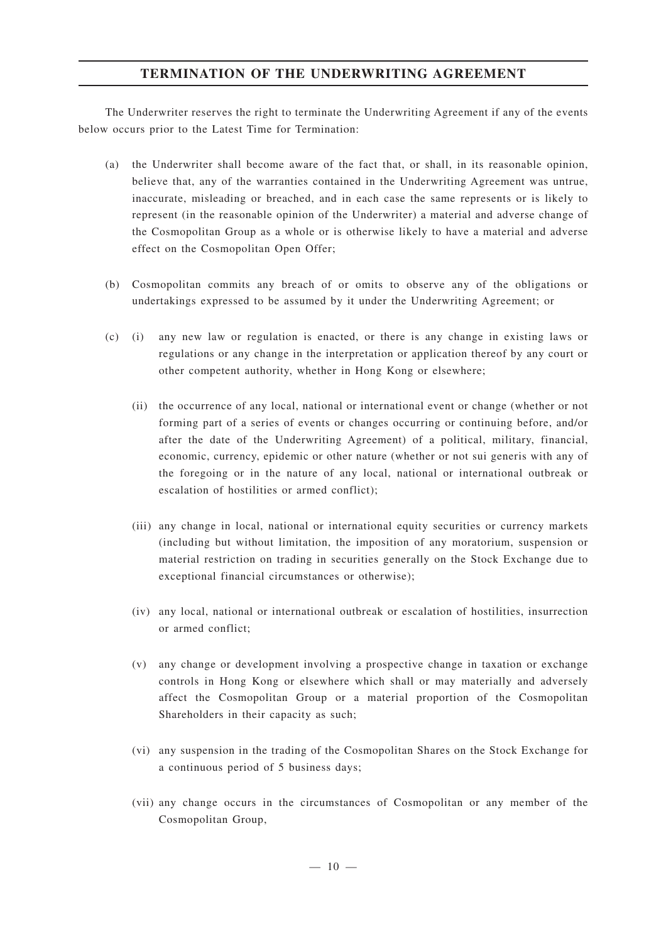# **TERMINATION OF THE UNDERWRITING AGREEMENT**

The Underwriter reserves the right to terminate the Underwriting Agreement if any of the events below occurs prior to the Latest Time for Termination:

- (a) the Underwriter shall become aware of the fact that, or shall, in its reasonable opinion, believe that, any of the warranties contained in the Underwriting Agreement was untrue, inaccurate, misleading or breached, and in each case the same represents or is likely to represent (in the reasonable opinion of the Underwriter) a material and adverse change of the Cosmopolitan Group as a whole or is otherwise likely to have a material and adverse effect on the Cosmopolitan Open Offer;
- (b) Cosmopolitan commits any breach of or omits to observe any of the obligations or undertakings expressed to be assumed by it under the Underwriting Agreement; or
- (c) (i) any new law or regulation is enacted, or there is any change in existing laws or regulations or any change in the interpretation or application thereof by any court or other competent authority, whether in Hong Kong or elsewhere;
	- (ii) the occurrence of any local, national or international event or change (whether or not forming part of a series of events or changes occurring or continuing before, and/or after the date of the Underwriting Agreement) of a political, military, financial, economic, currency, epidemic or other nature (whether or not sui generis with any of the foregoing or in the nature of any local, national or international outbreak or escalation of hostilities or armed conflict);
	- (iii) any change in local, national or international equity securities or currency markets (including but without limitation, the imposition of any moratorium, suspension or material restriction on trading in securities generally on the Stock Exchange due to exceptional financial circumstances or otherwise);
	- (iv) any local, national or international outbreak or escalation of hostilities, insurrection or armed conflict;
	- (v) any change or development involving a prospective change in taxation or exchange controls in Hong Kong or elsewhere which shall or may materially and adversely affect the Cosmopolitan Group or a material proportion of the Cosmopolitan Shareholders in their capacity as such;
	- (vi) any suspension in the trading of the Cosmopolitan Shares on the Stock Exchange for a continuous period of 5 business days;
	- (vii) any change occurs in the circumstances of Cosmopolitan or any member of the Cosmopolitan Group,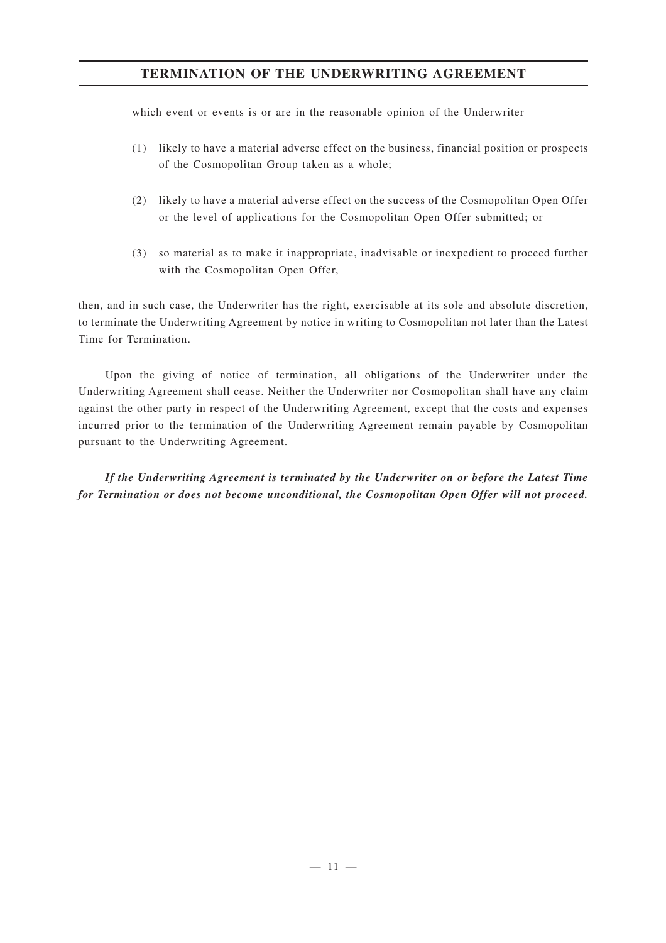# **TERMINATION OF THE UNDERWRITING AGREEMENT**

which event or events is or are in the reasonable opinion of the Underwriter

- (1) likely to have a material adverse effect on the business, financial position or prospects of the Cosmopolitan Group taken as a whole;
- (2) likely to have a material adverse effect on the success of the Cosmopolitan Open Offer or the level of applications for the Cosmopolitan Open Offer submitted; or
- (3) so material as to make it inappropriate, inadvisable or inexpedient to proceed further with the Cosmopolitan Open Offer,

then, and in such case, the Underwriter has the right, exercisable at its sole and absolute discretion, to terminate the Underwriting Agreement by notice in writing to Cosmopolitan not later than the Latest Time for Termination.

Upon the giving of notice of termination, all obligations of the Underwriter under the Underwriting Agreement shall cease. Neither the Underwriter nor Cosmopolitan shall have any claim against the other party in respect of the Underwriting Agreement, except that the costs and expenses incurred prior to the termination of the Underwriting Agreement remain payable by Cosmopolitan pursuant to the Underwriting Agreement.

*If the Underwriting Agreement is terminated by the Underwriter on or before the Latest Time for Termination or does not become unconditional, the Cosmopolitan Open Offer will not proceed.*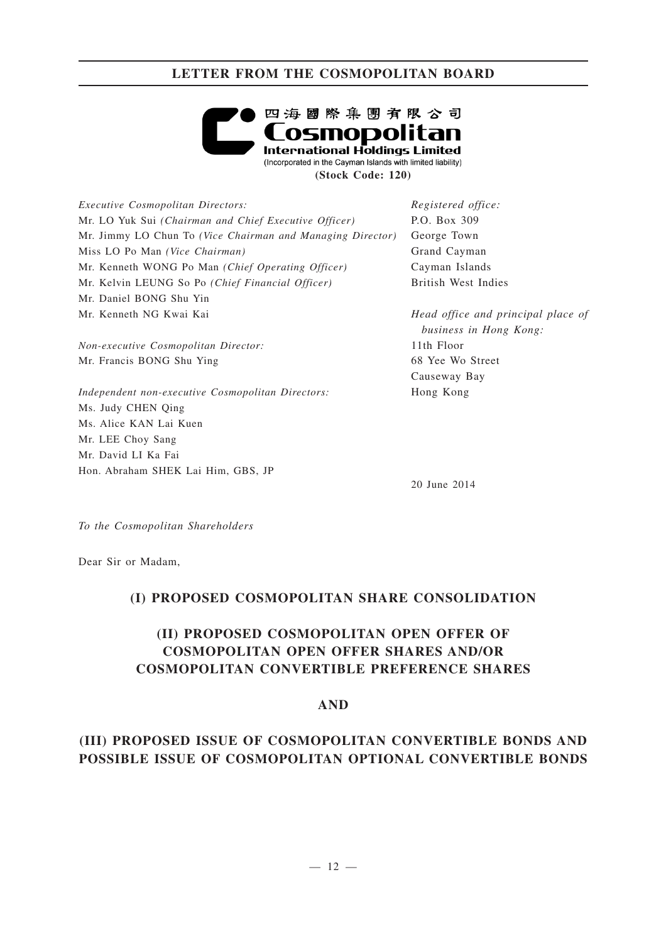

| <i>Executive Cosmopolitan Directors:</i>                   | Registered office:                                           |
|------------------------------------------------------------|--------------------------------------------------------------|
| Mr. LO Yuk Sui (Chairman and Chief Executive Officer)      | P.O. Box 309                                                 |
| Mr. Jimmy LO Chun To (Vice Chairman and Managing Director) | George Town                                                  |
| Miss LO Po Man (Vice Chairman)                             | Grand Cayman                                                 |
| Mr. Kenneth WONG Po Man (Chief Operating Officer)          | Cayman Islands                                               |
| Mr. Kelvin LEUNG So Po (Chief Financial Officer)           | British West Indies                                          |
| Mr. Daniel BONG Shu Yin                                    |                                                              |
| Mr. Kenneth NG Kwai Kai                                    | Head office and principal place of<br>business in Hong Kong: |
| <i>Non-executive Cosmopolitan Director:</i>                | 11th Floor                                                   |
| Mr. Francis BONG Shu Ying                                  | 68 Yee Wo Street                                             |
|                                                            | Causeway Bay                                                 |
|                                                            |                                                              |

*Independent non-executive Cosmopolitan Directors:* Ms. Judy CHEN Qing Ms. Alice KAN Lai Kuen Mr. LEE Choy Sang Mr. David LI Ka Fai Hon. Abraham SHEK Lai Him, GBS, JP

Hong Kong

20 June 2014

*To the Cosmopolitan Shareholders*

Dear Sir or Madam,

# **(I) PROPOSED COSMOPOLITAN SHARE CONSOLIDATION**

# **(II) PROPOSED COSMOPOLITAN OPEN OFFER OF COSMOPOLITAN OPEN OFFER SHARES AND/OR COSMOPOLITAN CONVERTIBLE PREFERENCE SHARES**

**AND**

# **(III) PROPOSED ISSUE OF COSMOPOLITAN CONVERTIBLE BONDS AND POSSIBLE ISSUE OF COSMOPOLITAN OPTIONAL CONVERTIBLE BONDS**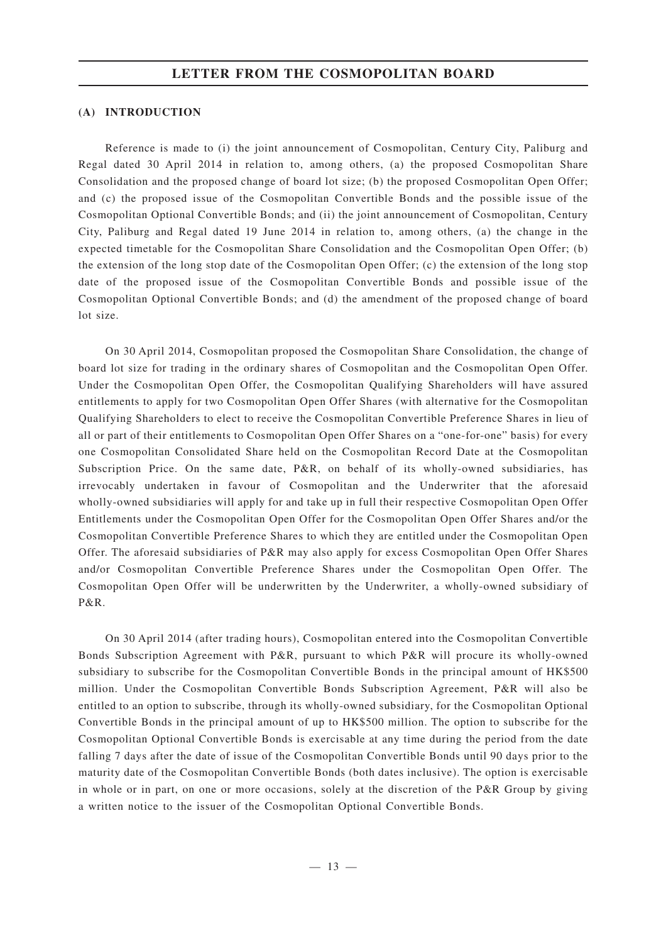### **(A) INTRODUCTION**

Reference is made to (i) the joint announcement of Cosmopolitan, Century City, Paliburg and Regal dated 30 April 2014 in relation to, among others, (a) the proposed Cosmopolitan Share Consolidation and the proposed change of board lot size; (b) the proposed Cosmopolitan Open Offer; and (c) the proposed issue of the Cosmopolitan Convertible Bonds and the possible issue of the Cosmopolitan Optional Convertible Bonds; and (ii) the joint announcement of Cosmopolitan, Century City, Paliburg and Regal dated 19 June 2014 in relation to, among others, (a) the change in the expected timetable for the Cosmopolitan Share Consolidation and the Cosmopolitan Open Offer; (b) the extension of the long stop date of the Cosmopolitan Open Offer; (c) the extension of the long stop date of the proposed issue of the Cosmopolitan Convertible Bonds and possible issue of the Cosmopolitan Optional Convertible Bonds; and (d) the amendment of the proposed change of board lot size.

On 30 April 2014, Cosmopolitan proposed the Cosmopolitan Share Consolidation, the change of board lot size for trading in the ordinary shares of Cosmopolitan and the Cosmopolitan Open Offer. Under the Cosmopolitan Open Offer, the Cosmopolitan Qualifying Shareholders will have assured entitlements to apply for two Cosmopolitan Open Offer Shares (with alternative for the Cosmopolitan Qualifying Shareholders to elect to receive the Cosmopolitan Convertible Preference Shares in lieu of all or part of their entitlements to Cosmopolitan Open Offer Shares on a "one-for-one" basis) for every one Cosmopolitan Consolidated Share held on the Cosmopolitan Record Date at the Cosmopolitan Subscription Price. On the same date, P&R, on behalf of its wholly-owned subsidiaries, has irrevocably undertaken in favour of Cosmopolitan and the Underwriter that the aforesaid wholly-owned subsidiaries will apply for and take up in full their respective Cosmopolitan Open Offer Entitlements under the Cosmopolitan Open Offer for the Cosmopolitan Open Offer Shares and/or the Cosmopolitan Convertible Preference Shares to which they are entitled under the Cosmopolitan Open Offer. The aforesaid subsidiaries of P&R may also apply for excess Cosmopolitan Open Offer Shares and/or Cosmopolitan Convertible Preference Shares under the Cosmopolitan Open Offer. The Cosmopolitan Open Offer will be underwritten by the Underwriter, a wholly-owned subsidiary of P&R.

On 30 April 2014 (after trading hours), Cosmopolitan entered into the Cosmopolitan Convertible Bonds Subscription Agreement with P&R, pursuant to which P&R will procure its wholly-owned subsidiary to subscribe for the Cosmopolitan Convertible Bonds in the principal amount of HK\$500 million. Under the Cosmopolitan Convertible Bonds Subscription Agreement, P&R will also be entitled to an option to subscribe, through its wholly-owned subsidiary, for the Cosmopolitan Optional Convertible Bonds in the principal amount of up to HK\$500 million. The option to subscribe for the Cosmopolitan Optional Convertible Bonds is exercisable at any time during the period from the date falling 7 days after the date of issue of the Cosmopolitan Convertible Bonds until 90 days prior to the maturity date of the Cosmopolitan Convertible Bonds (both dates inclusive). The option is exercisable in whole or in part, on one or more occasions, solely at the discretion of the P&R Group by giving a written notice to the issuer of the Cosmopolitan Optional Convertible Bonds.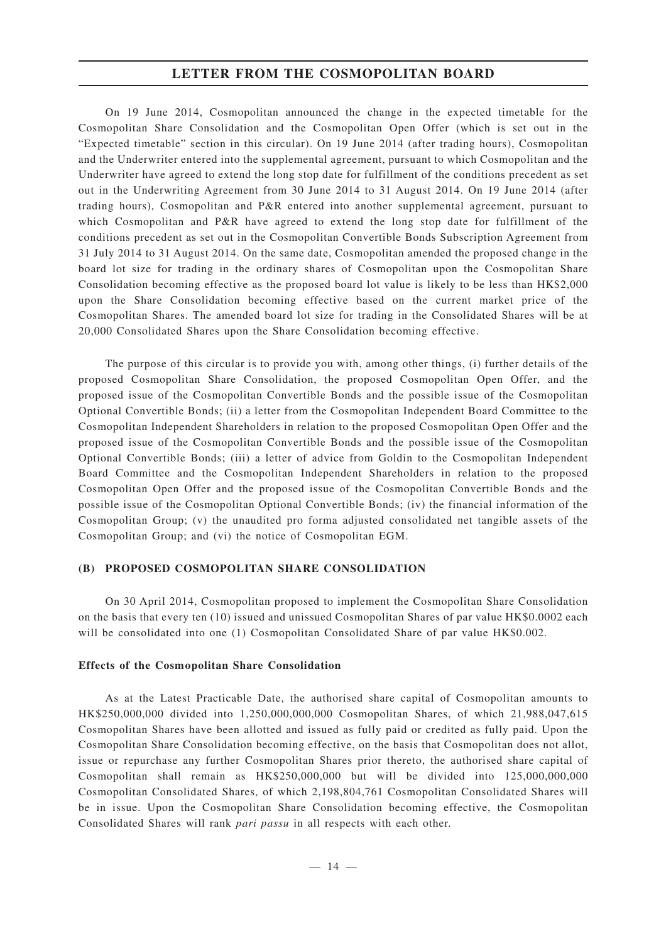On 19 June 2014, Cosmopolitan announced the change in the expected timetable for the Cosmopolitan Share Consolidation and the Cosmopolitan Open Offer (which is set out in the "Expected timetable" section in this circular). On 19 June 2014 (after trading hours), Cosmopolitan and the Underwriter entered into the supplemental agreement, pursuant to which Cosmopolitan and the Underwriter have agreed to extend the long stop date for fulfillment of the conditions precedent as set out in the Underwriting Agreement from 30 June 2014 to 31 August 2014. On 19 June 2014 (after trading hours), Cosmopolitan and P&R entered into another supplemental agreement, pursuant to which Cosmopolitan and P&R have agreed to extend the long stop date for fulfillment of the conditions precedent as set out in the Cosmopolitan Convertible Bonds Subscription Agreement from 31 July 2014 to 31 August 2014. On the same date, Cosmopolitan amended the proposed change in the board lot size for trading in the ordinary shares of Cosmopolitan upon the Cosmopolitan Share Consolidation becoming effective as the proposed board lot value is likely to be less than HK\$2,000 upon the Share Consolidation becoming effective based on the current market price of the Cosmopolitan Shares. The amended board lot size for trading in the Consolidated Shares will be at 20,000 Consolidated Shares upon the Share Consolidation becoming effective.

The purpose of this circular is to provide you with, among other things, (i) further details of the proposed Cosmopolitan Share Consolidation, the proposed Cosmopolitan Open Offer, and the proposed issue of the Cosmopolitan Convertible Bonds and the possible issue of the Cosmopolitan Optional Convertible Bonds; (ii) a letter from the Cosmopolitan Independent Board Committee to the Cosmopolitan Independent Shareholders in relation to the proposed Cosmopolitan Open Offer and the proposed issue of the Cosmopolitan Convertible Bonds and the possible issue of the Cosmopolitan Optional Convertible Bonds; (iii) a letter of advice from Goldin to the Cosmopolitan Independent Board Committee and the Cosmopolitan Independent Shareholders in relation to the proposed Cosmopolitan Open Offer and the proposed issue of the Cosmopolitan Convertible Bonds and the possible issue of the Cosmopolitan Optional Convertible Bonds; (iv) the financial information of the Cosmopolitan Group; (v) the unaudited pro forma adjusted consolidated net tangible assets of the Cosmopolitan Group; and (vi) the notice of Cosmopolitan EGM.

### **(B) PROPOSED COSMOPOLITAN SHARE CONSOLIDATION**

On 30 April 2014, Cosmopolitan proposed to implement the Cosmopolitan Share Consolidation on the basis that every ten (10) issued and unissued Cosmopolitan Shares of par value HK\$0.0002 each will be consolidated into one (1) Cosmopolitan Consolidated Share of par value HK\$0.002.

#### **Effects of the Cosmopolitan Share Consolidation**

As at the Latest Practicable Date, the authorised share capital of Cosmopolitan amounts to HK\$250,000,000 divided into 1,250,000,000,000 Cosmopolitan Shares, of which 21,988,047,615 Cosmopolitan Shares have been allotted and issued as fully paid or credited as fully paid. Upon the Cosmopolitan Share Consolidation becoming effective, on the basis that Cosmopolitan does not allot, issue or repurchase any further Cosmopolitan Shares prior thereto, the authorised share capital of Cosmopolitan shall remain as HK\$250,000,000 but will be divided into 125,000,000,000 Cosmopolitan Consolidated Shares, of which 2,198,804,761 Cosmopolitan Consolidated Shares will be in issue. Upon the Cosmopolitan Share Consolidation becoming effective, the Cosmopolitan Consolidated Shares will rank *pari passu* in all respects with each other.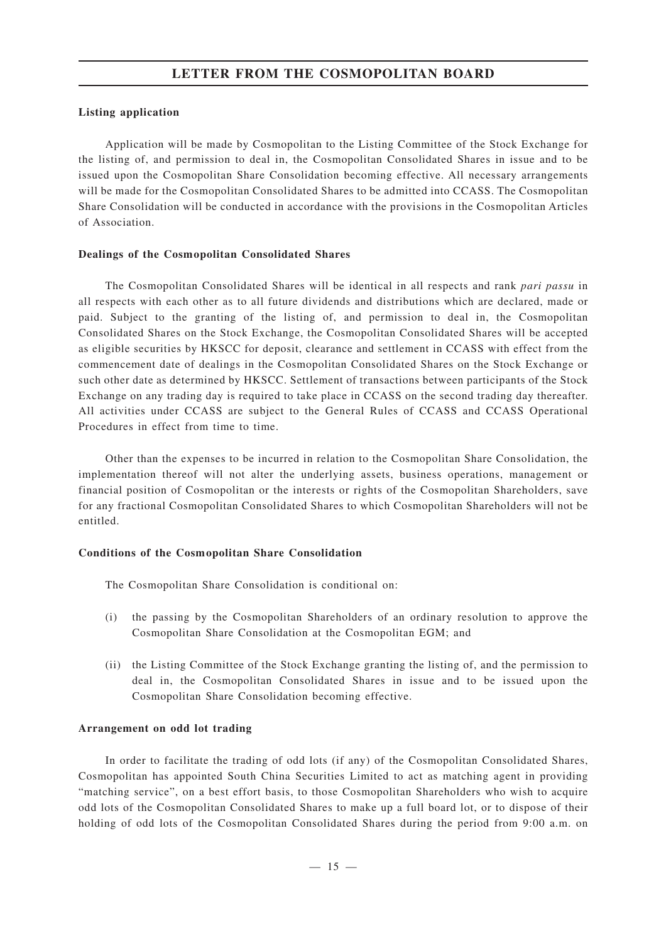### **Listing application**

Application will be made by Cosmopolitan to the Listing Committee of the Stock Exchange for the listing of, and permission to deal in, the Cosmopolitan Consolidated Shares in issue and to be issued upon the Cosmopolitan Share Consolidation becoming effective. All necessary arrangements will be made for the Cosmopolitan Consolidated Shares to be admitted into CCASS. The Cosmopolitan Share Consolidation will be conducted in accordance with the provisions in the Cosmopolitan Articles of Association.

### **Dealings of the Cosmopolitan Consolidated Shares**

The Cosmopolitan Consolidated Shares will be identical in all respects and rank *pari passu* in all respects with each other as to all future dividends and distributions which are declared, made or paid. Subject to the granting of the listing of, and permission to deal in, the Cosmopolitan Consolidated Shares on the Stock Exchange, the Cosmopolitan Consolidated Shares will be accepted as eligible securities by HKSCC for deposit, clearance and settlement in CCASS with effect from the commencement date of dealings in the Cosmopolitan Consolidated Shares on the Stock Exchange or such other date as determined by HKSCC. Settlement of transactions between participants of the Stock Exchange on any trading day is required to take place in CCASS on the second trading day thereafter. All activities under CCASS are subject to the General Rules of CCASS and CCASS Operational Procedures in effect from time to time.

Other than the expenses to be incurred in relation to the Cosmopolitan Share Consolidation, the implementation thereof will not alter the underlying assets, business operations, management or financial position of Cosmopolitan or the interests or rights of the Cosmopolitan Shareholders, save for any fractional Cosmopolitan Consolidated Shares to which Cosmopolitan Shareholders will not be entitled.

### **Conditions of the Cosmopolitan Share Consolidation**

The Cosmopolitan Share Consolidation is conditional on:

- (i) the passing by the Cosmopolitan Shareholders of an ordinary resolution to approve the Cosmopolitan Share Consolidation at the Cosmopolitan EGM; and
- (ii) the Listing Committee of the Stock Exchange granting the listing of, and the permission to deal in, the Cosmopolitan Consolidated Shares in issue and to be issued upon the Cosmopolitan Share Consolidation becoming effective.

### **Arrangement on odd lot trading**

In order to facilitate the trading of odd lots (if any) of the Cosmopolitan Consolidated Shares, Cosmopolitan has appointed South China Securities Limited to act as matching agent in providing "matching service", on a best effort basis, to those Cosmopolitan Shareholders who wish to acquire odd lots of the Cosmopolitan Consolidated Shares to make up a full board lot, or to dispose of their holding of odd lots of the Cosmopolitan Consolidated Shares during the period from 9:00 a.m. on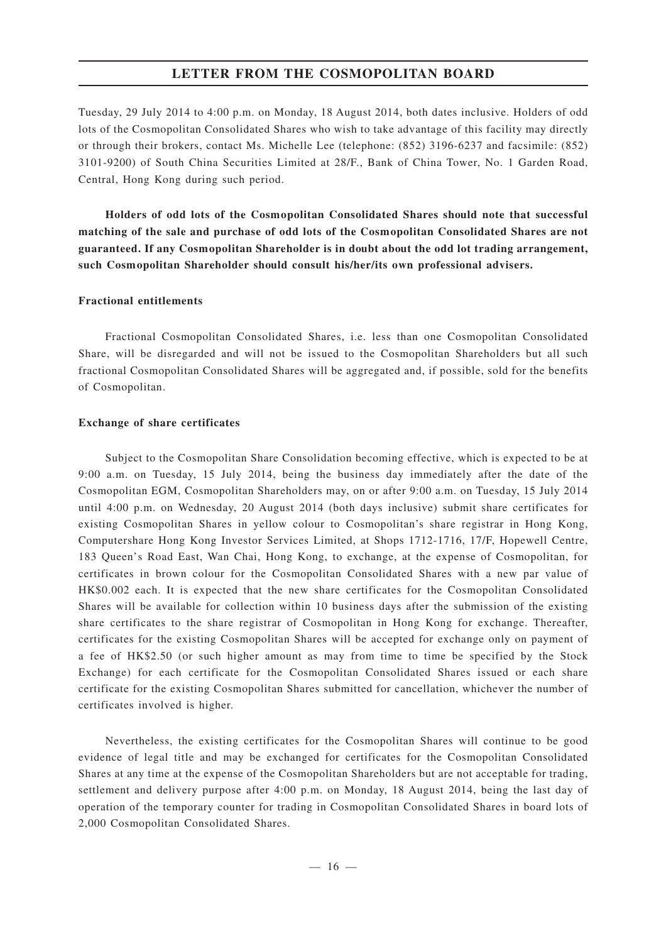Tuesday, 29 July 2014 to 4:00 p.m. on Monday, 18 August 2014, both dates inclusive. Holders of odd lots of the Cosmopolitan Consolidated Shares who wish to take advantage of this facility may directly or through their brokers, contact Ms. Michelle Lee (telephone: (852) 3196-6237 and facsimile: (852) 3101-9200) of South China Securities Limited at 28/F., Bank of China Tower, No. 1 Garden Road, Central, Hong Kong during such period.

**Holders of odd lots of the Cosm opolitan Consolidated Shares should note that successful matching of the sale and purchase of odd lots of the Cosmopolitan Consolidated Shares are not guaranteed. If any Cosm opolitan Shareholder is in doubt about the odd lot trading arrangement, such Cosm opolitan Shareholder should consult his/her/its own professional advisers.**

### **Fractional entitlements**

Fractional Cosmopolitan Consolidated Shares, i.e. less than one Cosmopolitan Consolidated Share, will be disregarded and will not be issued to the Cosmopolitan Shareholders but all such fractional Cosmopolitan Consolidated Shares will be aggregated and, if possible, sold for the benefits of Cosmopolitan.

### **Exchange of share certificates**

Subject to the Cosmopolitan Share Consolidation becoming effective, which is expected to be at 9:00 a.m. on Tuesday, 15 July 2014, being the business day immediately after the date of the Cosmopolitan EGM, Cosmopolitan Shareholders may, on or after 9:00 a.m. on Tuesday, 15 July 2014 until 4:00 p.m. on Wednesday, 20 August 2014 (both days inclusive) submit share certificates for existing Cosmopolitan Shares in yellow colour to Cosmopolitan's share registrar in Hong Kong, Computershare Hong Kong Investor Services Limited, at Shops 1712-1716, 17/F, Hopewell Centre, 183 Queen's Road East, Wan Chai, Hong Kong, to exchange, at the expense of Cosmopolitan, for certificates in brown colour for the Cosmopolitan Consolidated Shares with a new par value of HK\$0.002 each. It is expected that the new share certificates for the Cosmopolitan Consolidated Shares will be available for collection within 10 business days after the submission of the existing share certificates to the share registrar of Cosmopolitan in Hong Kong for exchange. Thereafter, certificates for the existing Cosmopolitan Shares will be accepted for exchange only on payment of a fee of HK\$2.50 (or such higher amount as may from time to time be specified by the Stock Exchange) for each certificate for the Cosmopolitan Consolidated Shares issued or each share certificate for the existing Cosmopolitan Shares submitted for cancellation, whichever the number of certificates involved is higher.

Nevertheless, the existing certificates for the Cosmopolitan Shares will continue to be good evidence of legal title and may be exchanged for certificates for the Cosmopolitan Consolidated Shares at any time at the expense of the Cosmopolitan Shareholders but are not acceptable for trading, settlement and delivery purpose after 4:00 p.m. on Monday, 18 August 2014, being the last day of operation of the temporary counter for trading in Cosmopolitan Consolidated Shares in board lots of 2,000 Cosmopolitan Consolidated Shares.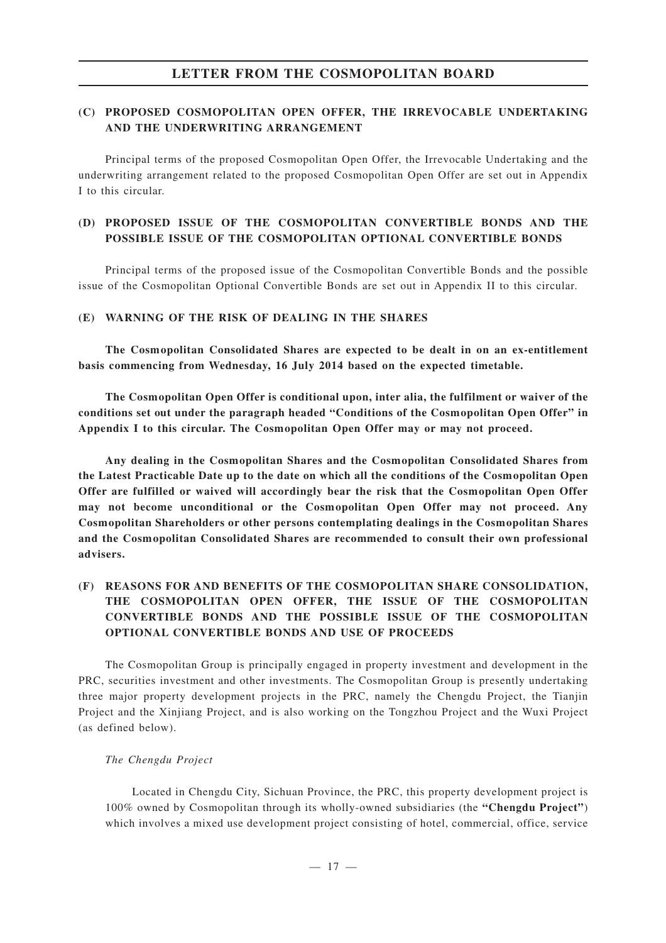## **(C) PROPOSED COSMOPOLITAN OPEN OFFER, THE IRREVOCABLE UNDERTAKING AND THE UNDERWRITING ARRANGEMENT**

Principal terms of the proposed Cosmopolitan Open Offer, the Irrevocable Undertaking and the underwriting arrangement related to the proposed Cosmopolitan Open Offer are set out in Appendix I to this circular.

## **(D) PROPOSED ISSUE OF THE COSMOPOLITAN CONVERTIBLE BONDS AND THE POSSIBLE ISSUE OF THE COSMOPOLITAN OPTIONAL CONVERTIBLE BONDS**

Principal terms of the proposed issue of the Cosmopolitan Convertible Bonds and the possible issue of the Cosmopolitan Optional Convertible Bonds are set out in Appendix II to this circular.

### **(E) WARNING OF THE RISK OF DEALING IN THE SHARES**

**The Cosmopolitan Consolidated Shares are expected to be dealt in on an ex-entitlement basis commencing from Wednesday, 16 July 2014 based on the expected timetable.**

**The Cosmopolitan Open Offer is conditional upon, inter alia, the fulfilment or waiver of the conditions set out under the paragraph headed "Conditions of the Cosm opolitan Open Offer" in Appendix I to this circular. The Cosm opolitan Open Offer may or may not proceed.**

**Any dealing in the Cosmopolitan Shares and the Cosmopolitan Consolidated Shares from the Latest Practicable Date up to the date on which all the conditions of the Cosmopolitan Open Offer are fulfilled or waived will accordingly bear the risk that the Cosmopolitan Open Offer may not become unconditional or the Cosmopolitan Open Offer may not proceed. Any Cosmopolitan Shareholders or other persons contemplating dealings in the Cosmopolitan Shares and the Cosmopolitan Consolidated Shares are recommended to consult their own professional advisers.**

# **(F) REASONS FOR AND BENEFITS OF THE COSMOPOLITAN SHARE CONSOLIDATION, THE COSMOPOLITAN OPEN OFFER, THE ISSUE OF THE COSMOPOLITAN CONVERTIBLE BONDS AND THE POSSIBLE ISSUE OF THE COSMOPOLITAN OPTIONAL CONVERTIBLE BONDS AND USE OF PROCEEDS**

The Cosmopolitan Group is principally engaged in property investment and development in the PRC, securities investment and other investments. The Cosmopolitan Group is presently undertaking three major property development projects in the PRC, namely the Chengdu Project, the Tianjin Project and the Xinjiang Project, and is also working on the Tongzhou Project and the Wuxi Project (as defined below).

### *The Chengdu Project*

Located in Chengdu City, Sichuan Province, the PRC, this property development project is 100% owned by Cosmopolitan through its wholly-owned subsidiaries (the **"Chengdu Project"**) which involves a mixed use development project consisting of hotel, commercial, office, service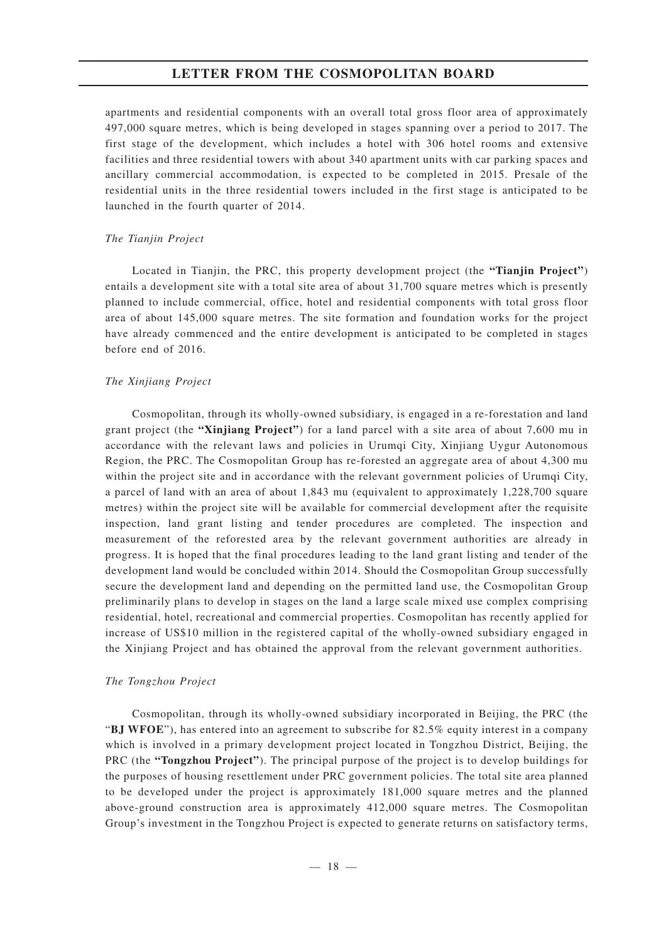apartments and residential components with an overall total gross floor area of approximately 497,000 square metres, which is being developed in stages spanning over a period to 2017. The first stage of the development, which includes a hotel with 306 hotel rooms and extensive facilities and three residential towers with about 340 apartment units with car parking spaces and ancillary commercial accommodation, is expected to be completed in 2015. Presale of the residential units in the three residential towers included in the first stage is anticipated to be launched in the fourth quarter of 2014.

#### *The Tianjin Project*

Located in Tianjin, the PRC, this property development project (the **"Tianjin Project"**) entails a development site with a total site area of about 31,700 square metres which is presently planned to include commercial, office, hotel and residential components with total gross floor area of about 145,000 square metres. The site formation and foundation works for the project have already commenced and the entire development is anticipated to be completed in stages before end of 2016.

#### *The Xinjiang Project*

Cosmopolitan, through its wholly-owned subsidiary, is engaged in a re-forestation and land grant project (the **"Xinjiang Project"**) for a land parcel with a site area of about 7,600 mu in accordance with the relevant laws and policies in Urumqi City, Xinjiang Uygur Autonomous Region, the PRC. The Cosmopolitan Group has re-forested an aggregate area of about 4,300 mu within the project site and in accordance with the relevant government policies of Urumqi City, a parcel of land with an area of about 1,843 mu (equivalent to approximately 1,228,700 square metres) within the project site will be available for commercial development after the requisite inspection, land grant listing and tender procedures are completed. The inspection and measurement of the reforested area by the relevant government authorities are already in progress. It is hoped that the final procedures leading to the land grant listing and tender of the development land would be concluded within 2014. Should the Cosmopolitan Group successfully secure the development land and depending on the permitted land use, the Cosmopolitan Group preliminarily plans to develop in stages on the land a large scale mixed use complex comprising residential, hotel, recreational and commercial properties. Cosmopolitan has recently applied for increase of US\$10 million in the registered capital of the wholly-owned subsidiary engaged in the Xinjiang Project and has obtained the approval from the relevant government authorities.

#### *The Tongzhou Project*

Cosmopolitan, through its wholly-owned subsidiary incorporated in Beijing, the PRC (the "**BJ WFOE**"), has entered into an agreement to subscribe for 82.5% equity interest in a company which is involved in a primary development project located in Tongzhou District, Beijing, the PRC (the **"Tongzhou Project"**). The principal purpose of the project is to develop buildings for the purposes of housing resettlement under PRC government policies. The total site area planned to be developed under the project is approximately 181,000 square metres and the planned above-ground construction area is approximately 412,000 square metres. The Cosmopolitan Group's investment in the Tongzhou Project is expected to generate returns on satisfactory terms,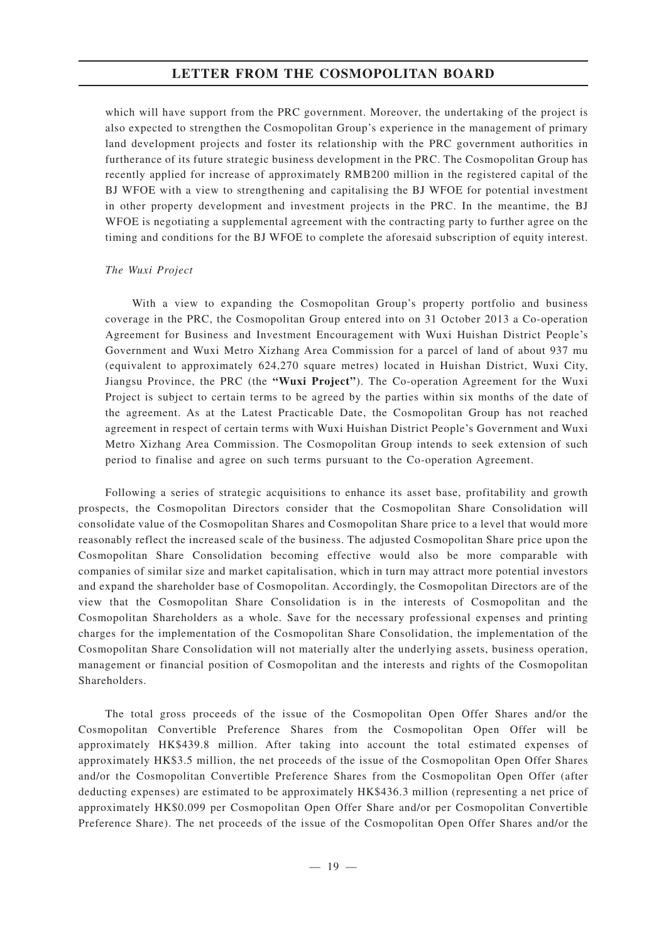which will have support from the PRC government. Moreover, the undertaking of the project is also expected to strengthen the Cosmopolitan Group's experience in the management of primary land development projects and foster its relationship with the PRC government authorities in furtherance of its future strategic business development in the PRC. The Cosmopolitan Group has recently applied for increase of approximately RMB200 million in the registered capital of the BJ WFOE with a view to strengthening and capitalising the BJ WFOE for potential investment in other property development and investment projects in the PRC. In the meantime, the BJ WFOE is negotiating a supplemental agreement with the contracting party to further agree on the timing and conditions for the BJ WFOE to complete the aforesaid subscription of equity interest.

#### *The Wuxi Project*

With a view to expanding the Cosmopolitan Group's property portfolio and business coverage in the PRC, the Cosmopolitan Group entered into on 31 October 2013 a Co-operation Agreement for Business and Investment Encouragement with Wuxi Huishan District People's Government and Wuxi Metro Xizhang Area Commission for a parcel of land of about 937 mu (equivalent to approximately 624,270 square metres) located in Huishan District, Wuxi City, Jiangsu Province, the PRC (the **"Wuxi Project"**). The Co-operation Agreement for the Wuxi Project is subject to certain terms to be agreed by the parties within six months of the date of the agreement. As at the Latest Practicable Date, the Cosmopolitan Group has not reached agreement in respect of certain terms with Wuxi Huishan District People's Government and Wuxi Metro Xizhang Area Commission. The Cosmopolitan Group intends to seek extension of such period to finalise and agree on such terms pursuant to the Co-operation Agreement.

Following a series of strategic acquisitions to enhance its asset base, profitability and growth prospects, the Cosmopolitan Directors consider that the Cosmopolitan Share Consolidation will consolidate value of the Cosmopolitan Shares and Cosmopolitan Share price to a level that would more reasonably reflect the increased scale of the business. The adjusted Cosmopolitan Share price upon the Cosmopolitan Share Consolidation becoming effective would also be more comparable with companies of similar size and market capitalisation, which in turn may attract more potential investors and expand the shareholder base of Cosmopolitan. Accordingly, the Cosmopolitan Directors are of the view that the Cosmopolitan Share Consolidation is in the interests of Cosmopolitan and the Cosmopolitan Shareholders as a whole. Save for the necessary professional expenses and printing charges for the implementation of the Cosmopolitan Share Consolidation, the implementation of the Cosmopolitan Share Consolidation will not materially alter the underlying assets, business operation, management or financial position of Cosmopolitan and the interests and rights of the Cosmopolitan Shareholders.

The total gross proceeds of the issue of the Cosmopolitan Open Offer Shares and/or the Cosmopolitan Convertible Preference Shares from the Cosmopolitan Open Offer will be approximately HK\$439.8 million. After taking into account the total estimated expenses of approximately HK\$3.5 million, the net proceeds of the issue of the Cosmopolitan Open Offer Shares and/or the Cosmopolitan Convertible Preference Shares from the Cosmopolitan Open Offer (after deducting expenses) are estimated to be approximately HK\$436.3 million (representing a net price of approximately HK\$0.099 per Cosmopolitan Open Offer Share and/or per Cosmopolitan Convertible Preference Share). The net proceeds of the issue of the Cosmopolitan Open Offer Shares and/or the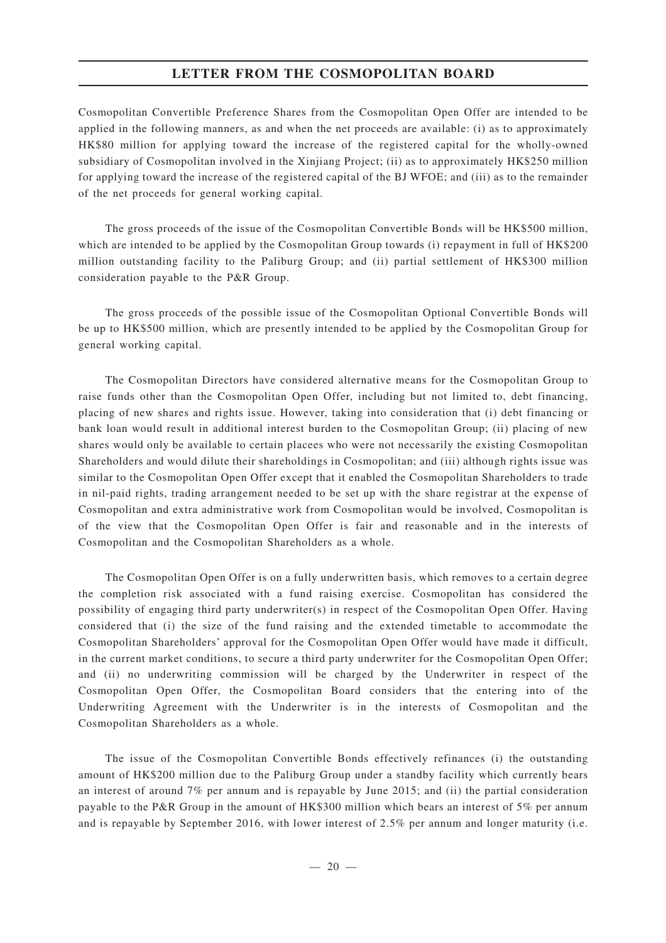Cosmopolitan Convertible Preference Shares from the Cosmopolitan Open Offer are intended to be applied in the following manners, as and when the net proceeds are available: (i) as to approximately HK\$80 million for applying toward the increase of the registered capital for the wholly-owned subsidiary of Cosmopolitan involved in the Xinjiang Project; (ii) as to approximately HK\$250 million for applying toward the increase of the registered capital of the BJ WFOE; and (iii) as to the remainder of the net proceeds for general working capital.

The gross proceeds of the issue of the Cosmopolitan Convertible Bonds will be HK\$500 million, which are intended to be applied by the Cosmopolitan Group towards (i) repayment in full of HK\$200 million outstanding facility to the Paliburg Group; and (ii) partial settlement of HK\$300 million consideration payable to the P&R Group.

The gross proceeds of the possible issue of the Cosmopolitan Optional Convertible Bonds will be up to HK\$500 million, which are presently intended to be applied by the Cosmopolitan Group for general working capital.

The Cosmopolitan Directors have considered alternative means for the Cosmopolitan Group to raise funds other than the Cosmopolitan Open Offer, including but not limited to, debt financing, placing of new shares and rights issue. However, taking into consideration that (i) debt financing or bank loan would result in additional interest burden to the Cosmopolitan Group; (ii) placing of new shares would only be available to certain placees who were not necessarily the existing Cosmopolitan Shareholders and would dilute their shareholdings in Cosmopolitan; and (iii) although rights issue was similar to the Cosmopolitan Open Offer except that it enabled the Cosmopolitan Shareholders to trade in nil-paid rights, trading arrangement needed to be set up with the share registrar at the expense of Cosmopolitan and extra administrative work from Cosmopolitan would be involved, Cosmopolitan is of the view that the Cosmopolitan Open Offer is fair and reasonable and in the interests of Cosmopolitan and the Cosmopolitan Shareholders as a whole.

The Cosmopolitan Open Offer is on a fully underwritten basis, which removes to a certain degree the completion risk associated with a fund raising exercise. Cosmopolitan has considered the possibility of engaging third party underwriter(s) in respect of the Cosmopolitan Open Offer. Having considered that (i) the size of the fund raising and the extended timetable to accommodate the Cosmopolitan Shareholders' approval for the Cosmopolitan Open Offer would have made it difficult, in the current market conditions, to secure a third party underwriter for the Cosmopolitan Open Offer; and (ii) no underwriting commission will be charged by the Underwriter in respect of the Cosmopolitan Open Offer, the Cosmopolitan Board considers that the entering into of the Underwriting Agreement with the Underwriter is in the interests of Cosmopolitan and the Cosmopolitan Shareholders as a whole.

The issue of the Cosmopolitan Convertible Bonds effectively refinances (i) the outstanding amount of HK\$200 million due to the Paliburg Group under a standby facility which currently bears an interest of around 7% per annum and is repayable by June 2015; and (ii) the partial consideration payable to the P&R Group in the amount of HK\$300 million which bears an interest of 5% per annum and is repayable by September 2016, with lower interest of 2.5% per annum and longer maturity (i.e.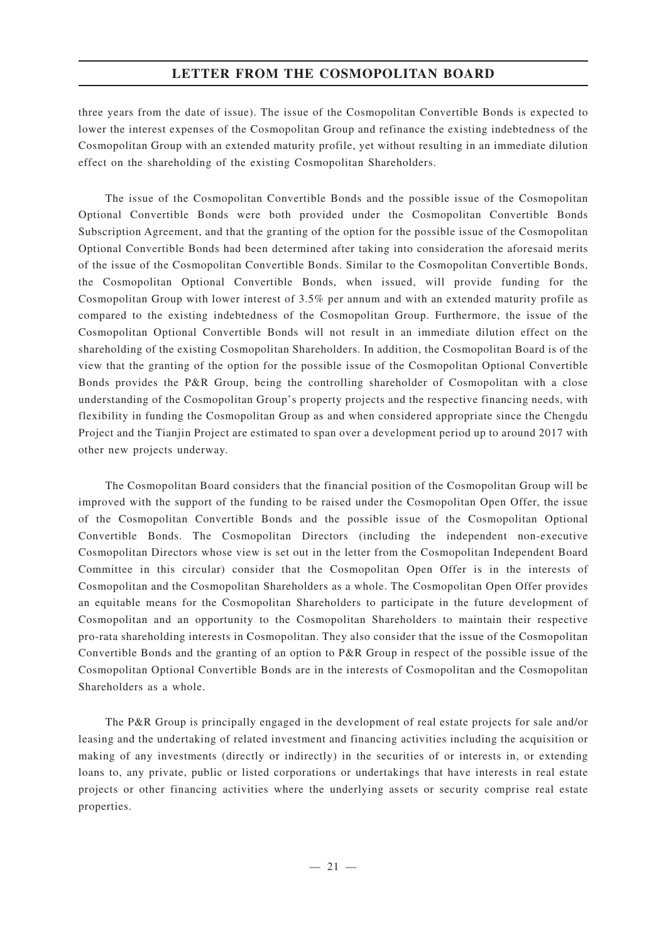three years from the date of issue). The issue of the Cosmopolitan Convertible Bonds is expected to lower the interest expenses of the Cosmopolitan Group and refinance the existing indebtedness of the Cosmopolitan Group with an extended maturity profile, yet without resulting in an immediate dilution effect on the shareholding of the existing Cosmopolitan Shareholders.

The issue of the Cosmopolitan Convertible Bonds and the possible issue of the Cosmopolitan Optional Convertible Bonds were both provided under the Cosmopolitan Convertible Bonds Subscription Agreement, and that the granting of the option for the possible issue of the Cosmopolitan Optional Convertible Bonds had been determined after taking into consideration the aforesaid merits of the issue of the Cosmopolitan Convertible Bonds. Similar to the Cosmopolitan Convertible Bonds, the Cosmopolitan Optional Convertible Bonds, when issued, will provide funding for the Cosmopolitan Group with lower interest of 3.5% per annum and with an extended maturity profile as compared to the existing indebtedness of the Cosmopolitan Group. Furthermore, the issue of the Cosmopolitan Optional Convertible Bonds will not result in an immediate dilution effect on the shareholding of the existing Cosmopolitan Shareholders. In addition, the Cosmopolitan Board is of the view that the granting of the option for the possible issue of the Cosmopolitan Optional Convertible Bonds provides the P&R Group, being the controlling shareholder of Cosmopolitan with a close understanding of the Cosmopolitan Group's property projects and the respective financing needs, with flexibility in funding the Cosmopolitan Group as and when considered appropriate since the Chengdu Project and the Tianjin Project are estimated to span over a development period up to around 2017 with other new projects underway.

The Cosmopolitan Board considers that the financial position of the Cosmopolitan Group will be improved with the support of the funding to be raised under the Cosmopolitan Open Offer, the issue of the Cosmopolitan Convertible Bonds and the possible issue of the Cosmopolitan Optional Convertible Bonds. The Cosmopolitan Directors (including the independent non-executive Cosmopolitan Directors whose view is set out in the letter from the Cosmopolitan Independent Board Committee in this circular) consider that the Cosmopolitan Open Offer is in the interests of Cosmopolitan and the Cosmopolitan Shareholders as a whole. The Cosmopolitan Open Offer provides an equitable means for the Cosmopolitan Shareholders to participate in the future development of Cosmopolitan and an opportunity to the Cosmopolitan Shareholders to maintain their respective pro-rata shareholding interests in Cosmopolitan. They also consider that the issue of the Cosmopolitan Convertible Bonds and the granting of an option to P&R Group in respect of the possible issue of the Cosmopolitan Optional Convertible Bonds are in the interests of Cosmopolitan and the Cosmopolitan Shareholders as a whole.

The P&R Group is principally engaged in the development of real estate projects for sale and/or leasing and the undertaking of related investment and financing activities including the acquisition or making of any investments (directly or indirectly) in the securities of or interests in, or extending loans to, any private, public or listed corporations or undertakings that have interests in real estate projects or other financing activities where the underlying assets or security comprise real estate properties.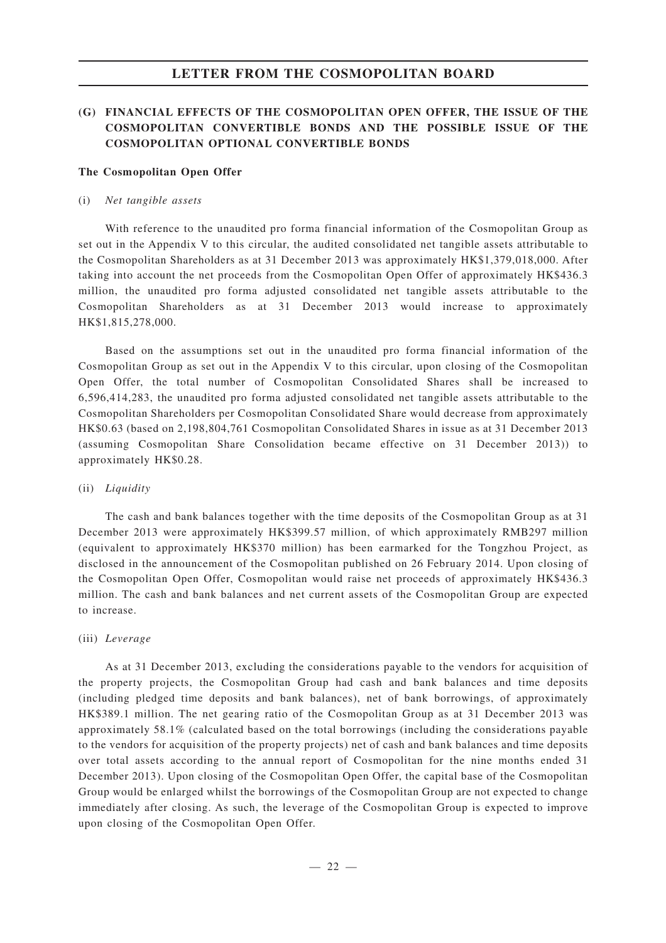# **(G) FINANCIAL EFFECTS OF THE COSMOPOLITAN OPEN OFFER, THE ISSUE OF THE COSMOPOLITAN CONVERTIBLE BONDS AND THE POSSIBLE ISSUE OF THE COSMOPOLITAN OPTIONAL CONVERTIBLE BONDS**

#### **The Cosmopolitan Open Offer**

#### (i) *Net tangible assets*

With reference to the unaudited pro forma financial information of the Cosmopolitan Group as set out in the Appendix V to this circular, the audited consolidated net tangible assets attributable to the Cosmopolitan Shareholders as at 31 December 2013 was approximately HK\$1,379,018,000. After taking into account the net proceeds from the Cosmopolitan Open Offer of approximately HK\$436.3 million, the unaudited pro forma adjusted consolidated net tangible assets attributable to the Cosmopolitan Shareholders as at 31 December 2013 would increase to approximately HK\$1,815,278,000.

Based on the assumptions set out in the unaudited pro forma financial information of the Cosmopolitan Group as set out in the Appendix V to this circular, upon closing of the Cosmopolitan Open Offer, the total number of Cosmopolitan Consolidated Shares shall be increased to 6,596,414,283, the unaudited pro forma adjusted consolidated net tangible assets attributable to the Cosmopolitan Shareholders per Cosmopolitan Consolidated Share would decrease from approximately HK\$0.63 (based on 2,198,804,761 Cosmopolitan Consolidated Shares in issue as at 31 December 2013 (assuming Cosmopolitan Share Consolidation became effective on 31 December 2013)) to approximately HK\$0.28.

#### (ii) *Liquidity*

The cash and bank balances together with the time deposits of the Cosmopolitan Group as at 31 December 2013 were approximately HK\$399.57 million, of which approximately RMB297 million (equivalent to approximately HK\$370 million) has been earmarked for the Tongzhou Project, as disclosed in the announcement of the Cosmopolitan published on 26 February 2014. Upon closing of the Cosmopolitan Open Offer, Cosmopolitan would raise net proceeds of approximately HK\$436.3 million. The cash and bank balances and net current assets of the Cosmopolitan Group are expected to increase.

#### (iii) *Leverage*

As at 31 December 2013, excluding the considerations payable to the vendors for acquisition of the property projects, the Cosmopolitan Group had cash and bank balances and time deposits (including pledged time deposits and bank balances), net of bank borrowings, of approximately HK\$389.1 million. The net gearing ratio of the Cosmopolitan Group as at 31 December 2013 was approximately 58.1% (calculated based on the total borrowings (including the considerations payable to the vendors for acquisition of the property projects) net of cash and bank balances and time deposits over total assets according to the annual report of Cosmopolitan for the nine months ended 31 December 2013). Upon closing of the Cosmopolitan Open Offer, the capital base of the Cosmopolitan Group would be enlarged whilst the borrowings of the Cosmopolitan Group are not expected to change immediately after closing. As such, the leverage of the Cosmopolitan Group is expected to improve upon closing of the Cosmopolitan Open Offer.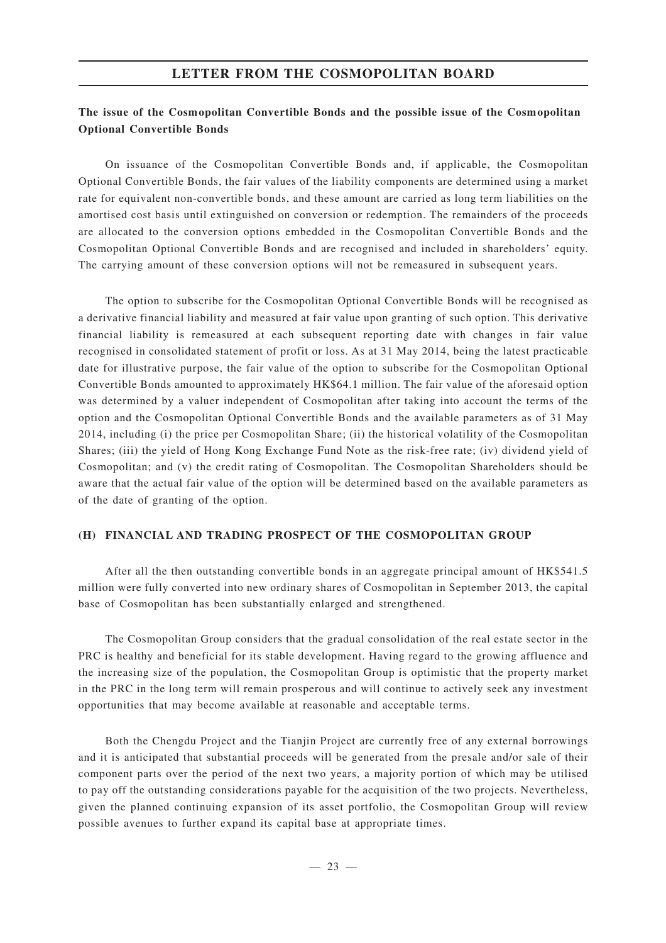## **The issue of the Cosmopolitan Convertible Bonds and the possible issue of the Cosmopolitan Optional Convertible Bonds**

On issuance of the Cosmopolitan Convertible Bonds and, if applicable, the Cosmopolitan Optional Convertible Bonds, the fair values of the liability components are determined using a market rate for equivalent non-convertible bonds, and these amount are carried as long term liabilities on the amortised cost basis until extinguished on conversion or redemption. The remainders of the proceeds are allocated to the conversion options embedded in the Cosmopolitan Convertible Bonds and the Cosmopolitan Optional Convertible Bonds and are recognised and included in shareholders' equity. The carrying amount of these conversion options will not be remeasured in subsequent years.

The option to subscribe for the Cosmopolitan Optional Convertible Bonds will be recognised as a derivative financial liability and measured at fair value upon granting of such option. This derivative financial liability is remeasured at each subsequent reporting date with changes in fair value recognised in consolidated statement of profit or loss. As at 31 May 2014, being the latest practicable date for illustrative purpose, the fair value of the option to subscribe for the Cosmopolitan Optional Convertible Bonds amounted to approximately HK\$64.1 million. The fair value of the aforesaid option was determined by a valuer independent of Cosmopolitan after taking into account the terms of the option and the Cosmopolitan Optional Convertible Bonds and the available parameters as of 31 May 2014, including (i) the price per Cosmopolitan Share; (ii) the historical volatility of the Cosmopolitan Shares; (iii) the yield of Hong Kong Exchange Fund Note as the risk-free rate; (iv) dividend yield of Cosmopolitan; and (v) the credit rating of Cosmopolitan. The Cosmopolitan Shareholders should be aware that the actual fair value of the option will be determined based on the available parameters as of the date of granting of the option.

### **(H) FINANCIAL AND TRADING PROSPECT OF THE COSMOPOLITAN GROUP**

After all the then outstanding convertible bonds in an aggregate principal amount of HK\$541.5 million were fully converted into new ordinary shares of Cosmopolitan in September 2013, the capital base of Cosmopolitan has been substantially enlarged and strengthened.

The Cosmopolitan Group considers that the gradual consolidation of the real estate sector in the PRC is healthy and beneficial for its stable development. Having regard to the growing affluence and the increasing size of the population, the Cosmopolitan Group is optimistic that the property market in the PRC in the long term will remain prosperous and will continue to actively seek any investment opportunities that may become available at reasonable and acceptable terms.

Both the Chengdu Project and the Tianjin Project are currently free of any external borrowings and it is anticipated that substantial proceeds will be generated from the presale and/or sale of their component parts over the period of the next two years, a majority portion of which may be utilised to pay off the outstanding considerations payable for the acquisition of the two projects. Nevertheless, given the planned continuing expansion of its asset portfolio, the Cosmopolitan Group will review possible avenues to further expand its capital base at appropriate times.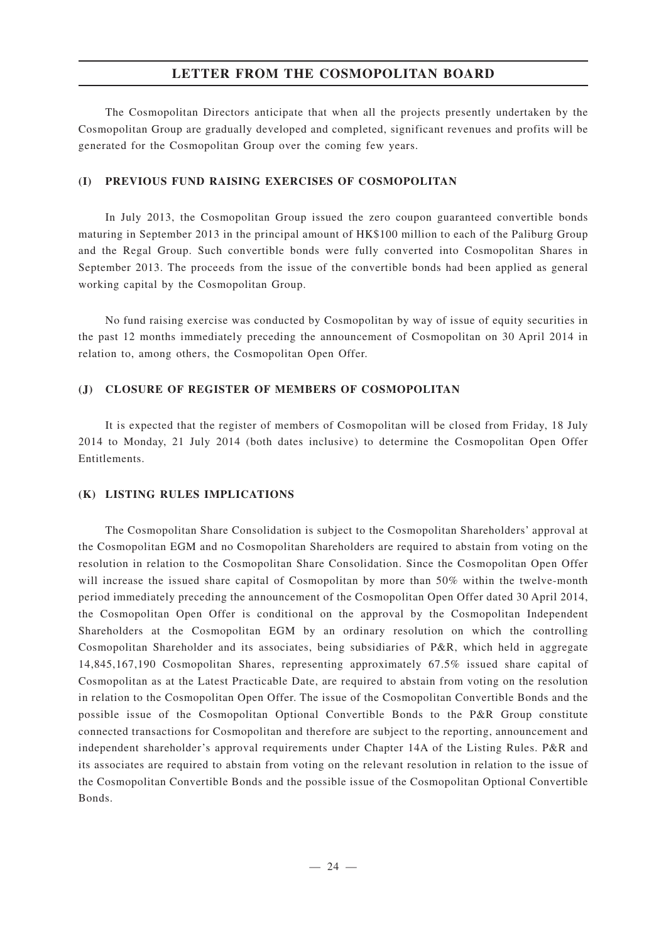The Cosmopolitan Directors anticipate that when all the projects presently undertaken by the Cosmopolitan Group are gradually developed and completed, significant revenues and profits will be generated for the Cosmopolitan Group over the coming few years.

### **(I) PREVIOUS FUND RAISING EXERCISES OF COSMOPOLITAN**

In July 2013, the Cosmopolitan Group issued the zero coupon guaranteed convertible bonds maturing in September 2013 in the principal amount of HK\$100 million to each of the Paliburg Group and the Regal Group. Such convertible bonds were fully converted into Cosmopolitan Shares in September 2013. The proceeds from the issue of the convertible bonds had been applied as general working capital by the Cosmopolitan Group.

No fund raising exercise was conducted by Cosmopolitan by way of issue of equity securities in the past 12 months immediately preceding the announcement of Cosmopolitan on 30 April 2014 in relation to, among others, the Cosmopolitan Open Offer.

### **(J) CLOSURE OF REGISTER OF MEMBERS OF COSMOPOLITAN**

It is expected that the register of members of Cosmopolitan will be closed from Friday, 18 July 2014 to Monday, 21 July 2014 (both dates inclusive) to determine the Cosmopolitan Open Offer Entitlements.

### **(K) LISTING RULES IMPLICATIONS**

The Cosmopolitan Share Consolidation is subject to the Cosmopolitan Shareholders' approval at the Cosmopolitan EGM and no Cosmopolitan Shareholders are required to abstain from voting on the resolution in relation to the Cosmopolitan Share Consolidation. Since the Cosmopolitan Open Offer will increase the issued share capital of Cosmopolitan by more than 50% within the twelve-month period immediately preceding the announcement of the Cosmopolitan Open Offer dated 30 April 2014, the Cosmopolitan Open Offer is conditional on the approval by the Cosmopolitan Independent Shareholders at the Cosmopolitan EGM by an ordinary resolution on which the controlling Cosmopolitan Shareholder and its associates, being subsidiaries of P&R, which held in aggregate 14,845,167,190 Cosmopolitan Shares, representing approximately 67.5% issued share capital of Cosmopolitan as at the Latest Practicable Date, are required to abstain from voting on the resolution in relation to the Cosmopolitan Open Offer. The issue of the Cosmopolitan Convertible Bonds and the possible issue of the Cosmopolitan Optional Convertible Bonds to the P&R Group constitute connected transactions for Cosmopolitan and therefore are subject to the reporting, announcement and independent shareholder's approval requirements under Chapter 14A of the Listing Rules. P&R and its associates are required to abstain from voting on the relevant resolution in relation to the issue of the Cosmopolitan Convertible Bonds and the possible issue of the Cosmopolitan Optional Convertible Bonds.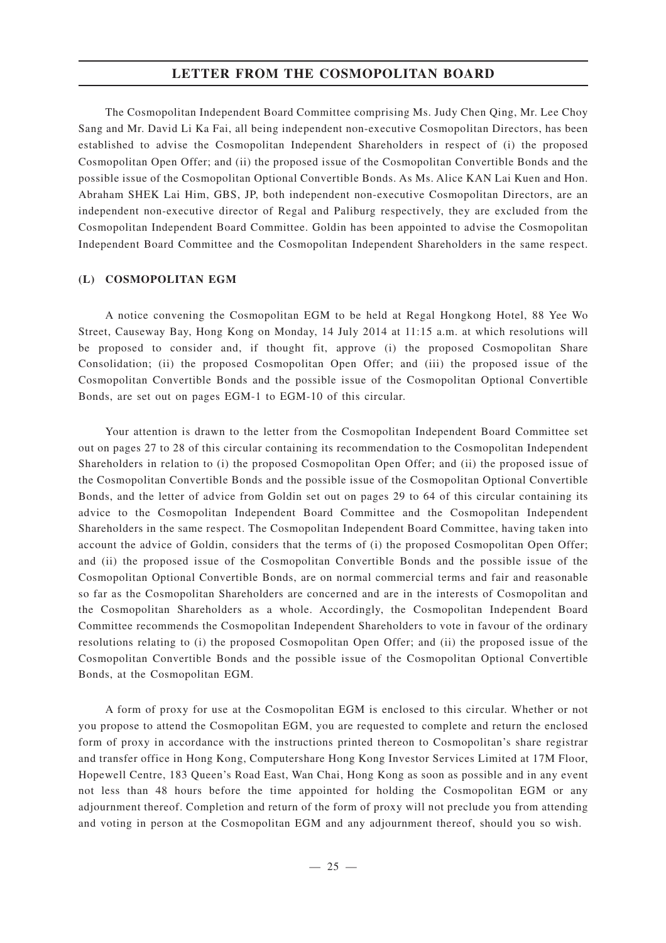The Cosmopolitan Independent Board Committee comprising Ms. Judy Chen Qing, Mr. Lee Choy Sang and Mr. David Li Ka Fai, all being independent non-executive Cosmopolitan Directors, has been established to advise the Cosmopolitan Independent Shareholders in respect of (i) the proposed Cosmopolitan Open Offer; and (ii) the proposed issue of the Cosmopolitan Convertible Bonds and the possible issue of the Cosmopolitan Optional Convertible Bonds. As Ms. Alice KAN Lai Kuen and Hon. Abraham SHEK Lai Him, GBS, JP, both independent non-executive Cosmopolitan Directors, are an independent non-executive director of Regal and Paliburg respectively, they are excluded from the Cosmopolitan Independent Board Committee. Goldin has been appointed to advise the Cosmopolitan Independent Board Committee and the Cosmopolitan Independent Shareholders in the same respect.

### **(L) COSMOPOLITAN EGM**

A notice convening the Cosmopolitan EGM to be held at Regal Hongkong Hotel, 88 Yee Wo Street, Causeway Bay, Hong Kong on Monday, 14 July 2014 at 11:15 a.m. at which resolutions will be proposed to consider and, if thought fit, approve (i) the proposed Cosmopolitan Share Consolidation; (ii) the proposed Cosmopolitan Open Offer; and (iii) the proposed issue of the Cosmopolitan Convertible Bonds and the possible issue of the Cosmopolitan Optional Convertible Bonds, are set out on pages EGM-1 to EGM-10 of this circular.

Your attention is drawn to the letter from the Cosmopolitan Independent Board Committee set out on pages 27 to 28 of this circular containing its recommendation to the Cosmopolitan Independent Shareholders in relation to (i) the proposed Cosmopolitan Open Offer; and (ii) the proposed issue of the Cosmopolitan Convertible Bonds and the possible issue of the Cosmopolitan Optional Convertible Bonds, and the letter of advice from Goldin set out on pages 29 to 64 of this circular containing its advice to the Cosmopolitan Independent Board Committee and the Cosmopolitan Independent Shareholders in the same respect. The Cosmopolitan Independent Board Committee, having taken into account the advice of Goldin, considers that the terms of (i) the proposed Cosmopolitan Open Offer; and (ii) the proposed issue of the Cosmopolitan Convertible Bonds and the possible issue of the Cosmopolitan Optional Convertible Bonds, are on normal commercial terms and fair and reasonable so far as the Cosmopolitan Shareholders are concerned and are in the interests of Cosmopolitan and the Cosmopolitan Shareholders as a whole. Accordingly, the Cosmopolitan Independent Board Committee recommends the Cosmopolitan Independent Shareholders to vote in favour of the ordinary resolutions relating to (i) the proposed Cosmopolitan Open Offer; and (ii) the proposed issue of the Cosmopolitan Convertible Bonds and the possible issue of the Cosmopolitan Optional Convertible Bonds, at the Cosmopolitan EGM.

A form of proxy for use at the Cosmopolitan EGM is enclosed to this circular. Whether or not you propose to attend the Cosmopolitan EGM, you are requested to complete and return the enclosed form of proxy in accordance with the instructions printed thereon to Cosmopolitan's share registrar and transfer office in Hong Kong, Computershare Hong Kong Investor Services Limited at 17M Floor, Hopewell Centre, 183 Queen's Road East, Wan Chai, Hong Kong as soon as possible and in any event not less than 48 hours before the time appointed for holding the Cosmopolitan EGM or any adjournment thereof. Completion and return of the form of proxy will not preclude you from attending and voting in person at the Cosmopolitan EGM and any adjournment thereof, should you so wish.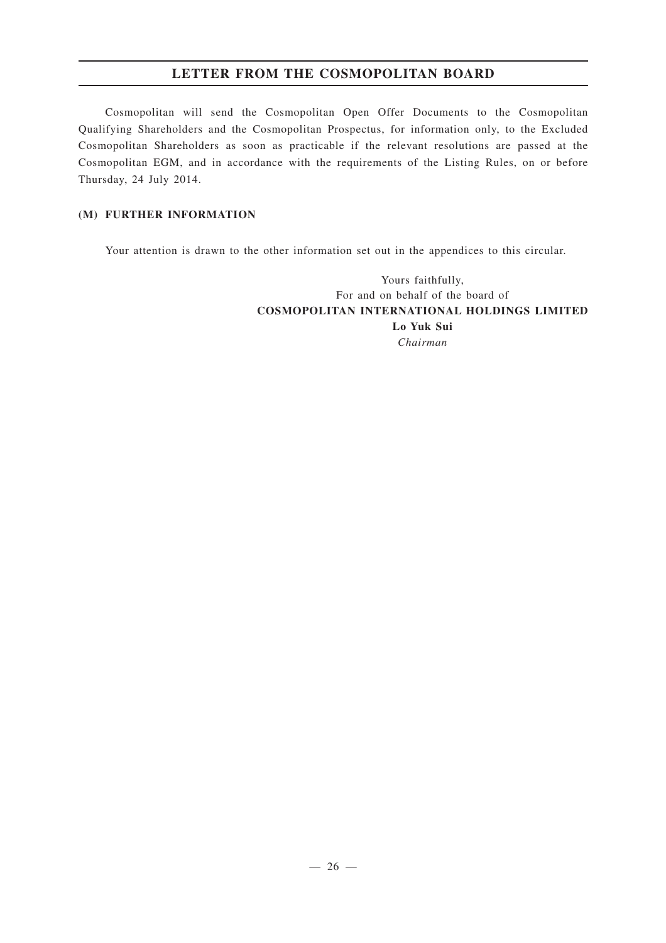Cosmopolitan will send the Cosmopolitan Open Offer Documents to the Cosmopolitan Qualifying Shareholders and the Cosmopolitan Prospectus, for information only, to the Excluded Cosmopolitan Shareholders as soon as practicable if the relevant resolutions are passed at the Cosmopolitan EGM, and in accordance with the requirements of the Listing Rules, on or before Thursday, 24 July 2014.

## **(M) FURTHER INFORMATION**

Your attention is drawn to the other information set out in the appendices to this circular.

Yours faithfully, For and on behalf of the board of **COSMOPOLITAN INTERNATIONAL HOLDINGS LIMITED Lo Yuk Sui** *Chairman*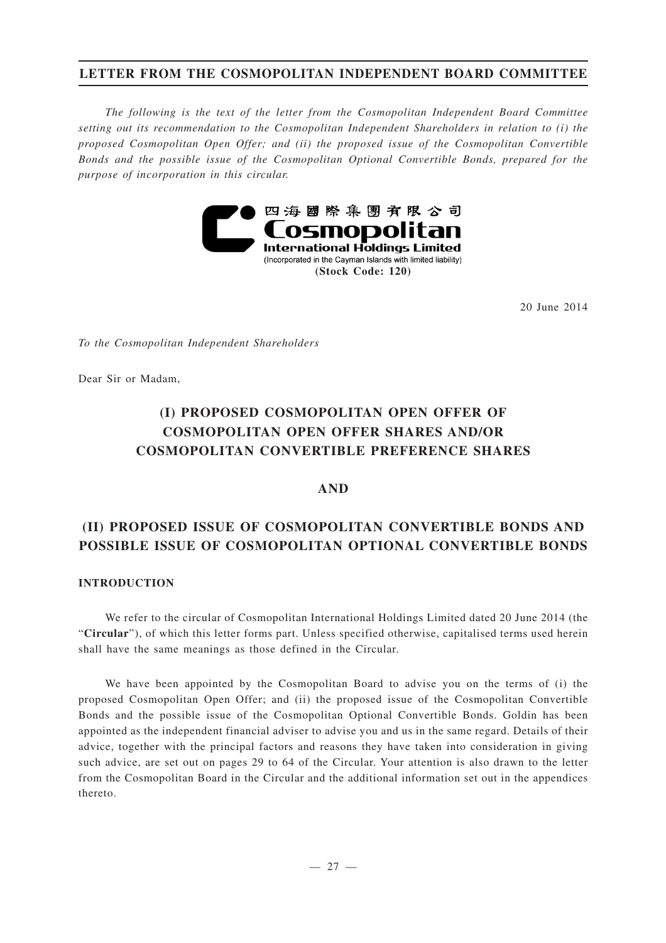# **LETTER FROM THE COSMOPOLITAN INDEPENDENT BOARD COMMITTEE**

*The following is the text of the letter from the Cosmopolitan Independent Board Committee setting out its recommendation to the Cosmopolitan Independent Shareholders in relation to (i) the proposed Cosmopolitan Open Offer; and (ii) the proposed issue of the Cosmopolitan Convertible Bonds and the possible issue of the Cosmopolitan Optional Convertible Bonds, prepared for the purpose of incorporation in this circular.*



20 June 2014

*To the Cosmopolitan Independent Shareholders*

Dear Sir or Madam,

# **(I) PROPOSED COSMOPOLITAN OPEN OFFER OF COSMOPOLITAN OPEN OFFER SHARES AND/OR COSMOPOLITAN CONVERTIBLE PREFERENCE SHARES**

## **AND**

# **(II) PROPOSED ISSUE OF COSMOPOLITAN CONVERTIBLE BONDS AND POSSIBLE ISSUE OF COSMOPOLITAN OPTIONAL CONVERTIBLE BONDS**

## **INTRODUCTION**

We refer to the circular of Cosmopolitan International Holdings Limited dated 20 June 2014 (the "**Circular**"), of which this letter forms part. Unless specified otherwise, capitalised terms used herein shall have the same meanings as those defined in the Circular.

We have been appointed by the Cosmopolitan Board to advise you on the terms of (i) the proposed Cosmopolitan Open Offer; and (ii) the proposed issue of the Cosmopolitan Convertible Bonds and the possible issue of the Cosmopolitan Optional Convertible Bonds. Goldin has been appointed as the independent financial adviser to advise you and us in the same regard. Details of their advice, together with the principal factors and reasons they have taken into consideration in giving such advice, are set out on pages 29 to 64 of the Circular. Your attention is also drawn to the letter from the Cosmopolitan Board in the Circular and the additional information set out in the appendices thereto.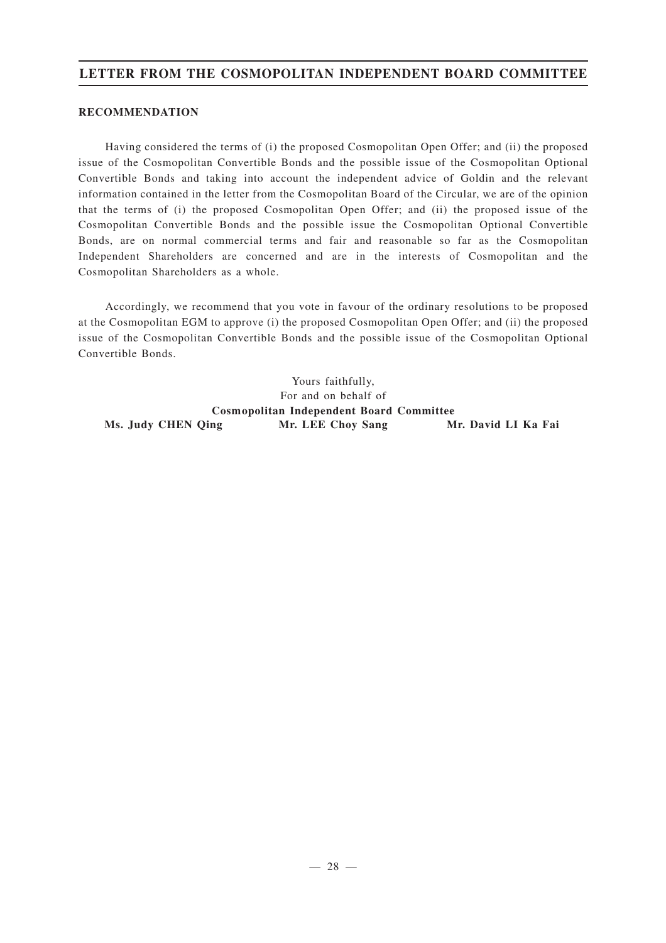# **LETTER FROM THE COSMOPOLITAN INDEPENDENT BOARD COMMITTEE**

### **RECOMMENDATION**

Having considered the terms of (i) the proposed Cosmopolitan Open Offer; and (ii) the proposed issue of the Cosmopolitan Convertible Bonds and the possible issue of the Cosmopolitan Optional Convertible Bonds and taking into account the independent advice of Goldin and the relevant information contained in the letter from the Cosmopolitan Board of the Circular, we are of the opinion that the terms of (i) the proposed Cosmopolitan Open Offer; and (ii) the proposed issue of the Cosmopolitan Convertible Bonds and the possible issue the Cosmopolitan Optional Convertible Bonds, are on normal commercial terms and fair and reasonable so far as the Cosmopolitan Independent Shareholders are concerned and are in the interests of Cosmopolitan and the Cosmopolitan Shareholders as a whole.

Accordingly, we recommend that you vote in favour of the ordinary resolutions to be proposed at the Cosmopolitan EGM to approve (i) the proposed Cosmopolitan Open Offer; and (ii) the proposed issue of the Cosmopolitan Convertible Bonds and the possible issue of the Cosmopolitan Optional Convertible Bonds.

Yours faithfully, For and on behalf of **Cosmopolitan Independent Board Committee Ms. Judy CHEN Qing Mr. LEE Choy Sang Mr. David LI Ka Fai**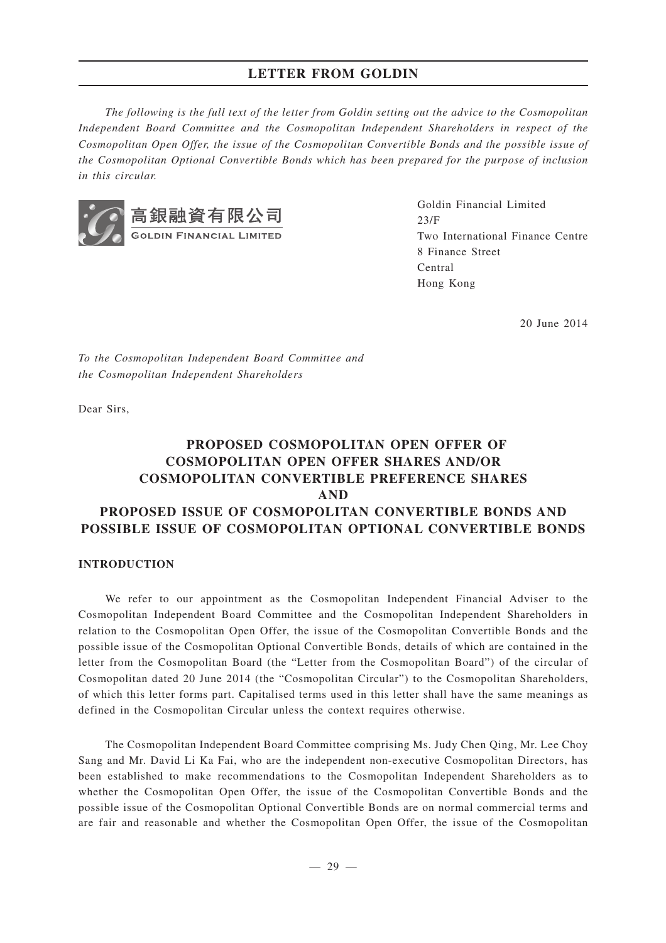# **LETTER FROM GOLDIN**

*The following is the full text of the letter from Goldin setting out the advice to the Cosmopolitan Independent Board Committee and the Cosmopolitan Independent Shareholders in respect of the Cosmopolitan Open Offer, the issue of the Cosmopolitan Convertible Bonds and the possible issue of the Cosmopolitan Optional Convertible Bonds which has been prepared for the purpose of inclusion in this circular.*





Goldin Financial Limited 23/F Two International Finance Centre 8 Finance Street Central Hong Kong

20 June 2014

*To the Cosmopolitan Independent Board Committee and the Cosmopolitan Independent Shareholders*

Dear Sirs,

# **PROPOSED COSMOPOLITAN OPEN OFFER OF COSMOPOLITAN OPEN OFFER SHARES AND/OR COSMOPOLITAN CONVERTIBLE PREFERENCE SHARES AND PROPOSED ISSUE OF COSMOPOLITAN CONVERTIBLE BONDS AND POSSIBLE ISSUE OF COSMOPOLITAN OPTIONAL CONVERTIBLE BONDS**

#### **INTRODUCTION**

We refer to our appointment as the Cosmopolitan Independent Financial Adviser to the Cosmopolitan Independent Board Committee and the Cosmopolitan Independent Shareholders in relation to the Cosmopolitan Open Offer, the issue of the Cosmopolitan Convertible Bonds and the possible issue of the Cosmopolitan Optional Convertible Bonds, details of which are contained in the letter from the Cosmopolitan Board (the "Letter from the Cosmopolitan Board") of the circular of Cosmopolitan dated 20 June 2014 (the "Cosmopolitan Circular") to the Cosmopolitan Shareholders, of which this letter forms part. Capitalised terms used in this letter shall have the same meanings as defined in the Cosmopolitan Circular unless the context requires otherwise.

The Cosmopolitan Independent Board Committee comprising Ms. Judy Chen Qing, Mr. Lee Choy Sang and Mr. David Li Ka Fai, who are the independent non-executive Cosmopolitan Directors, has been established to make recommendations to the Cosmopolitan Independent Shareholders as to whether the Cosmopolitan Open Offer, the issue of the Cosmopolitan Convertible Bonds and the possible issue of the Cosmopolitan Optional Convertible Bonds are on normal commercial terms and are fair and reasonable and whether the Cosmopolitan Open Offer, the issue of the Cosmopolitan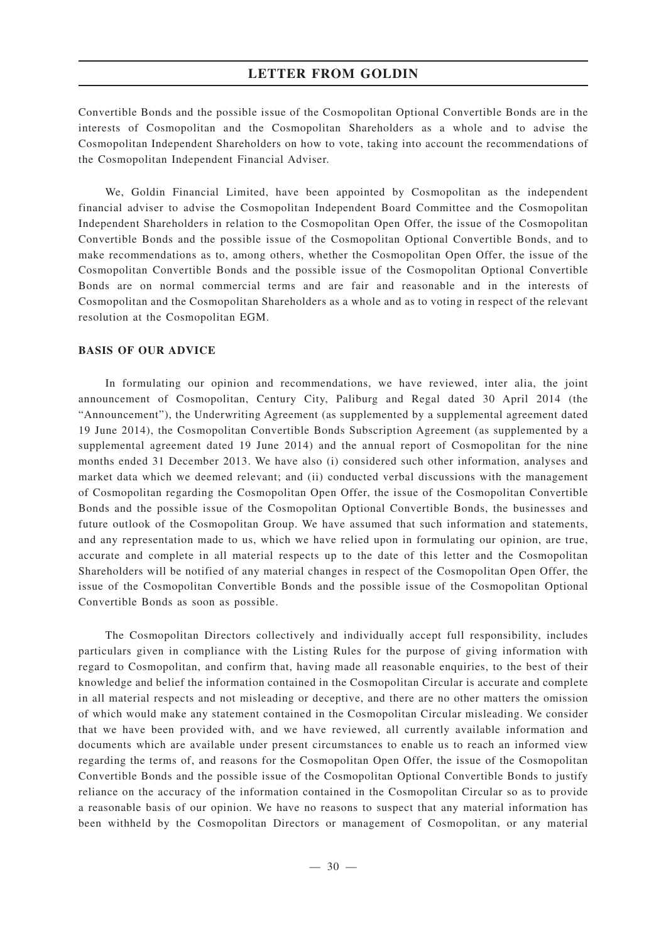### **LETTER FROM GOLDIN**

Convertible Bonds and the possible issue of the Cosmopolitan Optional Convertible Bonds are in the interests of Cosmopolitan and the Cosmopolitan Shareholders as a whole and to advise the Cosmopolitan Independent Shareholders on how to vote, taking into account the recommendations of the Cosmopolitan Independent Financial Adviser.

We, Goldin Financial Limited, have been appointed by Cosmopolitan as the independent financial adviser to advise the Cosmopolitan Independent Board Committee and the Cosmopolitan Independent Shareholders in relation to the Cosmopolitan Open Offer, the issue of the Cosmopolitan Convertible Bonds and the possible issue of the Cosmopolitan Optional Convertible Bonds, and to make recommendations as to, among others, whether the Cosmopolitan Open Offer, the issue of the Cosmopolitan Convertible Bonds and the possible issue of the Cosmopolitan Optional Convertible Bonds are on normal commercial terms and are fair and reasonable and in the interests of Cosmopolitan and the Cosmopolitan Shareholders as a whole and as to voting in respect of the relevant resolution at the Cosmopolitan EGM.

### **BASIS OF OUR ADVICE**

In formulating our opinion and recommendations, we have reviewed, inter alia, the joint announcement of Cosmopolitan, Century City, Paliburg and Regal dated 30 April 2014 (the "Announcement"), the Underwriting Agreement (as supplemented by a supplemental agreement dated 19 June 2014), the Cosmopolitan Convertible Bonds Subscription Agreement (as supplemented by a supplemental agreement dated 19 June 2014) and the annual report of Cosmopolitan for the nine months ended 31 December 2013. We have also (i) considered such other information, analyses and market data which we deemed relevant; and (ii) conducted verbal discussions with the management of Cosmopolitan regarding the Cosmopolitan Open Offer, the issue of the Cosmopolitan Convertible Bonds and the possible issue of the Cosmopolitan Optional Convertible Bonds, the businesses and future outlook of the Cosmopolitan Group. We have assumed that such information and statements, and any representation made to us, which we have relied upon in formulating our opinion, are true, accurate and complete in all material respects up to the date of this letter and the Cosmopolitan Shareholders will be notified of any material changes in respect of the Cosmopolitan Open Offer, the issue of the Cosmopolitan Convertible Bonds and the possible issue of the Cosmopolitan Optional Convertible Bonds as soon as possible.

The Cosmopolitan Directors collectively and individually accept full responsibility, includes particulars given in compliance with the Listing Rules for the purpose of giving information with regard to Cosmopolitan, and confirm that, having made all reasonable enquiries, to the best of their knowledge and belief the information contained in the Cosmopolitan Circular is accurate and complete in all material respects and not misleading or deceptive, and there are no other matters the omission of which would make any statement contained in the Cosmopolitan Circular misleading. We consider that we have been provided with, and we have reviewed, all currently available information and documents which are available under present circumstances to enable us to reach an informed view regarding the terms of, and reasons for the Cosmopolitan Open Offer, the issue of the Cosmopolitan Convertible Bonds and the possible issue of the Cosmopolitan Optional Convertible Bonds to justify reliance on the accuracy of the information contained in the Cosmopolitan Circular so as to provide a reasonable basis of our opinion. We have no reasons to suspect that any material information has been withheld by the Cosmopolitan Directors or management of Cosmopolitan, or any material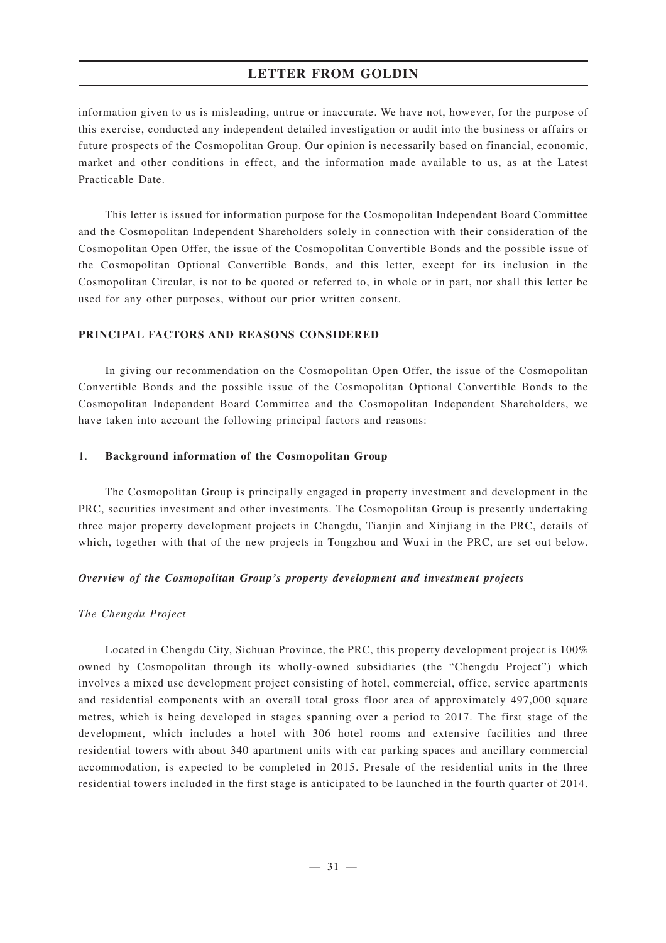## **LETTER FROM GOLDIN**

information given to us is misleading, untrue or inaccurate. We have not, however, for the purpose of this exercise, conducted any independent detailed investigation or audit into the business or affairs or future prospects of the Cosmopolitan Group. Our opinion is necessarily based on financial, economic, market and other conditions in effect, and the information made available to us, as at the Latest Practicable Date.

This letter is issued for information purpose for the Cosmopolitan Independent Board Committee and the Cosmopolitan Independent Shareholders solely in connection with their consideration of the Cosmopolitan Open Offer, the issue of the Cosmopolitan Convertible Bonds and the possible issue of the Cosmopolitan Optional Convertible Bonds, and this letter, except for its inclusion in the Cosmopolitan Circular, is not to be quoted or referred to, in whole or in part, nor shall this letter be used for any other purposes, without our prior written consent.

### **PRINCIPAL FACTORS AND REASONS CONSIDERED**

In giving our recommendation on the Cosmopolitan Open Offer, the issue of the Cosmopolitan Convertible Bonds and the possible issue of the Cosmopolitan Optional Convertible Bonds to the Cosmopolitan Independent Board Committee and the Cosmopolitan Independent Shareholders, we have taken into account the following principal factors and reasons:

#### 1. **Background information of the Cosm opolitan Group**

The Cosmopolitan Group is principally engaged in property investment and development in the PRC, securities investment and other investments. The Cosmopolitan Group is presently undertaking three major property development projects in Chengdu, Tianjin and Xinjiang in the PRC, details of which, together with that of the new projects in Tongzhou and Wuxi in the PRC, are set out below.

#### *Overview of the Cosmopolitan Group's property development and investment projects*

### *The Chengdu Project*

Located in Chengdu City, Sichuan Province, the PRC, this property development project is 100% owned by Cosmopolitan through its wholly-owned subsidiaries (the "Chengdu Project") which involves a mixed use development project consisting of hotel, commercial, office, service apartments and residential components with an overall total gross floor area of approximately 497,000 square metres, which is being developed in stages spanning over a period to 2017. The first stage of the development, which includes a hotel with 306 hotel rooms and extensive facilities and three residential towers with about 340 apartment units with car parking spaces and ancillary commercial accommodation, is expected to be completed in 2015. Presale of the residential units in the three residential towers included in the first stage is anticipated to be launched in the fourth quarter of 2014.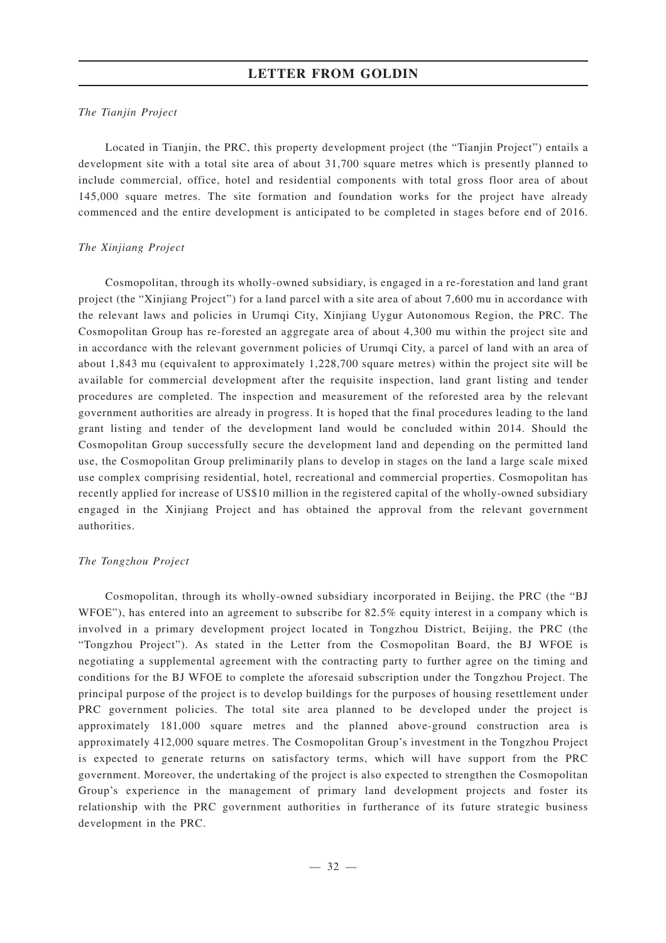### *The Tianjin Project*

Located in Tianjin, the PRC, this property development project (the "Tianjin Project") entails a development site with a total site area of about 31,700 square metres which is presently planned to include commercial, office, hotel and residential components with total gross floor area of about 145,000 square metres. The site formation and foundation works for the project have already commenced and the entire development is anticipated to be completed in stages before end of 2016.

#### *The Xinjiang Project*

Cosmopolitan, through its wholly-owned subsidiary, is engaged in a re-forestation and land grant project (the "Xinjiang Project") for a land parcel with a site area of about 7,600 mu in accordance with the relevant laws and policies in Urumqi City, Xinjiang Uygur Autonomous Region, the PRC. The Cosmopolitan Group has re-forested an aggregate area of about 4,300 mu within the project site and in accordance with the relevant government policies of Urumqi City, a parcel of land with an area of about 1,843 mu (equivalent to approximately 1,228,700 square metres) within the project site will be available for commercial development after the requisite inspection, land grant listing and tender procedures are completed. The inspection and measurement of the reforested area by the relevant government authorities are already in progress. It is hoped that the final procedures leading to the land grant listing and tender of the development land would be concluded within 2014. Should the Cosmopolitan Group successfully secure the development land and depending on the permitted land use, the Cosmopolitan Group preliminarily plans to develop in stages on the land a large scale mixed use complex comprising residential, hotel, recreational and commercial properties. Cosmopolitan has recently applied for increase of US\$10 million in the registered capital of the wholly-owned subsidiary engaged in the Xinjiang Project and has obtained the approval from the relevant government authorities.

#### *The Tongzhou Project*

Cosmopolitan, through its wholly-owned subsidiary incorporated in Beijing, the PRC (the "BJ WFOE"), has entered into an agreement to subscribe for 82.5% equity interest in a company which is involved in a primary development project located in Tongzhou District, Beijing, the PRC (the "Tongzhou Project"). As stated in the Letter from the Cosmopolitan Board, the BJ WFOE is negotiating a supplemental agreement with the contracting party to further agree on the timing and conditions for the BJ WFOE to complete the aforesaid subscription under the Tongzhou Project. The principal purpose of the project is to develop buildings for the purposes of housing resettlement under PRC government policies. The total site area planned to be developed under the project is approximately 181,000 square metres and the planned above-ground construction area is approximately 412,000 square metres. The Cosmopolitan Group's investment in the Tongzhou Project is expected to generate returns on satisfactory terms, which will have support from the PRC government. Moreover, the undertaking of the project is also expected to strengthen the Cosmopolitan Group's experience in the management of primary land development projects and foster its relationship with the PRC government authorities in furtherance of its future strategic business development in the PRC.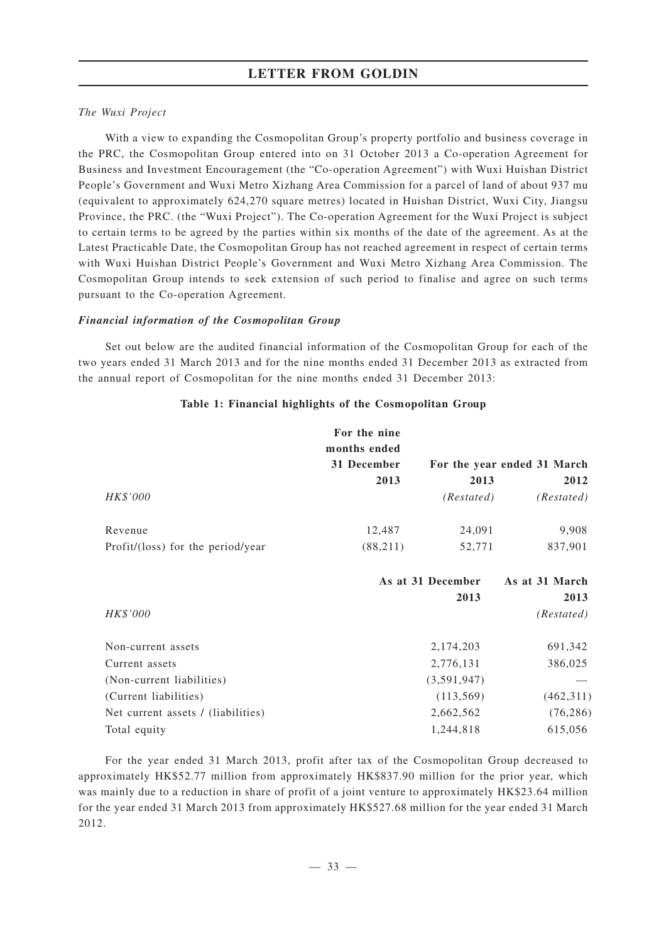## *The Wuxi Project*

With a view to expanding the Cosmopolitan Group's property portfolio and business coverage in the PRC, the Cosmopolitan Group entered into on 31 October 2013 a Co-operation Agreement for Business and Investment Encouragement (the "Co-operation Agreement") with Wuxi Huishan District People's Government and Wuxi Metro Xizhang Area Commission for a parcel of land of about 937 mu (equivalent to approximately 624,270 square metres) located in Huishan District, Wuxi City, Jiangsu Province, the PRC. (the "Wuxi Project"). The Co-operation Agreement for the Wuxi Project is subject to certain terms to be agreed by the parties within six months of the date of the agreement. As at the Latest Practicable Date, the Cosmopolitan Group has not reached agreement in respect of certain terms with Wuxi Huishan District People's Government and Wuxi Metro Xizhang Area Commission. The Cosmopolitan Group intends to seek extension of such period to finalise and agree on such terms pursuant to the Co-operation Agreement.

### *Financial information of the Cosmopolitan Group*

Set out below are the audited financial information of the Cosmopolitan Group for each of the two years ended 31 March 2013 and for the nine months ended 31 December 2013 as extracted from the annual report of Cosmopolitan for the nine months ended 31 December 2013:

|                                    | For the nine<br>months ended |                   |                             |
|------------------------------------|------------------------------|-------------------|-----------------------------|
|                                    | 31 December                  |                   | For the year ended 31 March |
|                                    | 2013                         | 2013              | 2012                        |
| HK\$'000                           |                              | (Restated)        | (Restated)                  |
| Revenue                            | 12,487                       | 24,091            | 9,908                       |
| Profit/(loss) for the period/year  | (88, 211)                    | 52,771            | 837,901                     |
|                                    |                              | As at 31 December | As at 31 March              |
|                                    |                              | 2013              | 2013                        |
| HK\$'000                           |                              |                   | (Restated)                  |
| Non-current assets                 |                              | 2,174,203         | 691,342                     |
| Current assets                     |                              | 2,776,131         | 386,025                     |
| (Non-current liabilities)          |                              | (3,591,947)       |                             |
| (Current liabilities)              |                              | (113, 569)        | (462, 311)                  |
| Net current assets / (liabilities) |                              | 2,662,562         | (76, 286)                   |
| Total equity                       |                              | 1,244,818         | 615,056                     |

### Table 1: Financial highlights of the Cosmopolitan Group

For the year ended 31 March 2013, profit after tax of the Cosmopolitan Group decreased to approximately HK\$52.77 million from approximately HK\$837.90 million for the prior year, which was mainly due to a reduction in share of profit of a joint venture to approximately HK\$23.64 million for the year ended 31 March 2013 from approximately HK\$527.68 million for the year ended 31 March 2012.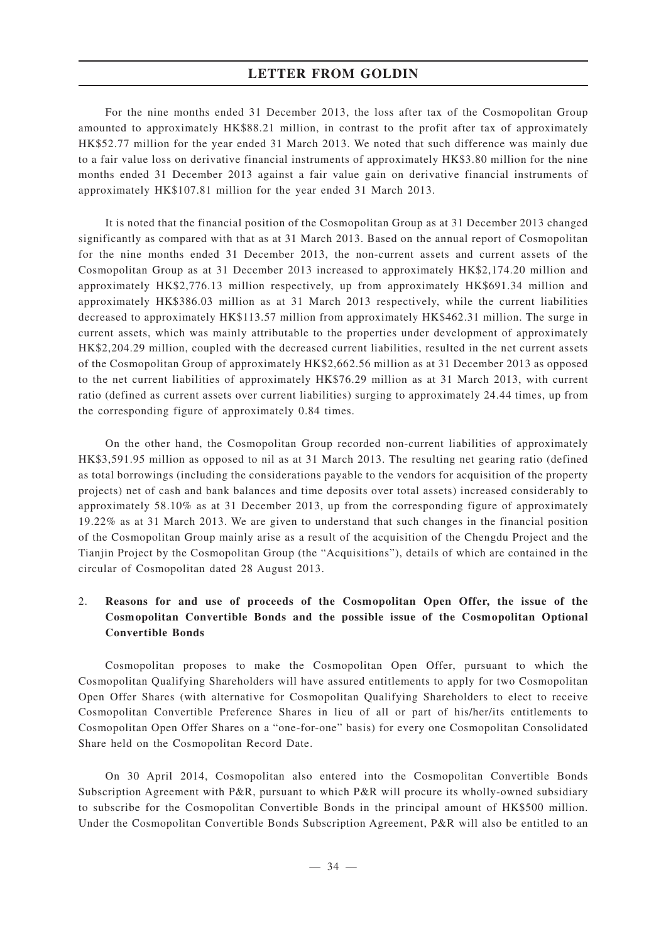For the nine months ended 31 December 2013, the loss after tax of the Cosmopolitan Group amounted to approximately HK\$88.21 million, in contrast to the profit after tax of approximately HK\$52.77 million for the year ended 31 March 2013. We noted that such difference was mainly due to a fair value loss on derivative financial instruments of approximately HK\$3.80 million for the nine months ended 31 December 2013 against a fair value gain on derivative financial instruments of approximately HK\$107.81 million for the year ended 31 March 2013.

It is noted that the financial position of the Cosmopolitan Group as at 31 December 2013 changed significantly as compared with that as at 31 March 2013. Based on the annual report of Cosmopolitan for the nine months ended 31 December 2013, the non-current assets and current assets of the Cosmopolitan Group as at 31 December 2013 increased to approximately HK\$2,174.20 million and approximately HK\$2,776.13 million respectively, up from approximately HK\$691.34 million and approximately HK\$386.03 million as at 31 March 2013 respectively, while the current liabilities decreased to approximately HK\$113.57 million from approximately HK\$462.31 million. The surge in current assets, which was mainly attributable to the properties under development of approximately HK\$2,204.29 million, coupled with the decreased current liabilities, resulted in the net current assets of the Cosmopolitan Group of approximately HK\$2,662.56 million as at 31 December 2013 as opposed to the net current liabilities of approximately HK\$76.29 million as at 31 March 2013, with current ratio (defined as current assets over current liabilities) surging to approximately 24.44 times, up from the corresponding figure of approximately 0.84 times.

On the other hand, the Cosmopolitan Group recorded non-current liabilities of approximately HK\$3,591.95 million as opposed to nil as at 31 March 2013. The resulting net gearing ratio (defined as total borrowings (including the considerations payable to the vendors for acquisition of the property projects) net of cash and bank balances and time deposits over total assets) increased considerably to approximately 58.10% as at 31 December 2013, up from the corresponding figure of approximately 19.22% as at 31 March 2013. We are given to understand that such changes in the financial position of the Cosmopolitan Group mainly arise as a result of the acquisition of the Chengdu Project and the Tianjin Project by the Cosmopolitan Group (the "Acquisitions"), details of which are contained in the circular of Cosmopolitan dated 28 August 2013.

# 2. **Reasons for and use of proceeds of the Cosm opolitan Open Offer, the issue of the Cosmopolitan Convertible Bonds and the possible issue of the Cosmopolitan Optional Convertible Bonds**

Cosmopolitan proposes to make the Cosmopolitan Open Offer, pursuant to which the Cosmopolitan Qualifying Shareholders will have assured entitlements to apply for two Cosmopolitan Open Offer Shares (with alternative for Cosmopolitan Qualifying Shareholders to elect to receive Cosmopolitan Convertible Preference Shares in lieu of all or part of his/her/its entitlements to Cosmopolitan Open Offer Shares on a "one-for-one" basis) for every one Cosmopolitan Consolidated Share held on the Cosmopolitan Record Date.

On 30 April 2014, Cosmopolitan also entered into the Cosmopolitan Convertible Bonds Subscription Agreement with P&R, pursuant to which P&R will procure its wholly-owned subsidiary to subscribe for the Cosmopolitan Convertible Bonds in the principal amount of HK\$500 million. Under the Cosmopolitan Convertible Bonds Subscription Agreement, P&R will also be entitled to an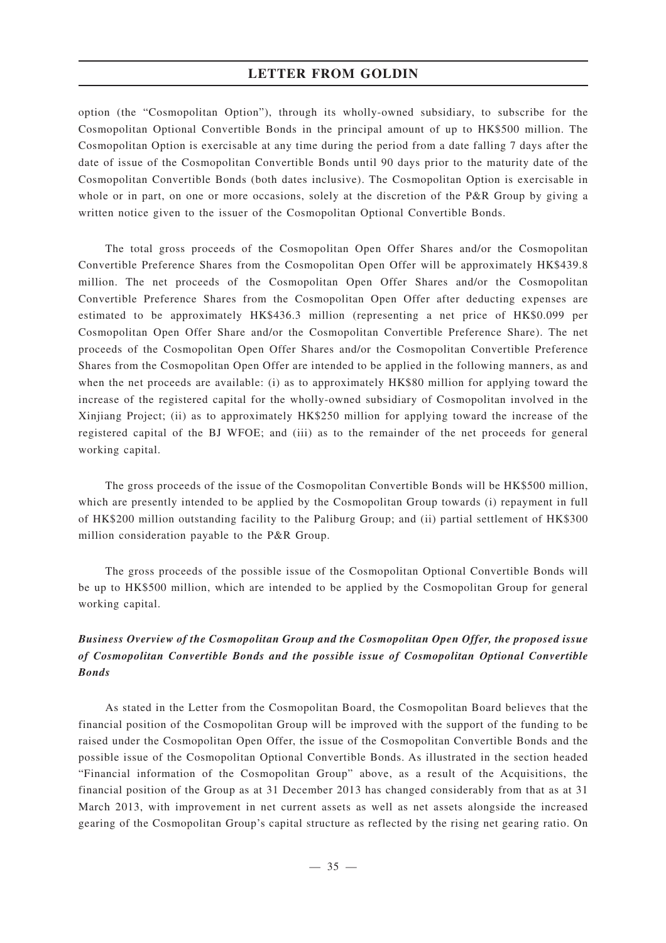option (the "Cosmopolitan Option"), through its wholly-owned subsidiary, to subscribe for the Cosmopolitan Optional Convertible Bonds in the principal amount of up to HK\$500 million. The Cosmopolitan Option is exercisable at any time during the period from a date falling 7 days after the date of issue of the Cosmopolitan Convertible Bonds until 90 days prior to the maturity date of the Cosmopolitan Convertible Bonds (both dates inclusive). The Cosmopolitan Option is exercisable in whole or in part, on one or more occasions, solely at the discretion of the P&R Group by giving a written notice given to the issuer of the Cosmopolitan Optional Convertible Bonds.

The total gross proceeds of the Cosmopolitan Open Offer Shares and/or the Cosmopolitan Convertible Preference Shares from the Cosmopolitan Open Offer will be approximately HK\$439.8 million. The net proceeds of the Cosmopolitan Open Offer Shares and/or the Cosmopolitan Convertible Preference Shares from the Cosmopolitan Open Offer after deducting expenses are estimated to be approximately HK\$436.3 million (representing a net price of HK\$0.099 per Cosmopolitan Open Offer Share and/or the Cosmopolitan Convertible Preference Share). The net proceeds of the Cosmopolitan Open Offer Shares and/or the Cosmopolitan Convertible Preference Shares from the Cosmopolitan Open Offer are intended to be applied in the following manners, as and when the net proceeds are available: (i) as to approximately HK\$80 million for applying toward the increase of the registered capital for the wholly-owned subsidiary of Cosmopolitan involved in the Xinjiang Project; (ii) as to approximately HK\$250 million for applying toward the increase of the registered capital of the BJ WFOE; and (iii) as to the remainder of the net proceeds for general working capital.

The gross proceeds of the issue of the Cosmopolitan Convertible Bonds will be HK\$500 million, which are presently intended to be applied by the Cosmopolitan Group towards (i) repayment in full of HK\$200 million outstanding facility to the Paliburg Group; and (ii) partial settlement of HK\$300 million consideration payable to the P&R Group.

The gross proceeds of the possible issue of the Cosmopolitan Optional Convertible Bonds will be up to HK\$500 million, which are intended to be applied by the Cosmopolitan Group for general working capital.

## *Business Overview of the Cosmopolitan Group and the Cosmopolitan Open Offer, the proposed issue of Cosmopolitan Convertible Bonds and the possible issue of Cosmopolitan Optional Convertible Bonds*

As stated in the Letter from the Cosmopolitan Board, the Cosmopolitan Board believes that the financial position of the Cosmopolitan Group will be improved with the support of the funding to be raised under the Cosmopolitan Open Offer, the issue of the Cosmopolitan Convertible Bonds and the possible issue of the Cosmopolitan Optional Convertible Bonds. As illustrated in the section headed "Financial information of the Cosmopolitan Group" above, as a result of the Acquisitions, the financial position of the Group as at 31 December 2013 has changed considerably from that as at 31 March 2013, with improvement in net current assets as well as net assets alongside the increased gearing of the Cosmopolitan Group's capital structure as reflected by the rising net gearing ratio. On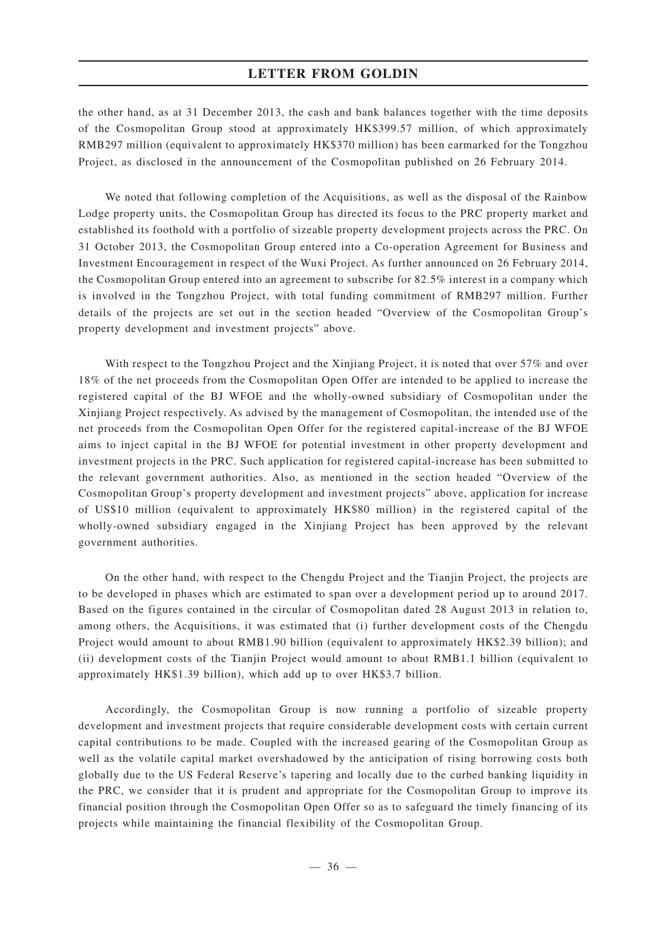the other hand, as at 31 December 2013, the cash and bank balances together with the time deposits of the Cosmopolitan Group stood at approximately HK\$399.57 million, of which approximately RMB297 million (equivalent to approximately HK\$370 million) has been earmarked for the Tongzhou Project, as disclosed in the announcement of the Cosmopolitan published on 26 February 2014.

We noted that following completion of the Acquisitions, as well as the disposal of the Rainbow Lodge property units, the Cosmopolitan Group has directed its focus to the PRC property market and established its foothold with a portfolio of sizeable property development projects across the PRC. On 31 October 2013, the Cosmopolitan Group entered into a Co-operation Agreement for Business and Investment Encouragement in respect of the Wuxi Project. As further announced on 26 February 2014, the Cosmopolitan Group entered into an agreement to subscribe for 82.5% interest in a company which is involved in the Tongzhou Project, with total funding commitment of RMB297 million. Further details of the projects are set out in the section headed "Overview of the Cosmopolitan Group's property development and investment projects" above.

With respect to the Tongzhou Project and the Xinjiang Project, it is noted that over 57% and over 18% of the net proceeds from the Cosmopolitan Open Offer are intended to be applied to increase the registered capital of the BJ WFOE and the wholly-owned subsidiary of Cosmopolitan under the Xinjiang Project respectively. As advised by the management of Cosmopolitan, the intended use of the net proceeds from the Cosmopolitan Open Offer for the registered capital-increase of the BJ WFOE aims to inject capital in the BJ WFOE for potential investment in other property development and investment projects in the PRC. Such application for registered capital-increase has been submitted to the relevant government authorities. Also, as mentioned in the section headed "Overview of the Cosmopolitan Group's property development and investment projects" above, application for increase of US\$10 million (equivalent to approximately HK\$80 million) in the registered capital of the wholly-owned subsidiary engaged in the Xinjiang Project has been approved by the relevant government authorities.

On the other hand, with respect to the Chengdu Project and the Tianjin Project, the projects are to be developed in phases which are estimated to span over a development period up to around 2017. Based on the figures contained in the circular of Cosmopolitan dated 28 August 2013 in relation to, among others, the Acquisitions, it was estimated that (i) further development costs of the Chengdu Project would amount to about RMB1.90 billion (equivalent to approximately HK\$2.39 billion); and (ii) development costs of the Tianjin Project would amount to about RMB1.1 billion (equivalent to approximately HK\$1.39 billion), which add up to over HK\$3.7 billion.

Accordingly, the Cosmopolitan Group is now running a portfolio of sizeable property development and investment projects that require considerable development costs with certain current capital contributions to be made. Coupled with the increased gearing of the Cosmopolitan Group as well as the volatile capital market overshadowed by the anticipation of rising borrowing costs both globally due to the US Federal Reserve's tapering and locally due to the curbed banking liquidity in the PRC, we consider that it is prudent and appropriate for the Cosmopolitan Group to improve its financial position through the Cosmopolitan Open Offer so as to safeguard the timely financing of its projects while maintaining the financial flexibility of the Cosmopolitan Group.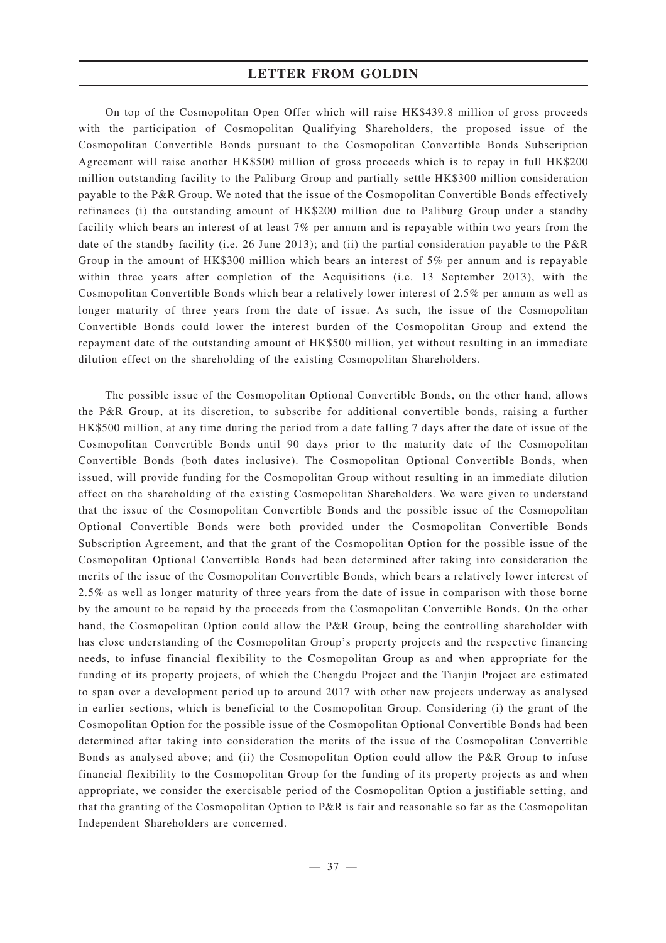On top of the Cosmopolitan Open Offer which will raise HK\$439.8 million of gross proceeds with the participation of Cosmopolitan Qualifying Shareholders, the proposed issue of the Cosmopolitan Convertible Bonds pursuant to the Cosmopolitan Convertible Bonds Subscription Agreement will raise another HK\$500 million of gross proceeds which is to repay in full HK\$200 million outstanding facility to the Paliburg Group and partially settle HK\$300 million consideration payable to the P&R Group. We noted that the issue of the Cosmopolitan Convertible Bonds effectively refinances (i) the outstanding amount of HK\$200 million due to Paliburg Group under a standby facility which bears an interest of at least 7% per annum and is repayable within two years from the date of the standby facility (i.e. 26 June 2013); and (ii) the partial consideration payable to the P&R Group in the amount of HK\$300 million which bears an interest of 5% per annum and is repayable within three years after completion of the Acquisitions (i.e. 13 September 2013), with the Cosmopolitan Convertible Bonds which bear a relatively lower interest of 2.5% per annum as well as longer maturity of three years from the date of issue. As such, the issue of the Cosmopolitan Convertible Bonds could lower the interest burden of the Cosmopolitan Group and extend the repayment date of the outstanding amount of HK\$500 million, yet without resulting in an immediate dilution effect on the shareholding of the existing Cosmopolitan Shareholders.

The possible issue of the Cosmopolitan Optional Convertible Bonds, on the other hand, allows the P&R Group, at its discretion, to subscribe for additional convertible bonds, raising a further HK\$500 million, at any time during the period from a date falling 7 days after the date of issue of the Cosmopolitan Convertible Bonds until 90 days prior to the maturity date of the Cosmopolitan Convertible Bonds (both dates inclusive). The Cosmopolitan Optional Convertible Bonds, when issued, will provide funding for the Cosmopolitan Group without resulting in an immediate dilution effect on the shareholding of the existing Cosmopolitan Shareholders. We were given to understand that the issue of the Cosmopolitan Convertible Bonds and the possible issue of the Cosmopolitan Optional Convertible Bonds were both provided under the Cosmopolitan Convertible Bonds Subscription Agreement, and that the grant of the Cosmopolitan Option for the possible issue of the Cosmopolitan Optional Convertible Bonds had been determined after taking into consideration the merits of the issue of the Cosmopolitan Convertible Bonds, which bears a relatively lower interest of 2.5% as well as longer maturity of three years from the date of issue in comparison with those borne by the amount to be repaid by the proceeds from the Cosmopolitan Convertible Bonds. On the other hand, the Cosmopolitan Option could allow the P&R Group, being the controlling shareholder with has close understanding of the Cosmopolitan Group's property projects and the respective financing needs, to infuse financial flexibility to the Cosmopolitan Group as and when appropriate for the funding of its property projects, of which the Chengdu Project and the Tianjin Project are estimated to span over a development period up to around 2017 with other new projects underway as analysed in earlier sections, which is beneficial to the Cosmopolitan Group. Considering (i) the grant of the Cosmopolitan Option for the possible issue of the Cosmopolitan Optional Convertible Bonds had been determined after taking into consideration the merits of the issue of the Cosmopolitan Convertible Bonds as analysed above; and (ii) the Cosmopolitan Option could allow the P&R Group to infuse financial flexibility to the Cosmopolitan Group for the funding of its property projects as and when appropriate, we consider the exercisable period of the Cosmopolitan Option a justifiable setting, and that the granting of the Cosmopolitan Option to P&R is fair and reasonable so far as the Cosmopolitan Independent Shareholders are concerned.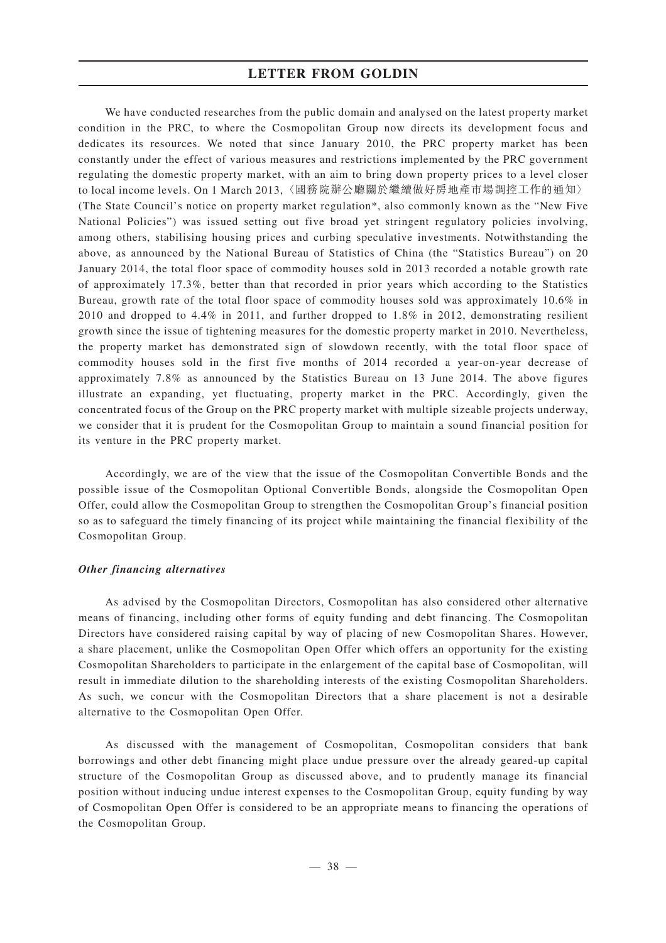We have conducted researches from the public domain and analysed on the latest property market condition in the PRC, to where the Cosmopolitan Group now directs its development focus and dedicates its resources. We noted that since January 2010, the PRC property market has been constantly under the effect of various measures and restrictions implemented by the PRC government regulating the domestic property market, with an aim to bring down property prices to a level closer to local income levels. On 1 March 2013,〈國務院辦公廳關於繼續做好房地產市場調控工作的通知〉 (The State Council's notice on property market regulation\*, also commonly known as the "New Five National Policies") was issued setting out five broad yet stringent regulatory policies involving, among others, stabilising housing prices and curbing speculative investments. Notwithstanding the above, as announced by the National Bureau of Statistics of China (the "Statistics Bureau") on 20 January 2014, the total floor space of commodity houses sold in 2013 recorded a notable growth rate of approximately 17.3%, better than that recorded in prior years which according to the Statistics Bureau, growth rate of the total floor space of commodity houses sold was approximately 10.6% in 2010 and dropped to 4.4% in 2011, and further dropped to 1.8% in 2012, demonstrating resilient growth since the issue of tightening measures for the domestic property market in 2010. Nevertheless, the property market has demonstrated sign of slowdown recently, with the total floor space of commodity houses sold in the first five months of 2014 recorded a year-on-year decrease of approximately 7.8% as announced by the Statistics Bureau on 13 June 2014. The above figures illustrate an expanding, yet fluctuating, property market in the PRC. Accordingly, given the concentrated focus of the Group on the PRC property market with multiple sizeable projects underway, we consider that it is prudent for the Cosmopolitan Group to maintain a sound financial position for its venture in the PRC property market.

Accordingly, we are of the view that the issue of the Cosmopolitan Convertible Bonds and the possible issue of the Cosmopolitan Optional Convertible Bonds, alongside the Cosmopolitan Open Offer, could allow the Cosmopolitan Group to strengthen the Cosmopolitan Group's financial position so as to safeguard the timely financing of its project while maintaining the financial flexibility of the Cosmopolitan Group.

### *Other financing alternatives*

As advised by the Cosmopolitan Directors, Cosmopolitan has also considered other alternative means of financing, including other forms of equity funding and debt financing. The Cosmopolitan Directors have considered raising capital by way of placing of new Cosmopolitan Shares. However, a share placement, unlike the Cosmopolitan Open Offer which offers an opportunity for the existing Cosmopolitan Shareholders to participate in the enlargement of the capital base of Cosmopolitan, will result in immediate dilution to the shareholding interests of the existing Cosmopolitan Shareholders. As such, we concur with the Cosmopolitan Directors that a share placement is not a desirable alternative to the Cosmopolitan Open Offer.

As discussed with the management of Cosmopolitan, Cosmopolitan considers that bank borrowings and other debt financing might place undue pressure over the already geared-up capital structure of the Cosmopolitan Group as discussed above, and to prudently manage its financial position without inducing undue interest expenses to the Cosmopolitan Group, equity funding by way of Cosmopolitan Open Offer is considered to be an appropriate means to financing the operations of the Cosmopolitan Group.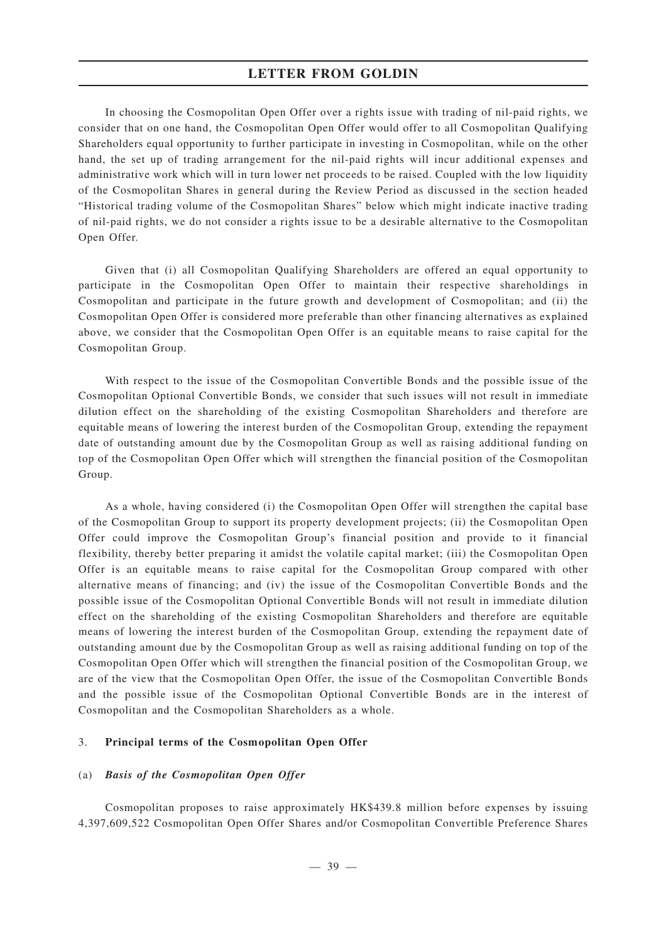In choosing the Cosmopolitan Open Offer over a rights issue with trading of nil-paid rights, we consider that on one hand, the Cosmopolitan Open Offer would offer to all Cosmopolitan Qualifying Shareholders equal opportunity to further participate in investing in Cosmopolitan, while on the other hand, the set up of trading arrangement for the nil-paid rights will incur additional expenses and administrative work which will in turn lower net proceeds to be raised. Coupled with the low liquidity of the Cosmopolitan Shares in general during the Review Period as discussed in the section headed "Historical trading volume of the Cosmopolitan Shares" below which might indicate inactive trading of nil-paid rights, we do not consider a rights issue to be a desirable alternative to the Cosmopolitan Open Offer.

Given that (i) all Cosmopolitan Qualifying Shareholders are offered an equal opportunity to participate in the Cosmopolitan Open Offer to maintain their respective shareholdings in Cosmopolitan and participate in the future growth and development of Cosmopolitan; and (ii) the Cosmopolitan Open Offer is considered more preferable than other financing alternatives as explained above, we consider that the Cosmopolitan Open Offer is an equitable means to raise capital for the Cosmopolitan Group.

With respect to the issue of the Cosmopolitan Convertible Bonds and the possible issue of the Cosmopolitan Optional Convertible Bonds, we consider that such issues will not result in immediate dilution effect on the shareholding of the existing Cosmopolitan Shareholders and therefore are equitable means of lowering the interest burden of the Cosmopolitan Group, extending the repayment date of outstanding amount due by the Cosmopolitan Group as well as raising additional funding on top of the Cosmopolitan Open Offer which will strengthen the financial position of the Cosmopolitan Group.

As a whole, having considered (i) the Cosmopolitan Open Offer will strengthen the capital base of the Cosmopolitan Group to support its property development projects; (ii) the Cosmopolitan Open Offer could improve the Cosmopolitan Group's financial position and provide to it financial flexibility, thereby better preparing it amidst the volatile capital market; (iii) the Cosmopolitan Open Offer is an equitable means to raise capital for the Cosmopolitan Group compared with other alternative means of financing; and (iv) the issue of the Cosmopolitan Convertible Bonds and the possible issue of the Cosmopolitan Optional Convertible Bonds will not result in immediate dilution effect on the shareholding of the existing Cosmopolitan Shareholders and therefore are equitable means of lowering the interest burden of the Cosmopolitan Group, extending the repayment date of outstanding amount due by the Cosmopolitan Group as well as raising additional funding on top of the Cosmopolitan Open Offer which will strengthen the financial position of the Cosmopolitan Group, we are of the view that the Cosmopolitan Open Offer, the issue of the Cosmopolitan Convertible Bonds and the possible issue of the Cosmopolitan Optional Convertible Bonds are in the interest of Cosmopolitan and the Cosmopolitan Shareholders as a whole.

### 3. **Principal terms of the Cosmopolitan Open Offer**

#### (a) *Basis of the Cosmopolitan Open Offer*

Cosmopolitan proposes to raise approximately HK\$439.8 million before expenses by issuing 4,397,609,522 Cosmopolitan Open Offer Shares and/or Cosmopolitan Convertible Preference Shares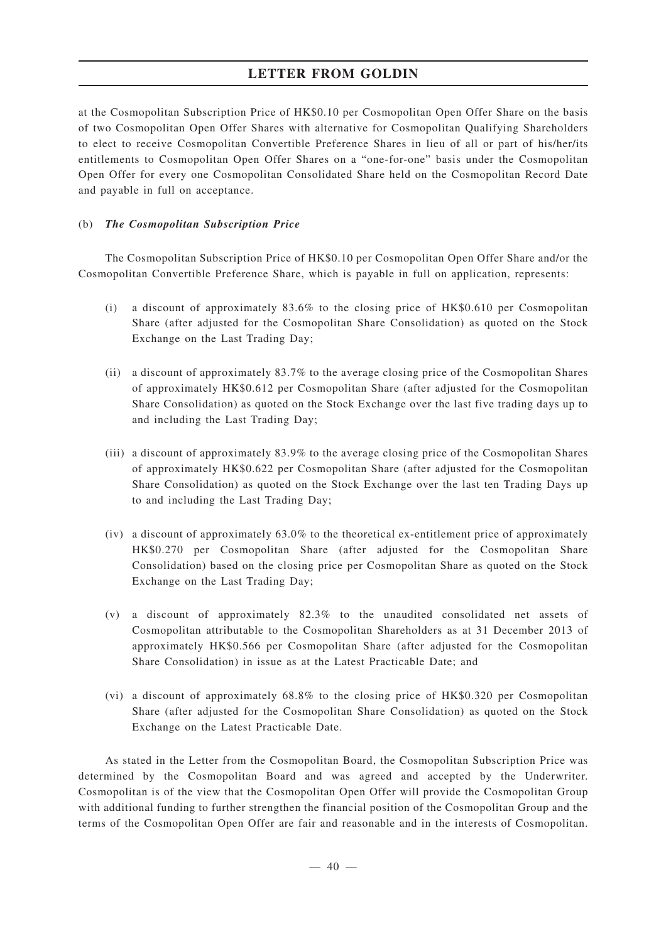at the Cosmopolitan Subscription Price of HK\$0.10 per Cosmopolitan Open Offer Share on the basis of two Cosmopolitan Open Offer Shares with alternative for Cosmopolitan Qualifying Shareholders to elect to receive Cosmopolitan Convertible Preference Shares in lieu of all or part of his/her/its entitlements to Cosmopolitan Open Offer Shares on a "one-for-one" basis under the Cosmopolitan Open Offer for every one Cosmopolitan Consolidated Share held on the Cosmopolitan Record Date and payable in full on acceptance.

## (b) *The Cosmopolitan Subscription Price*

The Cosmopolitan Subscription Price of HK\$0.10 per Cosmopolitan Open Offer Share and/or the Cosmopolitan Convertible Preference Share, which is payable in full on application, represents:

- (i) a discount of approximately 83.6% to the closing price of HK\$0.610 per Cosmopolitan Share (after adjusted for the Cosmopolitan Share Consolidation) as quoted on the Stock Exchange on the Last Trading Day;
- (ii) a discount of approximately 83.7% to the average closing price of the Cosmopolitan Shares of approximately HK\$0.612 per Cosmopolitan Share (after adjusted for the Cosmopolitan Share Consolidation) as quoted on the Stock Exchange over the last five trading days up to and including the Last Trading Day;
- (iii) a discount of approximately 83.9% to the average closing price of the Cosmopolitan Shares of approximately HK\$0.622 per Cosmopolitan Share (after adjusted for the Cosmopolitan Share Consolidation) as quoted on the Stock Exchange over the last ten Trading Days up to and including the Last Trading Day;
- $(iv)$  a discount of approximately 63.0% to the theoretical ex-entitlement price of approximately HK\$0.270 per Cosmopolitan Share (after adjusted for the Cosmopolitan Share Consolidation) based on the closing price per Cosmopolitan Share as quoted on the Stock Exchange on the Last Trading Day;
- (v) a discount of approximately 82.3% to the unaudited consolidated net assets of Cosmopolitan attributable to the Cosmopolitan Shareholders as at 31 December 2013 of approximately HK\$0.566 per Cosmopolitan Share (after adjusted for the Cosmopolitan Share Consolidation) in issue as at the Latest Practicable Date; and
- (vi) a discount of approximately 68.8% to the closing price of HK\$0.320 per Cosmopolitan Share (after adjusted for the Cosmopolitan Share Consolidation) as quoted on the Stock Exchange on the Latest Practicable Date.

As stated in the Letter from the Cosmopolitan Board, the Cosmopolitan Subscription Price was determined by the Cosmopolitan Board and was agreed and accepted by the Underwriter. Cosmopolitan is of the view that the Cosmopolitan Open Offer will provide the Cosmopolitan Group with additional funding to further strengthen the financial position of the Cosmopolitan Group and the terms of the Cosmopolitan Open Offer are fair and reasonable and in the interests of Cosmopolitan.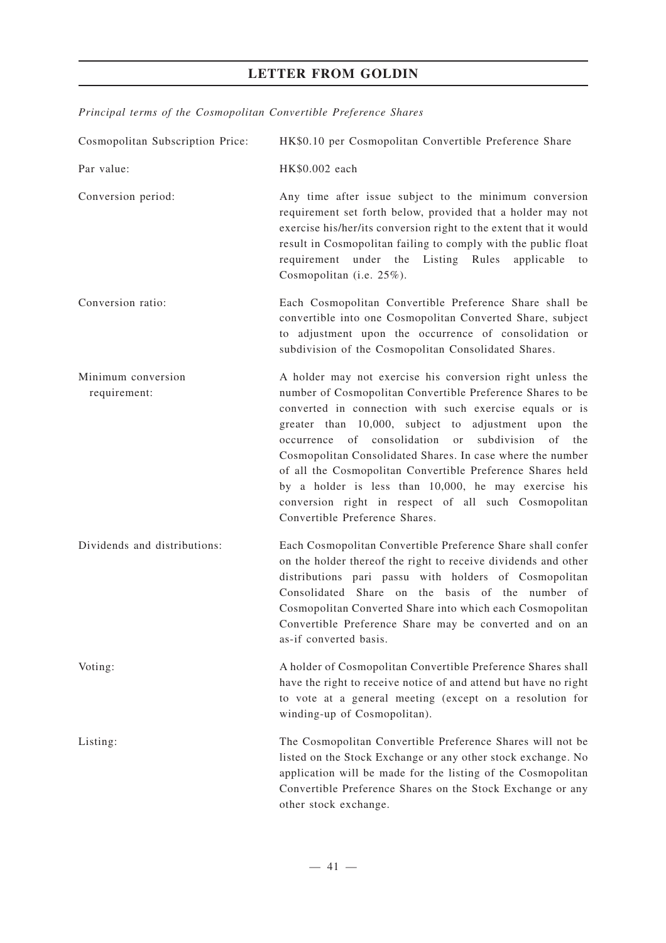| Cosmopolitan Subscription Price:   | HK\$0.10 per Cosmopolitan Convertible Preference Share                                                                                                                                                                                                                                                                                                                                                                                                                                                                                                                                |
|------------------------------------|---------------------------------------------------------------------------------------------------------------------------------------------------------------------------------------------------------------------------------------------------------------------------------------------------------------------------------------------------------------------------------------------------------------------------------------------------------------------------------------------------------------------------------------------------------------------------------------|
| Par value:                         | HK\$0.002 each                                                                                                                                                                                                                                                                                                                                                                                                                                                                                                                                                                        |
| Conversion period:                 | Any time after issue subject to the minimum conversion<br>requirement set forth below, provided that a holder may not<br>exercise his/her/its conversion right to the extent that it would<br>result in Cosmopolitan failing to comply with the public float<br>under the<br>Listing Rules<br>requirement<br>applicable<br>to<br>Cosmopolitan (i.e. 25%).                                                                                                                                                                                                                             |
| Conversion ratio:                  | Each Cosmopolitan Convertible Preference Share shall be<br>convertible into one Cosmopolitan Converted Share, subject<br>to adjustment upon the occurrence of consolidation or<br>subdivision of the Cosmopolitan Consolidated Shares.                                                                                                                                                                                                                                                                                                                                                |
| Minimum conversion<br>requirement: | A holder may not exercise his conversion right unless the<br>number of Cosmopolitan Convertible Preference Shares to be<br>converted in connection with such exercise equals or is<br>greater than 10,000, subject to adjustment upon the<br>occurrence of consolidation or<br>subdivision<br>of<br>the<br>Cosmopolitan Consolidated Shares. In case where the number<br>of all the Cosmopolitan Convertible Preference Shares held<br>by a holder is less than 10,000, he may exercise his<br>conversion right in respect of all such Cosmopolitan<br>Convertible Preference Shares. |
| Dividends and distributions:       | Each Cosmopolitan Convertible Preference Share shall confer<br>on the holder thereof the right to receive dividends and other<br>distributions pari passu with holders of Cosmopolitan<br>Consolidated Share on the basis of the number of<br>Cosmopolitan Converted Share into which each Cosmopolitan<br>Convertible Preference Share may be converted and on an<br>as-if converted basis.                                                                                                                                                                                          |
| Voting:                            | A holder of Cosmopolitan Convertible Preference Shares shall<br>have the right to receive notice of and attend but have no right<br>to vote at a general meeting (except on a resolution for<br>winding-up of Cosmopolitan).                                                                                                                                                                                                                                                                                                                                                          |
| Listing:                           | The Cosmopolitan Convertible Preference Shares will not be<br>listed on the Stock Exchange or any other stock exchange. No<br>application will be made for the listing of the Cosmopolitan<br>Convertible Preference Shares on the Stock Exchange or any<br>other stock exchange.                                                                                                                                                                                                                                                                                                     |

# *Principal terms of the Cosmopolitan Convertible Preference Shares*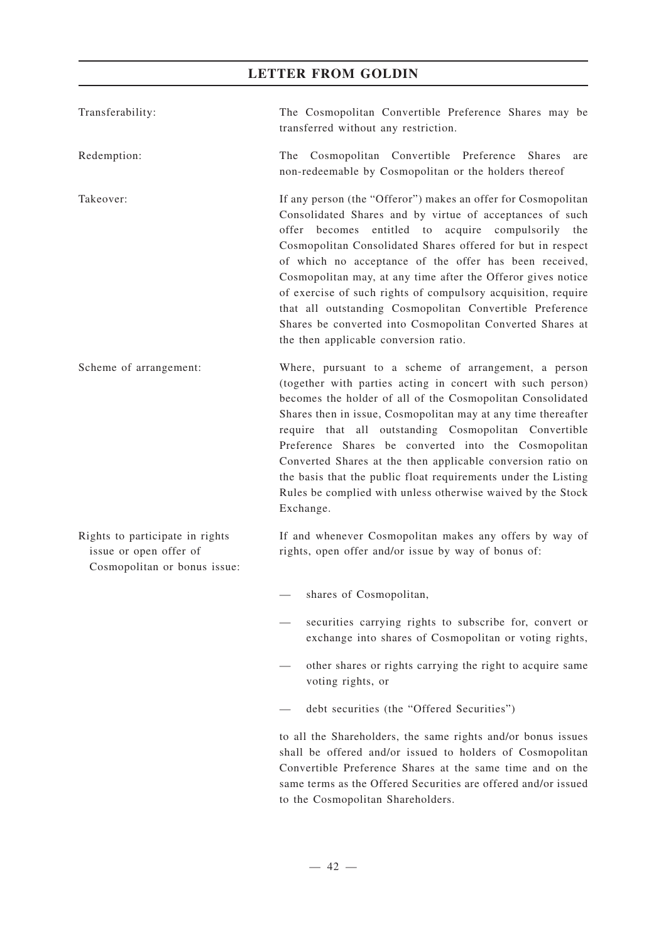| Transferability:                                                                          | The Cosmopolitan Convertible Preference Shares may be<br>transferred without any restriction.                                                                                                                                                                                                                                                                                                                                                                                                                                                                                                                  |
|-------------------------------------------------------------------------------------------|----------------------------------------------------------------------------------------------------------------------------------------------------------------------------------------------------------------------------------------------------------------------------------------------------------------------------------------------------------------------------------------------------------------------------------------------------------------------------------------------------------------------------------------------------------------------------------------------------------------|
| Redemption:                                                                               | The Cosmopolitan Convertible Preference Shares<br>are<br>non-redeemable by Cosmopolitan or the holders thereof                                                                                                                                                                                                                                                                                                                                                                                                                                                                                                 |
| Takeover:                                                                                 | If any person (the "Offeror") makes an offer for Cosmopolitan<br>Consolidated Shares and by virtue of acceptances of such<br>offer becomes entitled to<br>acquire compulsorily the<br>Cosmopolitan Consolidated Shares offered for but in respect<br>of which no acceptance of the offer has been received,<br>Cosmopolitan may, at any time after the Offeror gives notice<br>of exercise of such rights of compulsory acquisition, require<br>that all outstanding Cosmopolitan Convertible Preference<br>Shares be converted into Cosmopolitan Converted Shares at<br>the then applicable conversion ratio. |
| Scheme of arrangement:                                                                    | Where, pursuant to a scheme of arrangement, a person<br>(together with parties acting in concert with such person)<br>becomes the holder of all of the Cosmopolitan Consolidated<br>Shares then in issue, Cosmopolitan may at any time thereafter<br>require that all outstanding Cosmopolitan Convertible<br>Preference Shares be converted into the Cosmopolitan<br>Converted Shares at the then applicable conversion ratio on<br>the basis that the public float requirements under the Listing<br>Rules be complied with unless otherwise waived by the Stock<br>Exchange.                                |
| Rights to participate in rights<br>issue or open offer of<br>Cosmopolitan or bonus issue: | If and whenever Cosmopolitan makes any offers by way of<br>rights, open offer and/or issue by way of bonus of:                                                                                                                                                                                                                                                                                                                                                                                                                                                                                                 |
|                                                                                           | - shares of Cosmopolitan,                                                                                                                                                                                                                                                                                                                                                                                                                                                                                                                                                                                      |
|                                                                                           | securities carrying rights to subscribe for, convert or<br>exchange into shares of Cosmopolitan or voting rights,                                                                                                                                                                                                                                                                                                                                                                                                                                                                                              |
|                                                                                           | other shares or rights carrying the right to acquire same<br>voting rights, or                                                                                                                                                                                                                                                                                                                                                                                                                                                                                                                                 |
|                                                                                           | debt securities (the "Offered Securities")                                                                                                                                                                                                                                                                                                                                                                                                                                                                                                                                                                     |
|                                                                                           | to all the Shareholders, the same rights and/or bonus issues<br>shall be offered and/or issued to holders of Cosmopolitan<br>Convertible Preference Shares at the same time and on the<br>same terms as the Offered Securities are offered and/or issued<br>to the Cosmopolitan Shareholders.                                                                                                                                                                                                                                                                                                                  |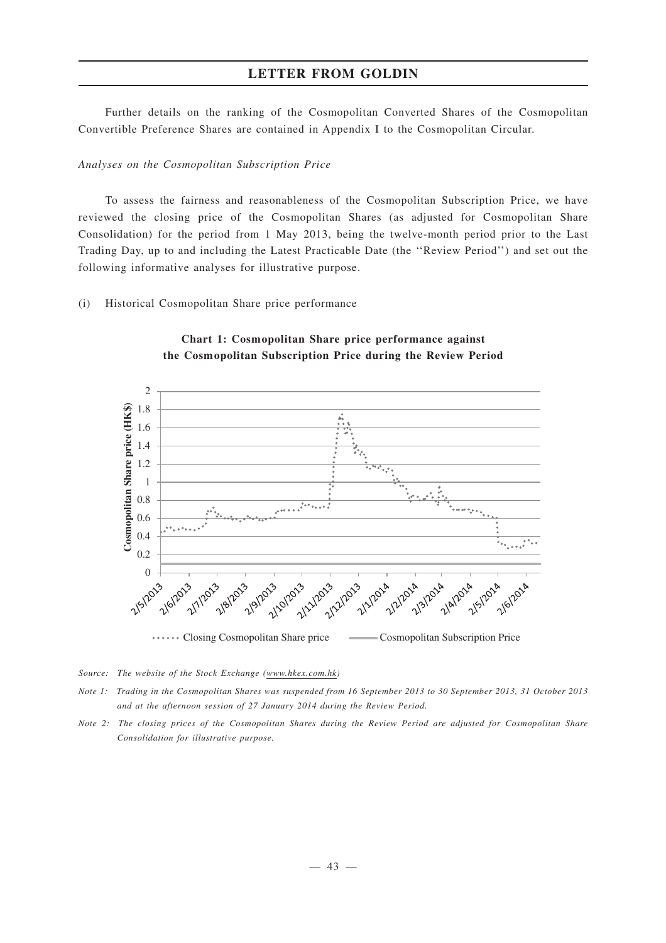Further details on the ranking of the Cosmopolitan Converted Shares of the Cosmopolitan Convertible Preference Shares are contained in Appendix I to the Cosmopolitan Circular.

#### *Analyses on the Cosmopolitan Subscription Price*

To assess the fairness and reasonableness of the Cosmopolitan Subscription Price, we have reviewed the closing price of the Cosmopolitan Shares (as adjusted for Cosmopolitan Share Consolidation) for the period from 1 May 2013, being the twelve-month period prior to the Last Trading Day, up to and including the Latest Practicable Date (the ''Review Period'') and set out the following informative analyses for illustrative purpose.

(i) Historical Cosmopolitan Share price performance



## **Chart 1: Cosmopolitan Share price performance against the Cosmopolitan Subscription Price during the Review Period**

*Source: The website of the Stock Exchange (www.hkex.com.hk)*

*Note 1: Trading in the Cosmopolitan Shares was suspended from 16 September 2013 to 30 September 2013, 31 October 2013 and at the afternoon session of 27 January 2014 during the Review Period.*

*Note 2: The closing prices of the Cosmopolitan Shares during the Review Period are adjusted for Cosmopolitan Share Consolidation for illustrative purpose.*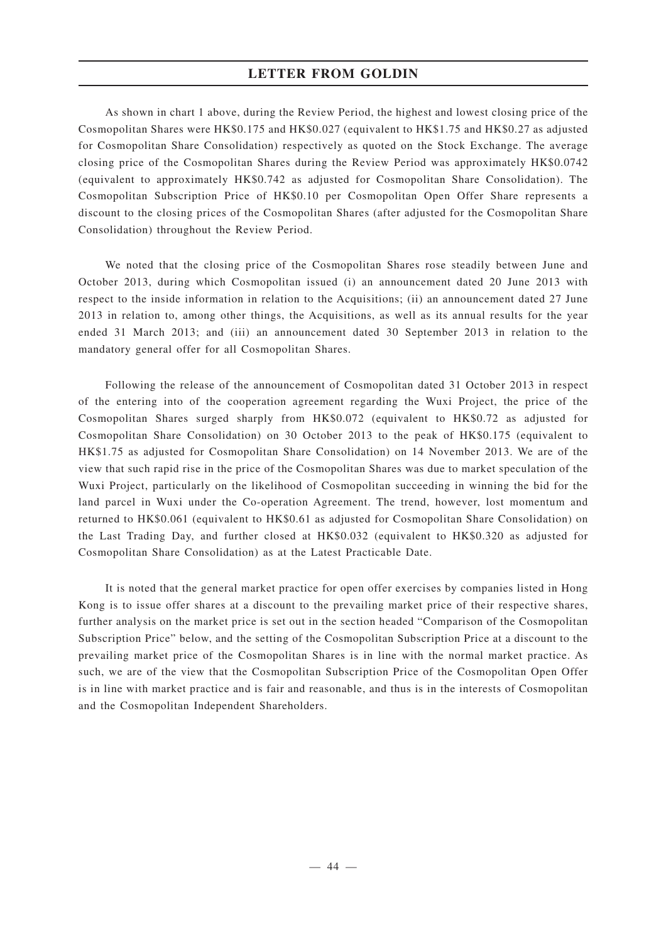As shown in chart 1 above, during the Review Period, the highest and lowest closing price of the Cosmopolitan Shares were HK\$0.175 and HK\$0.027 (equivalent to HK\$1.75 and HK\$0.27 as adjusted for Cosmopolitan Share Consolidation) respectively as quoted on the Stock Exchange. The average closing price of the Cosmopolitan Shares during the Review Period was approximately HK\$0.0742 (equivalent to approximately HK\$0.742 as adjusted for Cosmopolitan Share Consolidation). The Cosmopolitan Subscription Price of HK\$0.10 per Cosmopolitan Open Offer Share represents a discount to the closing prices of the Cosmopolitan Shares (after adjusted for the Cosmopolitan Share Consolidation) throughout the Review Period.

We noted that the closing price of the Cosmopolitan Shares rose steadily between June and October 2013, during which Cosmopolitan issued (i) an announcement dated 20 June 2013 with respect to the inside information in relation to the Acquisitions; (ii) an announcement dated 27 June 2013 in relation to, among other things, the Acquisitions, as well as its annual results for the year ended 31 March 2013; and (iii) an announcement dated 30 September 2013 in relation to the mandatory general offer for all Cosmopolitan Shares.

Following the release of the announcement of Cosmopolitan dated 31 October 2013 in respect of the entering into of the cooperation agreement regarding the Wuxi Project, the price of the Cosmopolitan Shares surged sharply from HK\$0.072 (equivalent to HK\$0.72 as adjusted for Cosmopolitan Share Consolidation) on 30 October 2013 to the peak of HK\$0.175 (equivalent to HK\$1.75 as adjusted for Cosmopolitan Share Consolidation) on 14 November 2013. We are of the view that such rapid rise in the price of the Cosmopolitan Shares was due to market speculation of the Wuxi Project, particularly on the likelihood of Cosmopolitan succeeding in winning the bid for the land parcel in Wuxi under the Co-operation Agreement. The trend, however, lost momentum and returned to HK\$0.061 (equivalent to HK\$0.61 as adjusted for Cosmopolitan Share Consolidation) on the Last Trading Day, and further closed at HK\$0.032 (equivalent to HK\$0.320 as adjusted for Cosmopolitan Share Consolidation) as at the Latest Practicable Date.

It is noted that the general market practice for open offer exercises by companies listed in Hong Kong is to issue offer shares at a discount to the prevailing market price of their respective shares, further analysis on the market price is set out in the section headed "Comparison of the Cosmopolitan Subscription Price" below, and the setting of the Cosmopolitan Subscription Price at a discount to the prevailing market price of the Cosmopolitan Shares is in line with the normal market practice. As such, we are of the view that the Cosmopolitan Subscription Price of the Cosmopolitan Open Offer is in line with market practice and is fair and reasonable, and thus is in the interests of Cosmopolitan and the Cosmopolitan Independent Shareholders.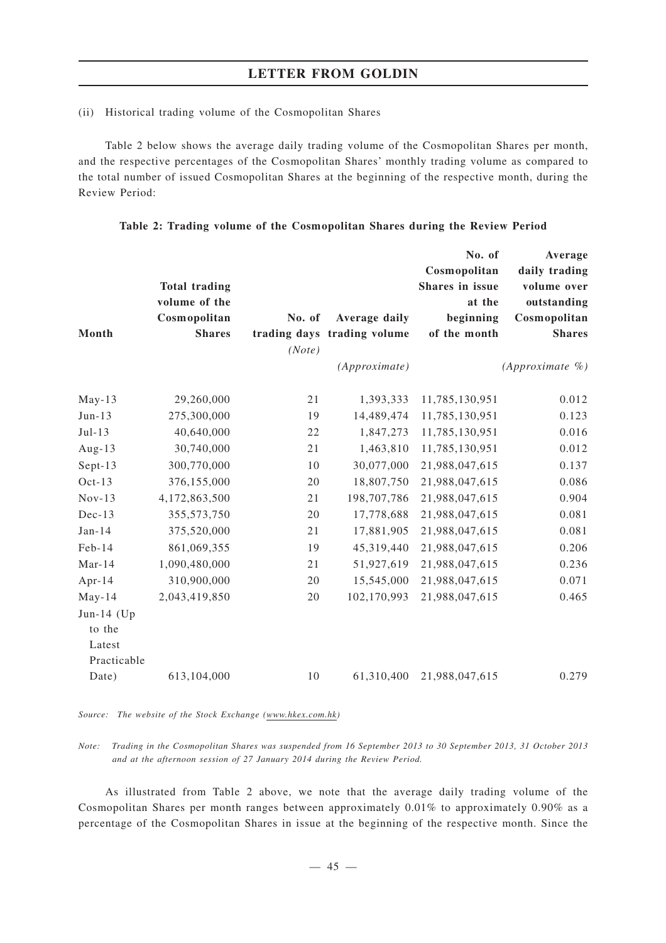### (ii) Historical trading volume of the Cosmopolitan Shares

Table 2 below shows the average daily trading volume of the Cosmopolitan Shares per month, and the respective percentages of the Cosmopolitan Shares' monthly trading volume as compared to the total number of issued Cosmopolitan Shares at the beginning of the respective month, during the Review Period:

| Month                                                     | <b>Total trading</b><br>volume of the<br>Cosmopolitan<br><b>Shares</b> | No. of<br>(Note) | Average daily<br>trading days trading volume<br>(Approximate) | No. of<br>Cosmopolitan<br>Shares in issue<br>at the<br>beginning<br>of the month | Average<br>daily trading<br>volume over<br>outstanding<br>Cosmopolitan<br><b>Shares</b><br>$(Approximate \%)$ |
|-----------------------------------------------------------|------------------------------------------------------------------------|------------------|---------------------------------------------------------------|----------------------------------------------------------------------------------|---------------------------------------------------------------------------------------------------------------|
| $May-13$                                                  | 29,260,000                                                             | 21               | 1,393,333                                                     | 11,785,130,951                                                                   | 0.012                                                                                                         |
| $Jun-13$                                                  | 275,300,000                                                            | 19               | 14,489,474                                                    | 11,785,130,951                                                                   | 0.123                                                                                                         |
| $Jul-13$                                                  | 40,640,000                                                             | 22               | 1,847,273                                                     | 11,785,130,951                                                                   | 0.016                                                                                                         |
| Aug-13                                                    | 30,740,000                                                             | 21               | 1,463,810                                                     | 11,785,130,951                                                                   | 0.012                                                                                                         |
| Sept-13                                                   | 300,770,000                                                            | 10               | 30,077,000                                                    | 21,988,047,615                                                                   | 0.137                                                                                                         |
| $Oct-13$                                                  | 376,155,000                                                            | 20               | 18,807,750                                                    | 21,988,047,615                                                                   | 0.086                                                                                                         |
| $Nov-13$                                                  | 4,172,863,500                                                          | 21               | 198,707,786                                                   | 21,988,047,615                                                                   | 0.904                                                                                                         |
| $Dec-13$                                                  | 355,573,750                                                            | 20               | 17,778,688                                                    | 21,988,047,615                                                                   | 0.081                                                                                                         |
| $Jan-14$                                                  | 375,520,000                                                            | 21               | 17,881,905                                                    | 21,988,047,615                                                                   | 0.081                                                                                                         |
| Feb-14                                                    | 861,069,355                                                            | 19               | 45,319,440                                                    | 21,988,047,615                                                                   | 0.206                                                                                                         |
| $Mar-14$                                                  | 1,090,480,000                                                          | 21               | 51,927,619                                                    | 21,988,047,615                                                                   | 0.236                                                                                                         |
| Apr- $14$                                                 | 310,900,000                                                            | 20               | 15,545,000                                                    | 21,988,047,615                                                                   | 0.071                                                                                                         |
| $May-14$                                                  | 2,043,419,850                                                          | 20               | 102,170,993                                                   | 21,988,047,615                                                                   | 0.465                                                                                                         |
| Jun-14 ( $Up$<br>to the<br>Latest<br>Practicable<br>Date) | 613,104,000                                                            | 10               | 61,310,400                                                    | 21,988,047,615                                                                   | 0.279                                                                                                         |
|                                                           |                                                                        |                  |                                                               |                                                                                  |                                                                                                               |

**Table 2: Trading volume of the Cosm opolitan Shares during the Review Period**

*Source: The website of the Stock Exchange (www.hkex.com.hk)*

*Note: Trading in the Cosmopolitan Shares was suspended from 16 September 2013 to 30 September 2013, 31 October 2013 and at the afternoon session of 27 January 2014 during the Review Period.*

As illustrated from Table 2 above, we note that the average daily trading volume of the Cosmopolitan Shares per month ranges between approximately 0.01% to approximately 0.90% as a percentage of the Cosmopolitan Shares in issue at the beginning of the respective month. Since the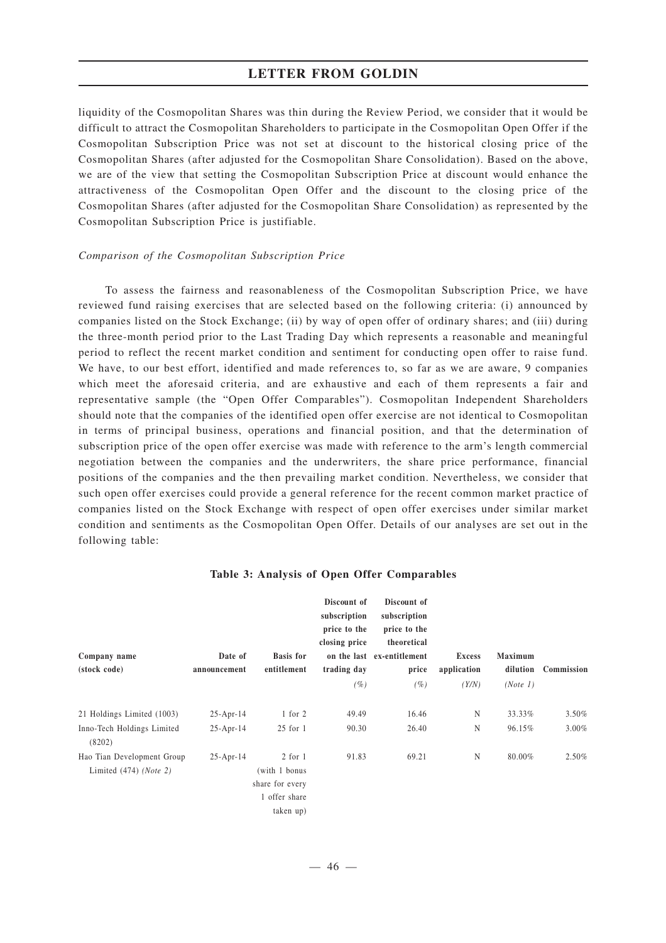liquidity of the Cosmopolitan Shares was thin during the Review Period, we consider that it would be difficult to attract the Cosmopolitan Shareholders to participate in the Cosmopolitan Open Offer if the Cosmopolitan Subscription Price was not set at discount to the historical closing price of the Cosmopolitan Shares (after adjusted for the Cosmopolitan Share Consolidation). Based on the above, we are of the view that setting the Cosmopolitan Subscription Price at discount would enhance the attractiveness of the Cosmopolitan Open Offer and the discount to the closing price of the Cosmopolitan Shares (after adjusted for the Cosmopolitan Share Consolidation) as represented by the Cosmopolitan Subscription Price is justifiable.

#### *Comparison of the Cosmopolitan Subscription Price*

To assess the fairness and reasonableness of the Cosmopolitan Subscription Price, we have reviewed fund raising exercises that are selected based on the following criteria: (i) announced by companies listed on the Stock Exchange; (ii) by way of open offer of ordinary shares; and (iii) during the three-month period prior to the Last Trading Day which represents a reasonable and meaningful period to reflect the recent market condition and sentiment for conducting open offer to raise fund. We have, to our best effort, identified and made references to, so far as we are aware, 9 companies which meet the aforesaid criteria, and are exhaustive and each of them represents a fair and representative sample (the "Open Offer Comparables"). Cosmopolitan Independent Shareholders should note that the companies of the identified open offer exercise are not identical to Cosmopolitan in terms of principal business, operations and financial position, and that the determination of subscription price of the open offer exercise was made with reference to the arm's length commercial negotiation between the companies and the underwriters, the share price performance, financial positions of the companies and the then prevailing market condition. Nevertheless, we consider that such open offer exercises could provide a general reference for the recent common market practice of companies listed on the Stock Exchange with respect of open offer exercises under similar market condition and sentiments as the Cosmopolitan Open Offer. Details of our analyses are set out in the following table:

| Company name<br>(stock code)                           | Date of<br>announcement | <b>Basis</b> for<br>entitlement                                               | Discount of<br>subscription<br>price to the<br>closing price<br>trading day<br>(%) | Discount of<br>subscription<br>price to the<br>theoretical<br>on the last ex-entitlement<br>price<br>$($ %) | <b>Excess</b><br>application<br>(Y/N) | <b>Maximum</b><br>dilution<br>(Note 1) | Commission |
|--------------------------------------------------------|-------------------------|-------------------------------------------------------------------------------|------------------------------------------------------------------------------------|-------------------------------------------------------------------------------------------------------------|---------------------------------------|----------------------------------------|------------|
| 21 Holdings Limited (1003)                             | $25 - Apr - 14$         | $1$ for $2$                                                                   | 49.49                                                                              | 16.46                                                                                                       | N                                     | 33.33%                                 | 3.50%      |
| Inno-Tech Holdings Limited<br>(8202)                   | $25 - Apr - 14$         | $25$ for $1$                                                                  | 90.30                                                                              | 26.40                                                                                                       | N                                     | 96.15%                                 | $3.00\%$   |
| Hao Tian Development Group<br>Limited $(474)$ (Note 2) | $25 - Apr - 14$         | $2$ for $1$<br>(with 1 bonus<br>share for every<br>1 offer share<br>taken up) | 91.83                                                                              | 69.21                                                                                                       | N                                     | 80.00%                                 | 2.50%      |

#### **Table 3: Analysis of Open Offer Comparables**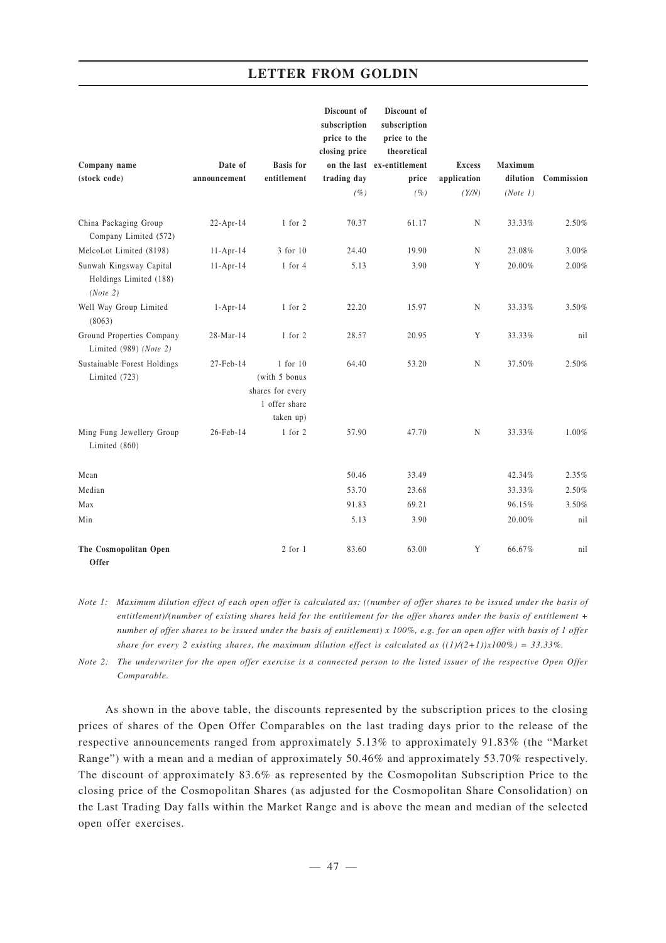| Company name<br>(stock code)                                  | Date of<br>announcement | <b>Basis</b> for<br>entitlement                                             | Discount of<br>subscription<br>price to the<br>closing price<br>trading day | Discount of<br>subscription<br>price to the<br>theoretical<br>on the last ex-entitlement<br>price | <b>Excess</b><br>application | <b>Maximum</b><br>dilution | Commission |
|---------------------------------------------------------------|-------------------------|-----------------------------------------------------------------------------|-----------------------------------------------------------------------------|---------------------------------------------------------------------------------------------------|------------------------------|----------------------------|------------|
|                                                               |                         |                                                                             | $($ %)                                                                      | $($ %)                                                                                            | (Y/N)                        | (Note 1)                   |            |
| China Packaging Group<br>Company Limited (572)                | 22-Apr-14               | 1 for 2                                                                     | 70.37                                                                       | 61.17                                                                                             | N                            | 33.33%                     | 2.50%      |
| MelcoLot Limited (8198)                                       | $11 - Apr - 14$         | 3 for 10                                                                    | 24.40                                                                       | 19.90                                                                                             | $\mathbf N$                  | 23.08%                     | 3.00%      |
| Sunwah Kingsway Capital<br>Holdings Limited (188)<br>(Note 2) | $11 - Apr - 14$         | $1$ for $4$                                                                 | 5.13                                                                        | 3.90                                                                                              | $\mathbf Y$                  | 20.00%                     | 2.00%      |
| Well Way Group Limited<br>(8063)                              | $1-Apr-14$              | $1$ for $2$                                                                 | 22.20                                                                       | 15.97                                                                                             | N                            | 33.33%                     | 3.50%      |
| Ground Properties Company<br>Limited (989) (Note 2)           | 28-Mar-14               | 1 for 2                                                                     | 28.57                                                                       | 20.95                                                                                             | Y                            | 33.33%                     | nil        |
| Sustainable Forest Holdings<br>Limited (723)                  | 27-Feb-14               | 1 for 10<br>(with 5 bonus<br>shares for every<br>1 offer share<br>taken up) | 64.40                                                                       | 53.20                                                                                             | $\mathbf N$                  | 37.50%                     | 2.50%      |
| Ming Fung Jewellery Group<br>Limited (860)                    | 26-Feb-14               | $1$ for $2$                                                                 | 57.90                                                                       | 47.70                                                                                             | N                            | 33.33%                     | 1.00%      |
| Mean                                                          |                         |                                                                             | 50.46                                                                       | 33.49                                                                                             |                              | 42.34%                     | 2.35%      |
| Median                                                        |                         |                                                                             | 53.70                                                                       | 23.68                                                                                             |                              | 33.33%                     | 2.50%      |
| Max                                                           |                         |                                                                             | 91.83                                                                       | 69.21                                                                                             |                              | 96.15%                     | 3.50%      |
| Min                                                           |                         |                                                                             | 5.13                                                                        | 3.90                                                                                              |                              | 20.00%                     | nil        |
| The Cosmopolitan Open<br>$\triangle$ ee $\triangle$           |                         | $2$ for $1$                                                                 | 83.60                                                                       | 63.00                                                                                             | $\mathbf Y$                  | 66.67%                     | nil        |

**Offer**

*Note 2: The underwriter for the open offer exercise is a connected person to the listed issuer of the respective Open Offer Comparable.*

As shown in the above table, the discounts represented by the subscription prices to the closing prices of shares of the Open Offer Comparables on the last trading days prior to the release of the respective announcements ranged from approximately 5.13% to approximately 91.83% (the "Market Range") with a mean and a median of approximately 50.46% and approximately 53.70% respectively. The discount of approximately 83.6% as represented by the Cosmopolitan Subscription Price to the closing price of the Cosmopolitan Shares (as adjusted for the Cosmopolitan Share Consolidation) on the Last Trading Day falls within the Market Range and is above the mean and median of the selected open offer exercises.

*Note 1: Maximum dilution effect of each open offer is calculated as: ((number of offer shares to be issued under the basis of entitlement)/(number of existing shares held for the entitlement for the offer shares under the basis of entitlement + number of offer shares to be issued under the basis of entitlement) x 100%, e.g. for an open offer with basis of 1 offer share for every 2 existing shares, the maximum dilution effect is calculated as*  $((1)/(2+1))x100\%) = 33.33\%$ *.*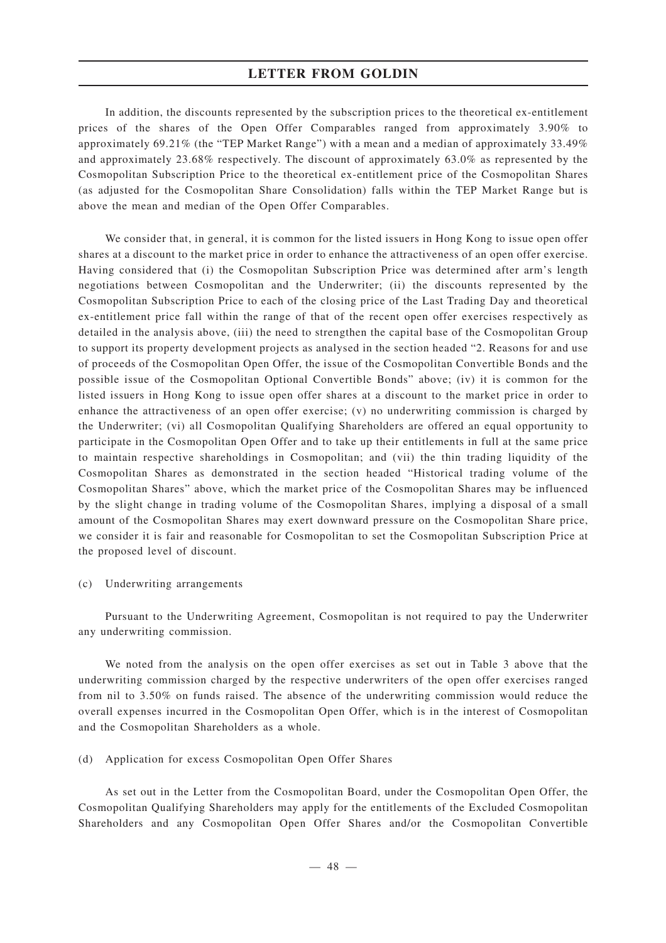In addition, the discounts represented by the subscription prices to the theoretical ex-entitlement prices of the shares of the Open Offer Comparables ranged from approximately 3.90% to approximately 69.21% (the "TEP Market Range") with a mean and a median of approximately 33.49% and approximately 23.68% respectively. The discount of approximately 63.0% as represented by the Cosmopolitan Subscription Price to the theoretical ex-entitlement price of the Cosmopolitan Shares (as adjusted for the Cosmopolitan Share Consolidation) falls within the TEP Market Range but is above the mean and median of the Open Offer Comparables.

We consider that, in general, it is common for the listed issuers in Hong Kong to issue open offer shares at a discount to the market price in order to enhance the attractiveness of an open offer exercise. Having considered that (i) the Cosmopolitan Subscription Price was determined after arm's length negotiations between Cosmopolitan and the Underwriter; (ii) the discounts represented by the Cosmopolitan Subscription Price to each of the closing price of the Last Trading Day and theoretical ex-entitlement price fall within the range of that of the recent open offer exercises respectively as detailed in the analysis above, (iii) the need to strengthen the capital base of the Cosmopolitan Group to support its property development projects as analysed in the section headed "2. Reasons for and use of proceeds of the Cosmopolitan Open Offer, the issue of the Cosmopolitan Convertible Bonds and the possible issue of the Cosmopolitan Optional Convertible Bonds" above; (iv) it is common for the listed issuers in Hong Kong to issue open offer shares at a discount to the market price in order to enhance the attractiveness of an open offer exercise; (v) no underwriting commission is charged by the Underwriter; (vi) all Cosmopolitan Qualifying Shareholders are offered an equal opportunity to participate in the Cosmopolitan Open Offer and to take up their entitlements in full at the same price to maintain respective shareholdings in Cosmopolitan; and (vii) the thin trading liquidity of the Cosmopolitan Shares as demonstrated in the section headed "Historical trading volume of the Cosmopolitan Shares" above, which the market price of the Cosmopolitan Shares may be influenced by the slight change in trading volume of the Cosmopolitan Shares, implying a disposal of a small amount of the Cosmopolitan Shares may exert downward pressure on the Cosmopolitan Share price, we consider it is fair and reasonable for Cosmopolitan to set the Cosmopolitan Subscription Price at the proposed level of discount.

#### (c) Underwriting arrangements

Pursuant to the Underwriting Agreement, Cosmopolitan is not required to pay the Underwriter any underwriting commission.

We noted from the analysis on the open offer exercises as set out in Table 3 above that the underwriting commission charged by the respective underwriters of the open offer exercises ranged from nil to 3.50% on funds raised. The absence of the underwriting commission would reduce the overall expenses incurred in the Cosmopolitan Open Offer, which is in the interest of Cosmopolitan and the Cosmopolitan Shareholders as a whole.

#### (d) Application for excess Cosmopolitan Open Offer Shares

As set out in the Letter from the Cosmopolitan Board, under the Cosmopolitan Open Offer, the Cosmopolitan Qualifying Shareholders may apply for the entitlements of the Excluded Cosmopolitan Shareholders and any Cosmopolitan Open Offer Shares and/or the Cosmopolitan Convertible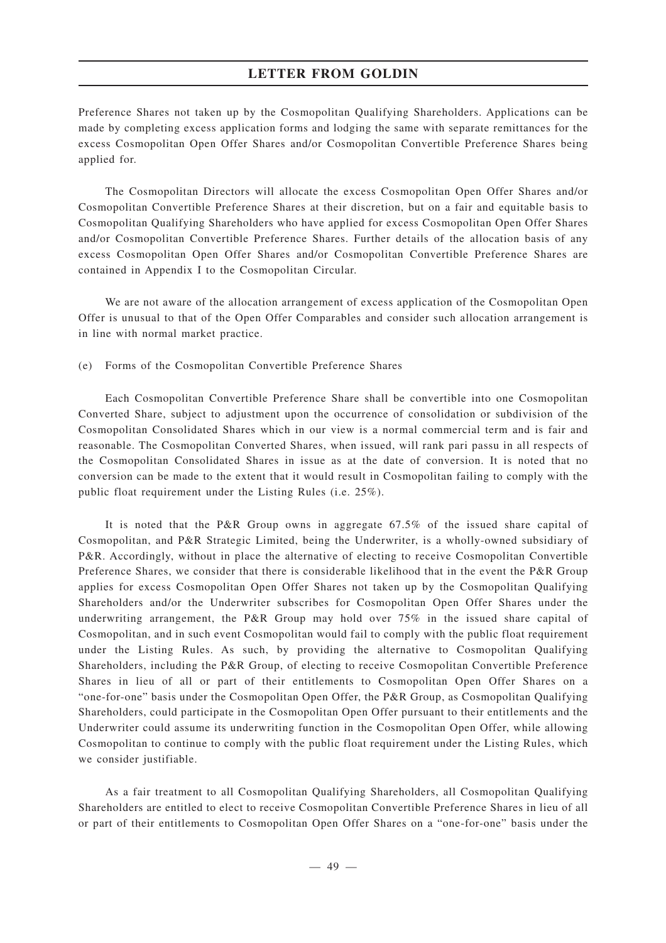Preference Shares not taken up by the Cosmopolitan Qualifying Shareholders. Applications can be made by completing excess application forms and lodging the same with separate remittances for the excess Cosmopolitan Open Offer Shares and/or Cosmopolitan Convertible Preference Shares being applied for.

The Cosmopolitan Directors will allocate the excess Cosmopolitan Open Offer Shares and/or Cosmopolitan Convertible Preference Shares at their discretion, but on a fair and equitable basis to Cosmopolitan Qualifying Shareholders who have applied for excess Cosmopolitan Open Offer Shares and/or Cosmopolitan Convertible Preference Shares. Further details of the allocation basis of any excess Cosmopolitan Open Offer Shares and/or Cosmopolitan Convertible Preference Shares are contained in Appendix I to the Cosmopolitan Circular.

We are not aware of the allocation arrangement of excess application of the Cosmopolitan Open Offer is unusual to that of the Open Offer Comparables and consider such allocation arrangement is in line with normal market practice.

(e) Forms of the Cosmopolitan Convertible Preference Shares

Each Cosmopolitan Convertible Preference Share shall be convertible into one Cosmopolitan Converted Share, subject to adjustment upon the occurrence of consolidation or subdivision of the Cosmopolitan Consolidated Shares which in our view is a normal commercial term and is fair and reasonable. The Cosmopolitan Converted Shares, when issued, will rank pari passu in all respects of the Cosmopolitan Consolidated Shares in issue as at the date of conversion. It is noted that no conversion can be made to the extent that it would result in Cosmopolitan failing to comply with the public float requirement under the Listing Rules (i.e. 25%).

It is noted that the P&R Group owns in aggregate 67.5% of the issued share capital of Cosmopolitan, and P&R Strategic Limited, being the Underwriter, is a wholly-owned subsidiary of P&R. Accordingly, without in place the alternative of electing to receive Cosmopolitan Convertible Preference Shares, we consider that there is considerable likelihood that in the event the P&R Group applies for excess Cosmopolitan Open Offer Shares not taken up by the Cosmopolitan Qualifying Shareholders and/or the Underwriter subscribes for Cosmopolitan Open Offer Shares under the underwriting arrangement, the P&R Group may hold over 75% in the issued share capital of Cosmopolitan, and in such event Cosmopolitan would fail to comply with the public float requirement under the Listing Rules. As such, by providing the alternative to Cosmopolitan Qualifying Shareholders, including the P&R Group, of electing to receive Cosmopolitan Convertible Preference Shares in lieu of all or part of their entitlements to Cosmopolitan Open Offer Shares on a "one-for-one" basis under the Cosmopolitan Open Offer, the P&R Group, as Cosmopolitan Qualifying Shareholders, could participate in the Cosmopolitan Open Offer pursuant to their entitlements and the Underwriter could assume its underwriting function in the Cosmopolitan Open Offer, while allowing Cosmopolitan to continue to comply with the public float requirement under the Listing Rules, which we consider justifiable.

As a fair treatment to all Cosmopolitan Qualifying Shareholders, all Cosmopolitan Qualifying Shareholders are entitled to elect to receive Cosmopolitan Convertible Preference Shares in lieu of all or part of their entitlements to Cosmopolitan Open Offer Shares on a "one-for-one" basis under the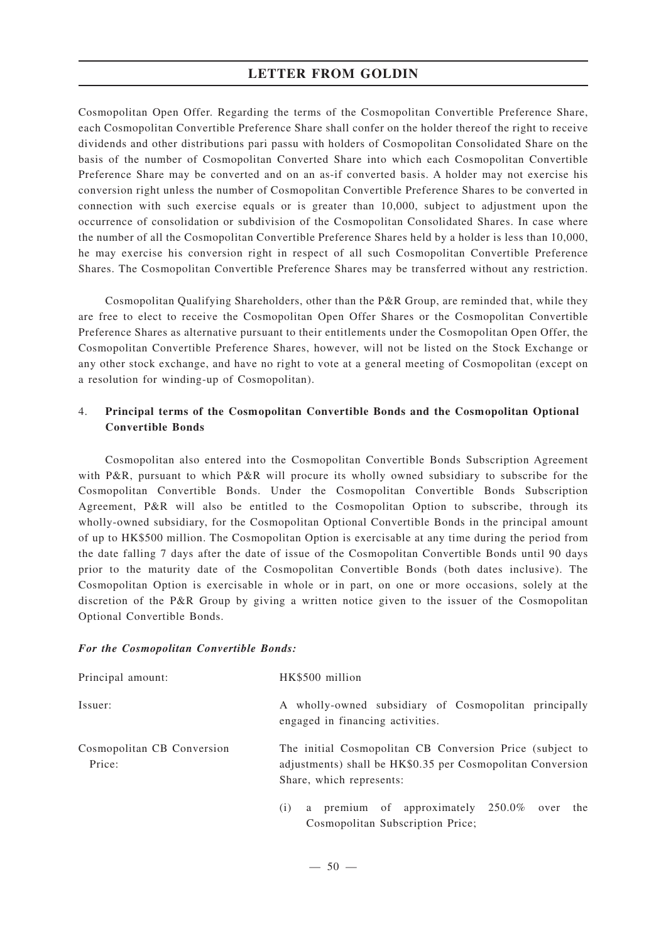Cosmopolitan Open Offer. Regarding the terms of the Cosmopolitan Convertible Preference Share, each Cosmopolitan Convertible Preference Share shall confer on the holder thereof the right to receive dividends and other distributions pari passu with holders of Cosmopolitan Consolidated Share on the basis of the number of Cosmopolitan Converted Share into which each Cosmopolitan Convertible Preference Share may be converted and on an as-if converted basis. A holder may not exercise his conversion right unless the number of Cosmopolitan Convertible Preference Shares to be converted in connection with such exercise equals or is greater than 10,000, subject to adjustment upon the occurrence of consolidation or subdivision of the Cosmopolitan Consolidated Shares. In case where the number of all the Cosmopolitan Convertible Preference Shares held by a holder is less than 10,000, he may exercise his conversion right in respect of all such Cosmopolitan Convertible Preference Shares. The Cosmopolitan Convertible Preference Shares may be transferred without any restriction.

Cosmopolitan Qualifying Shareholders, other than the P&R Group, are reminded that, while they are free to elect to receive the Cosmopolitan Open Offer Shares or the Cosmopolitan Convertible Preference Shares as alternative pursuant to their entitlements under the Cosmopolitan Open Offer, the Cosmopolitan Convertible Preference Shares, however, will not be listed on the Stock Exchange or any other stock exchange, and have no right to vote at a general meeting of Cosmopolitan (except on a resolution for winding-up of Cosmopolitan).

## 4. **Principal terms of the Cosmopolitan Convertible Bonds and the Cosmopolitan Optional Convertible Bonds**

Cosmopolitan also entered into the Cosmopolitan Convertible Bonds Subscription Agreement with P&R, pursuant to which P&R will procure its wholly owned subsidiary to subscribe for the Cosmopolitan Convertible Bonds. Under the Cosmopolitan Convertible Bonds Subscription Agreement, P&R will also be entitled to the Cosmopolitan Option to subscribe, through its wholly-owned subsidiary, for the Cosmopolitan Optional Convertible Bonds in the principal amount of up to HK\$500 million. The Cosmopolitan Option is exercisable at any time during the period from the date falling 7 days after the date of issue of the Cosmopolitan Convertible Bonds until 90 days prior to the maturity date of the Cosmopolitan Convertible Bonds (both dates inclusive). The Cosmopolitan Option is exercisable in whole or in part, on one or more occasions, solely at the discretion of the P&R Group by giving a written notice given to the issuer of the Cosmopolitan Optional Convertible Bonds.

### *For the Cosmopolitan Convertible Bonds:*

| Principal amount:                    | HK\$500 million                                                                                                                                    |  |  |  |  |
|--------------------------------------|----------------------------------------------------------------------------------------------------------------------------------------------------|--|--|--|--|
| Issuer:                              | A wholly-owned subsidiary of Cosmopolitan principally<br>engaged in financing activities.                                                          |  |  |  |  |
| Cosmopolitan CB Conversion<br>Price: | The initial Cosmopolitan CB Conversion Price (subject to<br>adjustments) shall be HK\$0.35 per Cosmopolitan Conversion<br>Share, which represents: |  |  |  |  |
|                                      | a premium of approximately 250.0% over<br>the<br>(i)<br>Cosmopolitan Subscription Price;                                                           |  |  |  |  |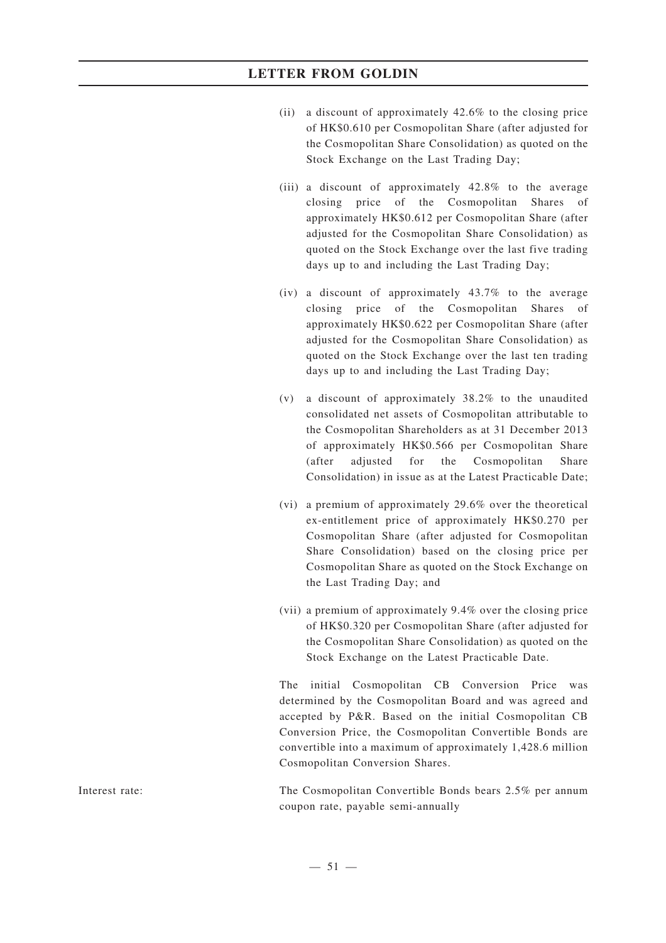- (ii) a discount of approximately 42.6% to the closing price of HK\$0.610 per Cosmopolitan Share (after adjusted for the Cosmopolitan Share Consolidation) as quoted on the Stock Exchange on the Last Trading Day;
- (iii) a discount of approximately 42.8% to the average closing price of the Cosmopolitan Shares of approximately HK\$0.612 per Cosmopolitan Share (after adjusted for the Cosmopolitan Share Consolidation) as quoted on the Stock Exchange over the last five trading days up to and including the Last Trading Day;
- (iv) a discount of approximately  $43.7\%$  to the average closing price of the Cosmopolitan Shares of approximately HK\$0.622 per Cosmopolitan Share (after adjusted for the Cosmopolitan Share Consolidation) as quoted on the Stock Exchange over the last ten trading days up to and including the Last Trading Day;
- (v) a discount of approximately 38.2% to the unaudited consolidated net assets of Cosmopolitan attributable to the Cosmopolitan Shareholders as at 31 December 2013 of approximately HK\$0.566 per Cosmopolitan Share (after adjusted for the Cosmopolitan Share Consolidation) in issue as at the Latest Practicable Date;
- (vi) a premium of approximately 29.6% over the theoretical ex-entitlement price of approximately HK\$0.270 per Cosmopolitan Share (after adjusted for Cosmopolitan Share Consolidation) based on the closing price per Cosmopolitan Share as quoted on the Stock Exchange on the Last Trading Day; and
- (vii) a premium of approximately 9.4% over the closing price of HK\$0.320 per Cosmopolitan Share (after adjusted for the Cosmopolitan Share Consolidation) as quoted on the Stock Exchange on the Latest Practicable Date.

The initial Cosmopolitan CB Conversion Price was determined by the Cosmopolitan Board and was agreed and accepted by P&R. Based on the initial Cosmopolitan CB Conversion Price, the Cosmopolitan Convertible Bonds are convertible into a maximum of approximately 1,428.6 million Cosmopolitan Conversion Shares.

Interest rate: The Cosmopolitan Convertible Bonds bears 2.5% per annum coupon rate, payable semi-annually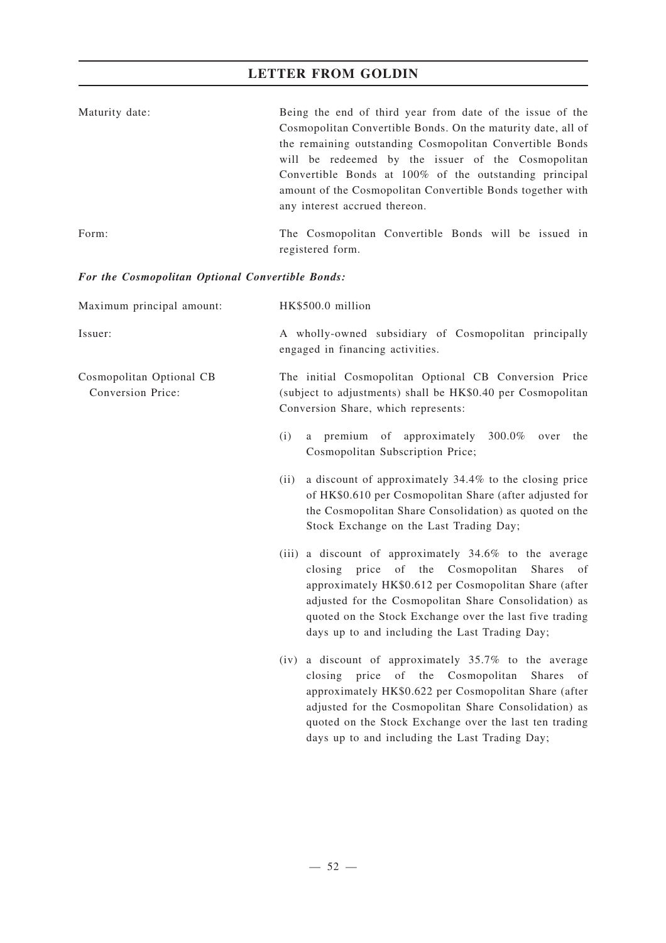| Maturity date: | Being the end of third year from date of the issue of the<br>Cosmopolitan Convertible Bonds. On the maturity date, all of<br>the remaining outstanding Cosmopolitan Convertible Bonds<br>will be redeemed by the issuer of the Cosmopolitan<br>Convertible Bonds at 100% of the outstanding principal<br>amount of the Cosmopolitan Convertible Bonds together with<br>any interest accrued thereon. |
|----------------|------------------------------------------------------------------------------------------------------------------------------------------------------------------------------------------------------------------------------------------------------------------------------------------------------------------------------------------------------------------------------------------------------|
| Form:          | The Cosmopolitan Convertible Bonds will be issued in<br>registered form.                                                                                                                                                                                                                                                                                                                             |

# *For the Cosmopolitan Optional Convertible Bonds:*

| Maximum principal amount:                     | HK\$500.0 million                                                                                                                                                                                                                                                                                                                        |  |  |  |  |  |
|-----------------------------------------------|------------------------------------------------------------------------------------------------------------------------------------------------------------------------------------------------------------------------------------------------------------------------------------------------------------------------------------------|--|--|--|--|--|
| Issuer:                                       | A wholly-owned subsidiary of Cosmopolitan principally<br>engaged in financing activities.                                                                                                                                                                                                                                                |  |  |  |  |  |
| Cosmopolitan Optional CB<br>Conversion Price: | The initial Cosmopolitan Optional CB Conversion Price<br>(subject to adjustments) shall be HK\$0.40 per Cosmopolitan<br>Conversion Share, which represents:                                                                                                                                                                              |  |  |  |  |  |
|                                               | a premium of approximately<br>300.0%<br>(i)<br>over<br>the<br>Cosmopolitan Subscription Price;                                                                                                                                                                                                                                           |  |  |  |  |  |
|                                               | a discount of approximately 34.4% to the closing price<br>(ii)<br>of HK\$0.610 per Cosmopolitan Share (after adjusted for<br>the Cosmopolitan Share Consolidation) as quoted on the<br>Stock Exchange on the Last Trading Day;                                                                                                           |  |  |  |  |  |
|                                               | (iii) a discount of approximately 34.6% to the average<br>closing price of the Cosmopolitan<br>Shares of<br>approximately HK\$0.612 per Cosmopolitan Share (after<br>adjusted for the Cosmopolitan Share Consolidation) as<br>quoted on the Stock Exchange over the last five trading<br>days up to and including the Last Trading Day;  |  |  |  |  |  |
|                                               | (iv) a discount of approximately $35.7\%$ to the average<br>closing price of the Cosmopolitan<br>Shares of<br>approximately HK\$0.622 per Cosmopolitan Share (after<br>adjusted for the Cosmopolitan Share Consolidation) as<br>quoted on the Stock Exchange over the last ten trading<br>days up to and including the Last Trading Day; |  |  |  |  |  |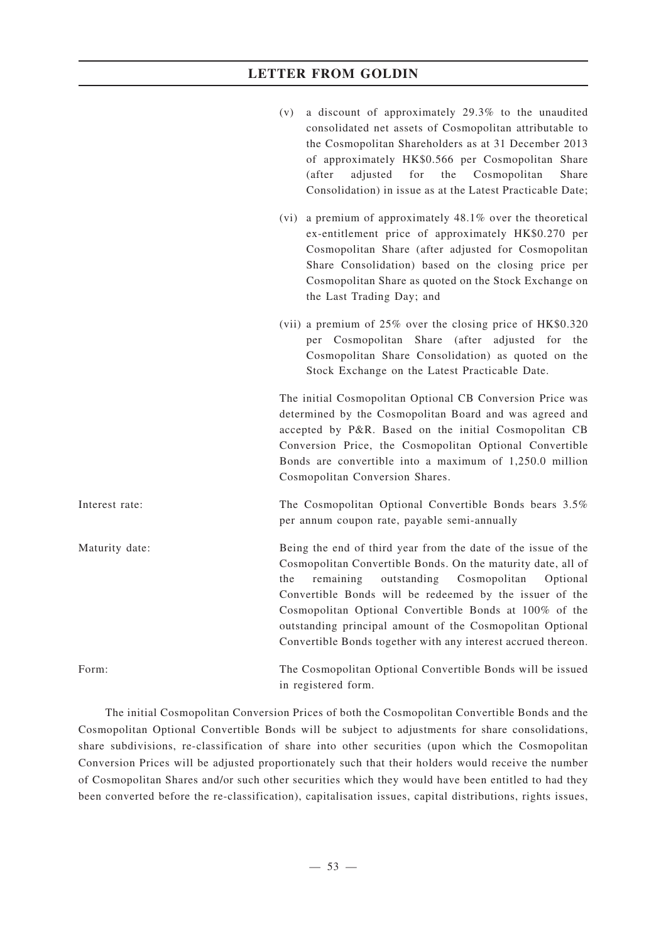|                | a discount of approximately 29.3% to the unaudited<br>(v)<br>consolidated net assets of Cosmopolitan attributable to<br>the Cosmopolitan Shareholders as at 31 December 2013<br>of approximately HK\$0.566 per Cosmopolitan Share<br>for<br>(after<br>adjusted<br>the Cosmopolitan<br>Share<br>Consolidation) in issue as at the Latest Practicable Date;                                                                                    |
|----------------|----------------------------------------------------------------------------------------------------------------------------------------------------------------------------------------------------------------------------------------------------------------------------------------------------------------------------------------------------------------------------------------------------------------------------------------------|
|                | (vi) a premium of approximately 48.1% over the theoretical<br>ex-entitlement price of approximately HK\$0.270 per<br>Cosmopolitan Share (after adjusted for Cosmopolitan<br>Share Consolidation) based on the closing price per<br>Cosmopolitan Share as quoted on the Stock Exchange on<br>the Last Trading Day; and                                                                                                                        |
|                | (vii) a premium of 25% over the closing price of HK\$0.320<br>per Cosmopolitan Share (after adjusted for the<br>Cosmopolitan Share Consolidation) as quoted on the<br>Stock Exchange on the Latest Practicable Date.                                                                                                                                                                                                                         |
|                | The initial Cosmopolitan Optional CB Conversion Price was<br>determined by the Cosmopolitan Board and was agreed and<br>accepted by P&R. Based on the initial Cosmopolitan CB<br>Conversion Price, the Cosmopolitan Optional Convertible<br>Bonds are convertible into a maximum of 1,250.0 million<br>Cosmopolitan Conversion Shares.                                                                                                       |
| Interest rate: | The Cosmopolitan Optional Convertible Bonds bears 3.5%<br>per annum coupon rate, payable semi-annually                                                                                                                                                                                                                                                                                                                                       |
| Maturity date: | Being the end of third year from the date of the issue of the<br>Cosmopolitan Convertible Bonds. On the maturity date, all of<br>remaining<br>outstanding Cosmopolitan<br>the<br>Optional<br>Convertible Bonds will be redeemed by the issuer of the<br>Cosmopolitan Optional Convertible Bonds at 100% of the<br>outstanding principal amount of the Cosmopolitan Optional<br>Convertible Bonds together with any interest accrued thereon. |
| Form:          | The Cosmopolitan Optional Convertible Bonds will be issued<br>in registered form.                                                                                                                                                                                                                                                                                                                                                            |

The initial Cosmopolitan Conversion Prices of both the Cosmopolitan Convertible Bonds and the Cosmopolitan Optional Convertible Bonds will be subject to adjustments for share consolidations, share subdivisions, re-classification of share into other securities (upon which the Cosmopolitan Conversion Prices will be adjusted proportionately such that their holders would receive the number of Cosmopolitan Shares and/or such other securities which they would have been entitled to had they been converted before the re-classification), capitalisation issues, capital distributions, rights issues,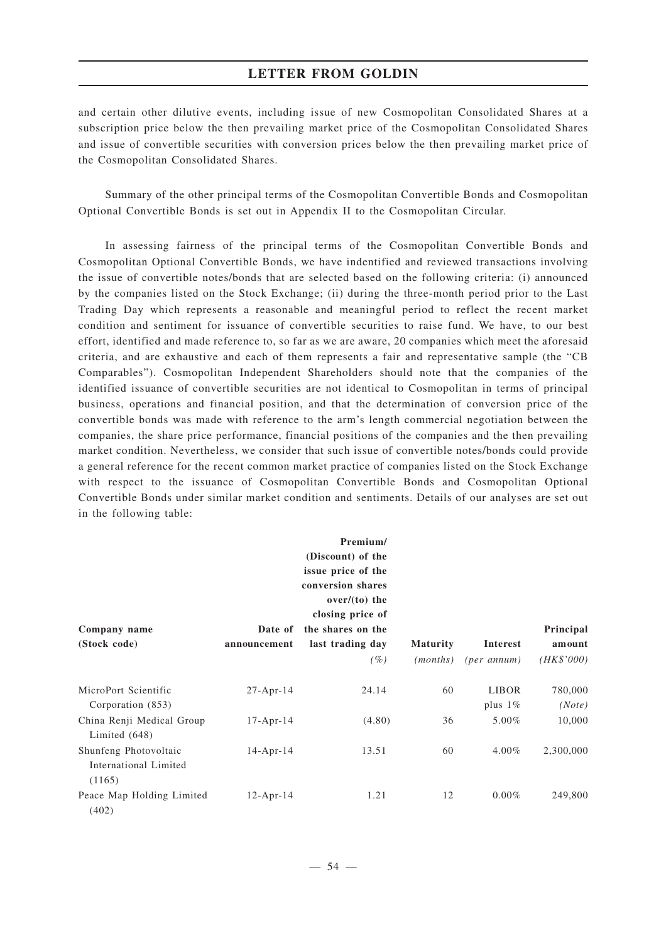and certain other dilutive events, including issue of new Cosmopolitan Consolidated Shares at a subscription price below the then prevailing market price of the Cosmopolitan Consolidated Shares and issue of convertible securities with conversion prices below the then prevailing market price of the Cosmopolitan Consolidated Shares.

Summary of the other principal terms of the Cosmopolitan Convertible Bonds and Cosmopolitan Optional Convertible Bonds is set out in Appendix II to the Cosmopolitan Circular.

In assessing fairness of the principal terms of the Cosmopolitan Convertible Bonds and Cosmopolitan Optional Convertible Bonds, we have indentified and reviewed transactions involving the issue of convertible notes/bonds that are selected based on the following criteria: (i) announced by the companies listed on the Stock Exchange; (ii) during the three-month period prior to the Last Trading Day which represents a reasonable and meaningful period to reflect the recent market condition and sentiment for issuance of convertible securities to raise fund. We have, to our best effort, identified and made reference to, so far as we are aware, 20 companies which meet the aforesaid criteria, and are exhaustive and each of them represents a fair and representative sample (the "CB Comparables"). Cosmopolitan Independent Shareholders should note that the companies of the identified issuance of convertible securities are not identical to Cosmopolitan in terms of principal business, operations and financial position, and that the determination of conversion price of the convertible bonds was made with reference to the arm's length commercial negotiation between the companies, the share price performance, financial positions of the companies and the then prevailing market condition. Nevertheless, we consider that such issue of convertible notes/bonds could provide a general reference for the recent common market practice of companies listed on the Stock Exchange with respect to the issuance of Cosmopolitan Convertible Bonds and Cosmopolitan Optional Convertible Bonds under similar market condition and sentiments. Details of our analyses are set out in the following table:

|                                                          |                 | Premium/           |                 |                      |            |
|----------------------------------------------------------|-----------------|--------------------|-----------------|----------------------|------------|
|                                                          |                 | (Discount) of the  |                 |                      |            |
|                                                          |                 | issue price of the |                 |                      |            |
|                                                          |                 | conversion shares  |                 |                      |            |
|                                                          |                 | $over/(to)$ the    |                 |                      |            |
|                                                          |                 | closing price of   |                 |                      |            |
| Company name                                             | Date of         | the shares on the  |                 |                      | Principal  |
| (Stock code)                                             | announcement    | last trading day   | <b>Maturity</b> | Interest             | amount     |
|                                                          |                 | (%)                | (months)        | $(\text{per annum})$ | (HK\$'000) |
| MicroPort Scientific                                     | $27 - Apr - 14$ | 24.14              | 60              | <b>LIBOR</b>         | 780,000    |
| Corporation (853)                                        |                 |                    |                 | plus $1\%$           | (Note)     |
| China Renji Medical Group<br>Limited $(648)$             | $17 - Apr - 14$ | (4.80)             | 36              | 5.00%                | 10,000     |
| Shunfeng Photovoltaic<br>International Limited<br>(1165) | $14$ -Apr-14    | 13.51              | 60              | 4.00%                | 2,300,000  |
| Peace Map Holding Limited<br>(402)                       | $12-Apr-14$     | 1.21               | 12              | $0.00\%$             | 249,800    |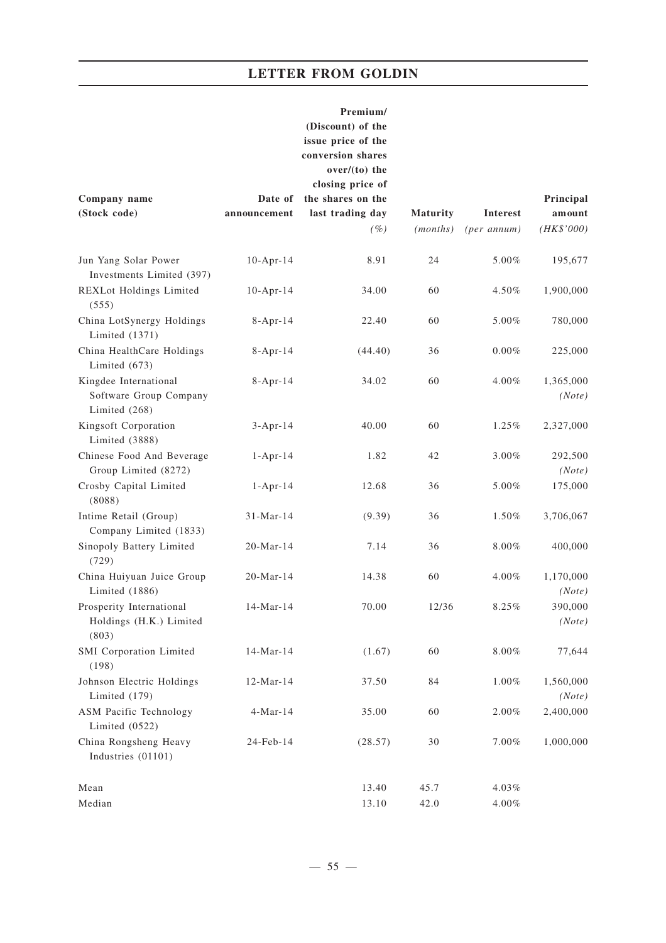|                                                                  |                         | Premium/<br>(Discount) of the<br>issue price of the<br>conversion shares<br>$over/(to)$ the<br>closing price of |                      |                            |                                   |
|------------------------------------------------------------------|-------------------------|-----------------------------------------------------------------------------------------------------------------|----------------------|----------------------------|-----------------------------------|
| Company name<br>(Stock code)                                     | Date of<br>announcement | the shares on the<br>last trading day<br>$(\%)$                                                                 | Maturity<br>(months) | Interest<br>$(per\ annum)$ | Principal<br>amount<br>(HK\$'000) |
| Jun Yang Solar Power<br>Investments Limited (397)                | $10-Apr-14$             | 8.91                                                                                                            | 24                   | 5.00%                      | 195,677                           |
| REXLot Holdings Limited<br>(555)                                 | $10$ -Apr-14            | 34.00                                                                                                           | 60                   | 4.50%                      | 1,900,000                         |
| China LotSynergy Holdings<br>Limited (1371)                      | $8 - Apr - 14$          | 22.40                                                                                                           | 60                   | 5.00%                      | 780,000                           |
| China HealthCare Holdings<br>Limited (673)                       | $8 - Apr - 14$          | (44.40)                                                                                                         | 36                   | $0.00\%$                   | 225,000                           |
| Kingdee International<br>Software Group Company<br>Limited (268) | $8 - Apr - 14$          | 34.02                                                                                                           | 60                   | 4.00%                      | 1,365,000<br>(Note)               |
| Kingsoft Corporation<br>Limited (3888)                           | $3-Apr-14$              | 40.00                                                                                                           | 60                   | 1.25%                      | 2,327,000                         |
| Chinese Food And Beverage<br>Group Limited (8272)                | $1 - Apr - 14$          | 1.82                                                                                                            | 42                   | 3.00%                      | 292,500<br>(Note)                 |
| Crosby Capital Limited<br>(8088)                                 | $1 - Apr-14$            | 12.68                                                                                                           | 36                   | 5.00%                      | 175,000                           |
| Intime Retail (Group)<br>Company Limited (1833)                  | $31-Mar-14$             | (9.39)                                                                                                          | 36                   | 1.50%                      | 3,706,067                         |
| Sinopoly Battery Limited<br>(729)                                | 20-Mar-14               | 7.14                                                                                                            | 36                   | $8.00\%$                   | 400,000                           |
| China Huiyuan Juice Group<br>Limited (1886)                      | $20-Mar-14$             | 14.38                                                                                                           | 60                   | 4.00%                      | 1,170,000<br>(Note)               |
| Prosperity International<br>Holdings (H.K.) Limited<br>(803)     | 14-Mar-14               | 70.00                                                                                                           | 12/36                | 8.25%                      | 390,000<br>(Note)                 |
| <b>SMI</b> Corporation Limited<br>(198)                          | 14-Mar-14               | (1.67)                                                                                                          | 60                   | $8.00\%$                   | 77,644                            |
| Johnson Electric Holdings<br>Limited (179)                       | 12-Mar-14               | 37.50                                                                                                           | 84                   | 1.00%                      | 1,560,000<br>(Note)               |
| ASM Pacific Technology<br>Limited (0522)                         | $4-Mar-14$              | 35.00                                                                                                           | 60                   | 2.00%                      | 2,400,000                         |
| China Rongsheng Heavy<br>Industries (01101)                      | 24-Feb-14               | (28.57)                                                                                                         | 30                   | 7.00%                      | 1,000,000                         |
| Mean                                                             |                         | 13.40                                                                                                           | 45.7                 | 4.03%                      |                                   |
| Median                                                           |                         | 13.10                                                                                                           | 42.0                 | $4.00\%$                   |                                   |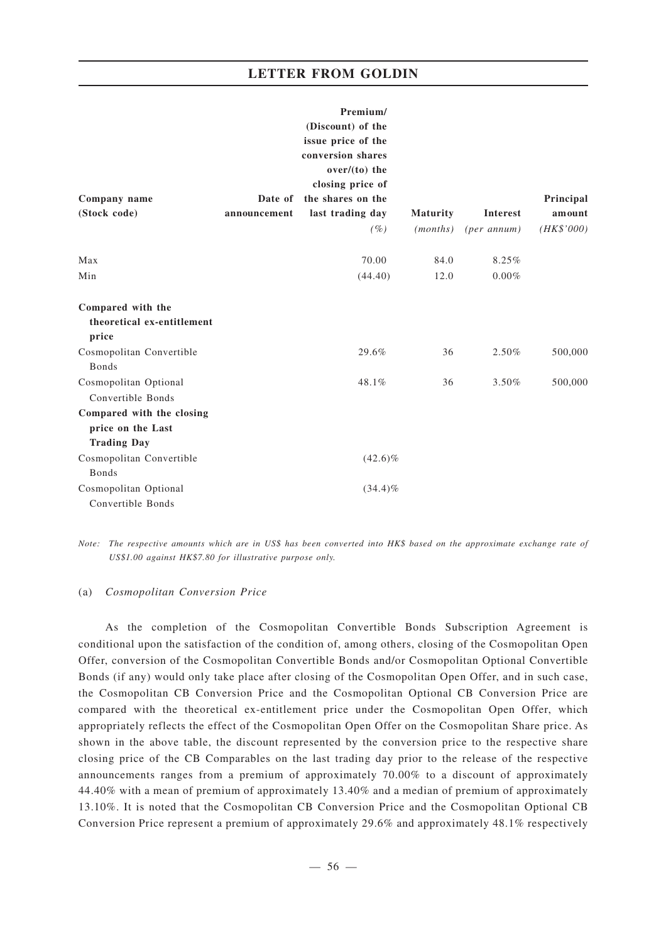|                                                                      |              | Premium/<br>(Discount) of the<br>issue price of the<br>conversion shares<br>over/(to) the<br>closing price of |          |                      |            |
|----------------------------------------------------------------------|--------------|---------------------------------------------------------------------------------------------------------------|----------|----------------------|------------|
| Company name                                                         | Date of      | the shares on the                                                                                             |          |                      | Principal  |
| (Stock code)                                                         | announcement | last trading day                                                                                              | Maturity | Interest             | amount     |
|                                                                      |              | $($ %)                                                                                                        | (months) | $(\text{per annum})$ | (HK\$'000) |
| Max                                                                  |              | 70.00                                                                                                         | 84.0     | 8.25%                |            |
| Min                                                                  |              | (44.40)                                                                                                       | 12.0     | $0.00\%$             |            |
| Compared with the<br>theoretical ex-entitlement<br>price             |              |                                                                                                               |          |                      |            |
| Cosmopolitan Convertible<br><b>Bonds</b>                             |              | 29.6%                                                                                                         | 36       | 2.50%                | 500,000    |
| Cosmopolitan Optional<br>Convertible Bonds                           |              | 48.1%                                                                                                         | 36       | 3.50%                | 500,000    |
| Compared with the closing<br>price on the Last<br><b>Trading Day</b> |              |                                                                                                               |          |                      |            |
| Cosmopolitan Convertible<br><b>Bonds</b>                             |              | $(42.6)\%$                                                                                                    |          |                      |            |
| Cosmopolitan Optional<br>Convertible Bonds                           |              | $(34.4)\%$                                                                                                    |          |                      |            |

*Note: The respective amounts which are in US\$ has been converted into HK\$ based on the approximate exchange rate of US\$1.00 against HK\$7.80 for illustrative purpose only.*

#### (a) *Cosmopolitan Conversion Price*

As the completion of the Cosmopolitan Convertible Bonds Subscription Agreement is conditional upon the satisfaction of the condition of, among others, closing of the Cosmopolitan Open Offer, conversion of the Cosmopolitan Convertible Bonds and/or Cosmopolitan Optional Convertible Bonds (if any) would only take place after closing of the Cosmopolitan Open Offer, and in such case, the Cosmopolitan CB Conversion Price and the Cosmopolitan Optional CB Conversion Price are compared with the theoretical ex-entitlement price under the Cosmopolitan Open Offer, which appropriately reflects the effect of the Cosmopolitan Open Offer on the Cosmopolitan Share price. As shown in the above table, the discount represented by the conversion price to the respective share closing price of the CB Comparables on the last trading day prior to the release of the respective announcements ranges from a premium of approximately 70.00% to a discount of approximately 44.40% with a mean of premium of approximately 13.40% and a median of premium of approximately 13.10%. It is noted that the Cosmopolitan CB Conversion Price and the Cosmopolitan Optional CB Conversion Price represent a premium of approximately 29.6% and approximately 48.1% respectively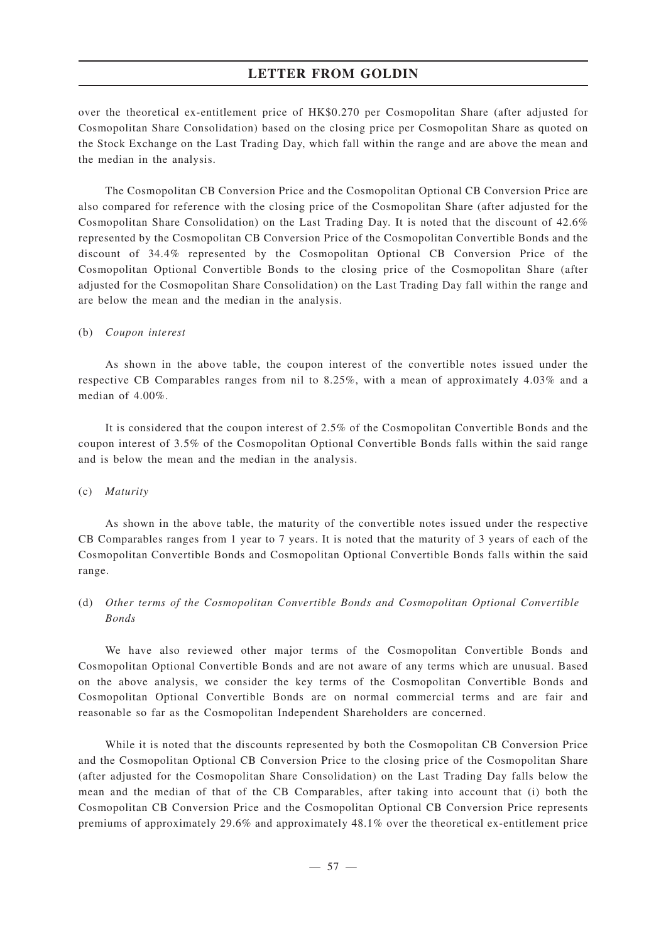over the theoretical ex-entitlement price of HK\$0.270 per Cosmopolitan Share (after adjusted for Cosmopolitan Share Consolidation) based on the closing price per Cosmopolitan Share as quoted on the Stock Exchange on the Last Trading Day, which fall within the range and are above the mean and the median in the analysis.

The Cosmopolitan CB Conversion Price and the Cosmopolitan Optional CB Conversion Price are also compared for reference with the closing price of the Cosmopolitan Share (after adjusted for the Cosmopolitan Share Consolidation) on the Last Trading Day. It is noted that the discount of 42.6% represented by the Cosmopolitan CB Conversion Price of the Cosmopolitan Convertible Bonds and the discount of 34.4% represented by the Cosmopolitan Optional CB Conversion Price of the Cosmopolitan Optional Convertible Bonds to the closing price of the Cosmopolitan Share (after adjusted for the Cosmopolitan Share Consolidation) on the Last Trading Day fall within the range and are below the mean and the median in the analysis.

#### (b) *Coupon interest*

As shown in the above table, the coupon interest of the convertible notes issued under the respective CB Comparables ranges from nil to 8.25%, with a mean of approximately 4.03% and a median of 4.00%.

It is considered that the coupon interest of 2.5% of the Cosmopolitan Convertible Bonds and the coupon interest of 3.5% of the Cosmopolitan Optional Convertible Bonds falls within the said range and is below the mean and the median in the analysis.

#### (c) *Maturity*

As shown in the above table, the maturity of the convertible notes issued under the respective CB Comparables ranges from 1 year to 7 years. It is noted that the maturity of 3 years of each of the Cosmopolitan Convertible Bonds and Cosmopolitan Optional Convertible Bonds falls within the said range.

## (d) *Other terms of the Cosmopolitan Convertible Bonds and Cosmopolitan Optional Convertible Bonds*

We have also reviewed other major terms of the Cosmopolitan Convertible Bonds and Cosmopolitan Optional Convertible Bonds and are not aware of any terms which are unusual. Based on the above analysis, we consider the key terms of the Cosmopolitan Convertible Bonds and Cosmopolitan Optional Convertible Bonds are on normal commercial terms and are fair and reasonable so far as the Cosmopolitan Independent Shareholders are concerned.

While it is noted that the discounts represented by both the Cosmopolitan CB Conversion Price and the Cosmopolitan Optional CB Conversion Price to the closing price of the Cosmopolitan Share (after adjusted for the Cosmopolitan Share Consolidation) on the Last Trading Day falls below the mean and the median of that of the CB Comparables, after taking into account that (i) both the Cosmopolitan CB Conversion Price and the Cosmopolitan Optional CB Conversion Price represents premiums of approximately 29.6% and approximately 48.1% over the theoretical ex-entitlement price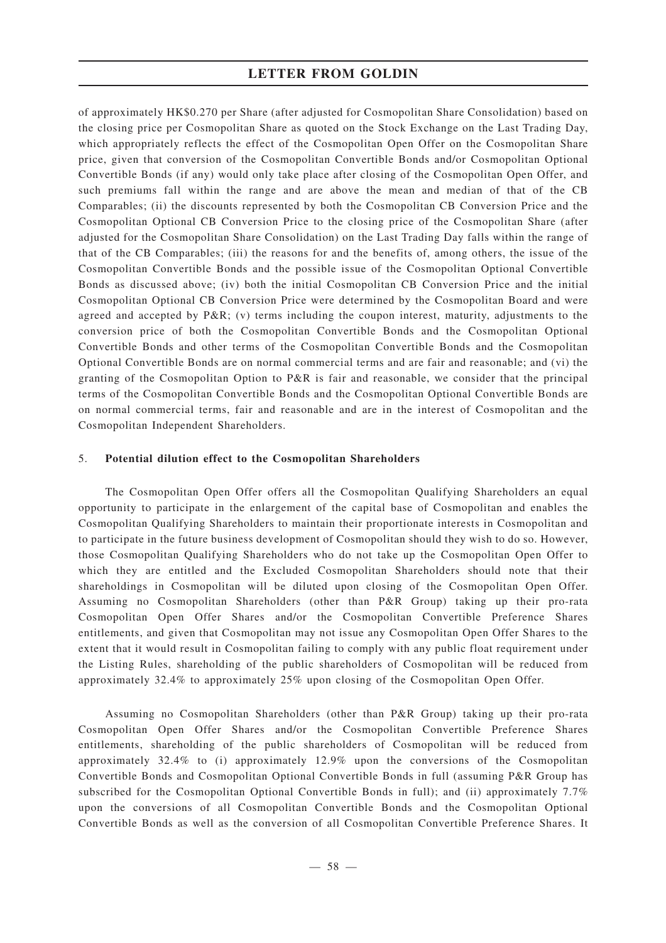of approximately HK\$0.270 per Share (after adjusted for Cosmopolitan Share Consolidation) based on the closing price per Cosmopolitan Share as quoted on the Stock Exchange on the Last Trading Day, which appropriately reflects the effect of the Cosmopolitan Open Offer on the Cosmopolitan Share price, given that conversion of the Cosmopolitan Convertible Bonds and/or Cosmopolitan Optional Convertible Bonds (if any) would only take place after closing of the Cosmopolitan Open Offer, and such premiums fall within the range and are above the mean and median of that of the CB Comparables; (ii) the discounts represented by both the Cosmopolitan CB Conversion Price and the Cosmopolitan Optional CB Conversion Price to the closing price of the Cosmopolitan Share (after adjusted for the Cosmopolitan Share Consolidation) on the Last Trading Day falls within the range of that of the CB Comparables; (iii) the reasons for and the benefits of, among others, the issue of the Cosmopolitan Convertible Bonds and the possible issue of the Cosmopolitan Optional Convertible Bonds as discussed above; (iv) both the initial Cosmopolitan CB Conversion Price and the initial Cosmopolitan Optional CB Conversion Price were determined by the Cosmopolitan Board and were agreed and accepted by P&R; (v) terms including the coupon interest, maturity, adjustments to the conversion price of both the Cosmopolitan Convertible Bonds and the Cosmopolitan Optional Convertible Bonds and other terms of the Cosmopolitan Convertible Bonds and the Cosmopolitan Optional Convertible Bonds are on normal commercial terms and are fair and reasonable; and (vi) the granting of the Cosmopolitan Option to P&R is fair and reasonable, we consider that the principal terms of the Cosmopolitan Convertible Bonds and the Cosmopolitan Optional Convertible Bonds are on normal commercial terms, fair and reasonable and are in the interest of Cosmopolitan and the Cosmopolitan Independent Shareholders.

### 5. **Potential dilution effect to the Cosmopolitan Shareholders**

The Cosmopolitan Open Offer offers all the Cosmopolitan Qualifying Shareholders an equal opportunity to participate in the enlargement of the capital base of Cosmopolitan and enables the Cosmopolitan Qualifying Shareholders to maintain their proportionate interests in Cosmopolitan and to participate in the future business development of Cosmopolitan should they wish to do so. However, those Cosmopolitan Qualifying Shareholders who do not take up the Cosmopolitan Open Offer to which they are entitled and the Excluded Cosmopolitan Shareholders should note that their shareholdings in Cosmopolitan will be diluted upon closing of the Cosmopolitan Open Offer. Assuming no Cosmopolitan Shareholders (other than P&R Group) taking up their pro-rata Cosmopolitan Open Offer Shares and/or the Cosmopolitan Convertible Preference Shares entitlements, and given that Cosmopolitan may not issue any Cosmopolitan Open Offer Shares to the extent that it would result in Cosmopolitan failing to comply with any public float requirement under the Listing Rules, shareholding of the public shareholders of Cosmopolitan will be reduced from approximately 32.4% to approximately 25% upon closing of the Cosmopolitan Open Offer.

Assuming no Cosmopolitan Shareholders (other than P&R Group) taking up their pro-rata Cosmopolitan Open Offer Shares and/or the Cosmopolitan Convertible Preference Shares entitlements, shareholding of the public shareholders of Cosmopolitan will be reduced from approximately 32.4% to (i) approximately 12.9% upon the conversions of the Cosmopolitan Convertible Bonds and Cosmopolitan Optional Convertible Bonds in full (assuming P&R Group has subscribed for the Cosmopolitan Optional Convertible Bonds in full); and (ii) approximately 7.7% upon the conversions of all Cosmopolitan Convertible Bonds and the Cosmopolitan Optional Convertible Bonds as well as the conversion of all Cosmopolitan Convertible Preference Shares. It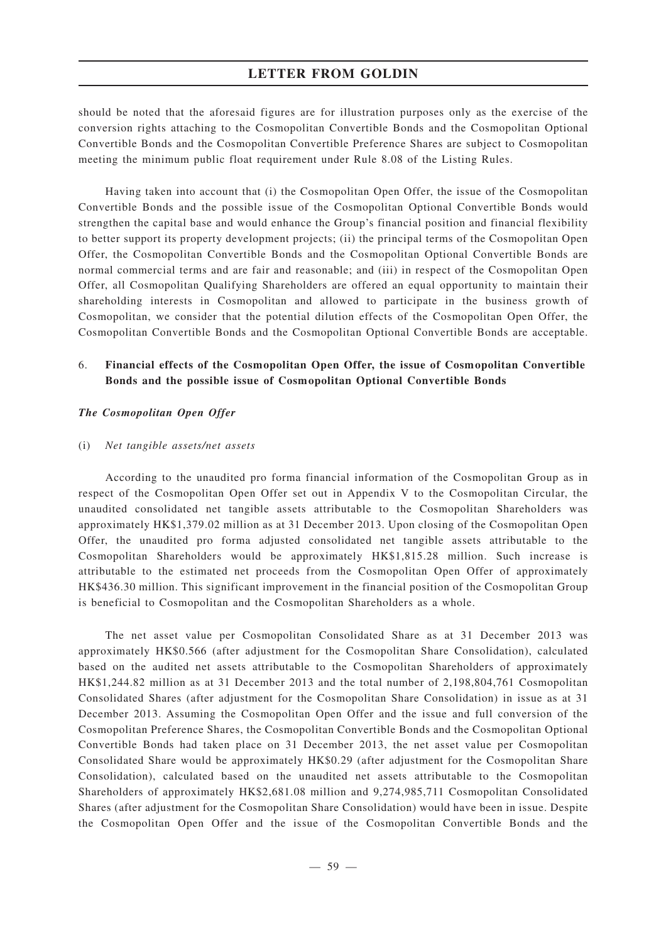should be noted that the aforesaid figures are for illustration purposes only as the exercise of the conversion rights attaching to the Cosmopolitan Convertible Bonds and the Cosmopolitan Optional Convertible Bonds and the Cosmopolitan Convertible Preference Shares are subject to Cosmopolitan meeting the minimum public float requirement under Rule 8.08 of the Listing Rules.

Having taken into account that (i) the Cosmopolitan Open Offer, the issue of the Cosmopolitan Convertible Bonds and the possible issue of the Cosmopolitan Optional Convertible Bonds would strengthen the capital base and would enhance the Group's financial position and financial flexibility to better support its property development projects; (ii) the principal terms of the Cosmopolitan Open Offer, the Cosmopolitan Convertible Bonds and the Cosmopolitan Optional Convertible Bonds are normal commercial terms and are fair and reasonable; and (iii) in respect of the Cosmopolitan Open Offer, all Cosmopolitan Qualifying Shareholders are offered an equal opportunity to maintain their shareholding interests in Cosmopolitan and allowed to participate in the business growth of Cosmopolitan, we consider that the potential dilution effects of the Cosmopolitan Open Offer, the Cosmopolitan Convertible Bonds and the Cosmopolitan Optional Convertible Bonds are acceptable.

## 6. **Financial effects of the Cosm opolitan Open Offer, the issue of Cosm opolitan Convertible Bonds and the possible issue of Cosmopolitan Optional Convertible Bonds**

#### *The Cosmopolitan Open Offer*

#### (i) *Net tangible assets/net assets*

According to the unaudited pro forma financial information of the Cosmopolitan Group as in respect of the Cosmopolitan Open Offer set out in Appendix V to the Cosmopolitan Circular, the unaudited consolidated net tangible assets attributable to the Cosmopolitan Shareholders was approximately HK\$1,379.02 million as at 31 December 2013. Upon closing of the Cosmopolitan Open Offer, the unaudited pro forma adjusted consolidated net tangible assets attributable to the Cosmopolitan Shareholders would be approximately HK\$1,815.28 million. Such increase is attributable to the estimated net proceeds from the Cosmopolitan Open Offer of approximately HK\$436.30 million. This significant improvement in the financial position of the Cosmopolitan Group is beneficial to Cosmopolitan and the Cosmopolitan Shareholders as a whole.

The net asset value per Cosmopolitan Consolidated Share as at 31 December 2013 was approximately HK\$0.566 (after adjustment for the Cosmopolitan Share Consolidation), calculated based on the audited net assets attributable to the Cosmopolitan Shareholders of approximately HK\$1,244.82 million as at 31 December 2013 and the total number of 2,198,804,761 Cosmopolitan Consolidated Shares (after adjustment for the Cosmopolitan Share Consolidation) in issue as at 31 December 2013. Assuming the Cosmopolitan Open Offer and the issue and full conversion of the Cosmopolitan Preference Shares, the Cosmopolitan Convertible Bonds and the Cosmopolitan Optional Convertible Bonds had taken place on 31 December 2013, the net asset value per Cosmopolitan Consolidated Share would be approximately HK\$0.29 (after adjustment for the Cosmopolitan Share Consolidation), calculated based on the unaudited net assets attributable to the Cosmopolitan Shareholders of approximately HK\$2,681.08 million and 9,274,985,711 Cosmopolitan Consolidated Shares (after adjustment for the Cosmopolitan Share Consolidation) would have been in issue. Despite the Cosmopolitan Open Offer and the issue of the Cosmopolitan Convertible Bonds and the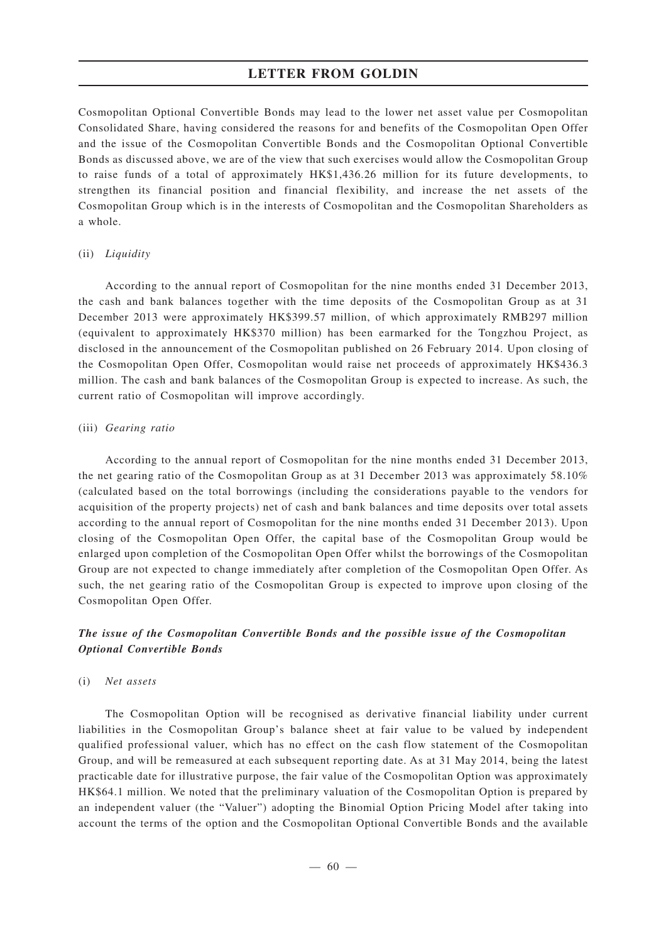Cosmopolitan Optional Convertible Bonds may lead to the lower net asset value per Cosmopolitan Consolidated Share, having considered the reasons for and benefits of the Cosmopolitan Open Offer and the issue of the Cosmopolitan Convertible Bonds and the Cosmopolitan Optional Convertible Bonds as discussed above, we are of the view that such exercises would allow the Cosmopolitan Group to raise funds of a total of approximately HK\$1,436.26 million for its future developments, to strengthen its financial position and financial flexibility, and increase the net assets of the Cosmopolitan Group which is in the interests of Cosmopolitan and the Cosmopolitan Shareholders as a whole.

#### (ii) *Liquidity*

According to the annual report of Cosmopolitan for the nine months ended 31 December 2013, the cash and bank balances together with the time deposits of the Cosmopolitan Group as at 31 December 2013 were approximately HK\$399.57 million, of which approximately RMB297 million (equivalent to approximately HK\$370 million) has been earmarked for the Tongzhou Project, as disclosed in the announcement of the Cosmopolitan published on 26 February 2014. Upon closing of the Cosmopolitan Open Offer, Cosmopolitan would raise net proceeds of approximately HK\$436.3 million. The cash and bank balances of the Cosmopolitan Group is expected to increase. As such, the current ratio of Cosmopolitan will improve accordingly.

#### (iii) *Gearing ratio*

According to the annual report of Cosmopolitan for the nine months ended 31 December 2013, the net gearing ratio of the Cosmopolitan Group as at 31 December 2013 was approximately 58.10% (calculated based on the total borrowings (including the considerations payable to the vendors for acquisition of the property projects) net of cash and bank balances and time deposits over total assets according to the annual report of Cosmopolitan for the nine months ended 31 December 2013). Upon closing of the Cosmopolitan Open Offer, the capital base of the Cosmopolitan Group would be enlarged upon completion of the Cosmopolitan Open Offer whilst the borrowings of the Cosmopolitan Group are not expected to change immediately after completion of the Cosmopolitan Open Offer. As such, the net gearing ratio of the Cosmopolitan Group is expected to improve upon closing of the Cosmopolitan Open Offer.

## *The issue of the Cosmopolitan Convertible Bonds and the possible issue of the Cosmopolitan Optional Convertible Bonds*

#### (i) *Net assets*

The Cosmopolitan Option will be recognised as derivative financial liability under current liabilities in the Cosmopolitan Group's balance sheet at fair value to be valued by independent qualified professional valuer, which has no effect on the cash flow statement of the Cosmopolitan Group, and will be remeasured at each subsequent reporting date. As at 31 May 2014, being the latest practicable date for illustrative purpose, the fair value of the Cosmopolitan Option was approximately HK\$64.1 million. We noted that the preliminary valuation of the Cosmopolitan Option is prepared by an independent valuer (the "Valuer") adopting the Binomial Option Pricing Model after taking into account the terms of the option and the Cosmopolitan Optional Convertible Bonds and the available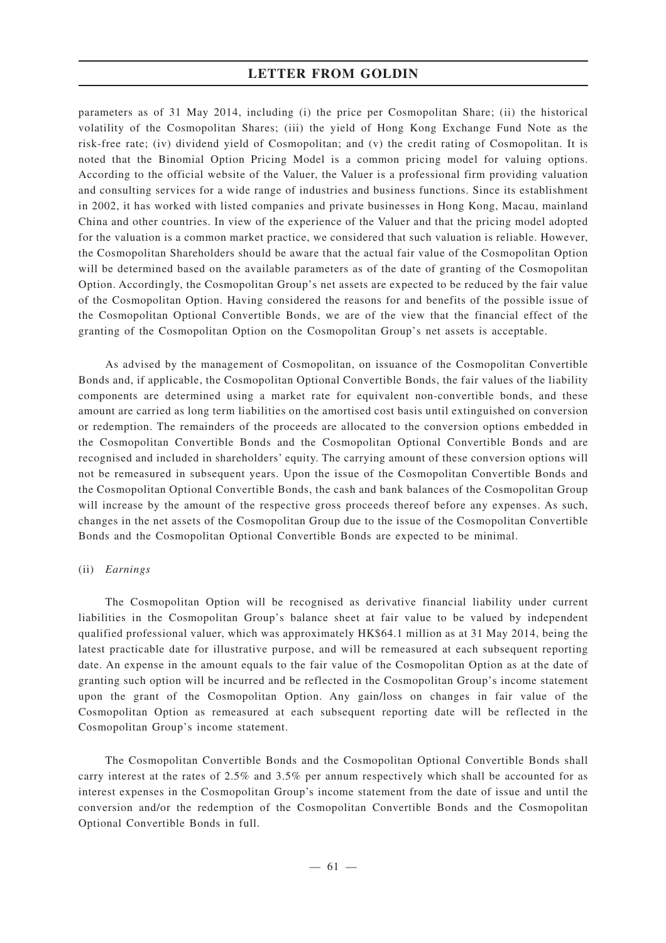parameters as of 31 May 2014, including (i) the price per Cosmopolitan Share; (ii) the historical volatility of the Cosmopolitan Shares; (iii) the yield of Hong Kong Exchange Fund Note as the risk-free rate; (iv) dividend yield of Cosmopolitan; and (v) the credit rating of Cosmopolitan. It is noted that the Binomial Option Pricing Model is a common pricing model for valuing options. According to the official website of the Valuer, the Valuer is a professional firm providing valuation and consulting services for a wide range of industries and business functions. Since its establishment in 2002, it has worked with listed companies and private businesses in Hong Kong, Macau, mainland China and other countries. In view of the experience of the Valuer and that the pricing model adopted for the valuation is a common market practice, we considered that such valuation is reliable. However, the Cosmopolitan Shareholders should be aware that the actual fair value of the Cosmopolitan Option will be determined based on the available parameters as of the date of granting of the Cosmopolitan Option. Accordingly, the Cosmopolitan Group's net assets are expected to be reduced by the fair value of the Cosmopolitan Option. Having considered the reasons for and benefits of the possible issue of the Cosmopolitan Optional Convertible Bonds, we are of the view that the financial effect of the granting of the Cosmopolitan Option on the Cosmopolitan Group's net assets is acceptable.

As advised by the management of Cosmopolitan, on issuance of the Cosmopolitan Convertible Bonds and, if applicable, the Cosmopolitan Optional Convertible Bonds, the fair values of the liability components are determined using a market rate for equivalent non-convertible bonds, and these amount are carried as long term liabilities on the amortised cost basis until extinguished on conversion or redemption. The remainders of the proceeds are allocated to the conversion options embedded in the Cosmopolitan Convertible Bonds and the Cosmopolitan Optional Convertible Bonds and are recognised and included in shareholders' equity. The carrying amount of these conversion options will not be remeasured in subsequent years. Upon the issue of the Cosmopolitan Convertible Bonds and the Cosmopolitan Optional Convertible Bonds, the cash and bank balances of the Cosmopolitan Group will increase by the amount of the respective gross proceeds thereof before any expenses. As such, changes in the net assets of the Cosmopolitan Group due to the issue of the Cosmopolitan Convertible Bonds and the Cosmopolitan Optional Convertible Bonds are expected to be minimal.

#### (ii) *Earnings*

The Cosmopolitan Option will be recognised as derivative financial liability under current liabilities in the Cosmopolitan Group's balance sheet at fair value to be valued by independent qualified professional valuer, which was approximately HK\$64.1 million as at 31 May 2014, being the latest practicable date for illustrative purpose, and will be remeasured at each subsequent reporting date. An expense in the amount equals to the fair value of the Cosmopolitan Option as at the date of granting such option will be incurred and be reflected in the Cosmopolitan Group's income statement upon the grant of the Cosmopolitan Option. Any gain/loss on changes in fair value of the Cosmopolitan Option as remeasured at each subsequent reporting date will be reflected in the Cosmopolitan Group's income statement.

The Cosmopolitan Convertible Bonds and the Cosmopolitan Optional Convertible Bonds shall carry interest at the rates of 2.5% and 3.5% per annum respectively which shall be accounted for as interest expenses in the Cosmopolitan Group's income statement from the date of issue and until the conversion and/or the redemption of the Cosmopolitan Convertible Bonds and the Cosmopolitan Optional Convertible Bonds in full.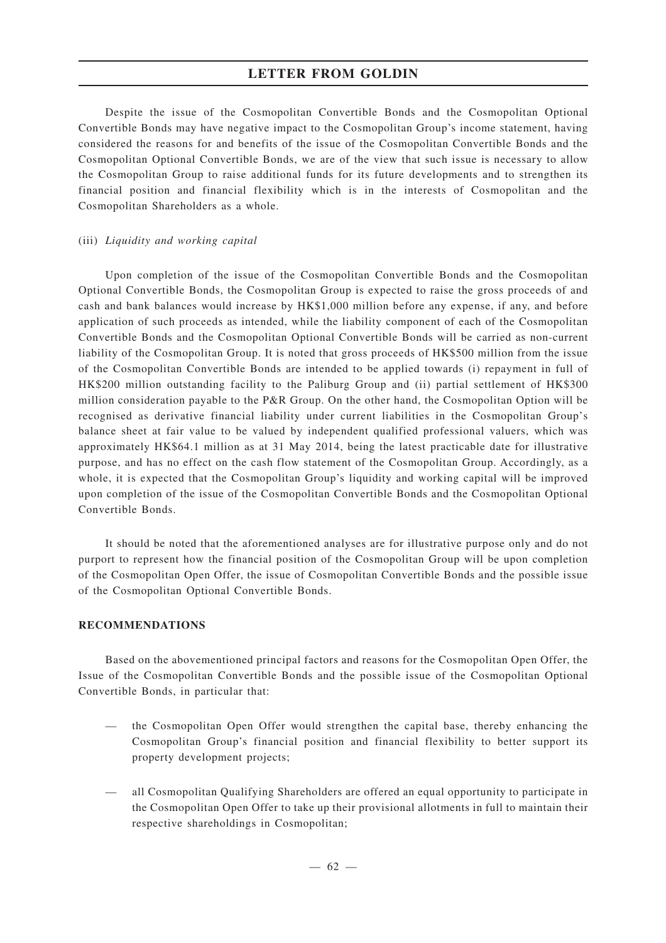Despite the issue of the Cosmopolitan Convertible Bonds and the Cosmopolitan Optional Convertible Bonds may have negative impact to the Cosmopolitan Group's income statement, having considered the reasons for and benefits of the issue of the Cosmopolitan Convertible Bonds and the Cosmopolitan Optional Convertible Bonds, we are of the view that such issue is necessary to allow the Cosmopolitan Group to raise additional funds for its future developments and to strengthen its financial position and financial flexibility which is in the interests of Cosmopolitan and the Cosmopolitan Shareholders as a whole.

#### (iii) *Liquidity and working capital*

Upon completion of the issue of the Cosmopolitan Convertible Bonds and the Cosmopolitan Optional Convertible Bonds, the Cosmopolitan Group is expected to raise the gross proceeds of and cash and bank balances would increase by HK\$1,000 million before any expense, if any, and before application of such proceeds as intended, while the liability component of each of the Cosmopolitan Convertible Bonds and the Cosmopolitan Optional Convertible Bonds will be carried as non-current liability of the Cosmopolitan Group. It is noted that gross proceeds of HK\$500 million from the issue of the Cosmopolitan Convertible Bonds are intended to be applied towards (i) repayment in full of HK\$200 million outstanding facility to the Paliburg Group and (ii) partial settlement of HK\$300 million consideration payable to the P&R Group. On the other hand, the Cosmopolitan Option will be recognised as derivative financial liability under current liabilities in the Cosmopolitan Group's balance sheet at fair value to be valued by independent qualified professional valuers, which was approximately HK\$64.1 million as at 31 May 2014, being the latest practicable date for illustrative purpose, and has no effect on the cash flow statement of the Cosmopolitan Group. Accordingly, as a whole, it is expected that the Cosmopolitan Group's liquidity and working capital will be improved upon completion of the issue of the Cosmopolitan Convertible Bonds and the Cosmopolitan Optional Convertible Bonds.

It should be noted that the aforementioned analyses are for illustrative purpose only and do not purport to represent how the financial position of the Cosmopolitan Group will be upon completion of the Cosmopolitan Open Offer, the issue of Cosmopolitan Convertible Bonds and the possible issue of the Cosmopolitan Optional Convertible Bonds.

#### **RECOMMENDATIONS**

Based on the abovementioned principal factors and reasons for the Cosmopolitan Open Offer, the Issue of the Cosmopolitan Convertible Bonds and the possible issue of the Cosmopolitan Optional Convertible Bonds, in particular that:

- the Cosmopolitan Open Offer would strengthen the capital base, thereby enhancing the Cosmopolitan Group's financial position and financial flexibility to better support its property development projects;
- all Cosmopolitan Qualifying Shareholders are offered an equal opportunity to participate in the Cosmopolitan Open Offer to take up their provisional allotments in full to maintain their respective shareholdings in Cosmopolitan;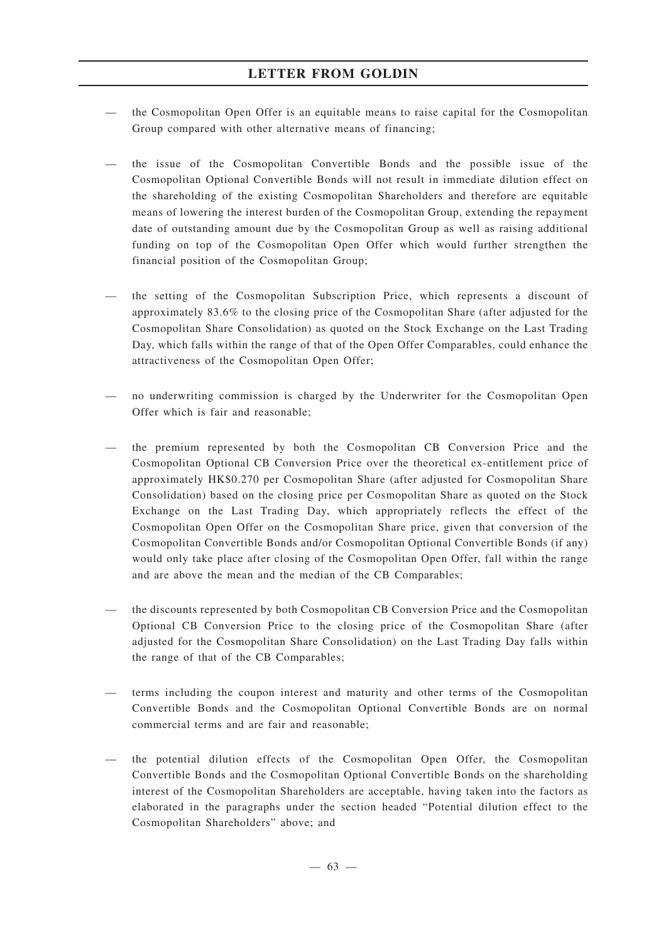- the Cosmopolitan Open Offer is an equitable means to raise capital for the Cosmopolitan Group compared with other alternative means of financing;
- the issue of the Cosmopolitan Convertible Bonds and the possible issue of the Cosmopolitan Optional Convertible Bonds will not result in immediate dilution effect on the shareholding of the existing Cosmopolitan Shareholders and therefore are equitable means of lowering the interest burden of the Cosmopolitan Group, extending the repayment date of outstanding amount due by the Cosmopolitan Group as well as raising additional funding on top of the Cosmopolitan Open Offer which would further strengthen the financial position of the Cosmopolitan Group;
- the setting of the Cosmopolitan Subscription Price, which represents a discount of approximately 83.6% to the closing price of the Cosmopolitan Share (after adjusted for the Cosmopolitan Share Consolidation) as quoted on the Stock Exchange on the Last Trading Day, which falls within the range of that of the Open Offer Comparables, could enhance the attractiveness of the Cosmopolitan Open Offer;
- no underwriting commission is charged by the Underwriter for the Cosmopolitan Open Offer which is fair and reasonable;
- the premium represented by both the Cosmopolitan CB Conversion Price and the Cosmopolitan Optional CB Conversion Price over the theoretical ex-entitlement price of approximately HK\$0.270 per Cosmopolitan Share (after adjusted for Cosmopolitan Share Consolidation) based on the closing price per Cosmopolitan Share as quoted on the Stock Exchange on the Last Trading Day, which appropriately reflects the effect of the Cosmopolitan Open Offer on the Cosmopolitan Share price, given that conversion of the Cosmopolitan Convertible Bonds and/or Cosmopolitan Optional Convertible Bonds (if any) would only take place after closing of the Cosmopolitan Open Offer, fall within the range and are above the mean and the median of the CB Comparables;
- the discounts represented by both Cosmopolitan CB Conversion Price and the Cosmopolitan Optional CB Conversion Price to the closing price of the Cosmopolitan Share (after adjusted for the Cosmopolitan Share Consolidation) on the Last Trading Day falls within the range of that of the CB Comparables;
- terms including the coupon interest and maturity and other terms of the Cosmopolitan Convertible Bonds and the Cosmopolitan Optional Convertible Bonds are on normal commercial terms and are fair and reasonable;
- the potential dilution effects of the Cosmopolitan Open Offer, the Cosmopolitan Convertible Bonds and the Cosmopolitan Optional Convertible Bonds on the shareholding interest of the Cosmopolitan Shareholders are acceptable, having taken into the factors as elaborated in the paragraphs under the section headed "Potential dilution effect to the Cosmopolitan Shareholders" above; and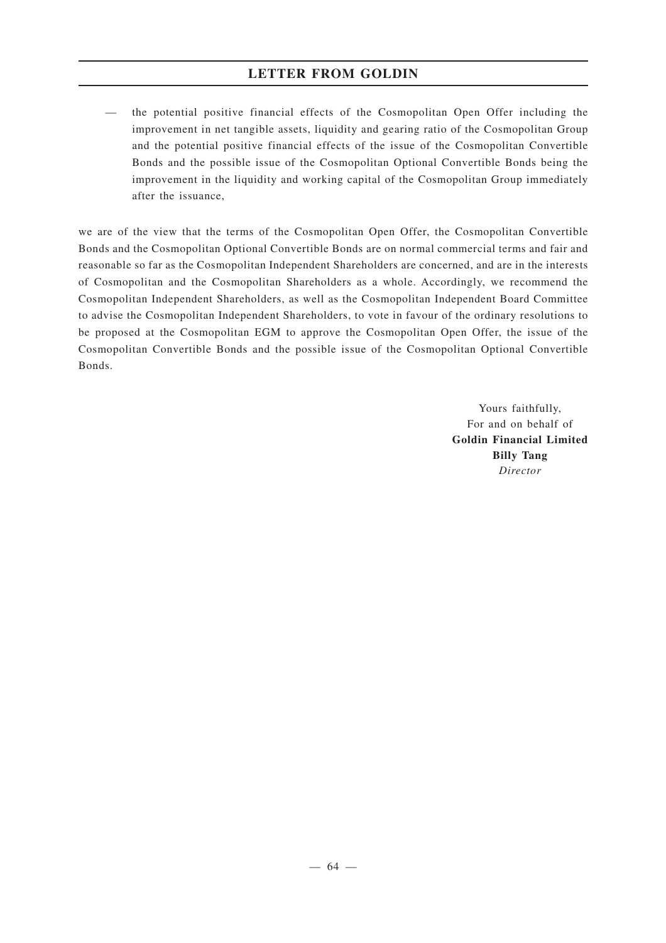— the potential positive financial effects of the Cosmopolitan Open Offer including the improvement in net tangible assets, liquidity and gearing ratio of the Cosmopolitan Group and the potential positive financial effects of the issue of the Cosmopolitan Convertible Bonds and the possible issue of the Cosmopolitan Optional Convertible Bonds being the improvement in the liquidity and working capital of the Cosmopolitan Group immediately after the issuance,

we are of the view that the terms of the Cosmopolitan Open Offer, the Cosmopolitan Convertible Bonds and the Cosmopolitan Optional Convertible Bonds are on normal commercial terms and fair and reasonable so far as the Cosmopolitan Independent Shareholders are concerned, and are in the interests of Cosmopolitan and the Cosmopolitan Shareholders as a whole. Accordingly, we recommend the Cosmopolitan Independent Shareholders, as well as the Cosmopolitan Independent Board Committee to advise the Cosmopolitan Independent Shareholders, to vote in favour of the ordinary resolutions to be proposed at the Cosmopolitan EGM to approve the Cosmopolitan Open Offer, the issue of the Cosmopolitan Convertible Bonds and the possible issue of the Cosmopolitan Optional Convertible Bonds.

> Yours faithfully, For and on behalf of **Goldin Financial Limited Billy Tang** *Director*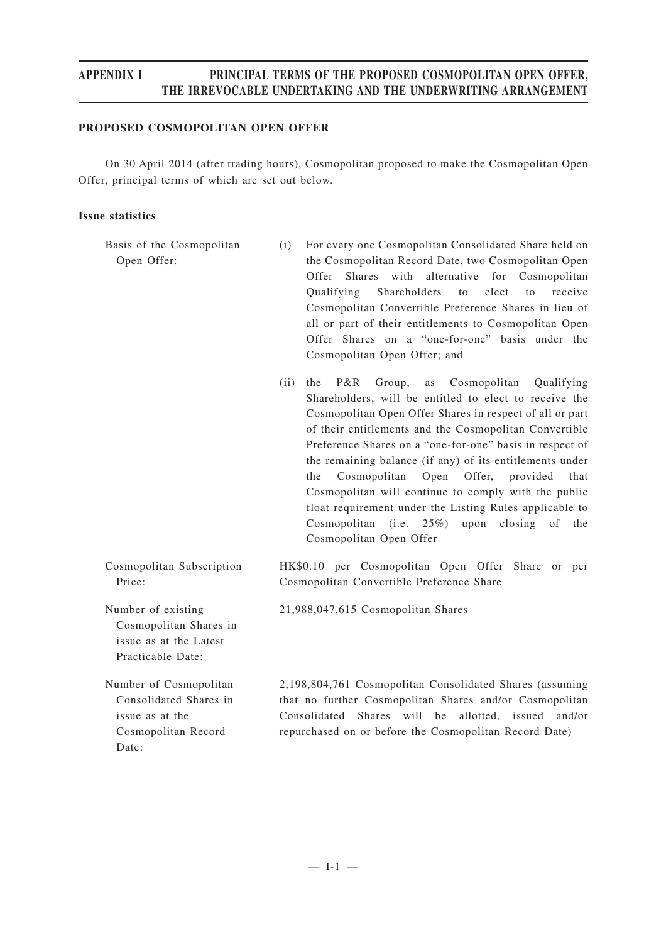### **PROPOSED COSMOPOLITAN OPEN OFFER**

On 30 April 2014 (after trading hours), Cosmopolitan proposed to make the Cosmopolitan Open Offer, principal terms of which are set out below.

## **Issue statistics**

| Basis of the Cosmopolitan<br>Open Offer:                                                            | For every one Cosmopolitan Consolidated Share held on<br>(i)<br>the Cosmopolitan Record Date, two Cosmopolitan Open<br>with<br>alternative for<br>Offer<br>Shares<br>Cosmopolitan<br>Qualifying<br>Shareholders<br>elect<br>receive<br>to<br>$\mathfrak{t}$<br>Cosmopolitan Convertible Preference Shares in lieu of<br>all or part of their entitlements to Cosmopolitan Open<br>Offer Shares on a "one-for-one" basis under the<br>Cosmopolitan Open Offer; and                                                                                                                                                                                  |
|-----------------------------------------------------------------------------------------------------|----------------------------------------------------------------------------------------------------------------------------------------------------------------------------------------------------------------------------------------------------------------------------------------------------------------------------------------------------------------------------------------------------------------------------------------------------------------------------------------------------------------------------------------------------------------------------------------------------------------------------------------------------|
|                                                                                                     | P&R<br>Cosmopolitan<br>(ii)<br>the<br>Group,<br>Qualifying<br>as<br>Shareholders, will be entitled to elect to receive the<br>Cosmopolitan Open Offer Shares in respect of all or part<br>of their entitlements and the Cosmopolitan Convertible<br>Preference Shares on a "one-for-one" basis in respect of<br>the remaining balance (if any) of its entitlements under<br>Cosmopolitan<br>Offer,<br>Open<br>provided<br>that<br>the<br>Cosmopolitan will continue to comply with the public<br>float requirement under the Listing Rules applicable to<br>Cosmopolitan (i.e. $25\%$ )<br>upon<br>closing<br>of<br>the<br>Cosmopolitan Open Offer |
| Cosmopolitan Subscription<br>Price:                                                                 | HK\$0.10 per Cosmopolitan Open Offer Share<br>or per<br>Cosmopolitan Convertible Preference Share                                                                                                                                                                                                                                                                                                                                                                                                                                                                                                                                                  |
| Number of existing<br>Cosmopolitan Shares in<br>issue as at the Latest<br>Practicable Date:         | 21,988,047,615 Cosmopolitan Shares                                                                                                                                                                                                                                                                                                                                                                                                                                                                                                                                                                                                                 |
| Number of Cosmopolitan<br>Consolidated Shares in<br>issue as at the<br>Cosmopolitan Record<br>Date: | 2,198,804,761 Cosmopolitan Consolidated Shares (assuming<br>that no further Cosmopolitan Shares and/or Cosmopolitan<br>Consolidated<br>Shares will be<br>allotted, issued<br>and/or<br>repurchased on or before the Cosmopolitan Record Date)                                                                                                                                                                                                                                                                                                                                                                                                      |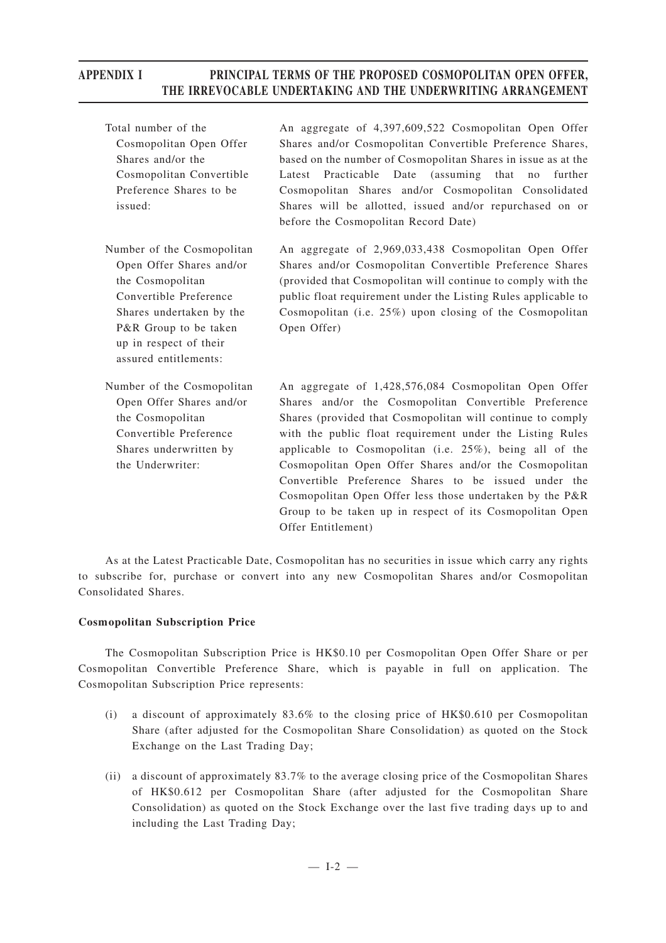| Total number of the<br>Cosmopolitan Open Offer<br>Shares and/or the<br>Cosmopolitan Convertible<br>Preference Shares to be<br>issued:                                                                        | An aggregate of 4,397,609,522 Cosmopolitan Open Offer<br>Shares and/or Cosmopolitan Convertible Preference Shares,<br>based on the number of Cosmopolitan Shares in issue as at the<br>Latest Practicable Date (assuming that no<br>further<br>Cosmopolitan Shares and/or Cosmopolitan Consolidated<br>Shares will be allotted, issued and/or repurchased on or<br>before the Cosmopolitan Record Date)                                                                                                                                                                  |
|--------------------------------------------------------------------------------------------------------------------------------------------------------------------------------------------------------------|--------------------------------------------------------------------------------------------------------------------------------------------------------------------------------------------------------------------------------------------------------------------------------------------------------------------------------------------------------------------------------------------------------------------------------------------------------------------------------------------------------------------------------------------------------------------------|
| Number of the Cosmopolitan<br>Open Offer Shares and/or<br>the Cosmopolitan<br>Convertible Preference<br>Shares undertaken by the<br>P&R Group to be taken<br>up in respect of their<br>assured entitlements: | An aggregate of 2,969,033,438 Cosmopolitan Open Offer<br>Shares and/or Cosmopolitan Convertible Preference Shares<br>(provided that Cosmopolitan will continue to comply with the<br>public float requirement under the Listing Rules applicable to<br>Cosmopolitan (i.e. 25%) upon closing of the Cosmopolitan<br>Open Offer)                                                                                                                                                                                                                                           |
| Number of the Cosmopolitan<br>Open Offer Shares and/or<br>the Cosmopolitan<br>Convertible Preference<br>Shares underwritten by<br>the Underwriter:                                                           | An aggregate of 1,428,576,084 Cosmopolitan Open Offer<br>Shares and/or the Cosmopolitan Convertible Preference<br>Shares (provided that Cosmopolitan will continue to comply<br>with the public float requirement under the Listing Rules<br>applicable to Cosmopolitan (i.e. $25\%$ ), being all of the<br>Cosmopolitan Open Offer Shares and/or the Cosmopolitan<br>Convertible Preference Shares to be issued under the<br>Cosmopolitan Open Offer less those undertaken by the P&R<br>Group to be taken up in respect of its Cosmopolitan Open<br>Offer Entitlement) |

As at the Latest Practicable Date, Cosmopolitan has no securities in issue which carry any rights to subscribe for, purchase or convert into any new Cosmopolitan Shares and/or Cosmopolitan Consolidated Shares.

### **Cosmopolitan Subscription Price**

The Cosmopolitan Subscription Price is HK\$0.10 per Cosmopolitan Open Offer Share or per Cosmopolitan Convertible Preference Share, which is payable in full on application. The Cosmopolitan Subscription Price represents:

- (i) a discount of approximately 83.6% to the closing price of HK\$0.610 per Cosmopolitan Share (after adjusted for the Cosmopolitan Share Consolidation) as quoted on the Stock Exchange on the Last Trading Day;
- (ii) a discount of approximately 83.7% to the average closing price of the Cosmopolitan Shares of HK\$0.612 per Cosmopolitan Share (after adjusted for the Cosmopolitan Share Consolidation) as quoted on the Stock Exchange over the last five trading days up to and including the Last Trading Day;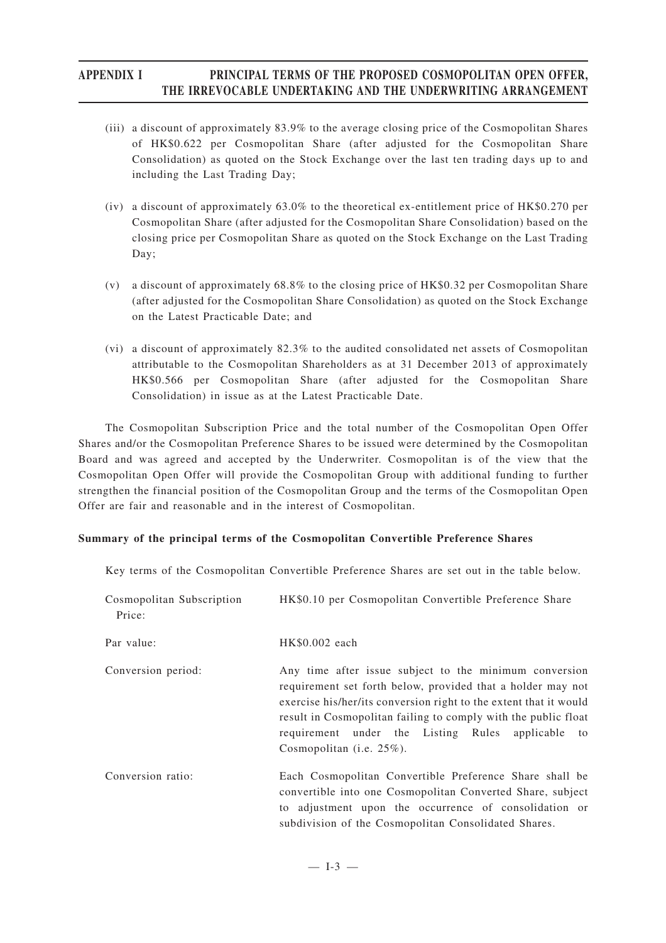- (iii) a discount of approximately 83.9% to the average closing price of the Cosmopolitan Shares of HK\$0.622 per Cosmopolitan Share (after adjusted for the Cosmopolitan Share Consolidation) as quoted on the Stock Exchange over the last ten trading days up to and including the Last Trading Day;
- (iv) a discount of approximately 63.0% to the theoretical ex-entitlement price of HK\$0.270 per Cosmopolitan Share (after adjusted for the Cosmopolitan Share Consolidation) based on the closing price per Cosmopolitan Share as quoted on the Stock Exchange on the Last Trading Day;
- (v) a discount of approximately 68.8% to the closing price of HK\$0.32 per Cosmopolitan Share (after adjusted for the Cosmopolitan Share Consolidation) as quoted on the Stock Exchange on the Latest Practicable Date; and
- (vi) a discount of approximately 82.3% to the audited consolidated net assets of Cosmopolitan attributable to the Cosmopolitan Shareholders as at 31 December 2013 of approximately HK\$0.566 per Cosmopolitan Share (after adjusted for the Cosmopolitan Share Consolidation) in issue as at the Latest Practicable Date.

The Cosmopolitan Subscription Price and the total number of the Cosmopolitan Open Offer Shares and/or the Cosmopolitan Preference Shares to be issued were determined by the Cosmopolitan Board and was agreed and accepted by the Underwriter. Cosmopolitan is of the view that the Cosmopolitan Open Offer will provide the Cosmopolitan Group with additional funding to further strengthen the financial position of the Cosmopolitan Group and the terms of the Cosmopolitan Open Offer are fair and reasonable and in the interest of Cosmopolitan.

### **Summary of the principal terms of the Cosmopolitan Convertible Preference Shares**

Key terms of the Cosmopolitan Convertible Preference Shares are set out in the table below.

| Cosmopolitan Subscription<br>Price: | HK\$0.10 per Cosmopolitan Convertible Preference Share                                                                                                                                                                                                                                                                                            |
|-------------------------------------|---------------------------------------------------------------------------------------------------------------------------------------------------------------------------------------------------------------------------------------------------------------------------------------------------------------------------------------------------|
| Par value:                          | HK\$0.002 each                                                                                                                                                                                                                                                                                                                                    |
| Conversion period:                  | Any time after issue subject to the minimum conversion<br>requirement set forth below, provided that a holder may not<br>exercise his/her/its conversion right to the extent that it would<br>result in Cosmopolitan failing to comply with the public float<br>requirement under the Listing Rules applicable to<br>Cosmopolitan (i.e. $25\%$ ). |
| Conversion ratio:                   | Each Cosmopolitan Convertible Preference Share shall be<br>convertible into one Cosmopolitan Converted Share, subject<br>to adjustment upon the occurrence of consolidation or<br>subdivision of the Cosmopolitan Consolidated Shares.                                                                                                            |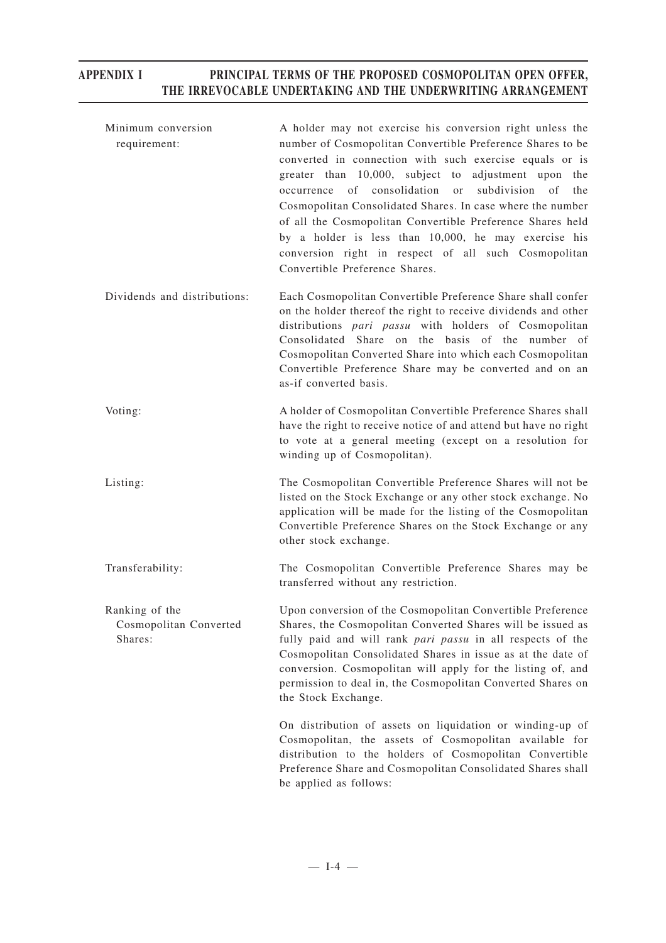| Minimum conversion<br>requirement:                  | A holder may not exercise his conversion right unless the<br>number of Cosmopolitan Convertible Preference Shares to be<br>converted in connection with such exercise equals or is<br>greater than 10,000, subject to adjustment upon<br>the<br>of consolidation or subdivision<br>of<br>occurrence<br>the<br>Cosmopolitan Consolidated Shares. In case where the number<br>of all the Cosmopolitan Convertible Preference Shares held<br>by a holder is less than 10,000, he may exercise his<br>conversion right in respect of all such Cosmopolitan<br>Convertible Preference Shares. |
|-----------------------------------------------------|------------------------------------------------------------------------------------------------------------------------------------------------------------------------------------------------------------------------------------------------------------------------------------------------------------------------------------------------------------------------------------------------------------------------------------------------------------------------------------------------------------------------------------------------------------------------------------------|
| Dividends and distributions:                        | Each Cosmopolitan Convertible Preference Share shall confer<br>on the holder thereof the right to receive dividends and other<br>distributions pari passu with holders of Cosmopolitan<br>Consolidated Share on the basis of the number of<br>Cosmopolitan Converted Share into which each Cosmopolitan<br>Convertible Preference Share may be converted and on an<br>as-if converted basis.                                                                                                                                                                                             |
| Voting:                                             | A holder of Cosmopolitan Convertible Preference Shares shall<br>have the right to receive notice of and attend but have no right<br>to vote at a general meeting (except on a resolution for<br>winding up of Cosmopolitan).                                                                                                                                                                                                                                                                                                                                                             |
| Listing:                                            | The Cosmopolitan Convertible Preference Shares will not be<br>listed on the Stock Exchange or any other stock exchange. No<br>application will be made for the listing of the Cosmopolitan<br>Convertible Preference Shares on the Stock Exchange or any<br>other stock exchange.                                                                                                                                                                                                                                                                                                        |
| Transferability:                                    | The Cosmopolitan Convertible Preference Shares may be<br>transferred without any restriction.                                                                                                                                                                                                                                                                                                                                                                                                                                                                                            |
| Ranking of the<br>Cosmopolitan Converted<br>Shares: | Upon conversion of the Cosmopolitan Convertible Preference<br>Shares, the Cosmopolitan Converted Shares will be issued as<br>fully paid and will rank pari passu in all respects of the<br>Cosmopolitan Consolidated Shares in issue as at the date of<br>conversion. Cosmopolitan will apply for the listing of, and<br>permission to deal in, the Cosmopolitan Converted Shares on<br>the Stock Exchange.                                                                                                                                                                              |
|                                                     | On distribution of assets on liquidation or winding-up of<br>Cosmopolitan, the assets of Cosmopolitan available for<br>distribution to the holders of Cosmopolitan Convertible<br>Preference Share and Cosmopolitan Consolidated Shares shall<br>be applied as follows:                                                                                                                                                                                                                                                                                                                  |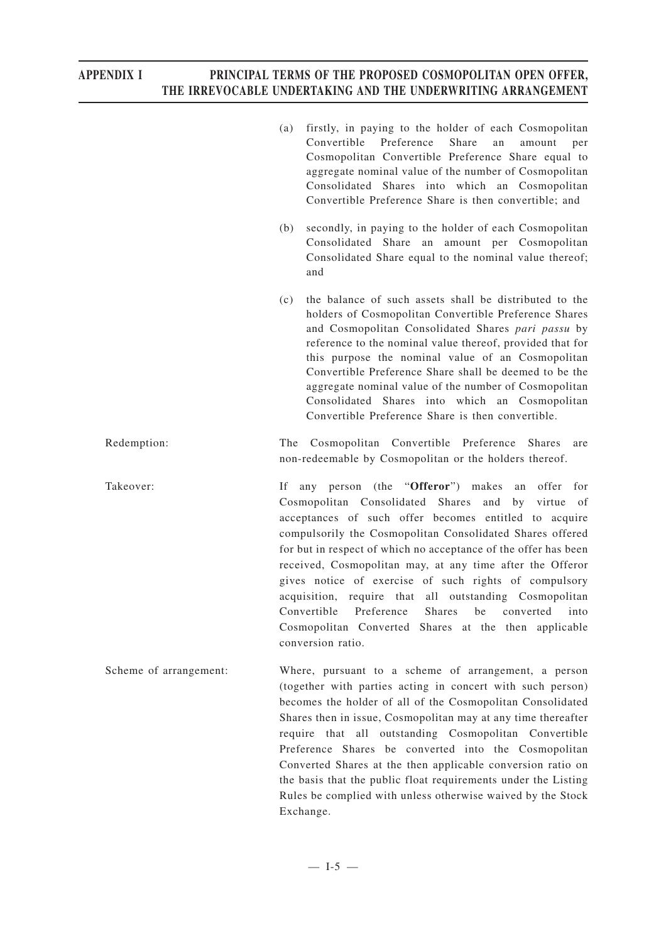|                        | firstly, in paying to the holder of each Cosmopolitan<br>(a)<br>Convertible<br>Preference<br>Share<br>an<br>amount<br>Cosmopolitan Convertible Preference Share equal to<br>aggregate nominal value of the number of Cosmopolitan<br>Consolidated Shares into which an Cosmopolitan<br>Convertible Preference Share is then convertible; and                                                                                                                                                                                                                                                                                          | per  |
|------------------------|---------------------------------------------------------------------------------------------------------------------------------------------------------------------------------------------------------------------------------------------------------------------------------------------------------------------------------------------------------------------------------------------------------------------------------------------------------------------------------------------------------------------------------------------------------------------------------------------------------------------------------------|------|
|                        | secondly, in paying to the holder of each Cosmopolitan<br>(b)<br>Consolidated Share an amount per Cosmopolitan<br>Consolidated Share equal to the nominal value thereof;<br>and                                                                                                                                                                                                                                                                                                                                                                                                                                                       |      |
|                        | the balance of such assets shall be distributed to the<br>(c)<br>holders of Cosmopolitan Convertible Preference Shares<br>and Cosmopolitan Consolidated Shares pari passu by<br>reference to the nominal value thereof, provided that for<br>this purpose the nominal value of an Cosmopolitan<br>Convertible Preference Share shall be deemed to be the<br>aggregate nominal value of the number of Cosmopolitan<br>Consolidated Shares into which an Cosmopolitan<br>Convertible Preference Share is then convertible.                                                                                                              |      |
| Redemption:            | Cosmopolitan Convertible Preference<br><b>Shares</b><br>The<br>non-redeemable by Cosmopolitan or the holders thereof.                                                                                                                                                                                                                                                                                                                                                                                                                                                                                                                 | are  |
| Takeover:              | If any person (the "Offeror") makes<br>an offer for<br>Cosmopolitan Consolidated Shares<br>by virtue of<br>and<br>acceptances of such offer becomes entitled to acquire<br>compulsorily the Cosmopolitan Consolidated Shares offered<br>for but in respect of which no acceptance of the offer has been<br>received, Cosmopolitan may, at any time after the Offeror<br>gives notice of exercise of such rights of compulsory<br>acquisition, require that all outstanding Cosmopolitan<br>Preference<br>Convertible<br><b>Shares</b><br>be<br>converted<br>Cosmopolitan Converted Shares at the then applicable<br>conversion ratio. | into |
| Scheme of arrangement: | Where, pursuant to a scheme of arrangement, a person<br>(together with parties acting in concert with such person)<br>becomes the holder of all of the Cosmopolitan Consolidated<br>Shares then in issue, Cosmopolitan may at any time thereafter<br>require that all outstanding Cosmopolitan Convertible<br>Preference Shares be converted into the Cosmopolitan<br>Converted Shares at the then applicable conversion ratio on<br>the basis that the public float requirements under the Listing<br>Rules be complied with unless otherwise waived by the Stock<br>Exchange.                                                       |      |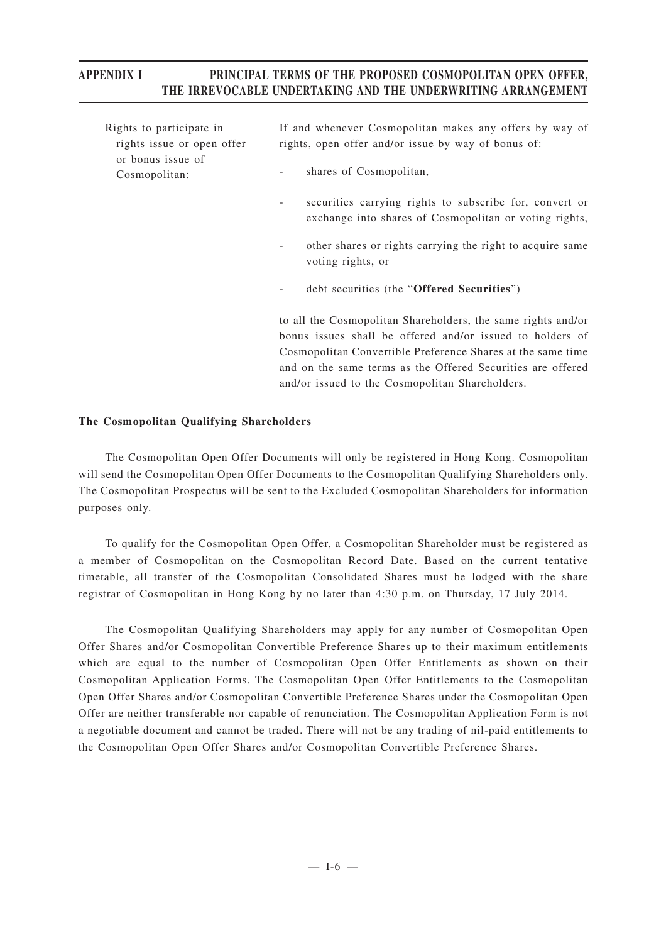| Rights to participate in<br>rights issue or open offer | If and whenever Cosmopolitan makes any offers by way of<br>rights, open offer and/or issue by way of bonus of:                                                                |
|--------------------------------------------------------|-------------------------------------------------------------------------------------------------------------------------------------------------------------------------------|
| or bonus issue of<br>Cosmopolitan:                     | shares of Cosmopolitan,<br>$\overline{\phantom{a}}$                                                                                                                           |
|                                                        | securities carrying rights to subscribe for, convert or<br>۰.<br>exchange into shares of Cosmopolitan or voting rights,                                                       |
|                                                        | other shares or rights carrying the right to acquire same<br>۰.<br>voting rights, or                                                                                          |
|                                                        | debt securities (the "Offered Securities")<br>$\overline{\phantom{a}}$                                                                                                        |
|                                                        | to all the Cosmopolitan Shareholders, the same rights and/or<br>bonus issues shall be offered and/or issued to holders of                                                     |
|                                                        | Cosmopolitan Convertible Preference Shares at the same time<br>and on the same terms as the Offered Securities are offered<br>and/or issued to the Cosmopolitan Shareholders. |

### **The Cosmopolitan Qualifying Shareholders**

The Cosmopolitan Open Offer Documents will only be registered in Hong Kong. Cosmopolitan will send the Cosmopolitan Open Offer Documents to the Cosmopolitan Qualifying Shareholders only. The Cosmopolitan Prospectus will be sent to the Excluded Cosmopolitan Shareholders for information purposes only.

To qualify for the Cosmopolitan Open Offer, a Cosmopolitan Shareholder must be registered as a member of Cosmopolitan on the Cosmopolitan Record Date. Based on the current tentative timetable, all transfer of the Cosmopolitan Consolidated Shares must be lodged with the share registrar of Cosmopolitan in Hong Kong by no later than 4:30 p.m. on Thursday, 17 July 2014.

The Cosmopolitan Qualifying Shareholders may apply for any number of Cosmopolitan Open Offer Shares and/or Cosmopolitan Convertible Preference Shares up to their maximum entitlements which are equal to the number of Cosmopolitan Open Offer Entitlements as shown on their Cosmopolitan Application Forms. The Cosmopolitan Open Offer Entitlements to the Cosmopolitan Open Offer Shares and/or Cosmopolitan Convertible Preference Shares under the Cosmopolitan Open Offer are neither transferable nor capable of renunciation. The Cosmopolitan Application Form is not a negotiable document and cannot be traded. There will not be any trading of nil-paid entitlements to the Cosmopolitan Open Offer Shares and/or Cosmopolitan Convertible Preference Shares.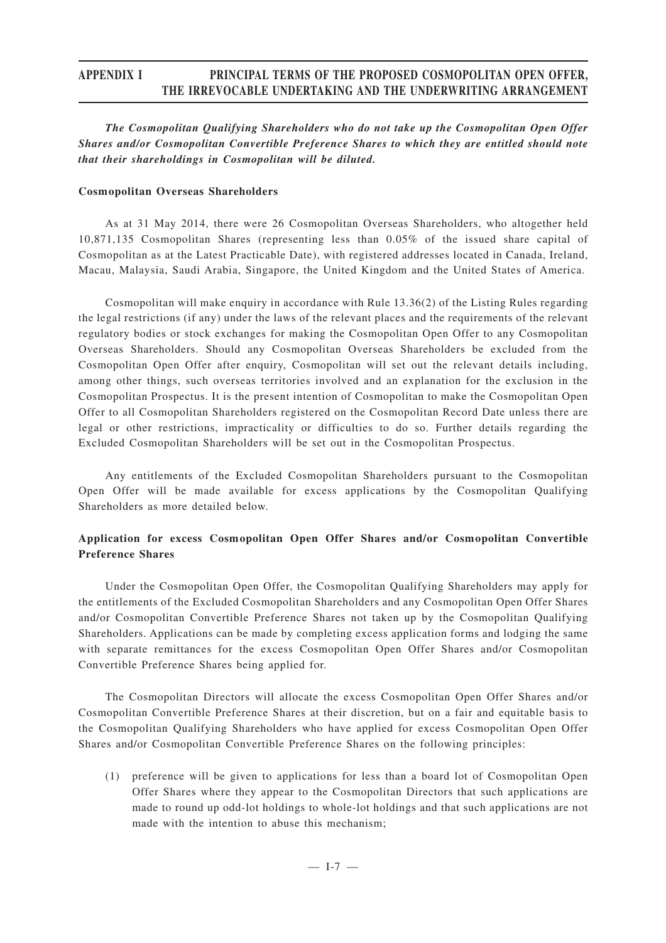*The Cosmopolitan Qualifying Shareholders who do not take up the Cosmopolitan Open Offer Shares and/or Cosmopolitan Convertible Preference Shares to which they are entitled should note that their shareholdings in Cosmopolitan will be diluted.*

#### **Cosmopolitan Overseas Shareholders**

As at 31 May 2014, there were 26 Cosmopolitan Overseas Shareholders, who altogether held 10,871,135 Cosmopolitan Shares (representing less than 0.05% of the issued share capital of Cosmopolitan as at the Latest Practicable Date), with registered addresses located in Canada, Ireland, Macau, Malaysia, Saudi Arabia, Singapore, the United Kingdom and the United States of America.

Cosmopolitan will make enquiry in accordance with Rule 13.36(2) of the Listing Rules regarding the legal restrictions (if any) under the laws of the relevant places and the requirements of the relevant regulatory bodies or stock exchanges for making the Cosmopolitan Open Offer to any Cosmopolitan Overseas Shareholders. Should any Cosmopolitan Overseas Shareholders be excluded from the Cosmopolitan Open Offer after enquiry, Cosmopolitan will set out the relevant details including, among other things, such overseas territories involved and an explanation for the exclusion in the Cosmopolitan Prospectus. It is the present intention of Cosmopolitan to make the Cosmopolitan Open Offer to all Cosmopolitan Shareholders registered on the Cosmopolitan Record Date unless there are legal or other restrictions, impracticality or difficulties to do so. Further details regarding the Excluded Cosmopolitan Shareholders will be set out in the Cosmopolitan Prospectus.

Any entitlements of the Excluded Cosmopolitan Shareholders pursuant to the Cosmopolitan Open Offer will be made available for excess applications by the Cosmopolitan Qualifying Shareholders as more detailed below.

## **Application for excess Cosmopolitan Open Offer Shares and/or Cosmopolitan Convertible Preference Shares**

Under the Cosmopolitan Open Offer, the Cosmopolitan Qualifying Shareholders may apply for the entitlements of the Excluded Cosmopolitan Shareholders and any Cosmopolitan Open Offer Shares and/or Cosmopolitan Convertible Preference Shares not taken up by the Cosmopolitan Qualifying Shareholders. Applications can be made by completing excess application forms and lodging the same with separate remittances for the excess Cosmopolitan Open Offer Shares and/or Cosmopolitan Convertible Preference Shares being applied for.

The Cosmopolitan Directors will allocate the excess Cosmopolitan Open Offer Shares and/or Cosmopolitan Convertible Preference Shares at their discretion, but on a fair and equitable basis to the Cosmopolitan Qualifying Shareholders who have applied for excess Cosmopolitan Open Offer Shares and/or Cosmopolitan Convertible Preference Shares on the following principles:

(1) preference will be given to applications for less than a board lot of Cosmopolitan Open Offer Shares where they appear to the Cosmopolitan Directors that such applications are made to round up odd-lot holdings to whole-lot holdings and that such applications are not made with the intention to abuse this mechanism;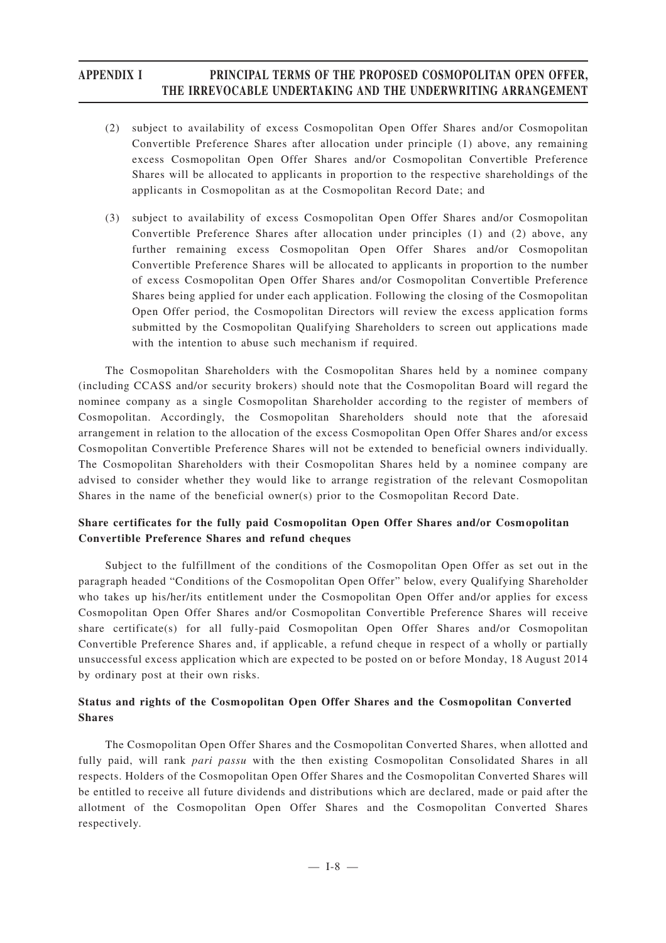- (2) subject to availability of excess Cosmopolitan Open Offer Shares and/or Cosmopolitan Convertible Preference Shares after allocation under principle (1) above, any remaining excess Cosmopolitan Open Offer Shares and/or Cosmopolitan Convertible Preference Shares will be allocated to applicants in proportion to the respective shareholdings of the applicants in Cosmopolitan as at the Cosmopolitan Record Date; and
- (3) subject to availability of excess Cosmopolitan Open Offer Shares and/or Cosmopolitan Convertible Preference Shares after allocation under principles (1) and (2) above, any further remaining excess Cosmopolitan Open Offer Shares and/or Cosmopolitan Convertible Preference Shares will be allocated to applicants in proportion to the number of excess Cosmopolitan Open Offer Shares and/or Cosmopolitan Convertible Preference Shares being applied for under each application. Following the closing of the Cosmopolitan Open Offer period, the Cosmopolitan Directors will review the excess application forms submitted by the Cosmopolitan Qualifying Shareholders to screen out applications made with the intention to abuse such mechanism if required.

The Cosmopolitan Shareholders with the Cosmopolitan Shares held by a nominee company (including CCASS and/or security brokers) should note that the Cosmopolitan Board will regard the nominee company as a single Cosmopolitan Shareholder according to the register of members of Cosmopolitan. Accordingly, the Cosmopolitan Shareholders should note that the aforesaid arrangement in relation to the allocation of the excess Cosmopolitan Open Offer Shares and/or excess Cosmopolitan Convertible Preference Shares will not be extended to beneficial owners individually. The Cosmopolitan Shareholders with their Cosmopolitan Shares held by a nominee company are advised to consider whether they would like to arrange registration of the relevant Cosmopolitan Shares in the name of the beneficial owner(s) prior to the Cosmopolitan Record Date.

## **Share certificates for the fully paid Cosmopolitan Open Offer Shares and/or Cosmopolitan Convertible Preference Shares and refund cheques**

Subject to the fulfillment of the conditions of the Cosmopolitan Open Offer as set out in the paragraph headed "Conditions of the Cosmopolitan Open Offer" below, every Qualifying Shareholder who takes up his/her/its entitlement under the Cosmopolitan Open Offer and/or applies for excess Cosmopolitan Open Offer Shares and/or Cosmopolitan Convertible Preference Shares will receive share certificate(s) for all fully-paid Cosmopolitan Open Offer Shares and/or Cosmopolitan Convertible Preference Shares and, if applicable, a refund cheque in respect of a wholly or partially unsuccessful excess application which are expected to be posted on or before Monday, 18 August 2014 by ordinary post at their own risks.

## **Status and rights of the Cosmopolitan Open Offer Shares and the Cosmopolitan Converted Shares**

The Cosmopolitan Open Offer Shares and the Cosmopolitan Converted Shares, when allotted and fully paid, will rank *pari passu* with the then existing Cosmopolitan Consolidated Shares in all respects. Holders of the Cosmopolitan Open Offer Shares and the Cosmopolitan Converted Shares will be entitled to receive all future dividends and distributions which are declared, made or paid after the allotment of the Cosmopolitan Open Offer Shares and the Cosmopolitan Converted Shares respectively.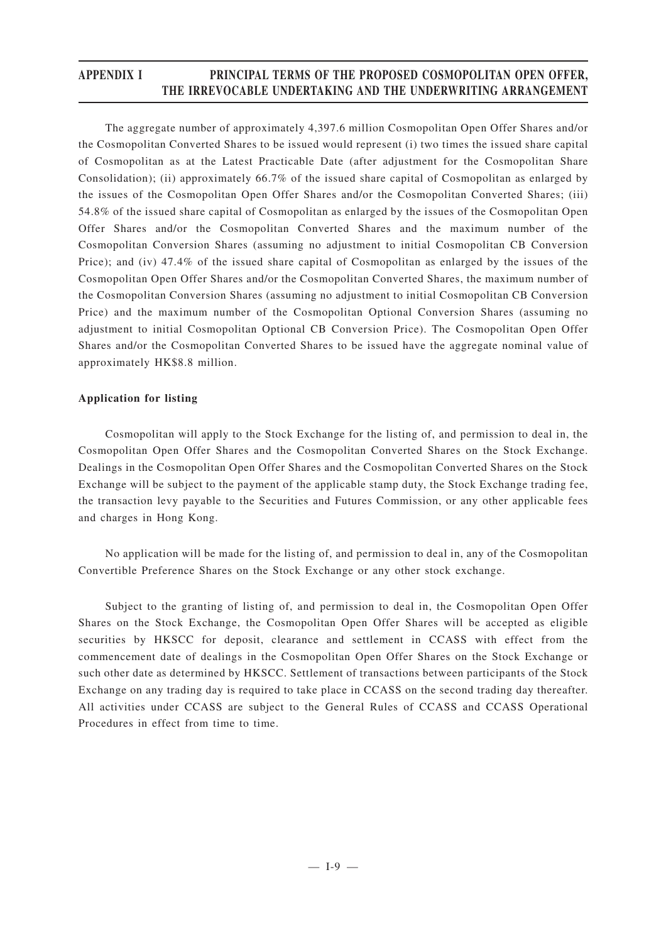The aggregate number of approximately 4,397.6 million Cosmopolitan Open Offer Shares and/or the Cosmopolitan Converted Shares to be issued would represent (i) two times the issued share capital of Cosmopolitan as at the Latest Practicable Date (after adjustment for the Cosmopolitan Share Consolidation); (ii) approximately 66.7% of the issued share capital of Cosmopolitan as enlarged by the issues of the Cosmopolitan Open Offer Shares and/or the Cosmopolitan Converted Shares; (iii) 54.8% of the issued share capital of Cosmopolitan as enlarged by the issues of the Cosmopolitan Open Offer Shares and/or the Cosmopolitan Converted Shares and the maximum number of the Cosmopolitan Conversion Shares (assuming no adjustment to initial Cosmopolitan CB Conversion Price); and (iv) 47.4% of the issued share capital of Cosmopolitan as enlarged by the issues of the Cosmopolitan Open Offer Shares and/or the Cosmopolitan Converted Shares, the maximum number of the Cosmopolitan Conversion Shares (assuming no adjustment to initial Cosmopolitan CB Conversion Price) and the maximum number of the Cosmopolitan Optional Conversion Shares (assuming no adjustment to initial Cosmopolitan Optional CB Conversion Price). The Cosmopolitan Open Offer Shares and/or the Cosmopolitan Converted Shares to be issued have the aggregate nominal value of approximately HK\$8.8 million.

## **Application for listing**

Cosmopolitan will apply to the Stock Exchange for the listing of, and permission to deal in, the Cosmopolitan Open Offer Shares and the Cosmopolitan Converted Shares on the Stock Exchange. Dealings in the Cosmopolitan Open Offer Shares and the Cosmopolitan Converted Shares on the Stock Exchange will be subject to the payment of the applicable stamp duty, the Stock Exchange trading fee, the transaction levy payable to the Securities and Futures Commission, or any other applicable fees and charges in Hong Kong.

No application will be made for the listing of, and permission to deal in, any of the Cosmopolitan Convertible Preference Shares on the Stock Exchange or any other stock exchange.

Subject to the granting of listing of, and permission to deal in, the Cosmopolitan Open Offer Shares on the Stock Exchange, the Cosmopolitan Open Offer Shares will be accepted as eligible securities by HKSCC for deposit, clearance and settlement in CCASS with effect from the commencement date of dealings in the Cosmopolitan Open Offer Shares on the Stock Exchange or such other date as determined by HKSCC. Settlement of transactions between participants of the Stock Exchange on any trading day is required to take place in CCASS on the second trading day thereafter. All activities under CCASS are subject to the General Rules of CCASS and CCASS Operational Procedures in effect from time to time.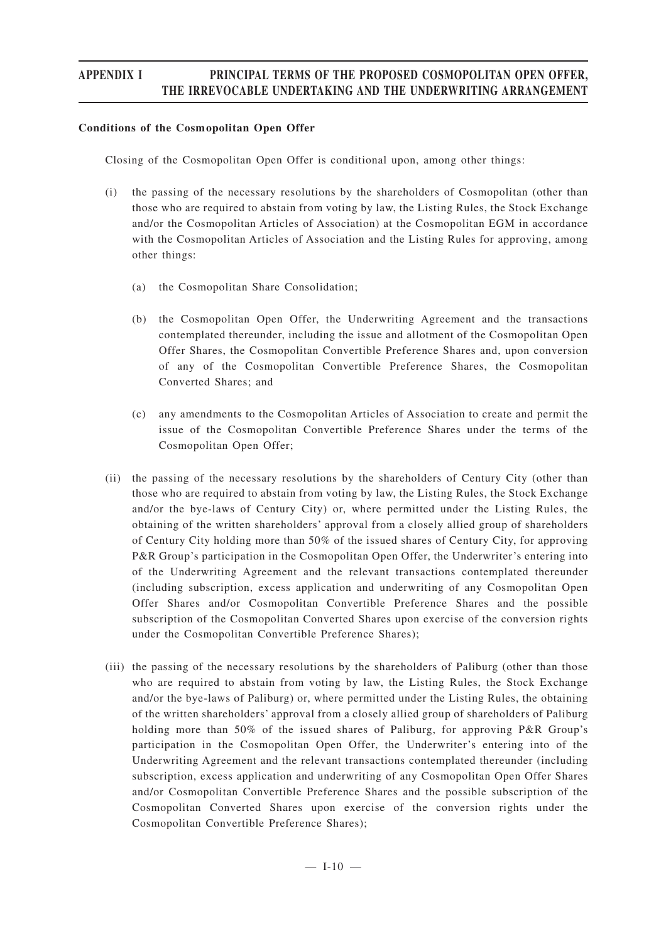### **Conditions of the Cosmopolitan Open Offer**

Closing of the Cosmopolitan Open Offer is conditional upon, among other things:

- (i) the passing of the necessary resolutions by the shareholders of Cosmopolitan (other than those who are required to abstain from voting by law, the Listing Rules, the Stock Exchange and/or the Cosmopolitan Articles of Association) at the Cosmopolitan EGM in accordance with the Cosmopolitan Articles of Association and the Listing Rules for approving, among other things:
	- (a) the Cosmopolitan Share Consolidation;
	- (b) the Cosmopolitan Open Offer, the Underwriting Agreement and the transactions contemplated thereunder, including the issue and allotment of the Cosmopolitan Open Offer Shares, the Cosmopolitan Convertible Preference Shares and, upon conversion of any of the Cosmopolitan Convertible Preference Shares, the Cosmopolitan Converted Shares; and
	- (c) any amendments to the Cosmopolitan Articles of Association to create and permit the issue of the Cosmopolitan Convertible Preference Shares under the terms of the Cosmopolitan Open Offer;
- (ii) the passing of the necessary resolutions by the shareholders of Century City (other than those who are required to abstain from voting by law, the Listing Rules, the Stock Exchange and/or the bye-laws of Century City) or, where permitted under the Listing Rules, the obtaining of the written shareholders' approval from a closely allied group of shareholders of Century City holding more than 50% of the issued shares of Century City, for approving P&R Group's participation in the Cosmopolitan Open Offer, the Underwriter 's entering into of the Underwriting Agreement and the relevant transactions contemplated thereunder (including subscription, excess application and underwriting of any Cosmopolitan Open Offer Shares and/or Cosmopolitan Convertible Preference Shares and the possible subscription of the Cosmopolitan Converted Shares upon exercise of the conversion rights under the Cosmopolitan Convertible Preference Shares);
- (iii) the passing of the necessary resolutions by the shareholders of Paliburg (other than those who are required to abstain from voting by law, the Listing Rules, the Stock Exchange and/or the bye-laws of Paliburg) or, where permitted under the Listing Rules, the obtaining of the written shareholders' approval from a closely allied group of shareholders of Paliburg holding more than 50% of the issued shares of Paliburg, for approving P&R Group's participation in the Cosmopolitan Open Offer, the Underwriter 's entering into of the Underwriting Agreement and the relevant transactions contemplated thereunder (including subscription, excess application and underwriting of any Cosmopolitan Open Offer Shares and/or Cosmopolitan Convertible Preference Shares and the possible subscription of the Cosmopolitan Converted Shares upon exercise of the conversion rights under the Cosmopolitan Convertible Preference Shares);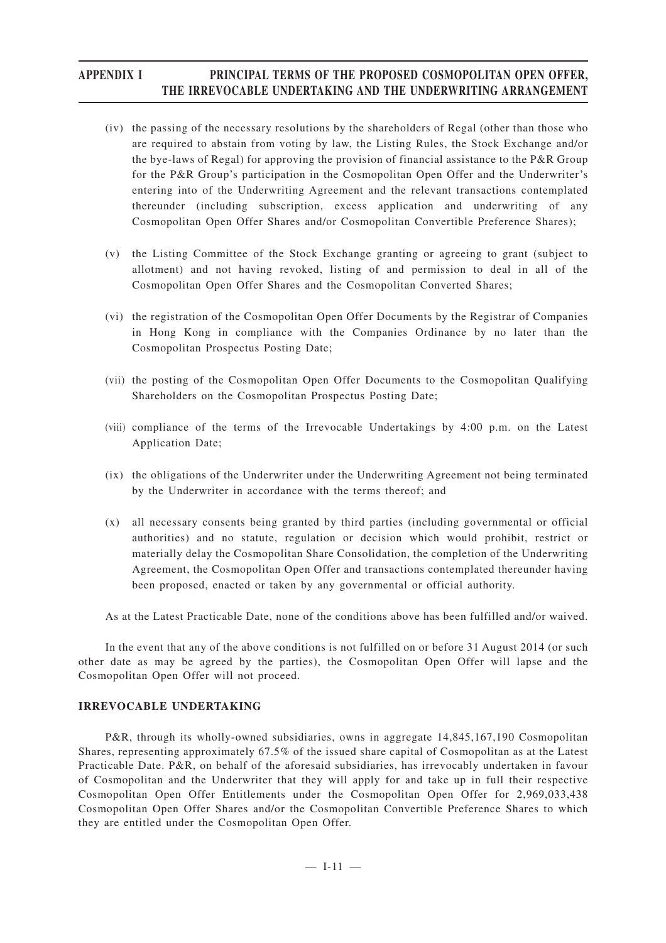- (iv) the passing of the necessary resolutions by the shareholders of Regal (other than those who are required to abstain from voting by law, the Listing Rules, the Stock Exchange and/or the bye-laws of Regal) for approving the provision of financial assistance to the P&R Group for the P&R Group's participation in the Cosmopolitan Open Offer and the Underwriter 's entering into of the Underwriting Agreement and the relevant transactions contemplated thereunder (including subscription, excess application and underwriting of any Cosmopolitan Open Offer Shares and/or Cosmopolitan Convertible Preference Shares);
- (v) the Listing Committee of the Stock Exchange granting or agreeing to grant (subject to allotment) and not having revoked, listing of and permission to deal in all of the Cosmopolitan Open Offer Shares and the Cosmopolitan Converted Shares;
- (vi) the registration of the Cosmopolitan Open Offer Documents by the Registrar of Companies in Hong Kong in compliance with the Companies Ordinance by no later than the Cosmopolitan Prospectus Posting Date;
- (vii) the posting of the Cosmopolitan Open Offer Documents to the Cosmopolitan Qualifying Shareholders on the Cosmopolitan Prospectus Posting Date;
- (viii) compliance of the terms of the Irrevocable Undertakings by 4:00 p.m. on the Latest Application Date;
- (ix) the obligations of the Underwriter under the Underwriting Agreement not being terminated by the Underwriter in accordance with the terms thereof; and
- (x) all necessary consents being granted by third parties (including governmental or official authorities) and no statute, regulation or decision which would prohibit, restrict or materially delay the Cosmopolitan Share Consolidation, the completion of the Underwriting Agreement, the Cosmopolitan Open Offer and transactions contemplated thereunder having been proposed, enacted or taken by any governmental or official authority.

As at the Latest Practicable Date, none of the conditions above has been fulfilled and/or waived.

In the event that any of the above conditions is not fulfilled on or before 31 August 2014 (or such other date as may be agreed by the parties), the Cosmopolitan Open Offer will lapse and the Cosmopolitan Open Offer will not proceed.

### **IRREVOCABLE UNDERTAKING**

P&R, through its wholly-owned subsidiaries, owns in aggregate 14,845,167,190 Cosmopolitan Shares, representing approximately 67.5% of the issued share capital of Cosmopolitan as at the Latest Practicable Date. P&R, on behalf of the aforesaid subsidiaries, has irrevocably undertaken in favour of Cosmopolitan and the Underwriter that they will apply for and take up in full their respective Cosmopolitan Open Offer Entitlements under the Cosmopolitan Open Offer for 2,969,033,438 Cosmopolitan Open Offer Shares and/or the Cosmopolitan Convertible Preference Shares to which they are entitled under the Cosmopolitan Open Offer.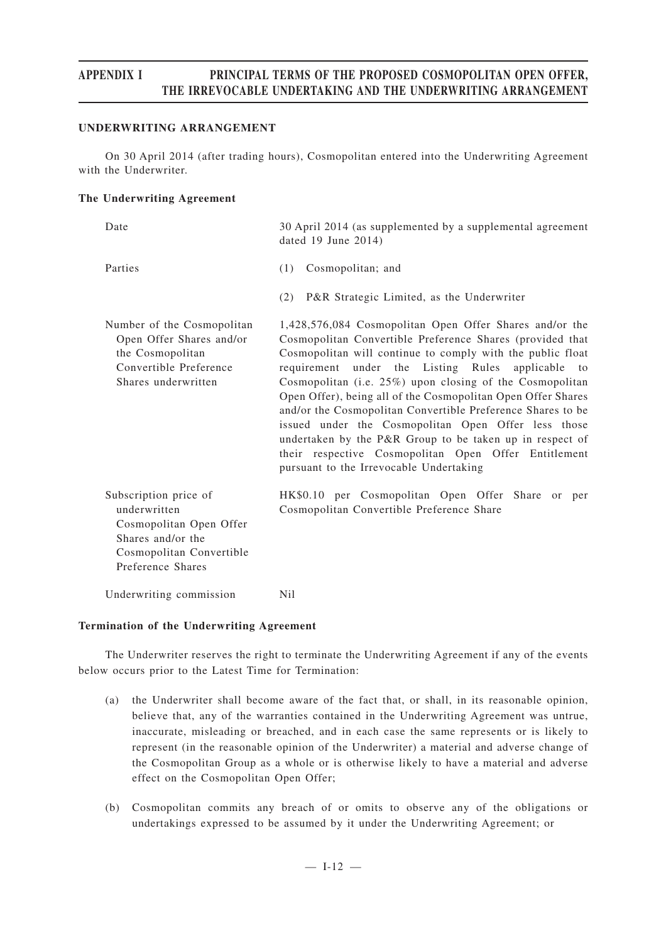#### **UNDERWRITING ARRANGEMENT**

On 30 April 2014 (after trading hours), Cosmopolitan entered into the Underwriting Agreement with the Underwriter.

#### **The Underwriting Agreement**

| Date                                                                                                                                   | 30 April 2014 (as supplemented by a supplemental agreement<br>dated 19 June 2014)                                                                                                                                                                                                                                                                                                                                                                                                                                                                                                                                                                        |
|----------------------------------------------------------------------------------------------------------------------------------------|----------------------------------------------------------------------------------------------------------------------------------------------------------------------------------------------------------------------------------------------------------------------------------------------------------------------------------------------------------------------------------------------------------------------------------------------------------------------------------------------------------------------------------------------------------------------------------------------------------------------------------------------------------|
| Parties                                                                                                                                | Cosmopolitan; and<br>(1)                                                                                                                                                                                                                                                                                                                                                                                                                                                                                                                                                                                                                                 |
|                                                                                                                                        | P&R Strategic Limited, as the Underwriter<br>(2)                                                                                                                                                                                                                                                                                                                                                                                                                                                                                                                                                                                                         |
| Number of the Cosmopolitan<br>Open Offer Shares and/or<br>the Cosmopolitan<br>Convertible Preference<br>Shares underwritten            | 1,428,576,084 Cosmopolitan Open Offer Shares and/or the<br>Cosmopolitan Convertible Preference Shares (provided that<br>Cosmopolitan will continue to comply with the public float<br>requirement under the Listing Rules applicable to<br>Cosmopolitan (i.e. 25%) upon closing of the Cosmopolitan<br>Open Offer), being all of the Cosmopolitan Open Offer Shares<br>and/or the Cosmopolitan Convertible Preference Shares to be<br>issued under the Cosmopolitan Open Offer less those<br>undertaken by the P&R Group to be taken up in respect of<br>their respective Cosmopolitan Open Offer Entitlement<br>pursuant to the Irrevocable Undertaking |
| Subscription price of<br>underwritten<br>Cosmopolitan Open Offer<br>Shares and/or the<br>Cosmopolitan Convertible<br>Preference Shares | HK\$0.10 per Cosmopolitan Open Offer Share or per<br>Cosmopolitan Convertible Preference Share                                                                                                                                                                                                                                                                                                                                                                                                                                                                                                                                                           |
| Underwriting commission                                                                                                                | N <sub>il</sub>                                                                                                                                                                                                                                                                                                                                                                                                                                                                                                                                                                                                                                          |

#### **Termination of the Underwriting Agreement**

The Underwriter reserves the right to terminate the Underwriting Agreement if any of the events below occurs prior to the Latest Time for Termination:

- (a) the Underwriter shall become aware of the fact that, or shall, in its reasonable opinion, believe that, any of the warranties contained in the Underwriting Agreement was untrue, inaccurate, misleading or breached, and in each case the same represents or is likely to represent (in the reasonable opinion of the Underwriter) a material and adverse change of the Cosmopolitan Group as a whole or is otherwise likely to have a material and adverse effect on the Cosmopolitan Open Offer;
- (b) Cosmopolitan commits any breach of or omits to observe any of the obligations or undertakings expressed to be assumed by it under the Underwriting Agreement; or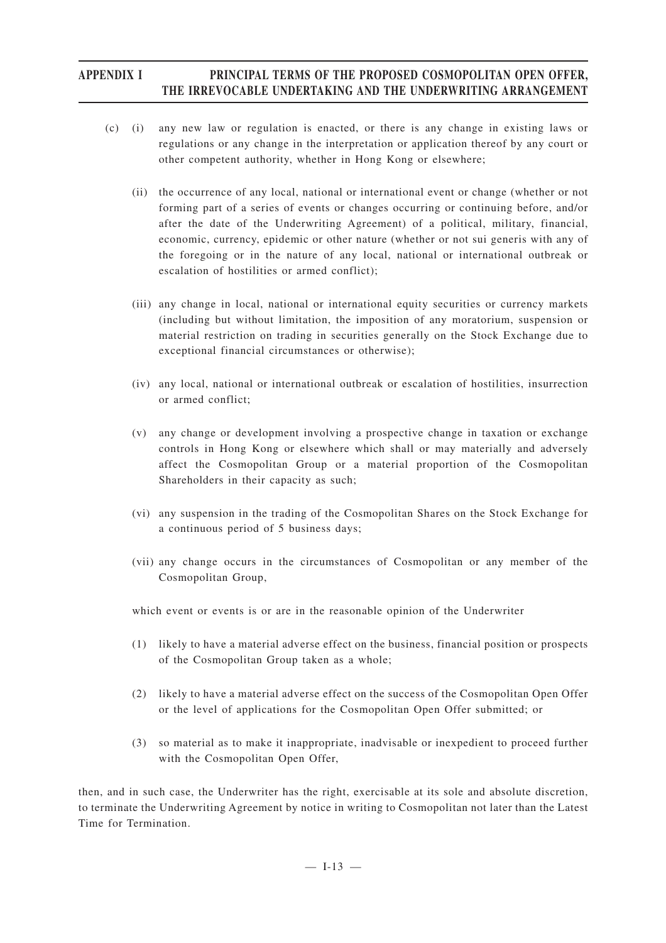- (c) (i) any new law or regulation is enacted, or there is any change in existing laws or regulations or any change in the interpretation or application thereof by any court or other competent authority, whether in Hong Kong or elsewhere;
	- (ii) the occurrence of any local, national or international event or change (whether or not forming part of a series of events or changes occurring or continuing before, and/or after the date of the Underwriting Agreement) of a political, military, financial, economic, currency, epidemic or other nature (whether or not sui generis with any of the foregoing or in the nature of any local, national or international outbreak or escalation of hostilities or armed conflict);
	- (iii) any change in local, national or international equity securities or currency markets (including but without limitation, the imposition of any moratorium, suspension or material restriction on trading in securities generally on the Stock Exchange due to exceptional financial circumstances or otherwise);
	- (iv) any local, national or international outbreak or escalation of hostilities, insurrection or armed conflict;
	- (v) any change or development involving a prospective change in taxation or exchange controls in Hong Kong or elsewhere which shall or may materially and adversely affect the Cosmopolitan Group or a material proportion of the Cosmopolitan Shareholders in their capacity as such;
	- (vi) any suspension in the trading of the Cosmopolitan Shares on the Stock Exchange for a continuous period of 5 business days;
	- (vii) any change occurs in the circumstances of Cosmopolitan or any member of the Cosmopolitan Group,

which event or events is or are in the reasonable opinion of the Underwriter

- (1) likely to have a material adverse effect on the business, financial position or prospects of the Cosmopolitan Group taken as a whole;
- (2) likely to have a material adverse effect on the success of the Cosmopolitan Open Offer or the level of applications for the Cosmopolitan Open Offer submitted; or
- (3) so material as to make it inappropriate, inadvisable or inexpedient to proceed further with the Cosmopolitan Open Offer,

then, and in such case, the Underwriter has the right, exercisable at its sole and absolute discretion, to terminate the Underwriting Agreement by notice in writing to Cosmopolitan not later than the Latest Time for Termination.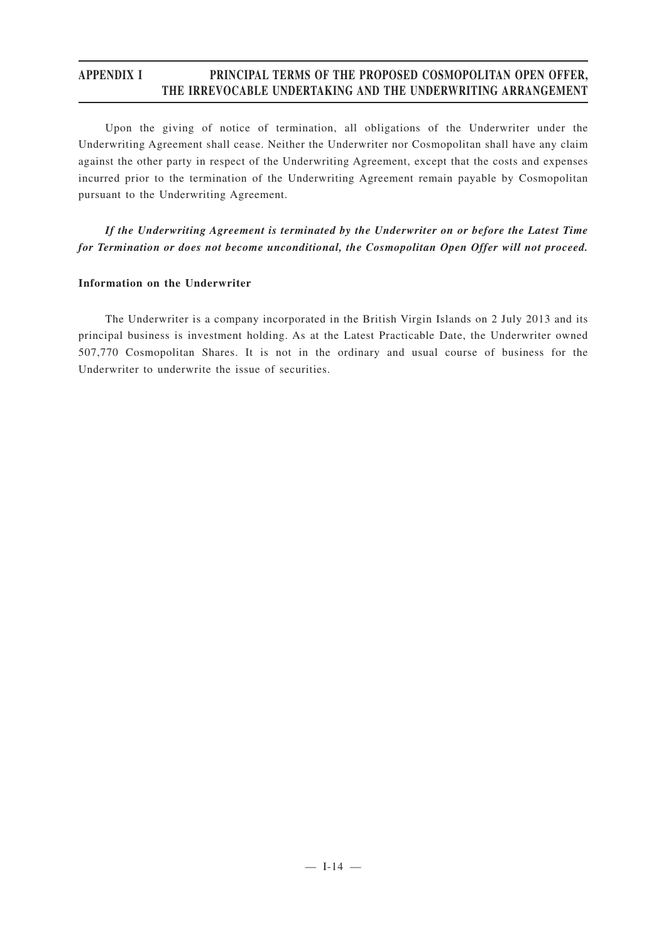Upon the giving of notice of termination, all obligations of the Underwriter under the Underwriting Agreement shall cease. Neither the Underwriter nor Cosmopolitan shall have any claim against the other party in respect of the Underwriting Agreement, except that the costs and expenses incurred prior to the termination of the Underwriting Agreement remain payable by Cosmopolitan pursuant to the Underwriting Agreement.

*If the Underwriting Agreement is terminated by the Underwriter on or before the Latest Time for Termination or does not become unconditional, the Cosmopolitan Open Offer will not proceed.*

#### **Information on the Underwriter**

The Underwriter is a company incorporated in the British Virgin Islands on 2 July 2013 and its principal business is investment holding. As at the Latest Practicable Date, the Underwriter owned 507,770 Cosmopolitan Shares. It is not in the ordinary and usual course of business for the Underwriter to underwrite the issue of securities.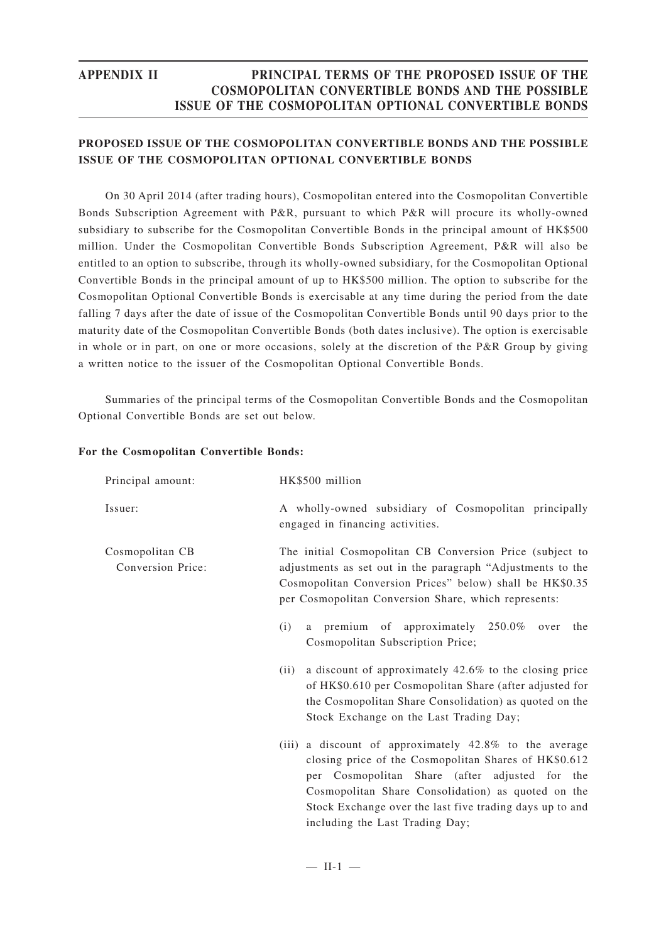# **PROPOSED ISSUE OF THE COSMOPOLITAN CONVERTIBLE BONDS AND THE POSSIBLE ISSUE OF THE COSMOPOLITAN OPTIONAL CONVERTIBLE BONDS**

On 30 April 2014 (after trading hours), Cosmopolitan entered into the Cosmopolitan Convertible Bonds Subscription Agreement with P&R, pursuant to which P&R will procure its wholly-owned subsidiary to subscribe for the Cosmopolitan Convertible Bonds in the principal amount of HK\$500 million. Under the Cosmopolitan Convertible Bonds Subscription Agreement, P&R will also be entitled to an option to subscribe, through its wholly-owned subsidiary, for the Cosmopolitan Optional Convertible Bonds in the principal amount of up to HK\$500 million. The option to subscribe for the Cosmopolitan Optional Convertible Bonds is exercisable at any time during the period from the date falling 7 days after the date of issue of the Cosmopolitan Convertible Bonds until 90 days prior to the maturity date of the Cosmopolitan Convertible Bonds (both dates inclusive). The option is exercisable in whole or in part, on one or more occasions, solely at the discretion of the P&R Group by giving a written notice to the issuer of the Cosmopolitan Optional Convertible Bonds.

Summaries of the principal terms of the Cosmopolitan Convertible Bonds and the Cosmopolitan Optional Convertible Bonds are set out below.

| Principal amount:<br>HK\$500 million |                                                                                                                                                                                                                                                                                                                        |  |  |  |  |  |
|--------------------------------------|------------------------------------------------------------------------------------------------------------------------------------------------------------------------------------------------------------------------------------------------------------------------------------------------------------------------|--|--|--|--|--|
| Issuer:                              | A wholly-owned subsidiary of Cosmopolitan principally<br>engaged in financing activities.                                                                                                                                                                                                                              |  |  |  |  |  |
| Cosmopolitan CB<br>Conversion Price: | The initial Cosmopolitan CB Conversion Price (subject to<br>adjustments as set out in the paragraph "Adjustments to the<br>Cosmopolitan Conversion Prices" below) shall be HK\$0.35<br>per Cosmopolitan Conversion Share, which represents:                                                                            |  |  |  |  |  |
|                                      | a premium of approximately 250.0%<br>(i)<br>the<br>over<br>Cosmopolitan Subscription Price;                                                                                                                                                                                                                            |  |  |  |  |  |
|                                      | a discount of approximately 42.6% to the closing price<br>(ii)<br>of HK\$0.610 per Cosmopolitan Share (after adjusted for<br>the Cosmopolitan Share Consolidation) as quoted on the<br>Stock Exchange on the Last Trading Day;                                                                                         |  |  |  |  |  |
|                                      | (iii) a discount of approximately 42.8% to the average<br>closing price of the Cosmopolitan Shares of HK\$0.612<br>per Cosmopolitan Share (after adjusted for the<br>Cosmopolitan Share Consolidation) as quoted on the<br>Stock Exchange over the last five trading days up to and<br>including the Last Trading Day; |  |  |  |  |  |

#### **For the Cosmopolitan Convertible Bonds:**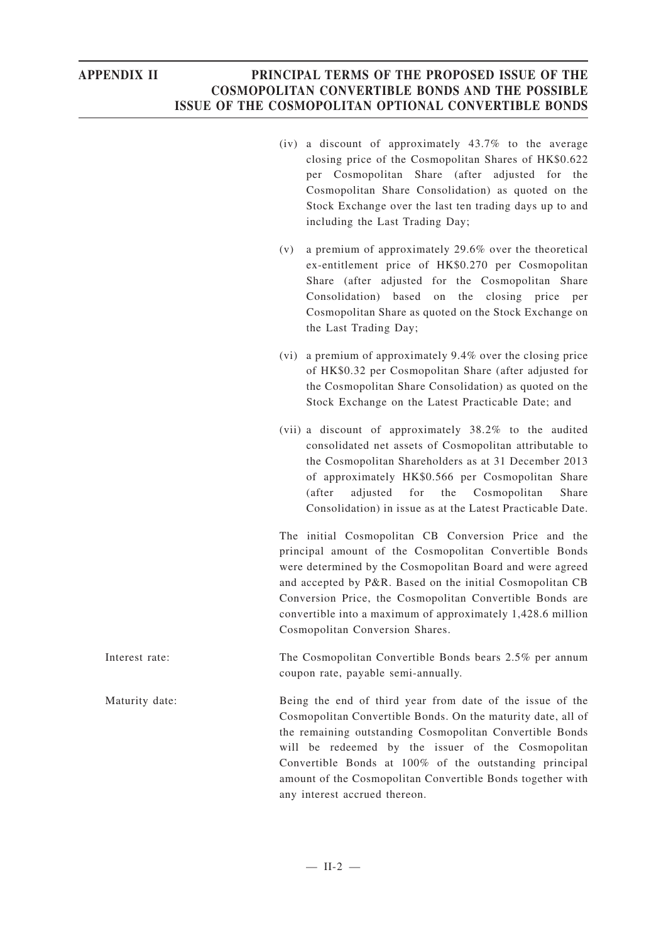- (iv) a discount of approximately 43.7% to the average closing price of the Cosmopolitan Shares of HK\$0.622 per Cosmopolitan Share (after adjusted for the Cosmopolitan Share Consolidation) as quoted on the Stock Exchange over the last ten trading days up to and including the Last Trading Day;
- (v) a premium of approximately 29.6% over the theoretical ex-entitlement price of HK\$0.270 per Cosmopolitan Share (after adjusted for the Cosmopolitan Share Consolidation) based on the closing price per Cosmopolitan Share as quoted on the Stock Exchange on the Last Trading Day;
- (vi) a premium of approximately 9.4% over the closing price of HK\$0.32 per Cosmopolitan Share (after adjusted for the Cosmopolitan Share Consolidation) as quoted on the Stock Exchange on the Latest Practicable Date; and
- (vii) a discount of approximately 38.2% to the audited consolidated net assets of Cosmopolitan attributable to the Cosmopolitan Shareholders as at 31 December 2013 of approximately HK\$0.566 per Cosmopolitan Share (after adjusted for the Cosmopolitan Share Consolidation) in issue as at the Latest Practicable Date.

The initial Cosmopolitan CB Conversion Price and the principal amount of the Cosmopolitan Convertible Bonds were determined by the Cosmopolitan Board and were agreed and accepted by P&R. Based on the initial Cosmopolitan CB Conversion Price, the Cosmopolitan Convertible Bonds are convertible into a maximum of approximately 1,428.6 million Cosmopolitan Conversion Shares.

- Interest rate: The Cosmopolitan Convertible Bonds bears 2.5% per annum coupon rate, payable semi-annually.
- Maturity date: Being the end of third year from date of the issue of the Cosmopolitan Convertible Bonds. On the maturity date, all of the remaining outstanding Cosmopolitan Convertible Bonds will be redeemed by the issuer of the Cosmopolitan Convertible Bonds at 100% of the outstanding principal amount of the Cosmopolitan Convertible Bonds together with any interest accrued thereon.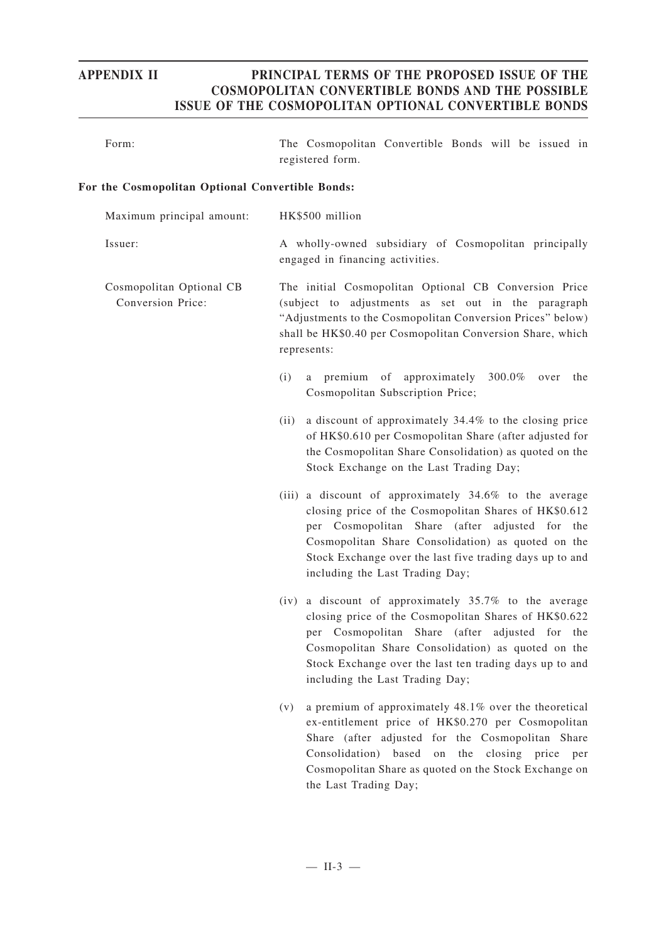| Form: | The Cosmopolitan Convertible Bonds will be issued in |  |  |  |
|-------|------------------------------------------------------|--|--|--|
|       | registered form.                                     |  |  |  |

### **For the Cosmopolitan Optional Convertible Bonds:**

| Maximum principal amount:                     | HK\$500 million                                                                                                                                                                                                                                                                                                            |
|-----------------------------------------------|----------------------------------------------------------------------------------------------------------------------------------------------------------------------------------------------------------------------------------------------------------------------------------------------------------------------------|
| Issuer:                                       | A wholly-owned subsidiary of Cosmopolitan principally<br>engaged in financing activities.                                                                                                                                                                                                                                  |
| Cosmopolitan Optional CB<br>Conversion Price: | The initial Cosmopolitan Optional CB Conversion Price<br>(subject to adjustments as set out in the paragraph<br>"Adjustments to the Cosmopolitan Conversion Prices" below)<br>shall be HK\$0.40 per Cosmopolitan Conversion Share, which<br>represents:                                                                    |
|                                               | (i)<br>approximately<br>300.0%<br>premium<br>of<br>the<br>a<br>over<br>Cosmopolitan Subscription Price;                                                                                                                                                                                                                    |
|                                               | a discount of approximately 34.4% to the closing price<br>(ii)<br>of HK\$0.610 per Cosmopolitan Share (after adjusted for<br>the Cosmopolitan Share Consolidation) as quoted on the<br>Stock Exchange on the Last Trading Day;                                                                                             |
|                                               | (iii) a discount of approximately 34.6% to the average<br>closing price of the Cosmopolitan Shares of HK\$0.612<br>per Cosmopolitan Share (after adjusted for<br>the<br>Cosmopolitan Share Consolidation) as quoted on the<br>Stock Exchange over the last five trading days up to and<br>including the Last Trading Day;  |
|                                               | (iv) a discount of approximately $35.7\%$ to the average<br>closing price of the Cosmopolitan Shares of HK\$0.622<br>per Cosmopolitan Share (after adjusted for<br>the<br>Cosmopolitan Share Consolidation) as quoted on the<br>Stock Exchange over the last ten trading days up to and<br>including the Last Trading Day; |
|                                               | a premium of approximately 48.1% over the theoretical<br>(v)<br>ex-entitlement price of HK\$0.270 per Cosmopolitan<br>Share (after adjusted for the Cosmopolitan Share<br>Consolidation) based<br>on<br>the<br>closing<br>price<br>per<br>Cosmopolitan Share as quoted on the Stock Exchange on                            |

the Last Trading Day;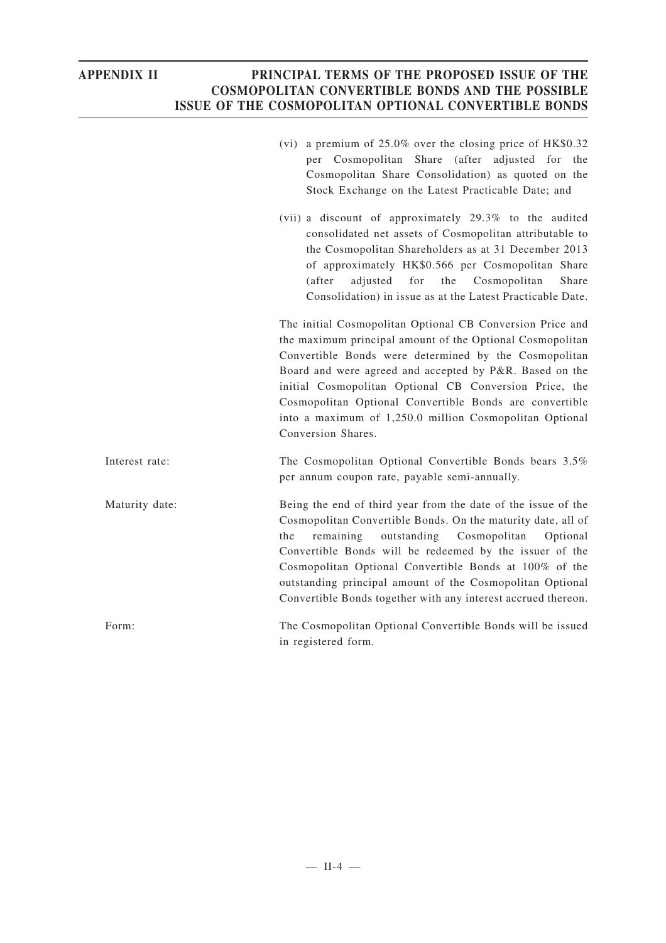|                | (vi) a premium of 25.0% over the closing price of HK\$0.32<br>per Cosmopolitan Share (after adjusted for the<br>Cosmopolitan Share Consolidation) as quoted on the<br>Stock Exchange on the Latest Practicable Date; and                                                                                                                                                                                                                         |
|----------------|--------------------------------------------------------------------------------------------------------------------------------------------------------------------------------------------------------------------------------------------------------------------------------------------------------------------------------------------------------------------------------------------------------------------------------------------------|
|                | (vii) a discount of approximately 29.3% to the audited<br>consolidated net assets of Cosmopolitan attributable to<br>the Cosmopolitan Shareholders as at 31 December 2013<br>of approximately HK\$0.566 per Cosmopolitan Share<br>(after<br>adjusted<br>for<br>the<br>Cosmopolitan<br>Share<br>Consolidation) in issue as at the Latest Practicable Date.                                                                                        |
|                | The initial Cosmopolitan Optional CB Conversion Price and<br>the maximum principal amount of the Optional Cosmopolitan<br>Convertible Bonds were determined by the Cosmopolitan<br>Board and were agreed and accepted by P&R. Based on the<br>initial Cosmopolitan Optional CB Conversion Price, the<br>Cosmopolitan Optional Convertible Bonds are convertible<br>into a maximum of 1,250.0 million Cosmopolitan Optional<br>Conversion Shares. |
| Interest rate: | The Cosmopolitan Optional Convertible Bonds bears 3.5%<br>per annum coupon rate, payable semi-annually.                                                                                                                                                                                                                                                                                                                                          |
| Maturity date: | Being the end of third year from the date of the issue of the<br>Cosmopolitan Convertible Bonds. On the maturity date, all of<br>the<br>remaining<br>outstanding<br>Cosmopolitan<br>Optional<br>Convertible Bonds will be redeemed by the issuer of the<br>Cosmopolitan Optional Convertible Bonds at 100% of the<br>outstanding principal amount of the Cosmopolitan Optional<br>Convertible Bonds together with any interest accrued thereon.  |
| Form:          | The Cosmopolitan Optional Convertible Bonds will be issued<br>in registered form.                                                                                                                                                                                                                                                                                                                                                                |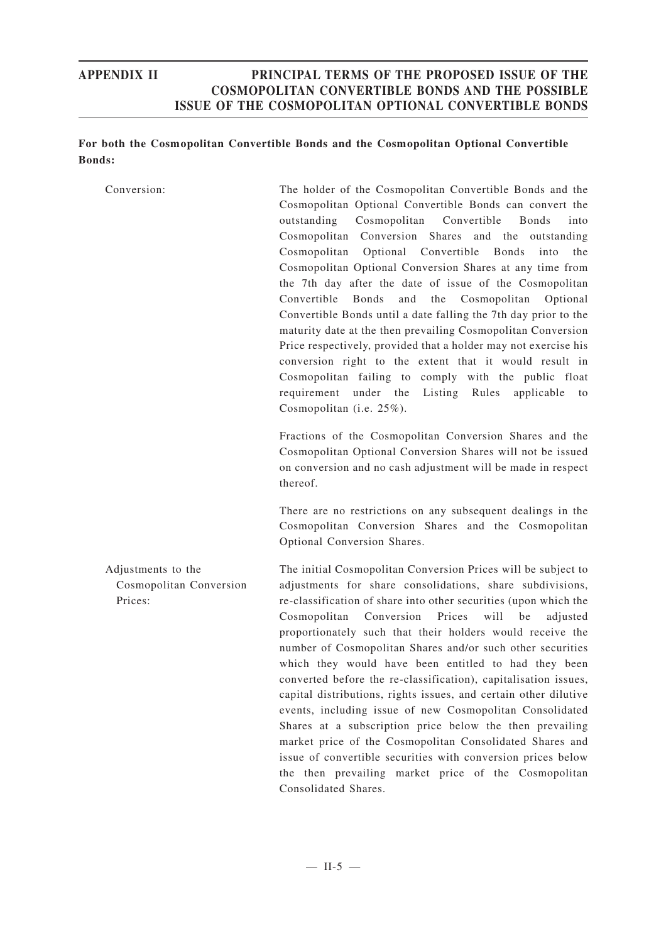# **For both the Cosmopolitan Convertible Bonds and the Cosmopolitan Optional Convertible Bonds:**

Conversion: The holder of the Cosmopolitan Convertible Bonds and the Cosmopolitan Optional Convertible Bonds can convert the outstanding Cosmopolitan Convertible Bonds into Cosmopolitan Conversion Shares and the outstanding Cosmopolitan Optional Convertible Bonds into the Cosmopolitan Optional Conversion Shares at any time from the 7th day after the date of issue of the Cosmopolitan Convertible Bonds and the Cosmopolitan Optional Convertible Bonds until a date falling the 7th day prior to the maturity date at the then prevailing Cosmopolitan Conversion Price respectively, provided that a holder may not exercise his conversion right to the extent that it would result in Cosmopolitan failing to comply with the public float requirement under the Listing Rules applicable to Cosmopolitan (i.e. 25%). Fractions of the Cosmopolitan Conversion Shares and the Cosmopolitan Optional Conversion Shares will not be issued on conversion and no cash adjustment will be made in respect thereof. There are no restrictions on any subsequent dealings in the Cosmopolitan Conversion Shares and the Cosmopolitan Optional Conversion Shares. Adjustments to the Cosmopolitan Conversion Prices: The initial Cosmopolitan Conversion Prices will be subject to adjustments for share consolidations, share subdivisions, re-classification of share into other securities (upon which the Cosmopolitan Conversion Prices will be adjusted proportionately such that their holders would receive the number of Cosmopolitan Shares and/or such other securities which they would have been entitled to had they been converted before the re-classification), capitalisation issues, capital distributions, rights issues, and certain other dilutive events, including issue of new Cosmopolitan Consolidated Shares at a subscription price below the then prevailing market price of the Cosmopolitan Consolidated Shares and issue of convertible securities with conversion prices below the then prevailing market price of the Cosmopolitan Consolidated Shares.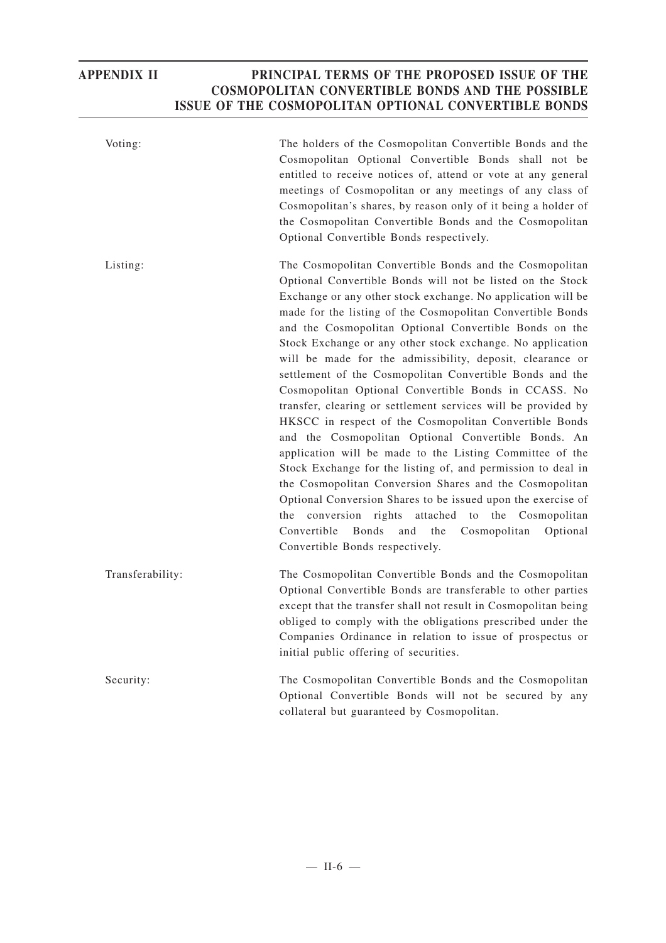| Voting:          | The holders of the Cosmopolitan Convertible Bonds and the<br>Cosmopolitan Optional Convertible Bonds shall not be<br>entitled to receive notices of, attend or vote at any general<br>meetings of Cosmopolitan or any meetings of any class of<br>Cosmopolitan's shares, by reason only of it being a holder of<br>the Cosmopolitan Convertible Bonds and the Cosmopolitan<br>Optional Convertible Bonds respectively.                                                                                                                                                                                                                                                                                                                                                                                                                                                                                                                                                                                                                                                                                                                                                  |
|------------------|-------------------------------------------------------------------------------------------------------------------------------------------------------------------------------------------------------------------------------------------------------------------------------------------------------------------------------------------------------------------------------------------------------------------------------------------------------------------------------------------------------------------------------------------------------------------------------------------------------------------------------------------------------------------------------------------------------------------------------------------------------------------------------------------------------------------------------------------------------------------------------------------------------------------------------------------------------------------------------------------------------------------------------------------------------------------------------------------------------------------------------------------------------------------------|
| Listing:         | The Cosmopolitan Convertible Bonds and the Cosmopolitan<br>Optional Convertible Bonds will not be listed on the Stock<br>Exchange or any other stock exchange. No application will be<br>made for the listing of the Cosmopolitan Convertible Bonds<br>and the Cosmopolitan Optional Convertible Bonds on the<br>Stock Exchange or any other stock exchange. No application<br>will be made for the admissibility, deposit, clearance or<br>settlement of the Cosmopolitan Convertible Bonds and the<br>Cosmopolitan Optional Convertible Bonds in CCASS. No<br>transfer, clearing or settlement services will be provided by<br>HKSCC in respect of the Cosmopolitan Convertible Bonds<br>and the Cosmopolitan Optional Convertible Bonds. An<br>application will be made to the Listing Committee of the<br>Stock Exchange for the listing of, and permission to deal in<br>the Cosmopolitan Conversion Shares and the Cosmopolitan<br>Optional Conversion Shares to be issued upon the exercise of<br>the conversion rights attached to the Cosmopolitan<br>Convertible<br><b>Bonds</b><br>and<br>the<br>Optional<br>Cosmopolitan<br>Convertible Bonds respectively. |
| Transferability: | The Cosmopolitan Convertible Bonds and the Cosmopolitan<br>Optional Convertible Bonds are transferable to other parties<br>except that the transfer shall not result in Cosmopolitan being<br>obliged to comply with the obligations prescribed under the<br>Companies Ordinance in relation to issue of prospectus or<br>initial public offering of securities.                                                                                                                                                                                                                                                                                                                                                                                                                                                                                                                                                                                                                                                                                                                                                                                                        |
| Security:        | The Cosmopolitan Convertible Bonds and the Cosmopolitan<br>Optional Convertible Bonds will not be secured by any<br>collateral but guaranteed by Cosmopolitan.                                                                                                                                                                                                                                                                                                                                                                                                                                                                                                                                                                                                                                                                                                                                                                                                                                                                                                                                                                                                          |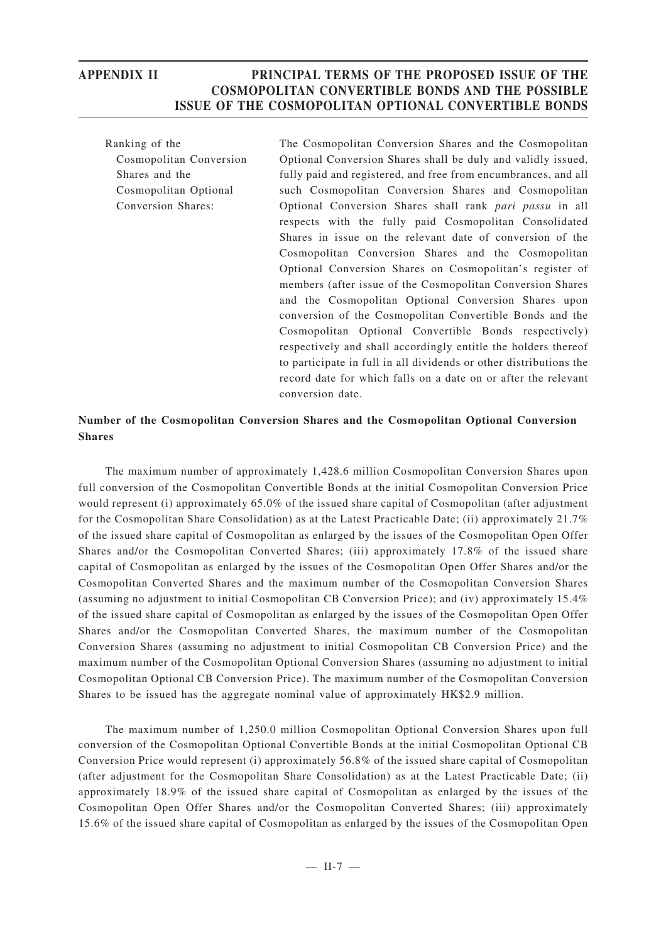Ranking of the Cosmopolitan Conversion Shares and the Cosmopolitan Optional Conversion Shares:

The Cosmopolitan Conversion Shares and the Cosmopolitan Optional Conversion Shares shall be duly and validly issued, fully paid and registered, and free from encumbrances, and all such Cosmopolitan Conversion Shares and Cosmopolitan Optional Conversion Shares shall rank *pari passu* in all respects with the fully paid Cosmopolitan Consolidated Shares in issue on the relevant date of conversion of the Cosmopolitan Conversion Shares and the Cosmopolitan Optional Conversion Shares on Cosmopolitan's register of members (after issue of the Cosmopolitan Conversion Shares and the Cosmopolitan Optional Conversion Shares upon conversion of the Cosmopolitan Convertible Bonds and the Cosmopolitan Optional Convertible Bonds respectively) respectively and shall accordingly entitle the holders thereof to participate in full in all dividends or other distributions the record date for which falls on a date on or after the relevant conversion date.

## **Number of the Cosmopolitan Conversion Shares and the Cosmopolitan Optional Conversion Shares**

The maximum number of approximately 1,428.6 million Cosmopolitan Conversion Shares upon full conversion of the Cosmopolitan Convertible Bonds at the initial Cosmopolitan Conversion Price would represent (i) approximately 65.0% of the issued share capital of Cosmopolitan (after adjustment for the Cosmopolitan Share Consolidation) as at the Latest Practicable Date; (ii) approximately 21.7% of the issued share capital of Cosmopolitan as enlarged by the issues of the Cosmopolitan Open Offer Shares and/or the Cosmopolitan Converted Shares; (iii) approximately 17.8% of the issued share capital of Cosmopolitan as enlarged by the issues of the Cosmopolitan Open Offer Shares and/or the Cosmopolitan Converted Shares and the maximum number of the Cosmopolitan Conversion Shares (assuming no adjustment to initial Cosmopolitan CB Conversion Price); and (iv) approximately 15.4% of the issued share capital of Cosmopolitan as enlarged by the issues of the Cosmopolitan Open Offer Shares and/or the Cosmopolitan Converted Shares, the maximum number of the Cosmopolitan Conversion Shares (assuming no adjustment to initial Cosmopolitan CB Conversion Price) and the maximum number of the Cosmopolitan Optional Conversion Shares (assuming no adjustment to initial Cosmopolitan Optional CB Conversion Price). The maximum number of the Cosmopolitan Conversion Shares to be issued has the aggregate nominal value of approximately HK\$2.9 million.

The maximum number of 1,250.0 million Cosmopolitan Optional Conversion Shares upon full conversion of the Cosmopolitan Optional Convertible Bonds at the initial Cosmopolitan Optional CB Conversion Price would represent (i) approximately 56.8% of the issued share capital of Cosmopolitan (after adjustment for the Cosmopolitan Share Consolidation) as at the Latest Practicable Date; (ii) approximately 18.9% of the issued share capital of Cosmopolitan as enlarged by the issues of the Cosmopolitan Open Offer Shares and/or the Cosmopolitan Converted Shares; (iii) approximately 15.6% of the issued share capital of Cosmopolitan as enlarged by the issues of the Cosmopolitan Open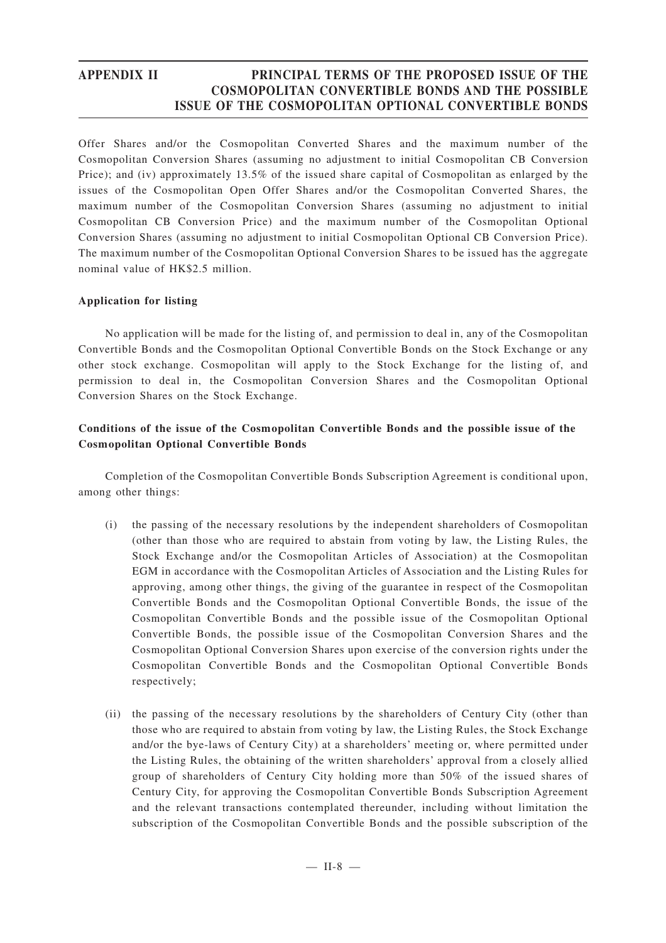Offer Shares and/or the Cosmopolitan Converted Shares and the maximum number of the Cosmopolitan Conversion Shares (assuming no adjustment to initial Cosmopolitan CB Conversion Price); and (iv) approximately 13.5% of the issued share capital of Cosmopolitan as enlarged by the issues of the Cosmopolitan Open Offer Shares and/or the Cosmopolitan Converted Shares, the maximum number of the Cosmopolitan Conversion Shares (assuming no adjustment to initial Cosmopolitan CB Conversion Price) and the maximum number of the Cosmopolitan Optional Conversion Shares (assuming no adjustment to initial Cosmopolitan Optional CB Conversion Price). The maximum number of the Cosmopolitan Optional Conversion Shares to be issued has the aggregate nominal value of HK\$2.5 million.

## **Application for listing**

No application will be made for the listing of, and permission to deal in, any of the Cosmopolitan Convertible Bonds and the Cosmopolitan Optional Convertible Bonds on the Stock Exchange or any other stock exchange. Cosmopolitan will apply to the Stock Exchange for the listing of, and permission to deal in, the Cosmopolitan Conversion Shares and the Cosmopolitan Optional Conversion Shares on the Stock Exchange.

## **Conditions of the issue of the Cosmopolitan Convertible Bonds and the possible issue of the Cosmopolitan Optional Convertible Bonds**

Completion of the Cosmopolitan Convertible Bonds Subscription Agreement is conditional upon, among other things:

- (i) the passing of the necessary resolutions by the independent shareholders of Cosmopolitan (other than those who are required to abstain from voting by law, the Listing Rules, the Stock Exchange and/or the Cosmopolitan Articles of Association) at the Cosmopolitan EGM in accordance with the Cosmopolitan Articles of Association and the Listing Rules for approving, among other things, the giving of the guarantee in respect of the Cosmopolitan Convertible Bonds and the Cosmopolitan Optional Convertible Bonds, the issue of the Cosmopolitan Convertible Bonds and the possible issue of the Cosmopolitan Optional Convertible Bonds, the possible issue of the Cosmopolitan Conversion Shares and the Cosmopolitan Optional Conversion Shares upon exercise of the conversion rights under the Cosmopolitan Convertible Bonds and the Cosmopolitan Optional Convertible Bonds respectively;
- (ii) the passing of the necessary resolutions by the shareholders of Century City (other than those who are required to abstain from voting by law, the Listing Rules, the Stock Exchange and/or the bye-laws of Century City) at a shareholders' meeting or, where permitted under the Listing Rules, the obtaining of the written shareholders' approval from a closely allied group of shareholders of Century City holding more than 50% of the issued shares of Century City, for approving the Cosmopolitan Convertible Bonds Subscription Agreement and the relevant transactions contemplated thereunder, including without limitation the subscription of the Cosmopolitan Convertible Bonds and the possible subscription of the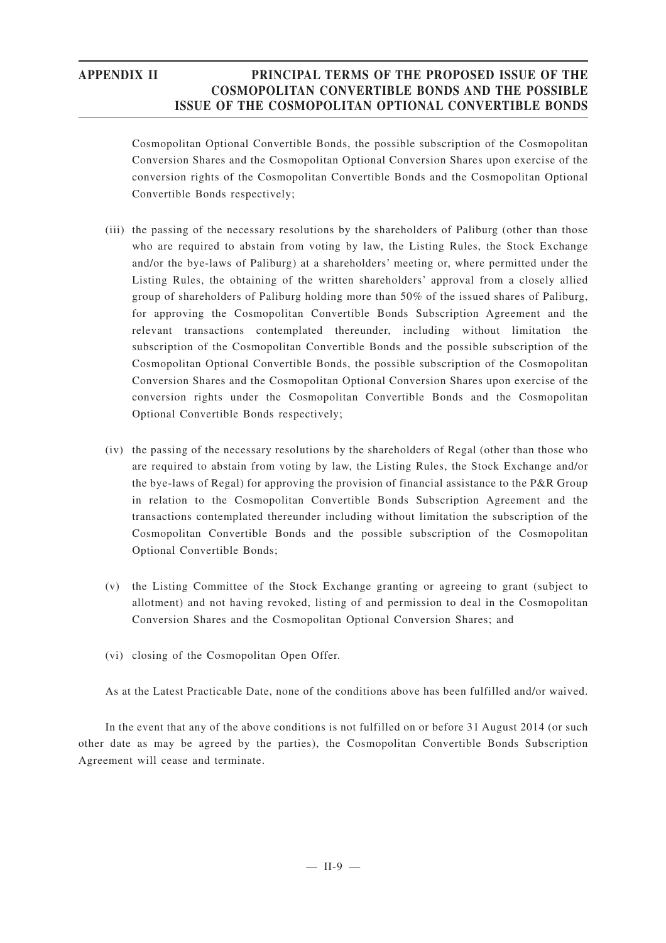Cosmopolitan Optional Convertible Bonds, the possible subscription of the Cosmopolitan Conversion Shares and the Cosmopolitan Optional Conversion Shares upon exercise of the conversion rights of the Cosmopolitan Convertible Bonds and the Cosmopolitan Optional Convertible Bonds respectively;

- (iii) the passing of the necessary resolutions by the shareholders of Paliburg (other than those who are required to abstain from voting by law, the Listing Rules, the Stock Exchange and/or the bye-laws of Paliburg) at a shareholders' meeting or, where permitted under the Listing Rules, the obtaining of the written shareholders' approval from a closely allied group of shareholders of Paliburg holding more than 50% of the issued shares of Paliburg, for approving the Cosmopolitan Convertible Bonds Subscription Agreement and the relevant transactions contemplated thereunder, including without limitation the subscription of the Cosmopolitan Convertible Bonds and the possible subscription of the Cosmopolitan Optional Convertible Bonds, the possible subscription of the Cosmopolitan Conversion Shares and the Cosmopolitan Optional Conversion Shares upon exercise of the conversion rights under the Cosmopolitan Convertible Bonds and the Cosmopolitan Optional Convertible Bonds respectively;
- (iv) the passing of the necessary resolutions by the shareholders of Regal (other than those who are required to abstain from voting by law, the Listing Rules, the Stock Exchange and/or the bye-laws of Regal) for approving the provision of financial assistance to the P&R Group in relation to the Cosmopolitan Convertible Bonds Subscription Agreement and the transactions contemplated thereunder including without limitation the subscription of the Cosmopolitan Convertible Bonds and the possible subscription of the Cosmopolitan Optional Convertible Bonds;
- (v) the Listing Committee of the Stock Exchange granting or agreeing to grant (subject to allotment) and not having revoked, listing of and permission to deal in the Cosmopolitan Conversion Shares and the Cosmopolitan Optional Conversion Shares; and
- (vi) closing of the Cosmopolitan Open Offer.

As at the Latest Practicable Date, none of the conditions above has been fulfilled and/or waived.

In the event that any of the above conditions is not fulfilled on or before 31 August 2014 (or such other date as may be agreed by the parties), the Cosmopolitan Convertible Bonds Subscription Agreement will cease and terminate.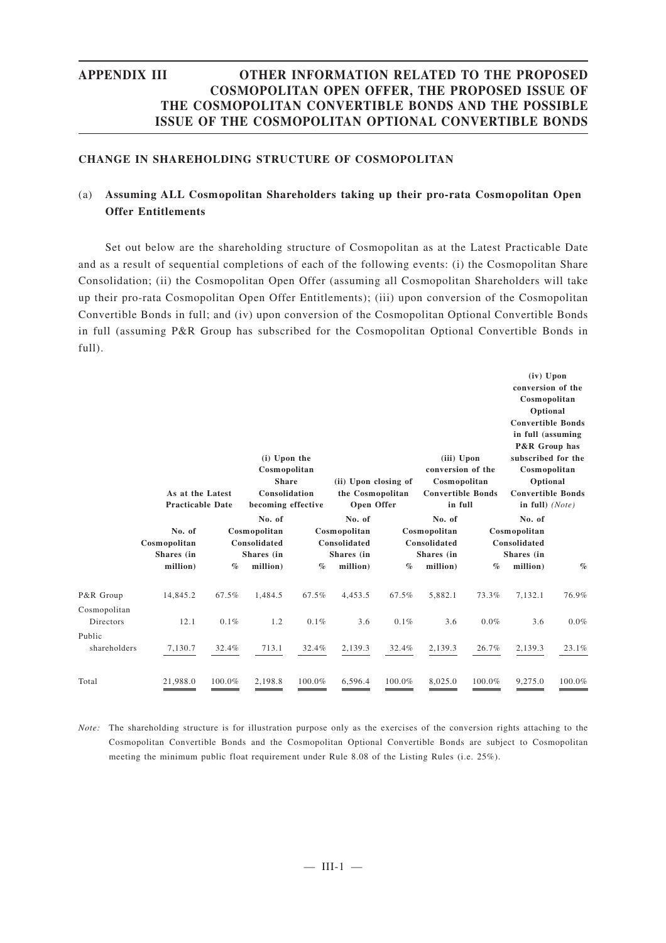# **APPENDIX III OTHER INFORMATION RELATED TO THE PROPOSED COSMOPOLITAN OPEN OFFER, THE PROPOSED ISSUE OF THE COSMOPOLITAN CONVERTIBLE BONDS AND THE POSSIBLE ISSUE OF THE COSMOPOLITAN OPTIONAL CONVERTIBLE BONDS**

### **CHANGE IN SHAREHOLDING STRUCTURE OF COSMOPOLITAN**

## (a) **Assuming ALL Cosmopolitan Shareholders taking up their pro-rata Cosmopolitan Open Offer Entitlements**

Set out below are the shareholding structure of Cosmopolitan as at the Latest Practicable Date and as a result of sequential completions of each of the following events: (i) the Cosmopolitan Share Consolidation; (ii) the Cosmopolitan Open Offer (assuming all Cosmopolitan Shareholders will take up their pro-rata Cosmopolitan Open Offer Entitlements); (iii) upon conversion of the Cosmopolitan Convertible Bonds in full; and (iv) upon conversion of the Cosmopolitan Optional Convertible Bonds in full (assuming P&R Group has subscribed for the Cosmopolitan Optional Convertible Bonds in full).

|                           | As at the Latest<br><b>Practicable Date</b> |        | (i) Upon the<br>Cosmopolitan<br><b>Share</b><br>Consolidation<br>becoming effective |        | (ii) Upon closing of<br>the Cosmopolitan<br>Open Offer |        | (iii) Upon<br>conversion of the<br>Cosmopolitan<br><b>Convertible Bonds</b><br>in full |         | $(iv)$ Upon<br>conversion of the<br>Cosmopolitan<br><b>Convertible Bonds</b><br>in full (assuming<br>P&R Group has<br>Cosmopolitan<br><b>Convertible Bonds</b><br>in full) $(Note)$ | Optional<br>subscribed for the<br>Optional |
|---------------------------|---------------------------------------------|--------|-------------------------------------------------------------------------------------|--------|--------------------------------------------------------|--------|----------------------------------------------------------------------------------------|---------|-------------------------------------------------------------------------------------------------------------------------------------------------------------------------------------|--------------------------------------------|
|                           |                                             |        | No. of                                                                              |        | No. of                                                 |        | No. of                                                                                 |         | No. of                                                                                                                                                                              |                                            |
|                           | No. of<br>Cosmopolitan                      |        | Cosmopolitan<br>Consolidated                                                        |        | Cosmopolitan<br>Consolidated                           |        | Cosmopolitan<br>Consolidated                                                           |         | Cosmopolitan<br>Consolidated                                                                                                                                                        |                                            |
|                           | Shares (in                                  |        | Shares (in                                                                          |        | Shares (in                                             |        | Shares (in                                                                             |         | Shares (in                                                                                                                                                                          |                                            |
|                           | million)                                    | $\%$   | million)                                                                            | $\%$   | million)                                               | $\%$   | million)                                                                               | $\%$    | million)                                                                                                                                                                            | $\%$                                       |
| P&R Group                 | 14,845.2                                    | 67.5%  | 1,484.5                                                                             | 67.5%  | 4,453.5                                                | 67.5%  | 5,882.1                                                                                | 73.3%   | 7,132.1                                                                                                                                                                             | 76.9%                                      |
| Cosmopolitan<br>Directors | 12.1                                        | 0.1%   | 1.2                                                                                 | 0.1%   | 3.6                                                    | 0.1%   | 3.6                                                                                    | $0.0\%$ | 3.6                                                                                                                                                                                 | $0.0\%$                                    |
| Public<br>shareholders    | 7,130.7                                     | 32.4%  | 713.1                                                                               | 32.4%  | 2,139.3                                                | 32.4%  | 2,139.3                                                                                | 26.7%   | 2,139.3                                                                                                                                                                             | 23.1%                                      |
| Total                     | 21,988.0                                    | 100.0% | 2,198.8                                                                             | 100.0% | 6,596.4                                                | 100.0% | 8,025.0                                                                                | 100.0%  | 9,275.0                                                                                                                                                                             | 100.0%                                     |

*Note:* The shareholding structure is for illustration purpose only as the exercises of the conversion rights attaching to the Cosmopolitan Convertible Bonds and the Cosmopolitan Optional Convertible Bonds are subject to Cosmopolitan meeting the minimum public float requirement under Rule 8.08 of the Listing Rules (i.e. 25%).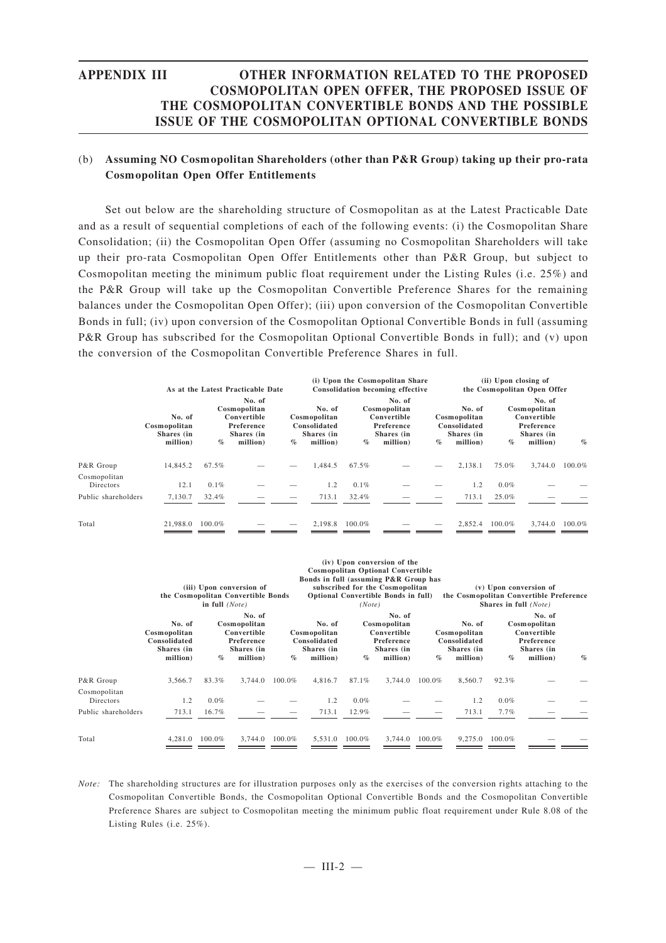# **APPENDIX III OTHER INFORMATION RELATED TO THE PROPOSED COSMOPOLITAN OPEN OFFER, THE PROPOSED ISSUE OF THE COSMOPOLITAN CONVERTIBLE BONDS AND THE POSSIBLE ISSUE OF THE COSMOPOLITAN OPTIONAL CONVERTIBLE BONDS**

## (b) **Assuming NO Cosm opolitan Shareholders (other than P&R Group) taking up their pro-rata Cosmopolitan Open Offer Entitlements**

Set out below are the shareholding structure of Cosmopolitan as at the Latest Practicable Date and as a result of sequential completions of each of the following events: (i) the Cosmopolitan Share Consolidation; (ii) the Cosmopolitan Open Offer (assuming no Cosmopolitan Shareholders will take up their pro-rata Cosmopolitan Open Offer Entitlements other than P&R Group, but subject to Cosmopolitan meeting the minimum public float requirement under the Listing Rules (i.e. 25%) and the P&R Group will take up the Cosmopolitan Convertible Preference Shares for the remaining balances under the Cosmopolitan Open Offer); (iii) upon conversion of the Cosmopolitan Convertible Bonds in full; (iv) upon conversion of the Cosmopolitan Optional Convertible Bonds in full (assuming P&R Group has subscribed for the Cosmopolitan Optional Convertible Bonds in full); and (v) upon the conversion of the Cosmopolitan Convertible Preference Shares in full.

|                                  |                                                  |        | As at the Latest Practicable Date                                             |      |                                                                  |        | (i) Upon the Cosmopolitan Share<br>Consolidation becoming effective           |      | (ii) Upon closing of<br>the Cosmopolitan Open Offer              |         |                                                                               |        |  |
|----------------------------------|--------------------------------------------------|--------|-------------------------------------------------------------------------------|------|------------------------------------------------------------------|--------|-------------------------------------------------------------------------------|------|------------------------------------------------------------------|---------|-------------------------------------------------------------------------------|--------|--|
|                                  | No. of<br>Cosmopolitan<br>Shares (in<br>million) | $\%$   | No. of<br>Cosmopolitan<br>Convertible<br>Preference<br>Shares (in<br>million) | $\%$ | No. of<br>Cosmopolitan<br>Consolidated<br>Shares (in<br>million) | $\%$   | No. of<br>Cosmopolitan<br>Convertible<br>Preference<br>Shares (in<br>million) | $\%$ | No. of<br>Cosmopolitan<br>Consolidated<br>Shares (in<br>million) | $\%$    | No. of<br>Cosmopolitan<br>Convertible<br>Preference<br>Shares (in<br>million) | $\%$   |  |
| P&R Group                        | 14,845.2                                         | 67.5%  |                                                                               |      | 1.484.5                                                          | 67.5%  |                                                                               |      | 2,138.1                                                          | 75.0%   | 3.744.0                                                                       | 100.0% |  |
| Cosmopolitan<br><b>Directors</b> | 12.1                                             | 0.1%   |                                                                               |      | 1.2                                                              | 0.1%   |                                                                               |      | 1.2                                                              | $0.0\%$ |                                                                               |        |  |
| Public shareholders              | 7,130.7                                          | 32.4%  |                                                                               |      | 713.1                                                            | 32.4%  |                                                                               |      | 713.1                                                            | 25.0%   |                                                                               |        |  |
| Total                            | 21.988.0                                         | 100.0% |                                                                               |      | 2.198.8                                                          | 100.0% |                                                                               |      | 2.852.4                                                          | 100.0%  | 3.744.0                                                                       | 100.0% |  |

|                           |                                                                  | in full $(Note)$ | (iii) Upon conversion of<br>the Cosmopolitan Convertible Bonds                |        |                                                                  | (Note)  | (iv) Upon conversion of the<br><b>Cosmopolitan Optional Convertible</b><br>Bonds in full (assuming P&R Group has<br>subscribed for the Cosmopolitan<br>Optional Convertible Bonds in full) |           |                                                                  | Shares in full (Note) | (v) Upon conversion of<br>the Cosmopolitan Convertible Preference             |      |
|---------------------------|------------------------------------------------------------------|------------------|-------------------------------------------------------------------------------|--------|------------------------------------------------------------------|---------|--------------------------------------------------------------------------------------------------------------------------------------------------------------------------------------------|-----------|------------------------------------------------------------------|-----------------------|-------------------------------------------------------------------------------|------|
|                           | No. of<br>Cosmopolitan<br>Consolidated<br>Shares (in<br>million) | $\%$             | No. of<br>Cosmopolitan<br>Convertible<br>Preference<br>Shares (in<br>million) | $\%$   | No. of<br>Cosmopolitan<br>Consolidated<br>Shares (in<br>million) | $\%$    | No. of<br>Cosmopolitan<br>Convertible<br>Preference<br>Shares (in<br>million)                                                                                                              | $\%$      | No. of<br>Cosmopolitan<br>Consolidated<br>Shares (in<br>million) | $\%$                  | No. of<br>Cosmopolitan<br>Convertible<br>Preference<br>Shares (in<br>million) | $\%$ |
| P&R Group                 | 3,566.7                                                          | 83.3%            | 3,744.0                                                                       | 100.0% | 4,816.7                                                          | 87.1%   | 3,744.0                                                                                                                                                                                    | 100.0%    | 8,560.7                                                          | 92.3%                 |                                                                               |      |
| Cosmopolitan<br>Directors | 1.2                                                              | $0.0\%$          |                                                                               |        | 1.2                                                              | $0.0\%$ |                                                                                                                                                                                            |           | 1.2                                                              | $0.0\%$               |                                                                               |      |
| Public shareholders       | 713.1                                                            | 16.7%            |                                                                               |        | 713.1                                                            | 12.9%   |                                                                                                                                                                                            |           | 713.1                                                            | 7.7%                  |                                                                               |      |
| Total                     | 4.281.0                                                          | $100.0\%$        | 3.744.0                                                                       | 100.0% | 5.531.0                                                          | 100.0%  | 3.744.0                                                                                                                                                                                    | $100.0\%$ | 9,275.0                                                          | $100.0\%$             |                                                                               |      |

*Note:* The shareholding structures are for illustration purposes only as the exercises of the conversion rights attaching to the Cosmopolitan Convertible Bonds, the Cosmopolitan Optional Convertible Bonds and the Cosmopolitan Convertible Preference Shares are subject to Cosmopolitan meeting the minimum public float requirement under Rule 8.08 of the Listing Rules (i.e. 25%).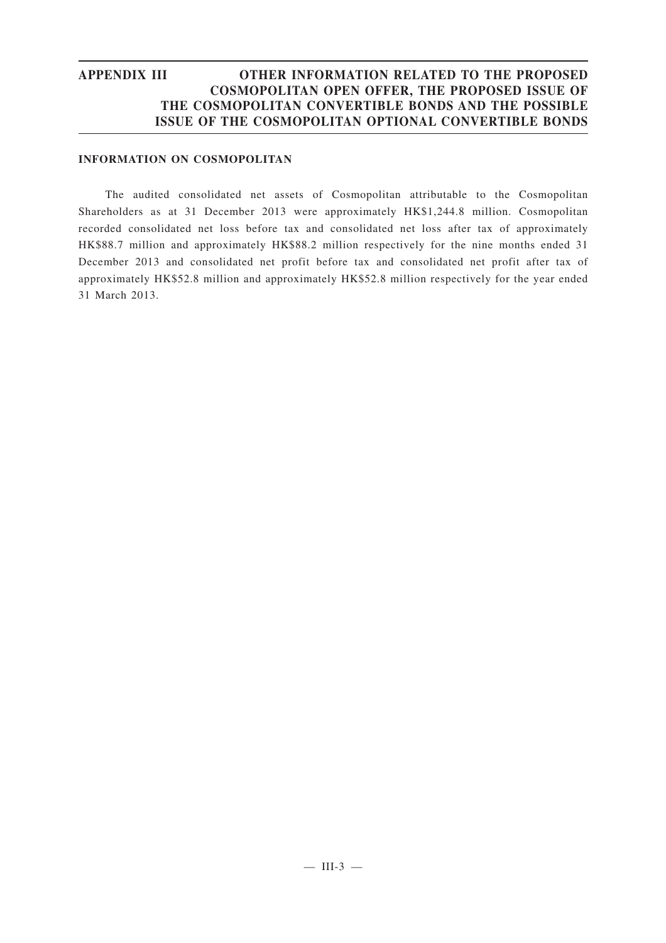# **APPENDIX III OTHER INFORMATION RELATED TO THE PROPOSED COSMOPOLITAN OPEN OFFER, THE PROPOSED ISSUE OF THE COSMOPOLITAN CONVERTIBLE BONDS AND THE POSSIBLE ISSUE OF THE COSMOPOLITAN OPTIONAL CONVERTIBLE BONDS**

## **INFORMATION ON COSMOPOLITAN**

The audited consolidated net assets of Cosmopolitan attributable to the Cosmopolitan Shareholders as at 31 December 2013 were approximately HK\$1,244.8 million. Cosmopolitan recorded consolidated net loss before tax and consolidated net loss after tax of approximately HK\$88.7 million and approximately HK\$88.2 million respectively for the nine months ended 31 December 2013 and consolidated net profit before tax and consolidated net profit after tax of approximately HK\$52.8 million and approximately HK\$52.8 million respectively for the year ended 31 March 2013.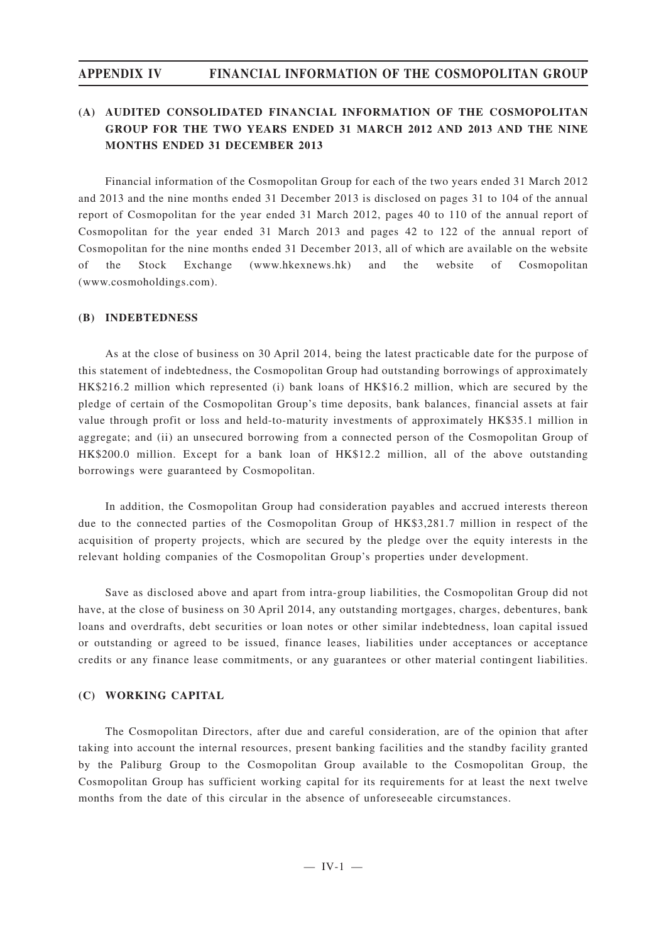# **APPENDIX IV FINANCIAL INFORMATION OF THE COSMOPOLITAN GROUP**

## **(A) AUDITED CONSOLIDATED FINANCIAL INFORMATION OF THE COSMOPOLITAN GROUP FOR THE TWO YEARS ENDED 31 MARCH 2012 AND 2013 AND THE NINE MONTHS ENDED 31 DECEMBER 2013**

Financial information of the Cosmopolitan Group for each of the two years ended 31 March 2012 and 2013 and the nine months ended 31 December 2013 is disclosed on pages 31 to 104 of the annual report of Cosmopolitan for the year ended 31 March 2012, pages 40 to 110 of the annual report of Cosmopolitan for the year ended 31 March 2013 and pages 42 to 122 of the annual report of Cosmopolitan for the nine months ended 31 December 2013, all of which are available on the website of the Stock Exchange (www.hkexnews.hk) and the website of Cosmopolitan (www.cosmoholdings.com).

#### **(B) INDEBTEDNESS**

As at the close of business on 30 April 2014, being the latest practicable date for the purpose of this statement of indebtedness, the Cosmopolitan Group had outstanding borrowings of approximately HK\$216.2 million which represented (i) bank loans of HK\$16.2 million, which are secured by the pledge of certain of the Cosmopolitan Group's time deposits, bank balances, financial assets at fair value through profit or loss and held-to-maturity investments of approximately HK\$35.1 million in aggregate; and (ii) an unsecured borrowing from a connected person of the Cosmopolitan Group of HK\$200.0 million. Except for a bank loan of HK\$12.2 million, all of the above outstanding borrowings were guaranteed by Cosmopolitan.

In addition, the Cosmopolitan Group had consideration payables and accrued interests thereon due to the connected parties of the Cosmopolitan Group of HK\$3,281.7 million in respect of the acquisition of property projects, which are secured by the pledge over the equity interests in the relevant holding companies of the Cosmopolitan Group's properties under development.

Save as disclosed above and apart from intra-group liabilities, the Cosmopolitan Group did not have, at the close of business on 30 April 2014, any outstanding mortgages, charges, debentures, bank loans and overdrafts, debt securities or loan notes or other similar indebtedness, loan capital issued or outstanding or agreed to be issued, finance leases, liabilities under acceptances or acceptance credits or any finance lease commitments, or any guarantees or other material contingent liabilities.

### **(C) WORKING CAPITAL**

The Cosmopolitan Directors, after due and careful consideration, are of the opinion that after taking into account the internal resources, present banking facilities and the standby facility granted by the Paliburg Group to the Cosmopolitan Group available to the Cosmopolitan Group, the Cosmopolitan Group has sufficient working capital for its requirements for at least the next twelve months from the date of this circular in the absence of unforeseeable circumstances.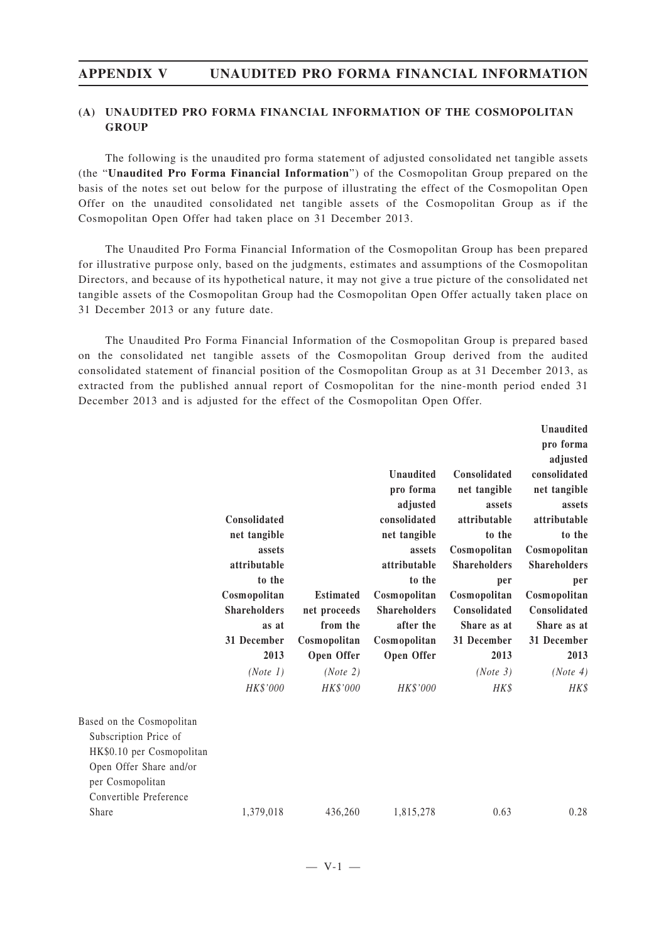## **(A) UNAUDITED PRO FORMA FINANCIAL INFORMATION OF THE COSMOPOLITAN GROUP**

The following is the unaudited pro forma statement of adjusted consolidated net tangible assets (the "**Unaudited Pro Forma Financial Information**") of the Cosmopolitan Group prepared on the basis of the notes set out below for the purpose of illustrating the effect of the Cosmopolitan Open Offer on the unaudited consolidated net tangible assets of the Cosmopolitan Group as if the Cosmopolitan Open Offer had taken place on 31 December 2013.

The Unaudited Pro Forma Financial Information of the Cosmopolitan Group has been prepared for illustrative purpose only, based on the judgments, estimates and assumptions of the Cosmopolitan Directors, and because of its hypothetical nature, it may not give a true picture of the consolidated net tangible assets of the Cosmopolitan Group had the Cosmopolitan Open Offer actually taken place on 31 December 2013 or any future date.

The Unaudited Pro Forma Financial Information of the Cosmopolitan Group is prepared based on the consolidated net tangible assets of the Cosmopolitan Group derived from the audited consolidated statement of financial position of the Cosmopolitan Group as at 31 December 2013, as extracted from the published annual report of Cosmopolitan for the nine-month period ended 31 December 2013 and is adjusted for the effect of the Cosmopolitan Open Offer.

|                                                    |                     |                  |                     |                     | Unaudited           |
|----------------------------------------------------|---------------------|------------------|---------------------|---------------------|---------------------|
|                                                    |                     |                  |                     |                     | pro forma           |
|                                                    |                     |                  |                     |                     | adjusted            |
|                                                    |                     |                  | Unaudited           | Consolidated        | consolidated        |
|                                                    |                     |                  | pro forma           | net tangible        | net tangible        |
|                                                    |                     |                  | adjusted            | assets              | assets              |
|                                                    | Consolidated        |                  | consolidated        | attributable        | attributable        |
|                                                    | net tangible        |                  | net tangible        | to the              | to the              |
|                                                    | assets              |                  | assets              | Cosmopolitan        | Cosmopolitan        |
|                                                    | attributable        |                  | attributable        | <b>Shareholders</b> | <b>Shareholders</b> |
|                                                    | to the              |                  | to the              | per                 | per                 |
|                                                    | Cosmopolitan        | <b>Estimated</b> | Cosmopolitan        | Cosmopolitan        | Cosmopolitan        |
|                                                    | <b>Shareholders</b> | net proceeds     | <b>Shareholders</b> | Consolidated        | Consolidated        |
|                                                    | as at               | from the         | after the           | Share as at         | Share as at         |
|                                                    | 31 December         | Cosmopolitan     | Cosmopolitan        | 31 December         | 31 December         |
|                                                    | 2013                | Open Offer       | <b>Open Offer</b>   | 2013                | 2013                |
|                                                    | (Note 1)            | (Note 2)         |                     | (Note 3)            | (Note 4)            |
|                                                    | HK\$'000            | HK\$'000         | HK\$'000            | HK\$                | HK\$                |
|                                                    |                     |                  |                     |                     |                     |
|                                                    |                     |                  |                     |                     |                     |
| Based on the Cosmopolitan                          |                     |                  |                     |                     |                     |
| Subscription Price of<br>HK\$0.10 per Cosmopolitan |                     |                  |                     |                     |                     |
| Open Offer Share and/or                            |                     |                  |                     |                     |                     |
| per Cosmopolitan                                   |                     |                  |                     |                     |                     |
| Convertible Preference                             |                     |                  |                     |                     |                     |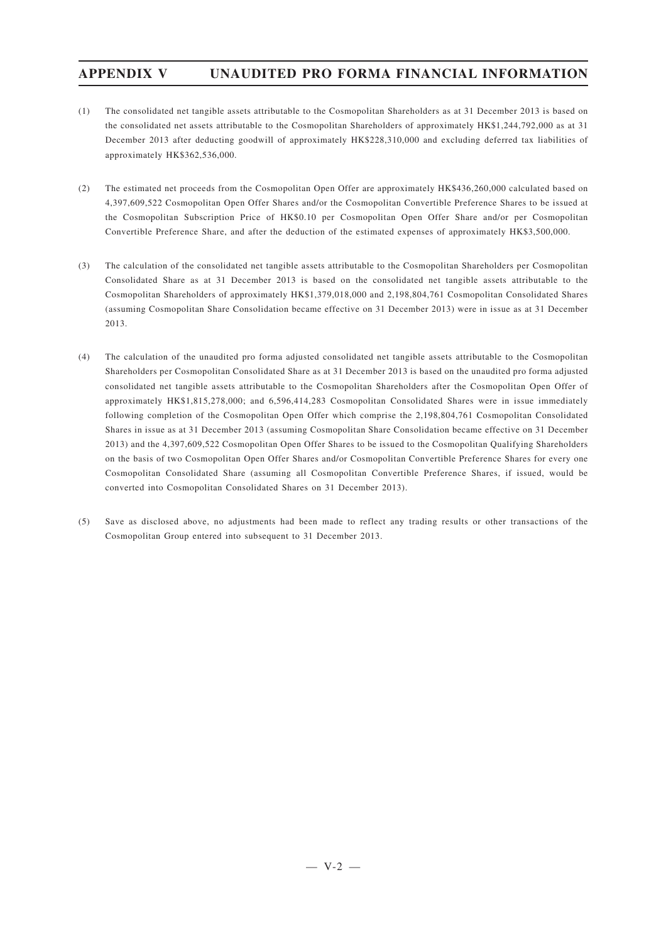- (1) The consolidated net tangible assets attributable to the Cosmopolitan Shareholders as at 31 December 2013 is based on the consolidated net assets attributable to the Cosmopolitan Shareholders of approximately HK\$1,244,792,000 as at 31 December 2013 after deducting goodwill of approximately HK\$228,310,000 and excluding deferred tax liabilities of approximately HK\$362,536,000.
- (2) The estimated net proceeds from the Cosmopolitan Open Offer are approximately HK\$436,260,000 calculated based on 4,397,609,522 Cosmopolitan Open Offer Shares and/or the Cosmopolitan Convertible Preference Shares to be issued at the Cosmopolitan Subscription Price of HK\$0.10 per Cosmopolitan Open Offer Share and/or per Cosmopolitan Convertible Preference Share, and after the deduction of the estimated expenses of approximately HK\$3,500,000.
- (3) The calculation of the consolidated net tangible assets attributable to the Cosmopolitan Shareholders per Cosmopolitan Consolidated Share as at 31 December 2013 is based on the consolidated net tangible assets attributable to the Cosmopolitan Shareholders of approximately HK\$1,379,018,000 and 2,198,804,761 Cosmopolitan Consolidated Shares (assuming Cosmopolitan Share Consolidation became effective on 31 December 2013) were in issue as at 31 December 2013.
- (4) The calculation of the unaudited pro forma adjusted consolidated net tangible assets attributable to the Cosmopolitan Shareholders per Cosmopolitan Consolidated Share as at 31 December 2013 is based on the unaudited pro forma adjusted consolidated net tangible assets attributable to the Cosmopolitan Shareholders after the Cosmopolitan Open Offer of approximately HK\$1,815,278,000; and 6,596,414,283 Cosmopolitan Consolidated Shares were in issue immediately following completion of the Cosmopolitan Open Offer which comprise the 2,198,804,761 Cosmopolitan Consolidated Shares in issue as at 31 December 2013 (assuming Cosmopolitan Share Consolidation became effective on 31 December 2013) and the 4,397,609,522 Cosmopolitan Open Offer Shares to be issued to the Cosmopolitan Qualifying Shareholders on the basis of two Cosmopolitan Open Offer Shares and/or Cosmopolitan Convertible Preference Shares for every one Cosmopolitan Consolidated Share (assuming all Cosmopolitan Convertible Preference Shares, if issued, would be converted into Cosmopolitan Consolidated Shares on 31 December 2013).
- (5) Save as disclosed above, no adjustments had been made to reflect any trading results or other transactions of the Cosmopolitan Group entered into subsequent to 31 December 2013.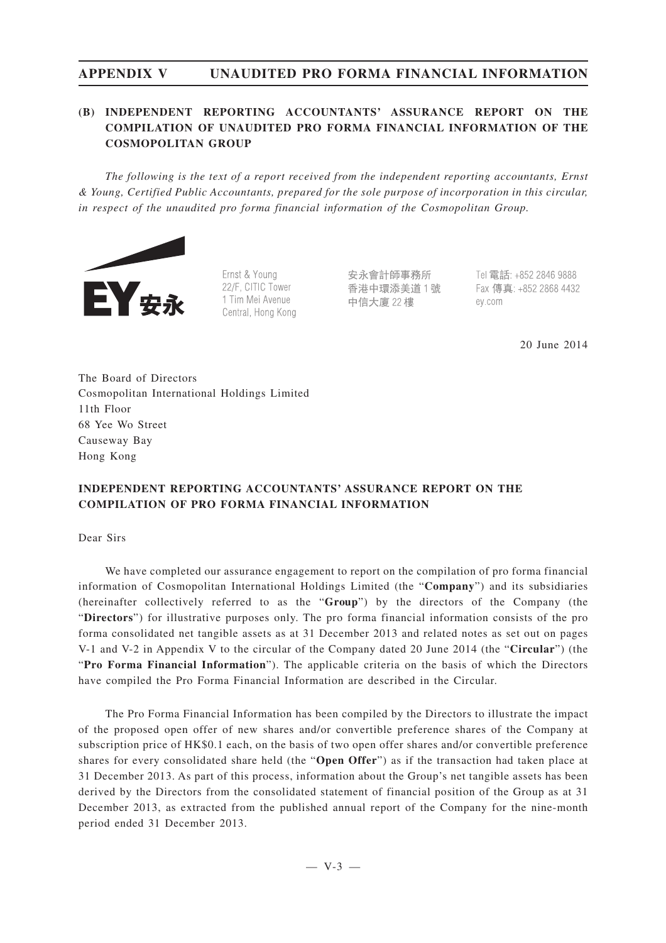## **(B) INDEPENDENT REPORTING ACCOUNTANTS' ASSURANCE REPORT ON THE COMPILATION OF UNAUDITED PRO FORMA FINANCIAL INFORMATION OF THE COSMOPOLITAN GROUP**

*The following is the text of a report received from the independent reporting accountants, Ernst & Young, Certified Public Accountants, prepared for the sole purpose of incorporation in this circular, in respect of the unaudited pro forma financial information of the Cosmopolitan Group.*



Ernst & Young 22/F, CITIC Tower 1 Tim Mei Avenue Central, Hong Kong

安永會計師事務所 香港中環添美道 1號 中信大廈 22樓

Tel 電話: +852 2846 9888 Fax 傳真: +852 2868 4432 ev.com

20 June 2014

The Board of Directors Cosmopolitan International Holdings Limited 11th Floor 68 Yee Wo Street Causeway Bay Hong Kong

## **INDEPENDENT REPORTING ACCOUNTANTS' ASSURANCE REPORT ON THE COMPILATION OF PRO FORMA FINANCIAL INFORMATION**

Dear Sirs

We have completed our assurance engagement to report on the compilation of pro forma financial information of Cosmopolitan International Holdings Limited (the "**Company**") and its subsidiaries (hereinafter collectively referred to as the "**Group**") by the directors of the Company (the "**Directors**") for illustrative purposes only. The pro forma financial information consists of the pro forma consolidated net tangible assets as at 31 December 2013 and related notes as set out on pages V-1 and V-2 in Appendix V to the circular of the Company dated 20 June 2014 (the "**Circular**") (the "**Pro Forma Financial Information**"). The applicable criteria on the basis of which the Directors have compiled the Pro Forma Financial Information are described in the Circular.

The Pro Forma Financial Information has been compiled by the Directors to illustrate the impact of the proposed open offer of new shares and/or convertible preference shares of the Company at subscription price of HK\$0.1 each, on the basis of two open offer shares and/or convertible preference shares for every consolidated share held (the "**Open Offer**") as if the transaction had taken place at 31 December 2013. As part of this process, information about the Group's net tangible assets has been derived by the Directors from the consolidated statement of financial position of the Group as at 31 December 2013, as extracted from the published annual report of the Company for the nine-month period ended 31 December 2013.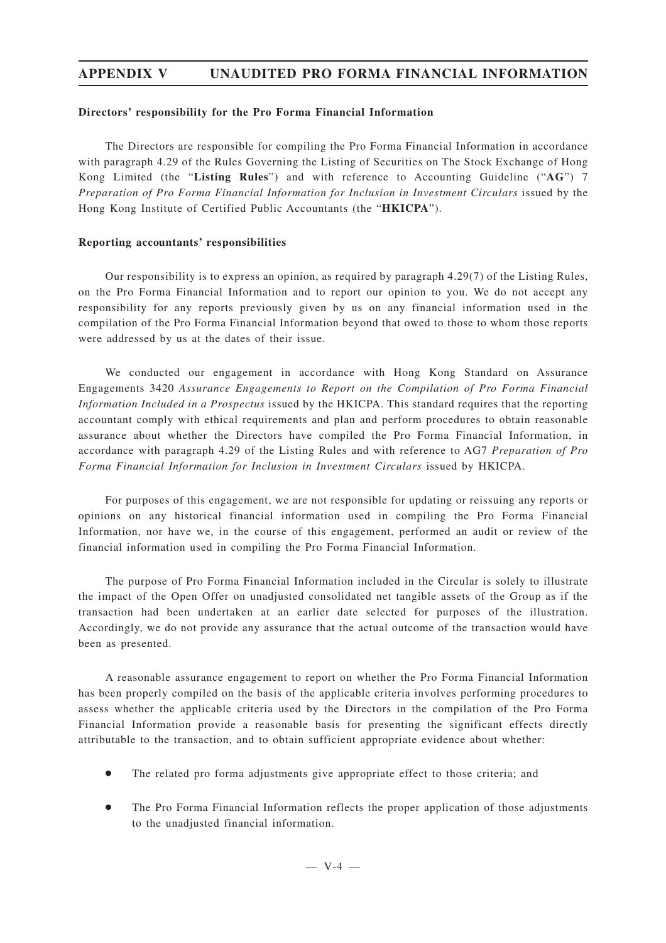#### **Directors' responsibility for the Pro Forma Financial Information**

The Directors are responsible for compiling the Pro Forma Financial Information in accordance with paragraph 4.29 of the Rules Governing the Listing of Securities on The Stock Exchange of Hong Kong Limited (the "**Listing Rules**") and with reference to Accounting Guideline ("**AG**") 7 *Preparation of Pro Forma Financial Information for Inclusion in Investment Circulars* issued by the Hong Kong Institute of Certified Public Accountants (the "**HKICPA**").

## **Reporting accountants' responsibilities**

Our responsibility is to express an opinion, as required by paragraph 4.29(7) of the Listing Rules, on the Pro Forma Financial Information and to report our opinion to you. We do not accept any responsibility for any reports previously given by us on any financial information used in the compilation of the Pro Forma Financial Information beyond that owed to those to whom those reports were addressed by us at the dates of their issue.

We conducted our engagement in accordance with Hong Kong Standard on Assurance Engagements 3420 *Assurance Engagements to Report on the Compilation of Pro Forma Financial Information Included in a Prospectus* issued by the HKICPA. This standard requires that the reporting accountant comply with ethical requirements and plan and perform procedures to obtain reasonable assurance about whether the Directors have compiled the Pro Forma Financial Information, in accordance with paragraph 4.29 of the Listing Rules and with reference to AG7 *Preparation of Pro Forma Financial Information for Inclusion in Investment Circulars* issued by HKICPA.

For purposes of this engagement, we are not responsible for updating or reissuing any reports or opinions on any historical financial information used in compiling the Pro Forma Financial Information, nor have we, in the course of this engagement, performed an audit or review of the financial information used in compiling the Pro Forma Financial Information.

The purpose of Pro Forma Financial Information included in the Circular is solely to illustrate the impact of the Open Offer on unadjusted consolidated net tangible assets of the Group as if the transaction had been undertaken at an earlier date selected for purposes of the illustration. Accordingly, we do not provide any assurance that the actual outcome of the transaction would have been as presented.

A reasonable assurance engagement to report on whether the Pro Forma Financial Information has been properly compiled on the basis of the applicable criteria involves performing procedures to assess whether the applicable criteria used by the Directors in the compilation of the Pro Forma Financial Information provide a reasonable basis for presenting the significant effects directly attributable to the transaction, and to obtain sufficient appropriate evidence about whether:

- The related pro forma adjustments give appropriate effect to those criteria; and
- The Pro Forma Financial Information reflects the proper application of those adjustments to the unadjusted financial information.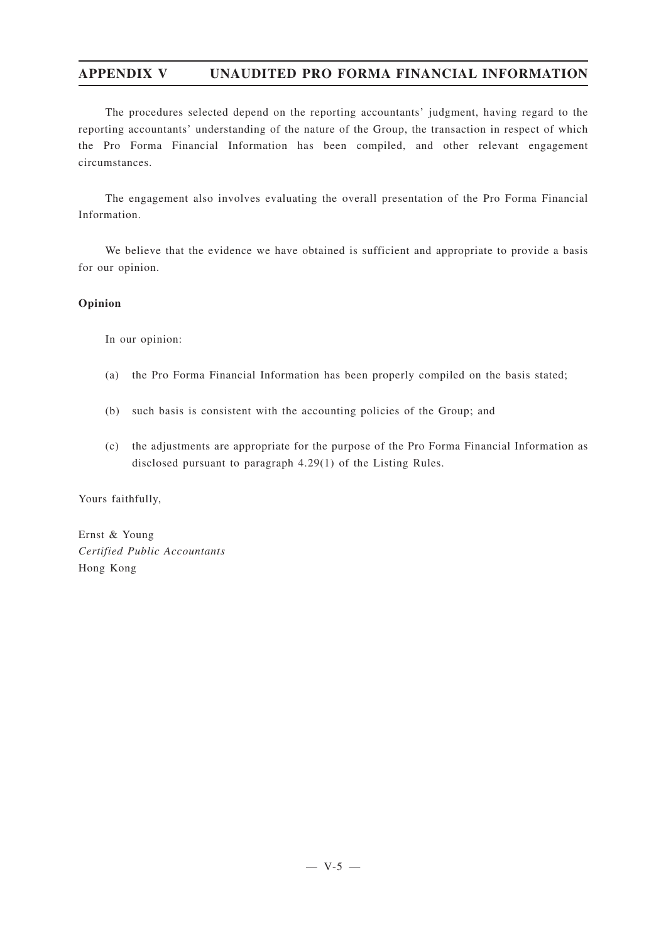The procedures selected depend on the reporting accountants' judgment, having regard to the reporting accountants' understanding of the nature of the Group, the transaction in respect of which the Pro Forma Financial Information has been compiled, and other relevant engagement circumstances.

The engagement also involves evaluating the overall presentation of the Pro Forma Financial Information.

We believe that the evidence we have obtained is sufficient and appropriate to provide a basis for our opinion.

### **Opinion**

In our opinion:

- (a) the Pro Forma Financial Information has been properly compiled on the basis stated;
- (b) such basis is consistent with the accounting policies of the Group; and
- (c) the adjustments are appropriate for the purpose of the Pro Forma Financial Information as disclosed pursuant to paragraph 4.29(1) of the Listing Rules.

Yours faithfully,

Ernst & Young *Certified Public Accountants* Hong Kong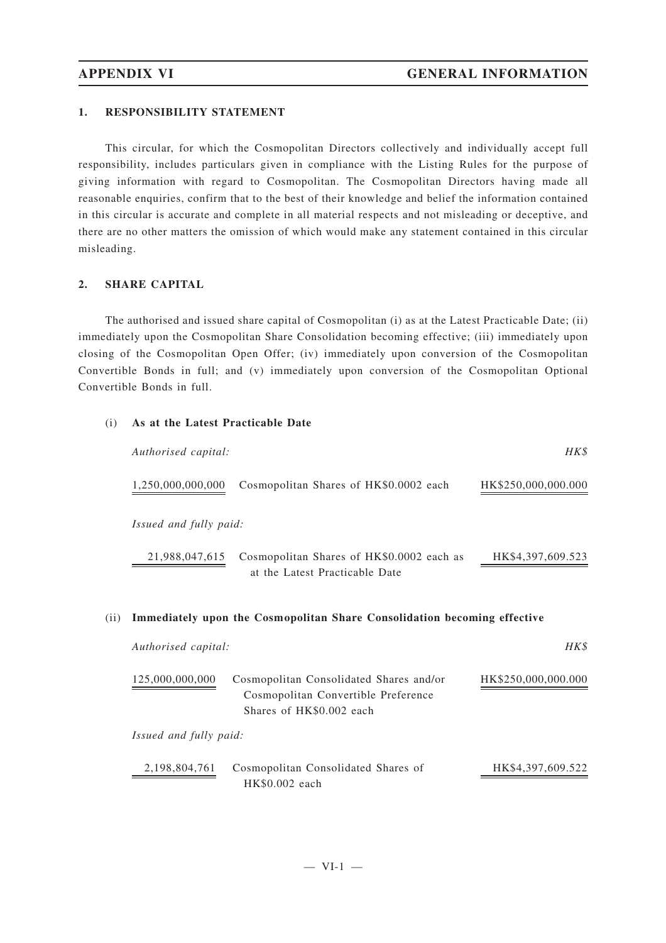## **1. RESPONSIBILITY STATEMENT**

This circular, for which the Cosmopolitan Directors collectively and individually accept full responsibility, includes particulars given in compliance with the Listing Rules for the purpose of giving information with regard to Cosmopolitan. The Cosmopolitan Directors having made all reasonable enquiries, confirm that to the best of their knowledge and belief the information contained in this circular is accurate and complete in all material respects and not misleading or deceptive, and there are no other matters the omission of which would make any statement contained in this circular misleading.

## **2. SHARE CAPITAL**

The authorised and issued share capital of Cosmopolitan (i) as at the Latest Practicable Date; (ii) immediately upon the Cosmopolitan Share Consolidation becoming effective; (iii) immediately upon closing of the Cosmopolitan Open Offer; (iv) immediately upon conversion of the Cosmopolitan Convertible Bonds in full; and (v) immediately upon conversion of the Cosmopolitan Optional Convertible Bonds in full.

| (i)  | As at the Latest Practicable Date |                                                                                                            |                     |
|------|-----------------------------------|------------------------------------------------------------------------------------------------------------|---------------------|
|      | Authorised capital:               |                                                                                                            | HK\$                |
|      | 1,250,000,000,000                 | Cosmopolitan Shares of HK\$0.0002 each                                                                     | HK\$250,000,000.000 |
|      | Issued and fully paid:            |                                                                                                            |                     |
|      | 21,988,047,615                    | Cosmopolitan Shares of HK\$0.0002 each as<br>at the Latest Practicable Date                                | HK\$4,397,609.523   |
| (ii) |                                   | Immediately upon the Cosmopolitan Share Consolidation becoming effective                                   |                     |
|      | Authorised capital:               |                                                                                                            | HK\$                |
|      | 125,000,000,000                   | Cosmopolitan Consolidated Shares and/or<br>Cosmopolitan Convertible Preference<br>Shares of HK\$0.002 each | HK\$250,000,000.000 |
|      | Issued and fully paid:            |                                                                                                            |                     |
|      | 2,198,804,761                     | Cosmopolitan Consolidated Shares of<br>HK\$0.002 each                                                      | HK\$4,397,609.522   |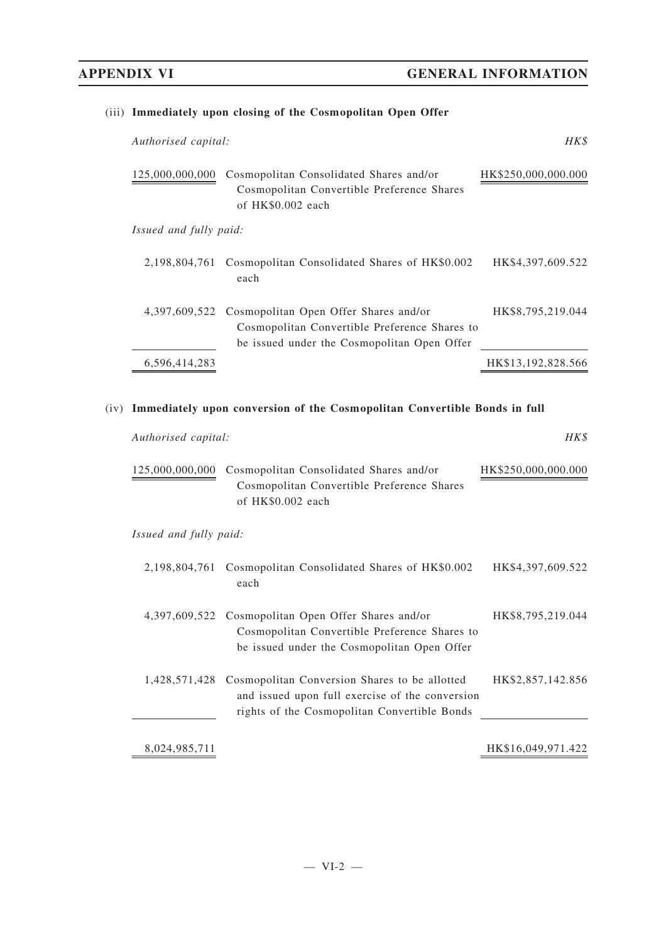| (iii) Immediately upon closing of the Cosmopolitan Open Offer                                                                                       |
|-----------------------------------------------------------------------------------------------------------------------------------------------------|
| Authorised capital:                                                                                                                                 |
| 125,000,000,000                                                                                                                                     |
| <i>Issued and fully paid:</i>                                                                                                                       |
| 2,198,804,761                                                                                                                                       |
|                                                                                                                                                     |
| 6,596,414,283                                                                                                                                       |
| 4,397,609,522 Cosmopolitan Open Offer Shares and/or<br>Cosmopolitan Convertible Preference Shares to<br>be issued under the Cosmopolitan Open Offer |

# (iv) **Immediately upon conversion of the Cosmopolitan Convertible Bonds in full**

| Authorised capital:    |                                                                                                                                                  | HK\$                |
|------------------------|--------------------------------------------------------------------------------------------------------------------------------------------------|---------------------|
| 125,000,000,000        | Cosmopolitan Consolidated Shares and/or<br>Cosmopolitan Convertible Preference Shares<br>of HK\$0.002 each                                       | HK\$250,000,000.000 |
| Issued and fully paid: |                                                                                                                                                  |                     |
| 2, 198, 804, 761       | Cosmopolitan Consolidated Shares of HK\$0.002<br>each                                                                                            | HK\$4,397,609.522   |
| 4,397,609,522          | Cosmopolitan Open Offer Shares and/or<br>Cosmopolitan Convertible Preference Shares to<br>be issued under the Cosmopolitan Open Offer            | HK\$8,795,219.044   |
| 1,428,571,428          | Cosmopolitan Conversion Shares to be allotted<br>and issued upon full exercise of the conversion<br>rights of the Cosmopolitan Convertible Bonds | HK\$2,857,142.856   |
| 8,024,985,711          |                                                                                                                                                  | HK\$16,049,971.422  |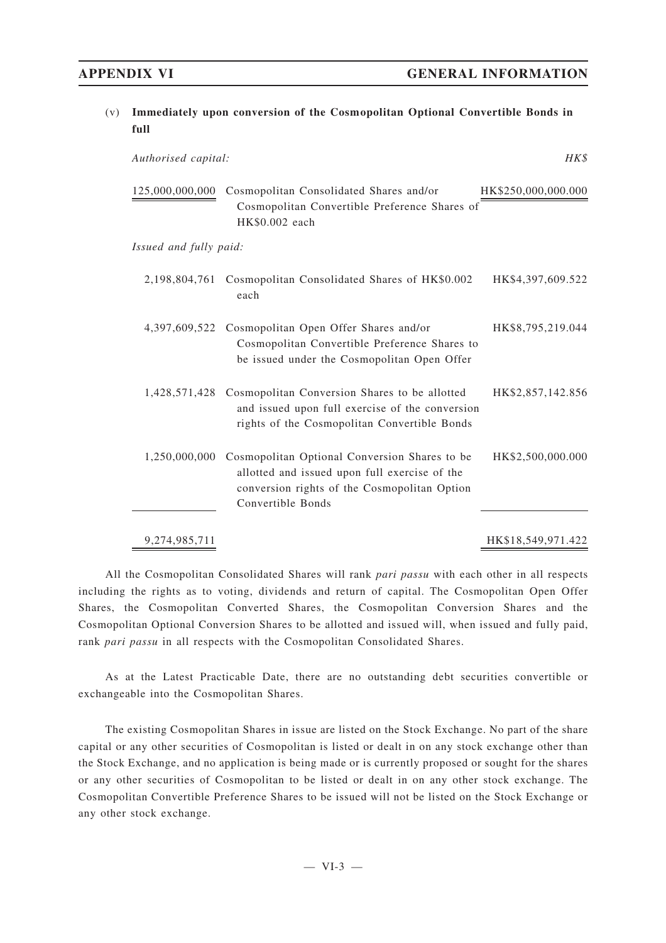| (v) | full                   | Immediately upon conversion of the Cosmopolitan Optional Convertible Bonds in                                                                                       |                     |
|-----|------------------------|---------------------------------------------------------------------------------------------------------------------------------------------------------------------|---------------------|
|     | Authorised capital:    |                                                                                                                                                                     | HK\$                |
|     | 125,000,000,000        | Cosmopolitan Consolidated Shares and/or<br>Cosmopolitan Convertible Preference Shares of<br>HK\$0.002 each                                                          | HK\$250,000,000.000 |
|     | Issued and fully paid: |                                                                                                                                                                     |                     |
|     |                        | 2,198,804,761 Cosmopolitan Consolidated Shares of HK\$0.002<br>each                                                                                                 | HK\$4,397,609.522   |
|     |                        | 4,397,609,522 Cosmopolitan Open Offer Shares and/or<br>Cosmopolitan Convertible Preference Shares to<br>be issued under the Cosmopolitan Open Offer                 | HK\$8,795,219.044   |
|     | 1,428,571,428          | Cosmopolitan Conversion Shares to be allotted<br>and issued upon full exercise of the conversion<br>rights of the Cosmopolitan Convertible Bonds                    | HK\$2,857,142.856   |
|     | 1,250,000,000          | Cosmopolitan Optional Conversion Shares to be<br>allotted and issued upon full exercise of the<br>conversion rights of the Cosmopolitan Option<br>Convertible Bonds | HK\$2,500,000.000   |
|     | 9,274,985,711          |                                                                                                                                                                     | HK\$18,549,971.422  |

All the Cosmopolitan Consolidated Shares will rank *pari passu* with each other in all respects including the rights as to voting, dividends and return of capital. The Cosmopolitan Open Offer Shares, the Cosmopolitan Converted Shares, the Cosmopolitan Conversion Shares and the Cosmopolitan Optional Conversion Shares to be allotted and issued will, when issued and fully paid, rank *pari passu* in all respects with the Cosmopolitan Consolidated Shares.

As at the Latest Practicable Date, there are no outstanding debt securities convertible or exchangeable into the Cosmopolitan Shares.

The existing Cosmopolitan Shares in issue are listed on the Stock Exchange. No part of the share capital or any other securities of Cosmopolitan is listed or dealt in on any stock exchange other than the Stock Exchange, and no application is being made or is currently proposed or sought for the shares or any other securities of Cosmopolitan to be listed or dealt in on any other stock exchange. The Cosmopolitan Convertible Preference Shares to be issued will not be listed on the Stock Exchange or any other stock exchange.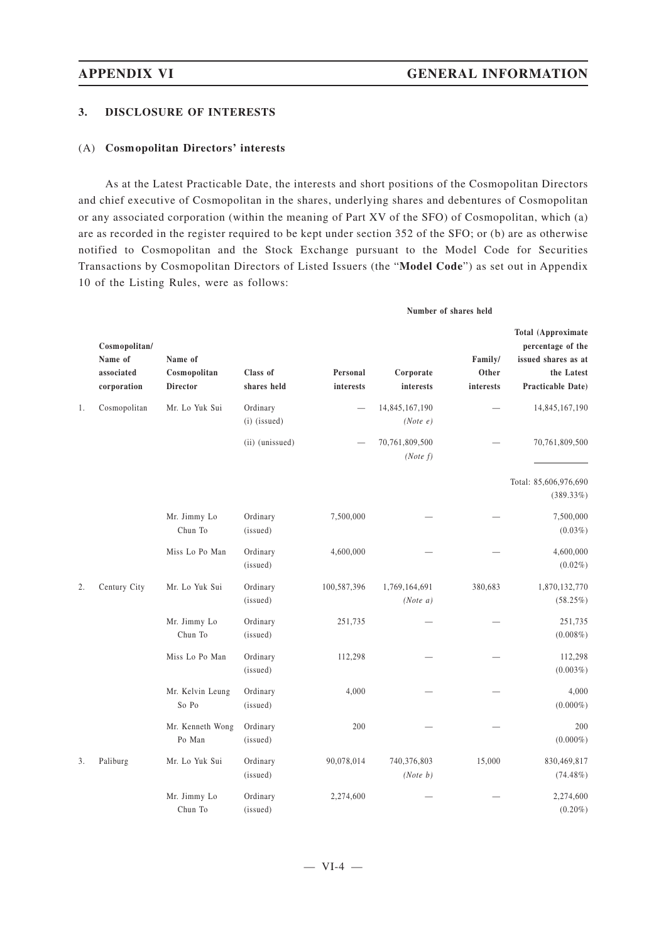### **3. DISCLOSURE OF INTERESTS**

#### (A) **Cosmopolitan Directors' interests**

As at the Latest Practicable Date, the interests and short positions of the Cosmopolitan Directors and chief executive of Cosmopolitan in the shares, underlying shares and debentures of Cosmopolitan or any associated corporation (within the meaning of Part XV of the SFO) of Cosmopolitan, which (a) are as recorded in the register required to be kept under section 352 of the SFO; or (b) are as otherwise notified to Cosmopolitan and the Stock Exchange pursuant to the Model Code for Securities Transactions by Cosmopolitan Directors of Listed Issuers (the "**Model Code**") as set out in Appendix 10 of the Listing Rules, were as follows:

|    | Cosmopolitan/<br>Name of<br>associated<br>corporation | Name of<br>Cosmopolitan<br><b>Director</b> | Class of<br>shares held  | Personal<br>interests | Corporate<br>interests     | Family/<br>Other<br>interests | Total (Approximate<br>percentage of the<br>issued shares as at<br>the Latest<br>Practicable Date) |
|----|-------------------------------------------------------|--------------------------------------------|--------------------------|-----------------------|----------------------------|-------------------------------|---------------------------------------------------------------------------------------------------|
| 1. | Cosmopolitan                                          | Mr. Lo Yuk Sui                             | Ordinary<br>(i) (issued) |                       | 14,845,167,190<br>(Note e) |                               | 14,845,167,190                                                                                    |
|    |                                                       |                                            | (ii) (unissued)          |                       | 70,761,809,500<br>(Note f) |                               | 70,761,809,500                                                                                    |
|    |                                                       |                                            |                          |                       |                            |                               | Total: 85,606,976,690<br>(389.33%)                                                                |
|    |                                                       | Mr. Jimmy Lo<br>Chun To                    | Ordinary<br>(issued)     | 7,500,000             |                            |                               | 7,500,000<br>$(0.03\%)$                                                                           |
|    |                                                       | Miss Lo Po Man                             | Ordinary<br>(issued)     | 4,600,000             |                            |                               | 4,600,000<br>$(0.02\%)$                                                                           |
| 2. | Century City                                          | Mr. Lo Yuk Sui                             | Ordinary<br>(issued)     | 100,587,396           | 1,769,164,691<br>(Note a)  | 380,683                       | 1,870,132,770<br>(58.25%)                                                                         |
|    |                                                       | Mr. Jimmy Lo<br>Chun To                    | Ordinary<br>(issued)     | 251,735               |                            |                               | 251,735<br>$(0.008\%)$                                                                            |
|    |                                                       | Miss Lo Po Man                             | Ordinary<br>(issued)     | 112,298               |                            |                               | 112,298<br>$(0.003\%)$                                                                            |
|    |                                                       | Mr. Kelvin Leung<br>So Po                  | Ordinary<br>(issued)     | 4,000                 |                            |                               | 4,000<br>$(0.000\%)$                                                                              |
|    |                                                       | Mr. Kenneth Wong<br>Po Man                 | Ordinary<br>(issued)     | 200                   |                            |                               | 200<br>$(0.000\%)$                                                                                |
| 3. | Paliburg                                              | Mr. Lo Yuk Sui                             | Ordinary<br>(issued)     | 90,078,014            | 740,376,803<br>(Note b)    | 15,000                        | 830,469,817<br>$(74.48\%)$                                                                        |
|    |                                                       | Mr. Jimmy Lo<br>Chun To                    | Ordinary<br>(issued)     | 2,274,600             |                            |                               | 2,274,600<br>$(0.20\%)$                                                                           |

#### **Number of shares held**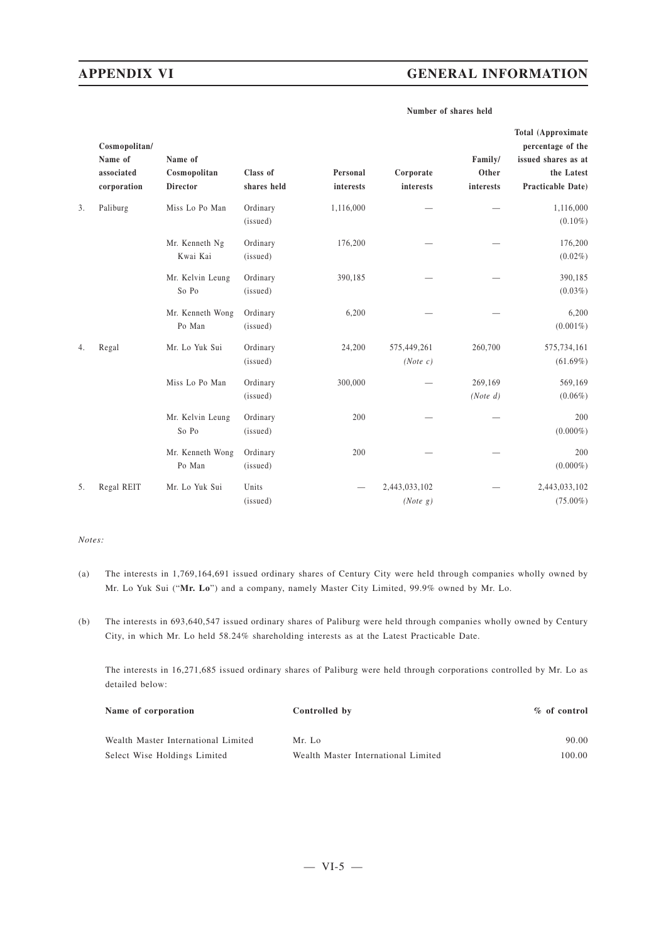# **APPENDIX VI GENERAL INFORMATION**

|    | Cosmopolitan/<br>Name of<br>associated<br>corporation | Name of<br>Cosmopolitan<br>Director | Class of<br>shares held | Personal<br>interests | Corporate<br>interests    | Family/<br>Other<br>interests | <b>Total (Approximate</b><br>percentage of the<br>issued shares as at<br>the Latest<br>Practicable Date) |
|----|-------------------------------------------------------|-------------------------------------|-------------------------|-----------------------|---------------------------|-------------------------------|----------------------------------------------------------------------------------------------------------|
| 3. | Paliburg                                              | Miss Lo Po Man                      | Ordinary<br>(issued)    | 1,116,000             |                           |                               | 1,116,000<br>$(0.10\%)$                                                                                  |
|    |                                                       | Mr. Kenneth Ng<br>Kwai Kai          | Ordinary<br>(issued)    | 176,200               |                           |                               | 176,200<br>$(0.02\%)$                                                                                    |
|    |                                                       | Mr. Kelvin Leung<br>So Po           | Ordinary<br>(issued)    | 390,185               |                           |                               | 390,185<br>$(0.03\%)$                                                                                    |
|    |                                                       | Mr. Kenneth Wong<br>Po Man          | Ordinary<br>(issued)    | 6,200                 |                           |                               | 6,200<br>$(0.001\%)$                                                                                     |
| 4. | Regal                                                 | Mr. Lo Yuk Sui                      | Ordinary<br>(issued)    | 24,200                | 575,449,261<br>(Note c)   | 260,700                       | 575,734,161<br>$(61.69\%)$                                                                               |
|    |                                                       | Miss Lo Po Man                      | Ordinary<br>(issued)    | 300,000               |                           | 269,169<br>(Note d)           | 569,169<br>$(0.06\%)$                                                                                    |
|    |                                                       | Mr. Kelvin Leung<br>So Po           | Ordinary<br>(issued)    | 200                   |                           |                               | 200<br>$(0.000\%)$                                                                                       |
|    |                                                       | Mr. Kenneth Wong<br>Po Man          | Ordinary<br>(issued)    | 200                   |                           |                               | 200<br>$(0.000\%)$                                                                                       |
| 5. | Regal REIT                                            | Mr. Lo Yuk Sui                      | Units<br>(issued)       |                       | 2,443,033,102<br>(Note g) |                               | 2,443,033,102<br>$(75.00\%)$                                                                             |

#### **Number of shares held**

#### *Notes:*

- (a) The interests in 1,769,164,691 issued ordinary shares of Century City were held through companies wholly owned by Mr. Lo Yuk Sui ("**Mr. Lo**") and a company, namely Master City Limited, 99.9% owned by Mr. Lo.
- (b) The interests in 693,640,547 issued ordinary shares of Paliburg were held through companies wholly owned by Century City, in which Mr. Lo held 58.24% shareholding interests as at the Latest Practicable Date.

The interests in 16,271,685 issued ordinary shares of Paliburg were held through corporations controlled by Mr. Lo as detailed below:

| Name of corporation                 | Controlled by                       | % of control |  |
|-------------------------------------|-------------------------------------|--------------|--|
| Wealth Master International Limited | Mr. Lo                              | 90.00        |  |
| Select Wise Holdings Limited        | Wealth Master International Limited | 100.00       |  |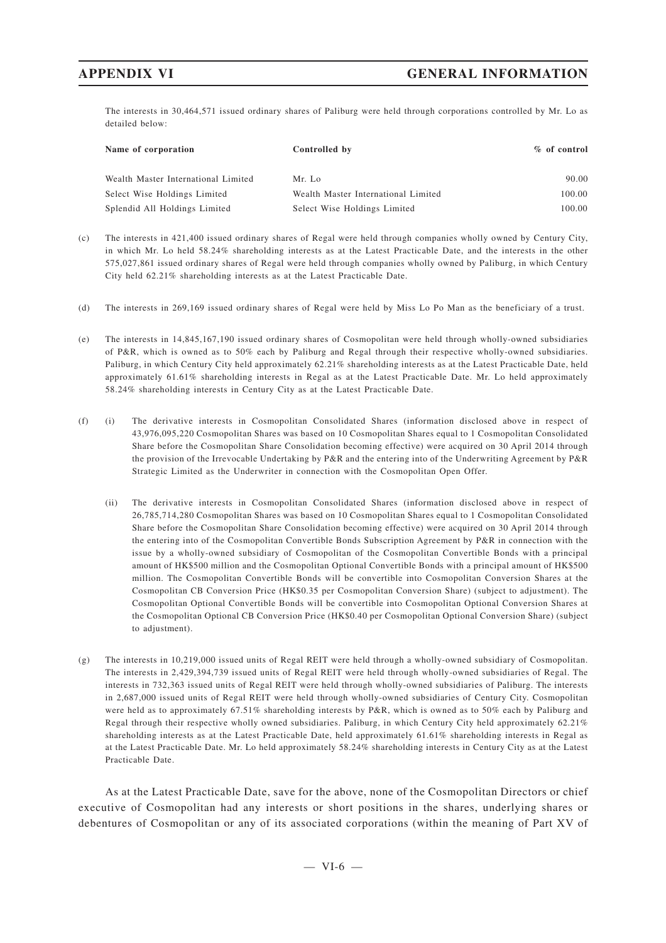## **APPENDIX VI GENERAL INFORMATION**

The interests in 30,464,571 issued ordinary shares of Paliburg were held through corporations controlled by Mr. Lo as detailed below:

| Name of corporation                 | Controlled by                       | $\%$ of control |
|-------------------------------------|-------------------------------------|-----------------|
| Wealth Master International Limited | Mr. Lo                              | 90.00           |
| Select Wise Holdings Limited        | Wealth Master International Limited | 100.00          |
| Splendid All Holdings Limited       | Select Wise Holdings Limited        | 100.00          |

- (c) The interests in 421,400 issued ordinary shares of Regal were held through companies wholly owned by Century City, in which Mr. Lo held 58.24% shareholding interests as at the Latest Practicable Date, and the interests in the other 575,027,861 issued ordinary shares of Regal were held through companies wholly owned by Paliburg, in which Century City held 62.21% shareholding interests as at the Latest Practicable Date.
- (d) The interests in 269,169 issued ordinary shares of Regal were held by Miss Lo Po Man as the beneficiary of a trust.
- (e) The interests in 14,845,167,190 issued ordinary shares of Cosmopolitan were held through wholly-owned subsidiaries of P&R, which is owned as to 50% each by Paliburg and Regal through their respective wholly-owned subsidiaries. Paliburg, in which Century City held approximately 62.21% shareholding interests as at the Latest Practicable Date, held approximately 61.61% shareholding interests in Regal as at the Latest Practicable Date. Mr. Lo held approximately 58.24% shareholding interests in Century City as at the Latest Practicable Date.
- (f) (i) The derivative interests in Cosmopolitan Consolidated Shares (information disclosed above in respect of 43,976,095,220 Cosmopolitan Shares was based on 10 Cosmopolitan Shares equal to 1 Cosmopolitan Consolidated Share before the Cosmopolitan Share Consolidation becoming effective) were acquired on 30 April 2014 through the provision of the Irrevocable Undertaking by P&R and the entering into of the Underwriting Agreement by P&R Strategic Limited as the Underwriter in connection with the Cosmopolitan Open Offer.
	- (ii) The derivative interests in Cosmopolitan Consolidated Shares (information disclosed above in respect of 26,785,714,280 Cosmopolitan Shares was based on 10 Cosmopolitan Shares equal to 1 Cosmopolitan Consolidated Share before the Cosmopolitan Share Consolidation becoming effective) were acquired on 30 April 2014 through the entering into of the Cosmopolitan Convertible Bonds Subscription Agreement by P&R in connection with the issue by a wholly-owned subsidiary of Cosmopolitan of the Cosmopolitan Convertible Bonds with a principal amount of HK\$500 million and the Cosmopolitan Optional Convertible Bonds with a principal amount of HK\$500 million. The Cosmopolitan Convertible Bonds will be convertible into Cosmopolitan Conversion Shares at the Cosmopolitan CB Conversion Price (HK\$0.35 per Cosmopolitan Conversion Share) (subject to adjustment). The Cosmopolitan Optional Convertible Bonds will be convertible into Cosmopolitan Optional Conversion Shares at the Cosmopolitan Optional CB Conversion Price (HK\$0.40 per Cosmopolitan Optional Conversion Share) (subject to adjustment).
- (g) The interests in 10,219,000 issued units of Regal REIT were held through a wholly-owned subsidiary of Cosmopolitan. The interests in 2,429,394,739 issued units of Regal REIT were held through wholly-owned subsidiaries of Regal. The interests in 732,363 issued units of Regal REIT were held through wholly-owned subsidiaries of Paliburg. The interests in 2,687,000 issued units of Regal REIT were held through wholly-owned subsidiaries of Century City. Cosmopolitan were held as to approximately 67.51% shareholding interests by P&R, which is owned as to 50% each by Paliburg and Regal through their respective wholly owned subsidiaries. Paliburg, in which Century City held approximately 62.21% shareholding interests as at the Latest Practicable Date, held approximately 61.61% shareholding interests in Regal as at the Latest Practicable Date. Mr. Lo held approximately 58.24% shareholding interests in Century City as at the Latest Practicable Date.

As at the Latest Practicable Date, save for the above, none of the Cosmopolitan Directors or chief executive of Cosmopolitan had any interests or short positions in the shares, underlying shares or debentures of Cosmopolitan or any of its associated corporations (within the meaning of Part XV of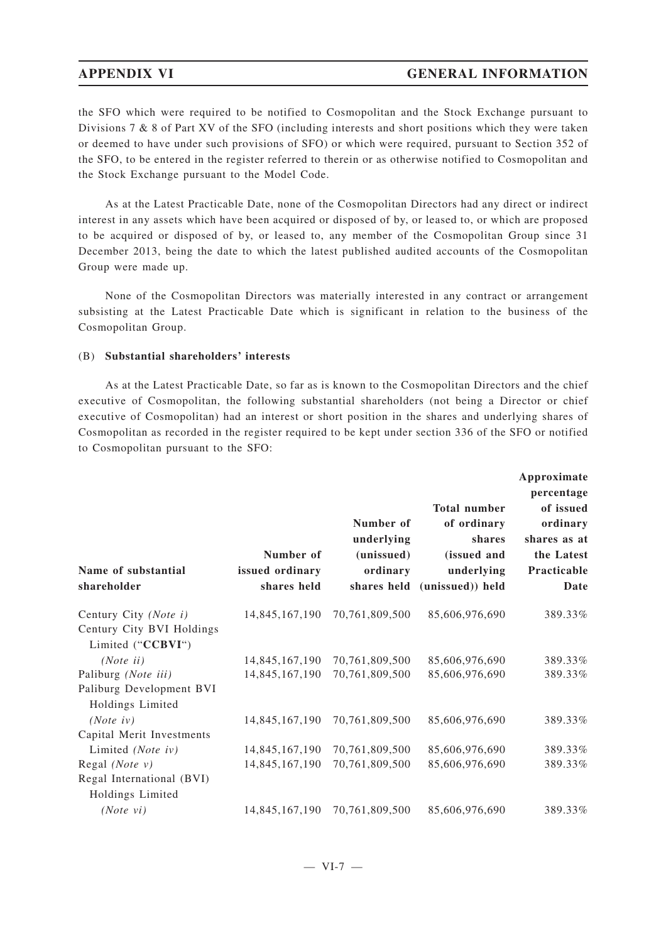the SFO which were required to be notified to Cosmopolitan and the Stock Exchange pursuant to Divisions  $7 & 8$  8 of Part XV of the SFO (including interests and short positions which they were taken or deemed to have under such provisions of SFO) or which were required, pursuant to Section 352 of the SFO, to be entered in the register referred to therein or as otherwise notified to Cosmopolitan and the Stock Exchange pursuant to the Model Code.

As at the Latest Practicable Date, none of the Cosmopolitan Directors had any direct or indirect interest in any assets which have been acquired or disposed of by, or leased to, or which are proposed to be acquired or disposed of by, or leased to, any member of the Cosmopolitan Group since 31 December 2013, being the date to which the latest published audited accounts of the Cosmopolitan Group were made up.

None of the Cosmopolitan Directors was materially interested in any contract or arrangement subsisting at the Latest Practicable Date which is significant in relation to the business of the Cosmopolitan Group.

#### (B) **Substantial shareholders' interests**

As at the Latest Practicable Date, so far as is known to the Cosmopolitan Directors and the chief executive of Cosmopolitan, the following substantial shareholders (not being a Director or chief executive of Cosmopolitan) had an interest or short position in the shares and underlying shares of Cosmopolitan as recorded in the register required to be kept under section 336 of the SFO or notified to Cosmopolitan pursuant to the SFO:

| Name of substantial                                                     | Number of<br>issued ordinary | Number of<br>underlying<br>(unissued)<br>ordinary | <b>Total number</b><br>of ordinary<br>shares<br>(issued and<br>underlying | Approximate<br>percentage<br>of issued<br>ordinary<br>shares as at<br>the Latest<br>Practicable |
|-------------------------------------------------------------------------|------------------------------|---------------------------------------------------|---------------------------------------------------------------------------|-------------------------------------------------------------------------------------------------|
| shareholder                                                             | shares held                  |                                                   | shares held (unissued)) held                                              | Date                                                                                            |
| Century City (Note i)<br>Century City BVI Holdings<br>Limited ("CCBVI") | 14,845,167,190               | 70,761,809,500                                    | 85,606,976,690                                                            | 389.33%                                                                                         |
| (Note ii)                                                               | 14,845,167,190               | 70,761,809,500                                    | 85,606,976,690                                                            | 389.33%                                                                                         |
| Paliburg (Note iii)<br>Paliburg Development BVI                         | 14,845,167,190               | 70,761,809,500                                    | 85,606,976,690                                                            | 389.33%                                                                                         |
| Holdings Limited                                                        |                              |                                                   |                                                                           |                                                                                                 |
| (Note iv)<br>Capital Merit Investments                                  | 14,845,167,190               | 70,761,809,500                                    | 85,606,976,690                                                            | 389.33%                                                                                         |
| Limited (Note iv)                                                       | 14,845,167,190               | 70,761,809,500                                    | 85,606,976,690                                                            | 389.33%                                                                                         |
| Regal (Note $v$ )<br>Regal International (BVI)                          | 14,845,167,190               | 70,761,809,500                                    | 85,606,976,690                                                            | 389.33%                                                                                         |
| Holdings Limited                                                        |                              |                                                   |                                                                           |                                                                                                 |
| (Note vi)                                                               | 14,845,167,190               | 70,761,809,500                                    | 85,606,976,690                                                            | 389.33%                                                                                         |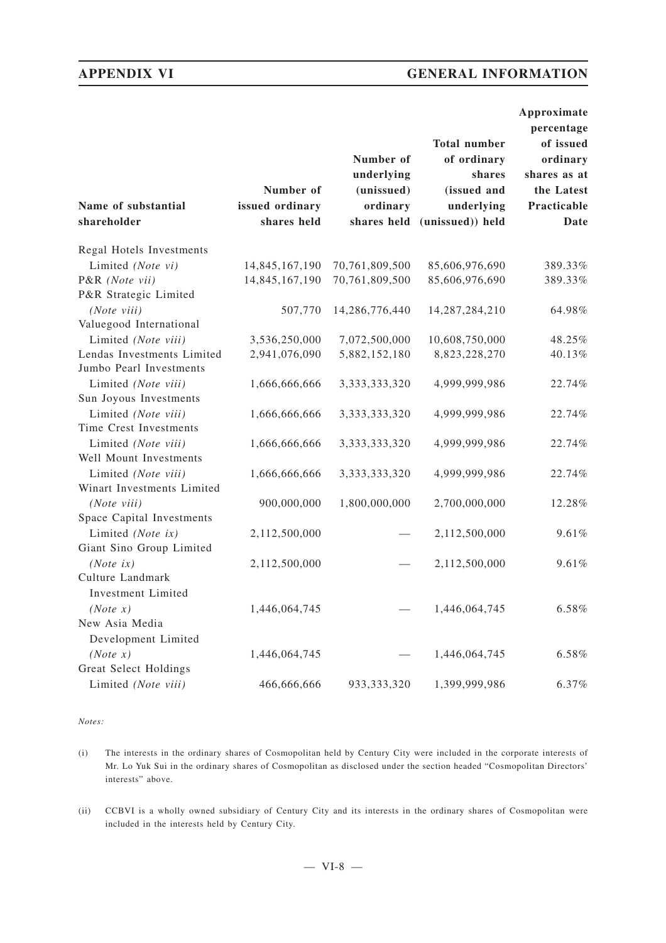## **APPENDIX VI GENERAL INFORMATION**

| Name of substantial<br>shareholder | Number of<br>issued ordinary<br>shares held | Number of<br>underlying<br>(unissued)<br>ordinary | <b>Total number</b><br>of ordinary<br>shares<br>(issued and<br>underlying<br>shares held (unissued)) held | Approximate<br>percentage<br>of issued<br>ordinary<br>shares as at<br>the Latest<br>Practicable<br>Date |
|------------------------------------|---------------------------------------------|---------------------------------------------------|-----------------------------------------------------------------------------------------------------------|---------------------------------------------------------------------------------------------------------|
| Regal Hotels Investments           |                                             |                                                   |                                                                                                           |                                                                                                         |
| Limited (Note vi)                  | 14,845,167,190                              | 70,761,809,500                                    | 85,606,976,690                                                                                            | 389.33%                                                                                                 |
| P&R (Note vii)                     | 14,845,167,190                              | 70,761,809,500                                    | 85,606,976,690                                                                                            | 389.33%                                                                                                 |
| P&R Strategic Limited              |                                             |                                                   |                                                                                                           |                                                                                                         |
| $(Note$ viii)                      | 507,770                                     | 14,286,776,440                                    | 14,287,284,210                                                                                            | 64.98%                                                                                                  |
| Valuegood International            |                                             |                                                   |                                                                                                           |                                                                                                         |
| Limited (Note viii)                | 3,536,250,000                               | 7,072,500,000                                     | 10,608,750,000                                                                                            | 48.25%                                                                                                  |
| Lendas Investments Limited         | 2,941,076,090                               | 5,882,152,180                                     | 8,823,228,270                                                                                             | 40.13%                                                                                                  |
| Jumbo Pearl Investments            |                                             |                                                   |                                                                                                           |                                                                                                         |
| Limited (Note viii)                | 1,666,666,666                               | 3, 333, 333, 320                                  | 4,999,999,986                                                                                             | 22.74%                                                                                                  |
| Sun Joyous Investments             |                                             |                                                   |                                                                                                           |                                                                                                         |
| Limited (Note viii)                | 1,666,666,666                               | 3, 333, 333, 320                                  | 4,999,999,986                                                                                             | 22.74%                                                                                                  |
| Time Crest Investments             |                                             |                                                   |                                                                                                           |                                                                                                         |
| Limited (Note viii)                | 1,666,666,666                               | 3,333,333,320                                     | 4,999,999,986                                                                                             | 22.74%                                                                                                  |
| Well Mount Investments             |                                             |                                                   |                                                                                                           |                                                                                                         |
| Limited (Note viii)                | 1,666,666,666                               | 3, 333, 333, 320                                  | 4,999,999,986                                                                                             | 22.74%                                                                                                  |
| Winart Investments Limited         |                                             |                                                   |                                                                                                           |                                                                                                         |
| $(Note\ viii)$                     | 900,000,000                                 | 1,800,000,000                                     | 2,700,000,000                                                                                             | 12.28%                                                                                                  |
| Space Capital Investments          |                                             |                                                   |                                                                                                           |                                                                                                         |
| Limited (Note ix)                  | 2,112,500,000                               |                                                   | 2,112,500,000                                                                                             | 9.61%                                                                                                   |
| Giant Sino Group Limited           |                                             |                                                   |                                                                                                           |                                                                                                         |
| $(Note \;ix)$                      | 2,112,500,000                               |                                                   | 2,112,500,000                                                                                             | 9.61%                                                                                                   |
| Culture Landmark                   |                                             |                                                   |                                                                                                           |                                                                                                         |
| <b>Investment Limited</b>          |                                             |                                                   |                                                                                                           |                                                                                                         |
| (Note x)                           | 1,446,064,745                               |                                                   | 1,446,064,745                                                                                             | 6.58%                                                                                                   |
| New Asia Media                     |                                             |                                                   |                                                                                                           |                                                                                                         |
| Development Limited                |                                             |                                                   |                                                                                                           |                                                                                                         |
| (Note x)                           | 1,446,064,745                               |                                                   | 1,446,064,745                                                                                             | 6.58%                                                                                                   |
| <b>Great Select Holdings</b>       |                                             |                                                   |                                                                                                           |                                                                                                         |
| Limited (Note viii)                | 466,666,666                                 | 933, 333, 320                                     | 1,399,999,986                                                                                             | 6.37%                                                                                                   |

*Notes:*

- (i) The interests in the ordinary shares of Cosmopolitan held by Century City were included in the corporate interests of Mr. Lo Yuk Sui in the ordinary shares of Cosmopolitan as disclosed under the section headed "Cosmopolitan Directors' interests" above.
- (ii) CCBVI is a wholly owned subsidiary of Century City and its interests in the ordinary shares of Cosmopolitan were included in the interests held by Century City.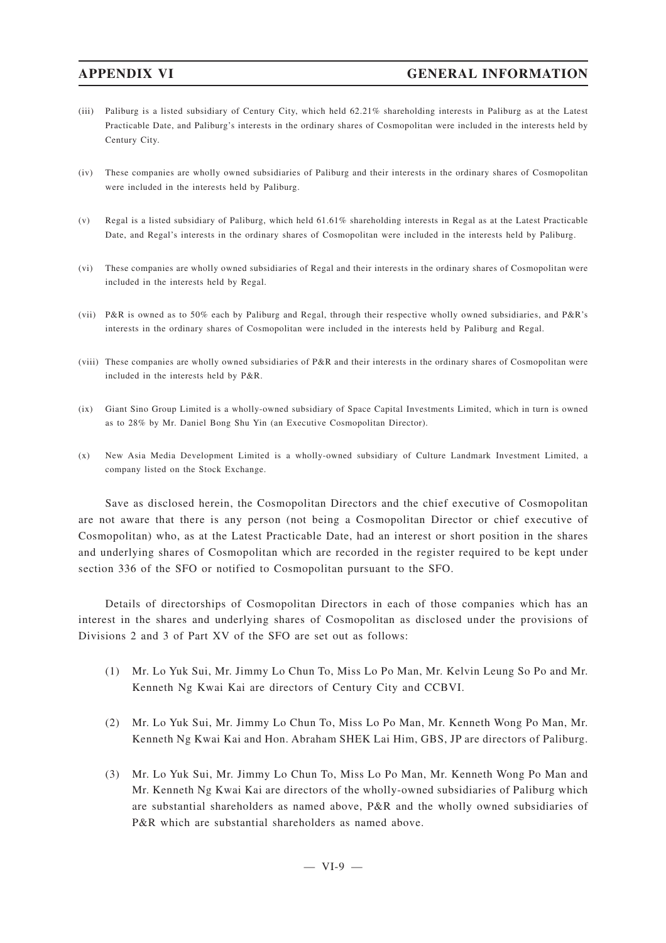## **APPENDIX VI GENERAL INFORMATION**

- (iii) Paliburg is a listed subsidiary of Century City, which held 62.21% shareholding interests in Paliburg as at the Latest Practicable Date, and Paliburg's interests in the ordinary shares of Cosmopolitan were included in the interests held by Century City.
- (iv) These companies are wholly owned subsidiaries of Paliburg and their interests in the ordinary shares of Cosmopolitan were included in the interests held by Paliburg.
- (v) Regal is a listed subsidiary of Paliburg, which held 61.61% shareholding interests in Regal as at the Latest Practicable Date, and Regal's interests in the ordinary shares of Cosmopolitan were included in the interests held by Paliburg.
- (vi) These companies are wholly owned subsidiaries of Regal and their interests in the ordinary shares of Cosmopolitan were included in the interests held by Regal.
- (vii) P&R is owned as to 50% each by Paliburg and Regal, through their respective wholly owned subsidiaries, and P&R's interests in the ordinary shares of Cosmopolitan were included in the interests held by Paliburg and Regal.
- (viii) These companies are wholly owned subsidiaries of P&R and their interests in the ordinary shares of Cosmopolitan were included in the interests held by P&R.
- (ix) Giant Sino Group Limited is a wholly-owned subsidiary of Space Capital Investments Limited, which in turn is owned as to 28% by Mr. Daniel Bong Shu Yin (an Executive Cosmopolitan Director).
- (x) New Asia Media Development Limited is a wholly-owned subsidiary of Culture Landmark Investment Limited, a company listed on the Stock Exchange.

Save as disclosed herein, the Cosmopolitan Directors and the chief executive of Cosmopolitan are not aware that there is any person (not being a Cosmopolitan Director or chief executive of Cosmopolitan) who, as at the Latest Practicable Date, had an interest or short position in the shares and underlying shares of Cosmopolitan which are recorded in the register required to be kept under section 336 of the SFO or notified to Cosmopolitan pursuant to the SFO.

Details of directorships of Cosmopolitan Directors in each of those companies which has an interest in the shares and underlying shares of Cosmopolitan as disclosed under the provisions of Divisions 2 and 3 of Part XV of the SFO are set out as follows:

- (1) Mr. Lo Yuk Sui, Mr. Jimmy Lo Chun To, Miss Lo Po Man, Mr. Kelvin Leung So Po and Mr. Kenneth Ng Kwai Kai are directors of Century City and CCBVI.
- (2) Mr. Lo Yuk Sui, Mr. Jimmy Lo Chun To, Miss Lo Po Man, Mr. Kenneth Wong Po Man, Mr. Kenneth Ng Kwai Kai and Hon. Abraham SHEK Lai Him, GBS, JP are directors of Paliburg.
- (3) Mr. Lo Yuk Sui, Mr. Jimmy Lo Chun To, Miss Lo Po Man, Mr. Kenneth Wong Po Man and Mr. Kenneth Ng Kwai Kai are directors of the wholly-owned subsidiaries of Paliburg which are substantial shareholders as named above, P&R and the wholly owned subsidiaries of P&R which are substantial shareholders as named above.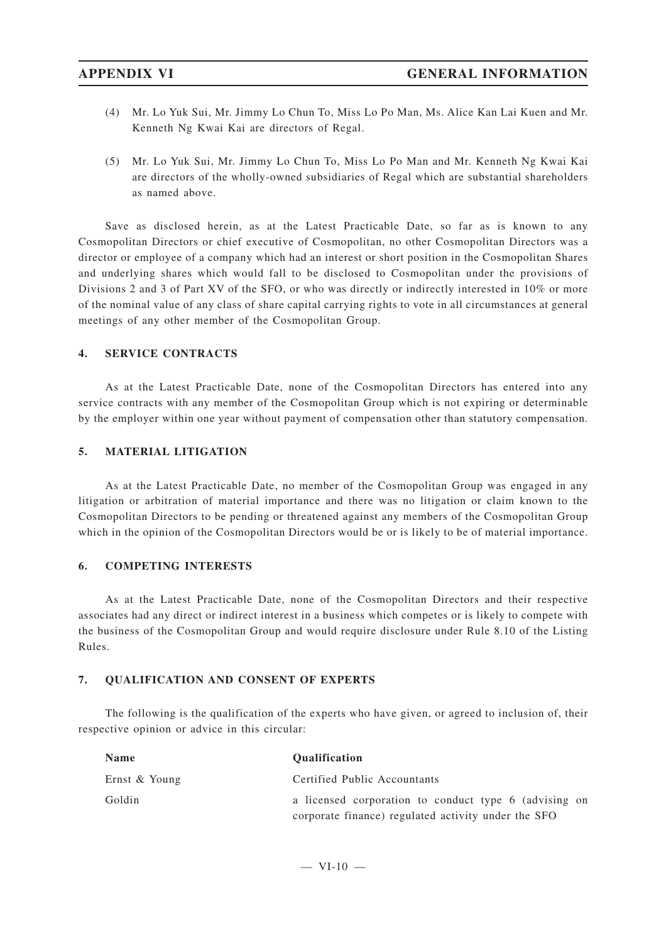- (4) Mr. Lo Yuk Sui, Mr. Jimmy Lo Chun To, Miss Lo Po Man, Ms. Alice Kan Lai Kuen and Mr. Kenneth Ng Kwai Kai are directors of Regal.
- (5) Mr. Lo Yuk Sui, Mr. Jimmy Lo Chun To, Miss Lo Po Man and Mr. Kenneth Ng Kwai Kai are directors of the wholly-owned subsidiaries of Regal which are substantial shareholders as named above.

Save as disclosed herein, as at the Latest Practicable Date, so far as is known to any Cosmopolitan Directors or chief executive of Cosmopolitan, no other Cosmopolitan Directors was a director or employee of a company which had an interest or short position in the Cosmopolitan Shares and underlying shares which would fall to be disclosed to Cosmopolitan under the provisions of Divisions 2 and 3 of Part XV of the SFO, or who was directly or indirectly interested in 10% or more of the nominal value of any class of share capital carrying rights to vote in all circumstances at general meetings of any other member of the Cosmopolitan Group.

## **4. SERVICE CONTRACTS**

As at the Latest Practicable Date, none of the Cosmopolitan Directors has entered into any service contracts with any member of the Cosmopolitan Group which is not expiring or determinable by the employer within one year without payment of compensation other than statutory compensation.

### **5. MATERIAL LITIGATION**

As at the Latest Practicable Date, no member of the Cosmopolitan Group was engaged in any litigation or arbitration of material importance and there was no litigation or claim known to the Cosmopolitan Directors to be pending or threatened against any members of the Cosmopolitan Group which in the opinion of the Cosmopolitan Directors would be or is likely to be of material importance.

#### **6. COMPETING INTERESTS**

As at the Latest Practicable Date, none of the Cosmopolitan Directors and their respective associates had any direct or indirect interest in a business which competes or is likely to compete with the business of the Cosmopolitan Group and would require disclosure under Rule 8.10 of the Listing Rules.

#### **7. QUALIFICATION AND CONSENT OF EXPERTS**

The following is the qualification of the experts who have given, or agreed to inclusion of, their respective opinion or advice in this circular:

| <b>Name</b>   | <b>Oualification</b>                                  |
|---------------|-------------------------------------------------------|
| Ernst & Young | Certified Public Accountants                          |
| Goldin        | a licensed corporation to conduct type 6 (advising on |
|               | corporate finance) regulated activity under the SFO   |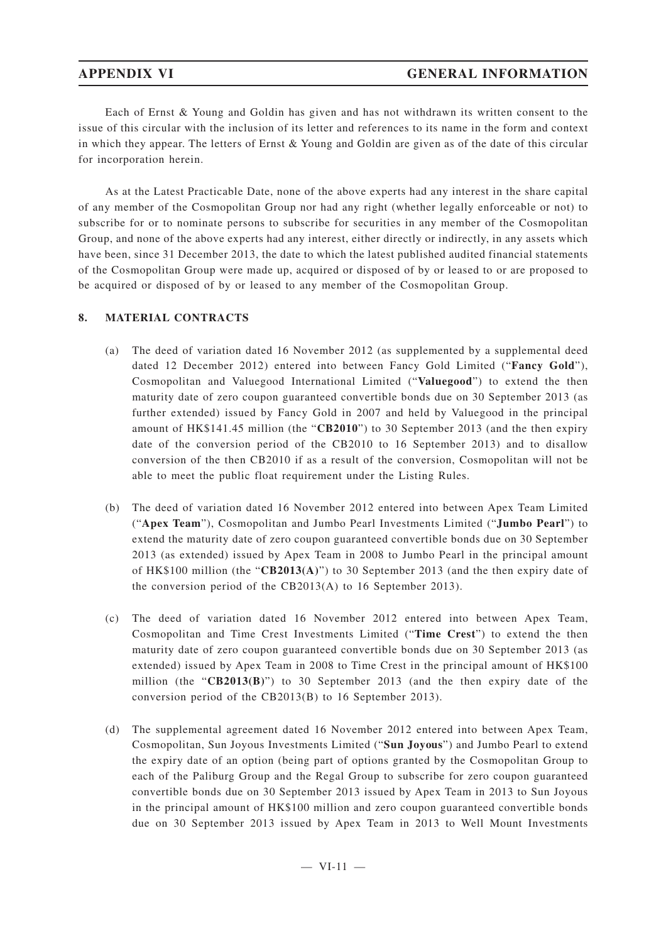Each of Ernst & Young and Goldin has given and has not withdrawn its written consent to the issue of this circular with the inclusion of its letter and references to its name in the form and context in which they appear. The letters of Ernst & Young and Goldin are given as of the date of this circular for incorporation herein.

As at the Latest Practicable Date, none of the above experts had any interest in the share capital of any member of the Cosmopolitan Group nor had any right (whether legally enforceable or not) to subscribe for or to nominate persons to subscribe for securities in any member of the Cosmopolitan Group, and none of the above experts had any interest, either directly or indirectly, in any assets which have been, since 31 December 2013, the date to which the latest published audited financial statements of the Cosmopolitan Group were made up, acquired or disposed of by or leased to or are proposed to be acquired or disposed of by or leased to any member of the Cosmopolitan Group.

### **8. MATERIAL CONTRACTS**

- (a) The deed of variation dated 16 November 2012 (as supplemented by a supplemental deed dated 12 December 2012) entered into between Fancy Gold Limited ("**Fancy Gold**"), Cosmopolitan and Valuegood International Limited ("**Valuegood**") to extend the then maturity date of zero coupon guaranteed convertible bonds due on 30 September 2013 (as further extended) issued by Fancy Gold in 2007 and held by Valuegood in the principal amount of HK\$141.45 million (the "**CB2010**") to 30 September 2013 (and the then expiry date of the conversion period of the CB2010 to 16 September 2013) and to disallow conversion of the then CB2010 if as a result of the conversion, Cosmopolitan will not be able to meet the public float requirement under the Listing Rules.
- (b) The deed of variation dated 16 November 2012 entered into between Apex Team Limited ("**Apex Team**"), Cosmopolitan and Jumbo Pearl Investments Limited ("**Jumbo Pearl**") to extend the maturity date of zero coupon guaranteed convertible bonds due on 30 September 2013 (as extended) issued by Apex Team in 2008 to Jumbo Pearl in the principal amount of HK\$100 million (the "**CB2013(A)**") to 30 September 2013 (and the then expiry date of the conversion period of the CB2013(A) to 16 September 2013).
- (c) The deed of variation dated 16 November 2012 entered into between Apex Team, Cosmopolitan and Time Crest Investments Limited ("**Time Crest**") to extend the then maturity date of zero coupon guaranteed convertible bonds due on 30 September 2013 (as extended) issued by Apex Team in 2008 to Time Crest in the principal amount of HK\$100 million (the "**CB2013(B)**") to 30 September 2013 (and the then expiry date of the conversion period of the CB2013(B) to 16 September 2013).
- (d) The supplemental agreement dated 16 November 2012 entered into between Apex Team, Cosmopolitan, Sun Joyous Investments Limited ("**Sun Joyous**") and Jumbo Pearl to extend the expiry date of an option (being part of options granted by the Cosmopolitan Group to each of the Paliburg Group and the Regal Group to subscribe for zero coupon guaranteed convertible bonds due on 30 September 2013 issued by Apex Team in 2013 to Sun Joyous in the principal amount of HK\$100 million and zero coupon guaranteed convertible bonds due on 30 September 2013 issued by Apex Team in 2013 to Well Mount Investments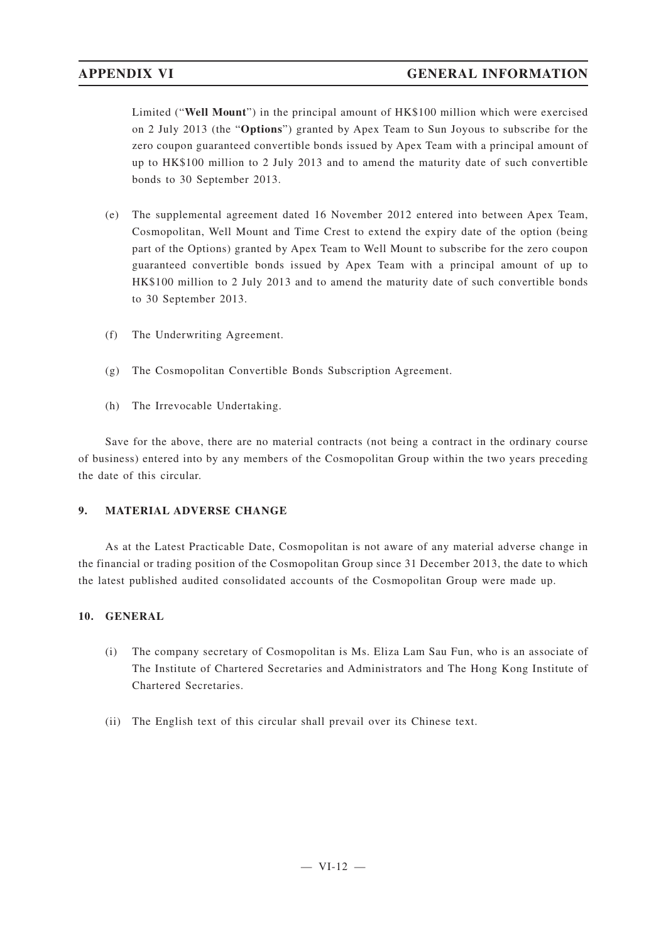Limited ("**Well Mount**") in the principal amount of HK\$100 million which were exercised on 2 July 2013 (the "**Options**") granted by Apex Team to Sun Joyous to subscribe for the zero coupon guaranteed convertible bonds issued by Apex Team with a principal amount of up to HK\$100 million to 2 July 2013 and to amend the maturity date of such convertible bonds to 30 September 2013.

- (e) The supplemental agreement dated 16 November 2012 entered into between Apex Team, Cosmopolitan, Well Mount and Time Crest to extend the expiry date of the option (being part of the Options) granted by Apex Team to Well Mount to subscribe for the zero coupon guaranteed convertible bonds issued by Apex Team with a principal amount of up to HK\$100 million to 2 July 2013 and to amend the maturity date of such convertible bonds to 30 September 2013.
- (f) The Underwriting Agreement.
- (g) The Cosmopolitan Convertible Bonds Subscription Agreement.
- (h) The Irrevocable Undertaking.

Save for the above, there are no material contracts (not being a contract in the ordinary course of business) entered into by any members of the Cosmopolitan Group within the two years preceding the date of this circular.

# **9. MATERIAL ADVERSE CHANGE**

As at the Latest Practicable Date, Cosmopolitan is not aware of any material adverse change in the financial or trading position of the Cosmopolitan Group since 31 December 2013, the date to which the latest published audited consolidated accounts of the Cosmopolitan Group were made up.

### **10. GENERAL**

- (i) The company secretary of Cosmopolitan is Ms. Eliza Lam Sau Fun, who is an associate of The Institute of Chartered Secretaries and Administrators and The Hong Kong Institute of Chartered Secretaries.
- (ii) The English text of this circular shall prevail over its Chinese text.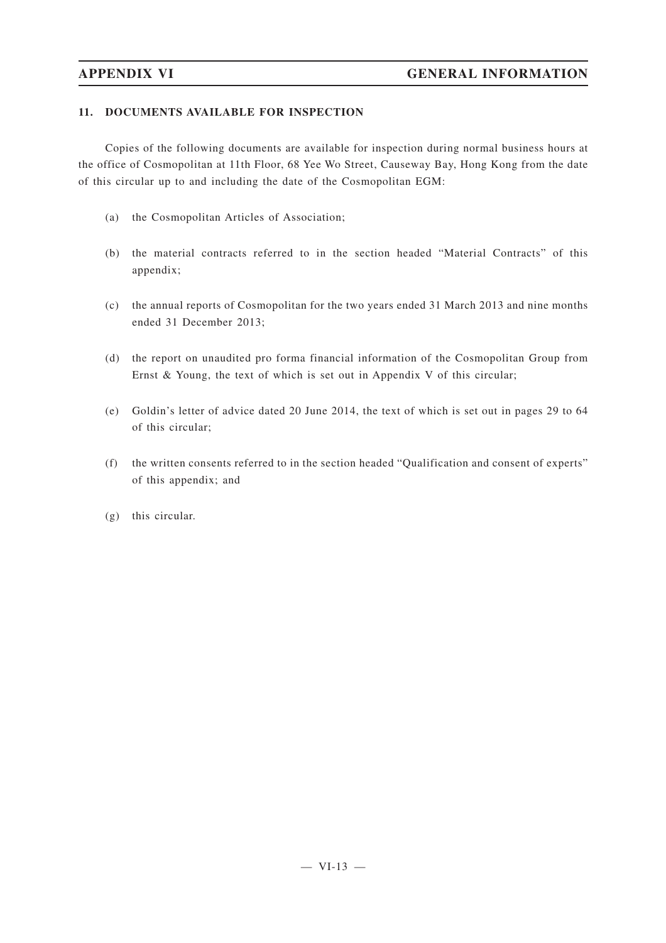# **11. DOCUMENTS AVAILABLE FOR INSPECTION**

Copies of the following documents are available for inspection during normal business hours at the office of Cosmopolitan at 11th Floor, 68 Yee Wo Street, Causeway Bay, Hong Kong from the date of this circular up to and including the date of the Cosmopolitan EGM:

- (a) the Cosmopolitan Articles of Association;
- (b) the material contracts referred to in the section headed "Material Contracts" of this appendix;
- (c) the annual reports of Cosmopolitan for the two years ended 31 March 2013 and nine months ended 31 December 2013;
- (d) the report on unaudited pro forma financial information of the Cosmopolitan Group from Ernst & Young, the text of which is set out in Appendix V of this circular;
- (e) Goldin's letter of advice dated 20 June 2014, the text of which is set out in pages 29 to 64 of this circular;
- (f) the written consents referred to in the section headed "Qualification and consent of experts" of this appendix; and
- (g) this circular.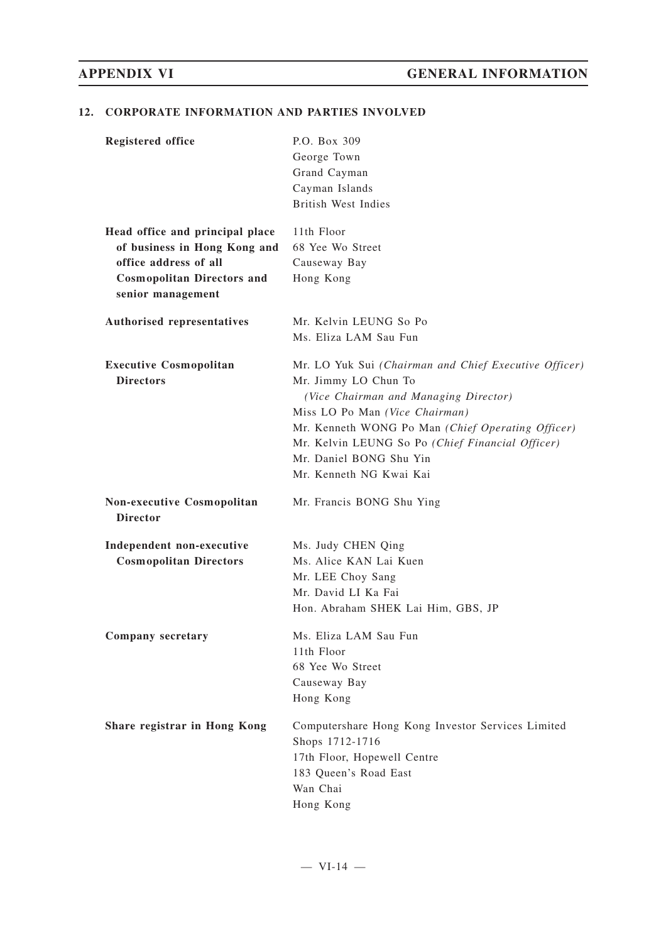# **12. CORPORATE INFORMATION AND PARTIES INVOLVED**

| <b>Registered office</b>                                                                                                                           | P.O. Box 309<br>George Town<br>Grand Cayman<br>Cayman Islands<br><b>British West Indies</b>                                                                                                                                                                                                                             |
|----------------------------------------------------------------------------------------------------------------------------------------------------|-------------------------------------------------------------------------------------------------------------------------------------------------------------------------------------------------------------------------------------------------------------------------------------------------------------------------|
| Head office and principal place<br>of business in Hong Kong and<br>office address of all<br><b>Cosmopolitan Directors and</b><br>senior management | 11th Floor<br>68 Yee Wo Street<br>Causeway Bay<br>Hong Kong                                                                                                                                                                                                                                                             |
| Authorised representatives                                                                                                                         | Mr. Kelvin LEUNG So Po<br>Ms. Eliza LAM Sau Fun                                                                                                                                                                                                                                                                         |
| <b>Executive Cosmopolitan</b><br><b>Directors</b>                                                                                                  | Mr. LO Yuk Sui (Chairman and Chief Executive Officer)<br>Mr. Jimmy LO Chun To<br>(Vice Chairman and Managing Director)<br>Miss LO Po Man (Vice Chairman)<br>Mr. Kenneth WONG Po Man (Chief Operating Officer)<br>Mr. Kelvin LEUNG So Po (Chief Financial Officer)<br>Mr. Daniel BONG Shu Yin<br>Mr. Kenneth NG Kwai Kai |
| Non-executive Cosmopolitan<br><b>Director</b>                                                                                                      | Mr. Francis BONG Shu Ying                                                                                                                                                                                                                                                                                               |
| Independent non-executive<br><b>Cosmopolitan Directors</b>                                                                                         | Ms. Judy CHEN Qing<br>Ms. Alice KAN Lai Kuen<br>Mr. LEE Choy Sang<br>Mr. David LI Ka Fai<br>Hon. Abraham SHEK Lai Him, GBS, JP                                                                                                                                                                                          |
| Company secretary                                                                                                                                  | Ms. Eliza LAM Sau Fun<br>11th Floor<br>68 Yee Wo Street<br>Causeway Bay<br>Hong Kong                                                                                                                                                                                                                                    |
| Share registrar in Hong Kong                                                                                                                       | Computershare Hong Kong Investor Services Limited<br>Shops 1712-1716<br>17th Floor, Hopewell Centre<br>183 Queen's Road East<br>Wan Chai<br>Hong Kong                                                                                                                                                                   |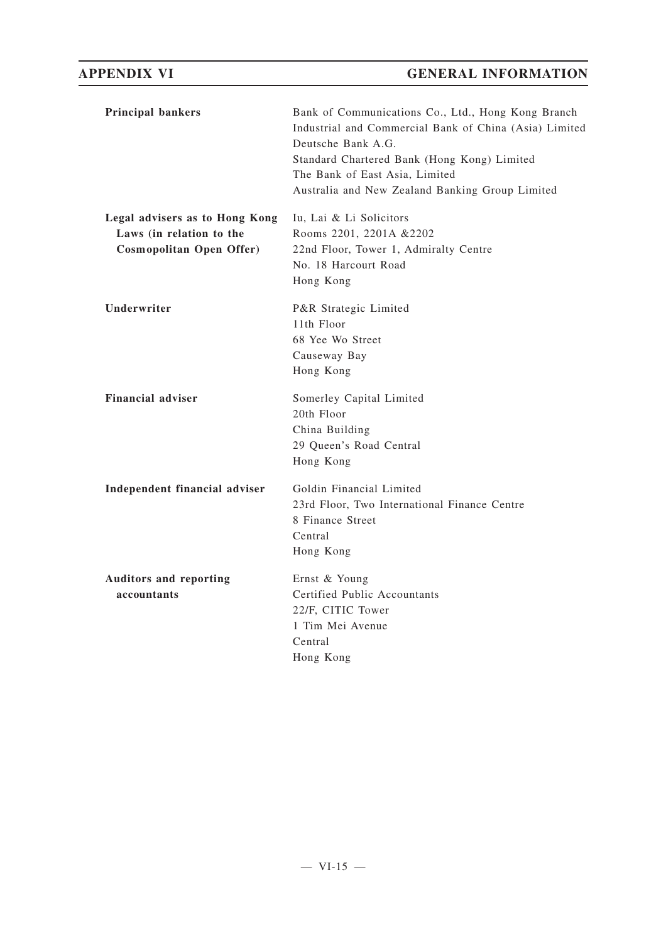| <b>Principal bankers</b>                                                               | Bank of Communications Co., Ltd., Hong Kong Branch<br>Industrial and Commercial Bank of China (Asia) Limited<br>Deutsche Bank A.G.<br>Standard Chartered Bank (Hong Kong) Limited<br>The Bank of East Asia, Limited<br>Australia and New Zealand Banking Group Limited |
|----------------------------------------------------------------------------------------|------------------------------------------------------------------------------------------------------------------------------------------------------------------------------------------------------------------------------------------------------------------------|
| Legal advisers as to Hong Kong<br>Laws (in relation to the<br>Cosmopolitan Open Offer) | Iu, Lai & Li Solicitors<br>Rooms 2201, 2201A & 2202<br>22nd Floor, Tower 1, Admiralty Centre<br>No. 18 Harcourt Road<br>Hong Kong                                                                                                                                      |
| Underwriter                                                                            | P&R Strategic Limited<br>11th Floor<br>68 Yee Wo Street<br>Causeway Bay<br>Hong Kong                                                                                                                                                                                   |
| <b>Financial adviser</b>                                                               | Somerley Capital Limited<br>20th Floor<br>China Building<br>29 Queen's Road Central<br>Hong Kong                                                                                                                                                                       |
| Independent financial adviser                                                          | Goldin Financial Limited<br>23rd Floor, Two International Finance Centre<br>8 Finance Street<br>Central<br>Hong Kong                                                                                                                                                   |
| <b>Auditors and reporting</b><br>accountants                                           | Ernst & Young<br>Certified Public Accountants<br>22/F, CITIC Tower<br>1 Tim Mei Avenue<br>Central<br>Hong Kong                                                                                                                                                         |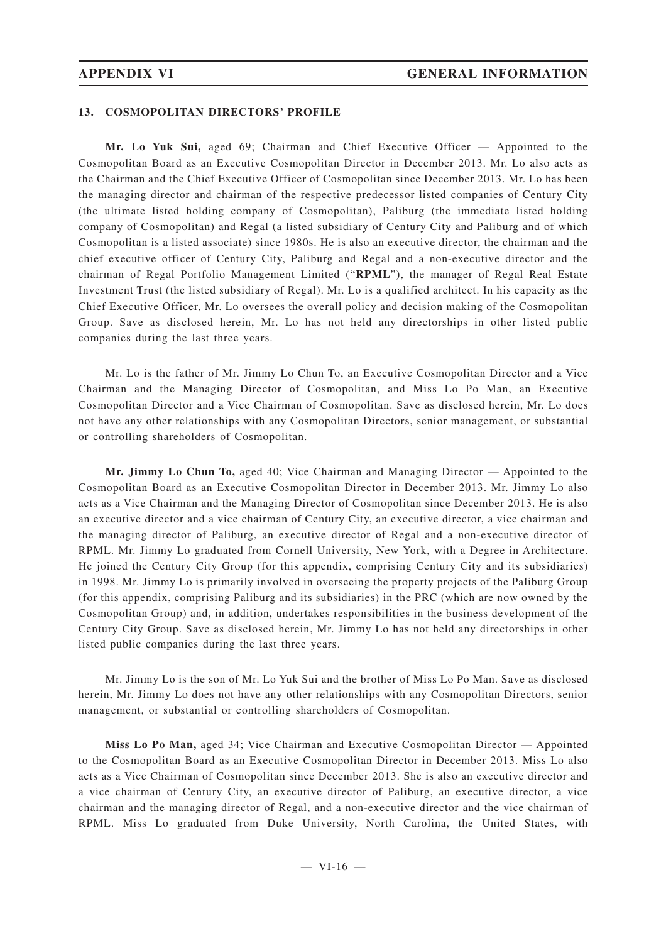### **13. COSMOPOLITAN DIRECTORS' PROFILE**

**Mr. Lo Yuk Sui,** aged 69; Chairman and Chief Executive Officer — Appointed to the Cosmopolitan Board as an Executive Cosmopolitan Director in December 2013. Mr. Lo also acts as the Chairman and the Chief Executive Officer of Cosmopolitan since December 2013. Mr. Lo has been the managing director and chairman of the respective predecessor listed companies of Century City (the ultimate listed holding company of Cosmopolitan), Paliburg (the immediate listed holding company of Cosmopolitan) and Regal (a listed subsidiary of Century City and Paliburg and of which Cosmopolitan is a listed associate) since 1980s. He is also an executive director, the chairman and the chief executive officer of Century City, Paliburg and Regal and a non-executive director and the chairman of Regal Portfolio Management Limited ("**RPML**"), the manager of Regal Real Estate Investment Trust (the listed subsidiary of Regal). Mr. Lo is a qualified architect. In his capacity as the Chief Executive Officer, Mr. Lo oversees the overall policy and decision making of the Cosmopolitan Group. Save as disclosed herein, Mr. Lo has not held any directorships in other listed public companies during the last three years.

Mr. Lo is the father of Mr. Jimmy Lo Chun To, an Executive Cosmopolitan Director and a Vice Chairman and the Managing Director of Cosmopolitan, and Miss Lo Po Man, an Executive Cosmopolitan Director and a Vice Chairman of Cosmopolitan. Save as disclosed herein, Mr. Lo does not have any other relationships with any Cosmopolitan Directors, senior management, or substantial or controlling shareholders of Cosmopolitan.

**Mr. Jimmy Lo Chun To,** aged 40; Vice Chairman and Managing Director — Appointed to the Cosmopolitan Board as an Executive Cosmopolitan Director in December 2013. Mr. Jimmy Lo also acts as a Vice Chairman and the Managing Director of Cosmopolitan since December 2013. He is also an executive director and a vice chairman of Century City, an executive director, a vice chairman and the managing director of Paliburg, an executive director of Regal and a non-executive director of RPML. Mr. Jimmy Lo graduated from Cornell University, New York, with a Degree in Architecture. He joined the Century City Group (for this appendix, comprising Century City and its subsidiaries) in 1998. Mr. Jimmy Lo is primarily involved in overseeing the property projects of the Paliburg Group (for this appendix, comprising Paliburg and its subsidiaries) in the PRC (which are now owned by the Cosmopolitan Group) and, in addition, undertakes responsibilities in the business development of the Century City Group. Save as disclosed herein, Mr. Jimmy Lo has not held any directorships in other listed public companies during the last three years.

Mr. Jimmy Lo is the son of Mr. Lo Yuk Sui and the brother of Miss Lo Po Man. Save as disclosed herein, Mr. Jimmy Lo does not have any other relationships with any Cosmopolitan Directors, senior management, or substantial or controlling shareholders of Cosmopolitan.

**Miss Lo Po Man,** aged 34; Vice Chairman and Executive Cosmopolitan Director — Appointed to the Cosmopolitan Board as an Executive Cosmopolitan Director in December 2013. Miss Lo also acts as a Vice Chairman of Cosmopolitan since December 2013. She is also an executive director and a vice chairman of Century City, an executive director of Paliburg, an executive director, a vice chairman and the managing director of Regal, and a non-executive director and the vice chairman of RPML. Miss Lo graduated from Duke University, North Carolina, the United States, with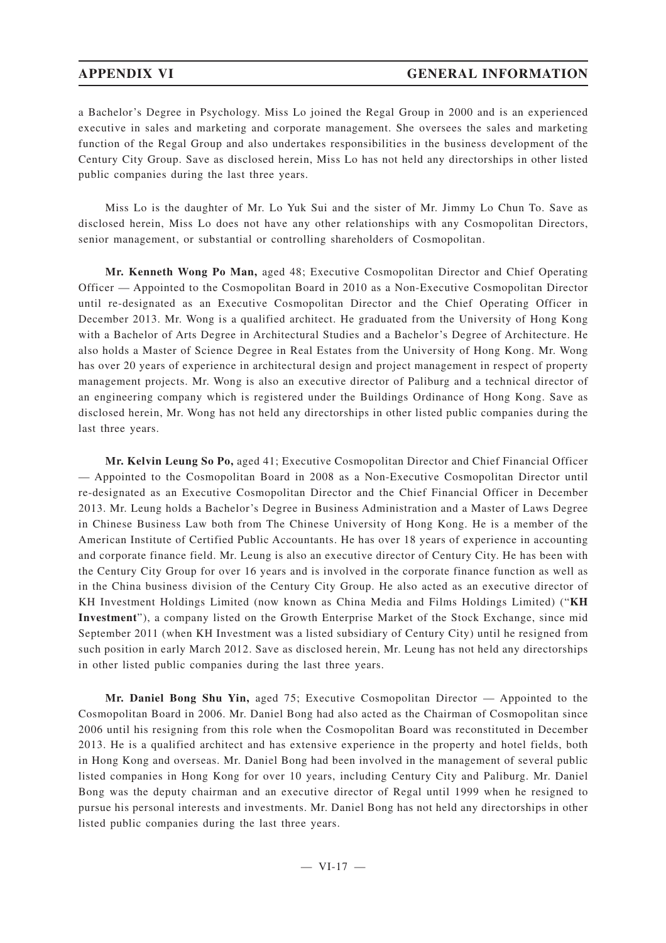a Bachelor 's Degree in Psychology. Miss Lo joined the Regal Group in 2000 and is an experienced executive in sales and marketing and corporate management. She oversees the sales and marketing function of the Regal Group and also undertakes responsibilities in the business development of the Century City Group. Save as disclosed herein, Miss Lo has not held any directorships in other listed public companies during the last three years.

Miss Lo is the daughter of Mr. Lo Yuk Sui and the sister of Mr. Jimmy Lo Chun To. Save as disclosed herein, Miss Lo does not have any other relationships with any Cosmopolitan Directors, senior management, or substantial or controlling shareholders of Cosmopolitan.

**Mr. Kenneth Wong Po Man,** aged 48; Executive Cosmopolitan Director and Chief Operating Officer — Appointed to the Cosmopolitan Board in 2010 as a Non-Executive Cosmopolitan Director until re-designated as an Executive Cosmopolitan Director and the Chief Operating Officer in December 2013. Mr. Wong is a qualified architect. He graduated from the University of Hong Kong with a Bachelor of Arts Degree in Architectural Studies and a Bachelor 's Degree of Architecture. He also holds a Master of Science Degree in Real Estates from the University of Hong Kong. Mr. Wong has over 20 years of experience in architectural design and project management in respect of property management projects. Mr. Wong is also an executive director of Paliburg and a technical director of an engineering company which is registered under the Buildings Ordinance of Hong Kong. Save as disclosed herein, Mr. Wong has not held any directorships in other listed public companies during the last three years.

**Mr. Kelvin Leung So Po,** aged 41; Executive Cosmopolitan Director and Chief Financial Officer — Appointed to the Cosmopolitan Board in 2008 as a Non-Executive Cosmopolitan Director until re-designated as an Executive Cosmopolitan Director and the Chief Financial Officer in December 2013. Mr. Leung holds a Bachelor 's Degree in Business Administration and a Master of Laws Degree in Chinese Business Law both from The Chinese University of Hong Kong. He is a member of the American Institute of Certified Public Accountants. He has over 18 years of experience in accounting and corporate finance field. Mr. Leung is also an executive director of Century City. He has been with the Century City Group for over 16 years and is involved in the corporate finance function as well as in the China business division of the Century City Group. He also acted as an executive director of KH Investment Holdings Limited (now known as China Media and Films Holdings Limited) ("**KH Investment**"), a company listed on the Growth Enterprise Market of the Stock Exchange, since mid September 2011 (when KH Investment was a listed subsidiary of Century City) until he resigned from such position in early March 2012. Save as disclosed herein, Mr. Leung has not held any directorships in other listed public companies during the last three years.

**Mr. Daniel Bong Shu Yin,** aged 75; Executive Cosmopolitan Director — Appointed to the Cosmopolitan Board in 2006. Mr. Daniel Bong had also acted as the Chairman of Cosmopolitan since 2006 until his resigning from this role when the Cosmopolitan Board was reconstituted in December 2013. He is a qualified architect and has extensive experience in the property and hotel fields, both in Hong Kong and overseas. Mr. Daniel Bong had been involved in the management of several public listed companies in Hong Kong for over 10 years, including Century City and Paliburg. Mr. Daniel Bong was the deputy chairman and an executive director of Regal until 1999 when he resigned to pursue his personal interests and investments. Mr. Daniel Bong has not held any directorships in other listed public companies during the last three years.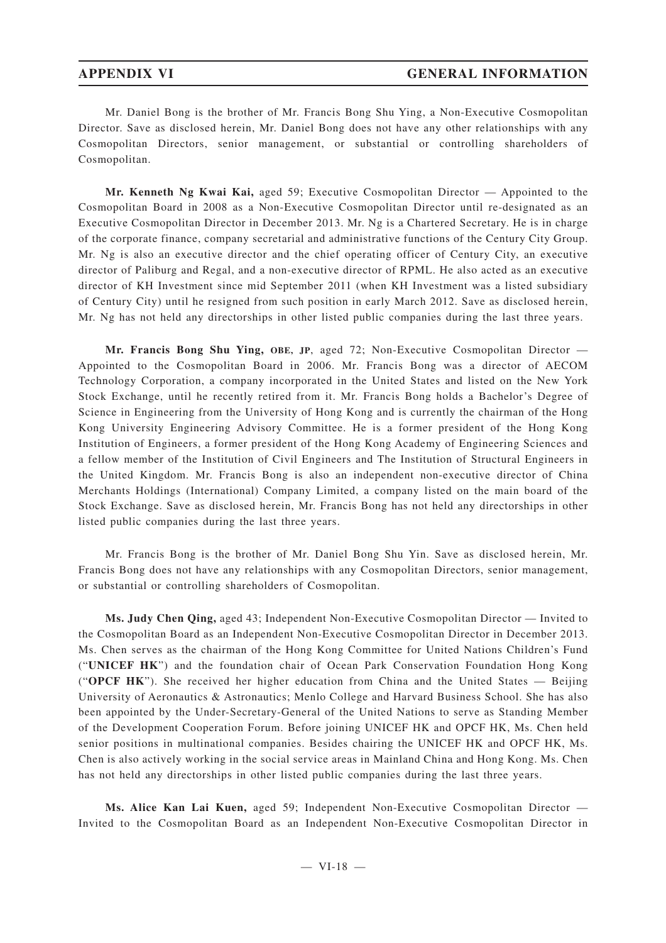Mr. Daniel Bong is the brother of Mr. Francis Bong Shu Ying, a Non-Executive Cosmopolitan Director. Save as disclosed herein, Mr. Daniel Bong does not have any other relationships with any Cosmopolitan Directors, senior management, or substantial or controlling shareholders of Cosmopolitan.

**Mr. Kenneth Ng Kwai Kai,** aged 59; Executive Cosmopolitan Director — Appointed to the Cosmopolitan Board in 2008 as a Non-Executive Cosmopolitan Director until re-designated as an Executive Cosmopolitan Director in December 2013. Mr. Ng is a Chartered Secretary. He is in charge of the corporate finance, company secretarial and administrative functions of the Century City Group. Mr. Ng is also an executive director and the chief operating officer of Century City, an executive director of Paliburg and Regal, and a non-executive director of RPML. He also acted as an executive director of KH Investment since mid September 2011 (when KH Investment was a listed subsidiary of Century City) until he resigned from such position in early March 2012. Save as disclosed herein, Mr. Ng has not held any directorships in other listed public companies during the last three years.

**Mr. Francis Bong Shu Ying, OBE, JP**, aged 72; Non-Executive Cosmopolitan Director — Appointed to the Cosmopolitan Board in 2006. Mr. Francis Bong was a director of AECOM Technology Corporation, a company incorporated in the United States and listed on the New York Stock Exchange, until he recently retired from it. Mr. Francis Bong holds a Bachelor 's Degree of Science in Engineering from the University of Hong Kong and is currently the chairman of the Hong Kong University Engineering Advisory Committee. He is a former president of the Hong Kong Institution of Engineers, a former president of the Hong Kong Academy of Engineering Sciences and a fellow member of the Institution of Civil Engineers and The Institution of Structural Engineers in the United Kingdom. Mr. Francis Bong is also an independent non-executive director of China Merchants Holdings (International) Company Limited, a company listed on the main board of the Stock Exchange. Save as disclosed herein, Mr. Francis Bong has not held any directorships in other listed public companies during the last three years.

Mr. Francis Bong is the brother of Mr. Daniel Bong Shu Yin. Save as disclosed herein, Mr. Francis Bong does not have any relationships with any Cosmopolitan Directors, senior management, or substantial or controlling shareholders of Cosmopolitan.

**Ms. Judy Chen Qing,** aged 43; Independent Non-Executive Cosmopolitan Director — Invited to the Cosmopolitan Board as an Independent Non-Executive Cosmopolitan Director in December 2013. Ms. Chen serves as the chairman of the Hong Kong Committee for United Nations Children's Fund ("**UNICEF HK**") and the foundation chair of Ocean Park Conservation Foundation Hong Kong ("**OPCF HK**"). She received her higher education from China and the United States — Beijing University of Aeronautics & Astronautics; Menlo College and Harvard Business School. She has also been appointed by the Under-Secretary-General of the United Nations to serve as Standing Member of the Development Cooperation Forum. Before joining UNICEF HK and OPCF HK, Ms. Chen held senior positions in multinational companies. Besides chairing the UNICEF HK and OPCF HK, Ms. Chen is also actively working in the social service areas in Mainland China and Hong Kong. Ms. Chen has not held any directorships in other listed public companies during the last three years.

**Ms. Alice Kan Lai Kuen,** aged 59; Independent Non-Executive Cosmopolitan Director — Invited to the Cosmopolitan Board as an Independent Non-Executive Cosmopolitan Director in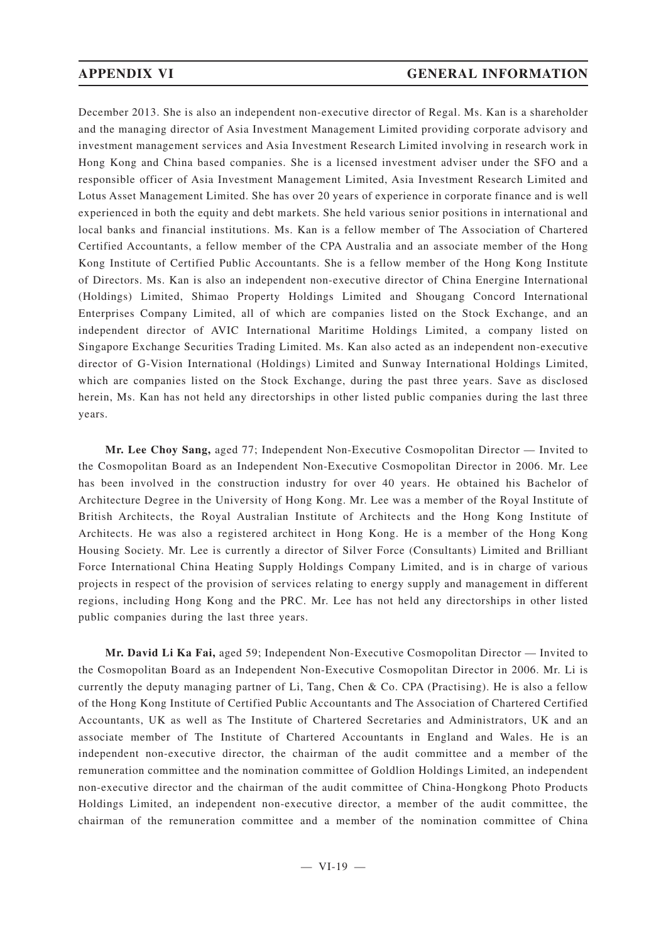December 2013. She is also an independent non-executive director of Regal. Ms. Kan is a shareholder and the managing director of Asia Investment Management Limited providing corporate advisory and investment management services and Asia Investment Research Limited involving in research work in Hong Kong and China based companies. She is a licensed investment adviser under the SFO and a responsible officer of Asia Investment Management Limited, Asia Investment Research Limited and Lotus Asset Management Limited. She has over 20 years of experience in corporate finance and is well experienced in both the equity and debt markets. She held various senior positions in international and local banks and financial institutions. Ms. Kan is a fellow member of The Association of Chartered Certified Accountants, a fellow member of the CPA Australia and an associate member of the Hong Kong Institute of Certified Public Accountants. She is a fellow member of the Hong Kong Institute of Directors. Ms. Kan is also an independent non-executive director of China Energine International (Holdings) Limited, Shimao Property Holdings Limited and Shougang Concord International Enterprises Company Limited, all of which are companies listed on the Stock Exchange, and an independent director of AVIC International Maritime Holdings Limited, a company listed on Singapore Exchange Securities Trading Limited. Ms. Kan also acted as an independent non-executive director of G-Vision International (Holdings) Limited and Sunway International Holdings Limited, which are companies listed on the Stock Exchange, during the past three years. Save as disclosed herein, Ms. Kan has not held any directorships in other listed public companies during the last three years.

**Mr. Lee Choy Sang,** aged 77; Independent Non-Executive Cosmopolitan Director — Invited to the Cosmopolitan Board as an Independent Non-Executive Cosmopolitan Director in 2006. Mr. Lee has been involved in the construction industry for over 40 years. He obtained his Bachelor of Architecture Degree in the University of Hong Kong. Mr. Lee was a member of the Royal Institute of British Architects, the Royal Australian Institute of Architects and the Hong Kong Institute of Architects. He was also a registered architect in Hong Kong. He is a member of the Hong Kong Housing Society. Mr. Lee is currently a director of Silver Force (Consultants) Limited and Brilliant Force International China Heating Supply Holdings Company Limited, and is in charge of various projects in respect of the provision of services relating to energy supply and management in different regions, including Hong Kong and the PRC. Mr. Lee has not held any directorships in other listed public companies during the last three years.

**Mr. David Li Ka Fai,** aged 59; Independent Non-Executive Cosmopolitan Director — Invited to the Cosmopolitan Board as an Independent Non-Executive Cosmopolitan Director in 2006. Mr. Li is currently the deputy managing partner of Li, Tang, Chen & Co. CPA (Practising). He is also a fellow of the Hong Kong Institute of Certified Public Accountants and The Association of Chartered Certified Accountants, UK as well as The Institute of Chartered Secretaries and Administrators, UK and an associate member of The Institute of Chartered Accountants in England and Wales. He is an independent non-executive director, the chairman of the audit committee and a member of the remuneration committee and the nomination committee of Goldlion Holdings Limited, an independent non-executive director and the chairman of the audit committee of China-Hongkong Photo Products Holdings Limited, an independent non-executive director, a member of the audit committee, the chairman of the remuneration committee and a member of the nomination committee of China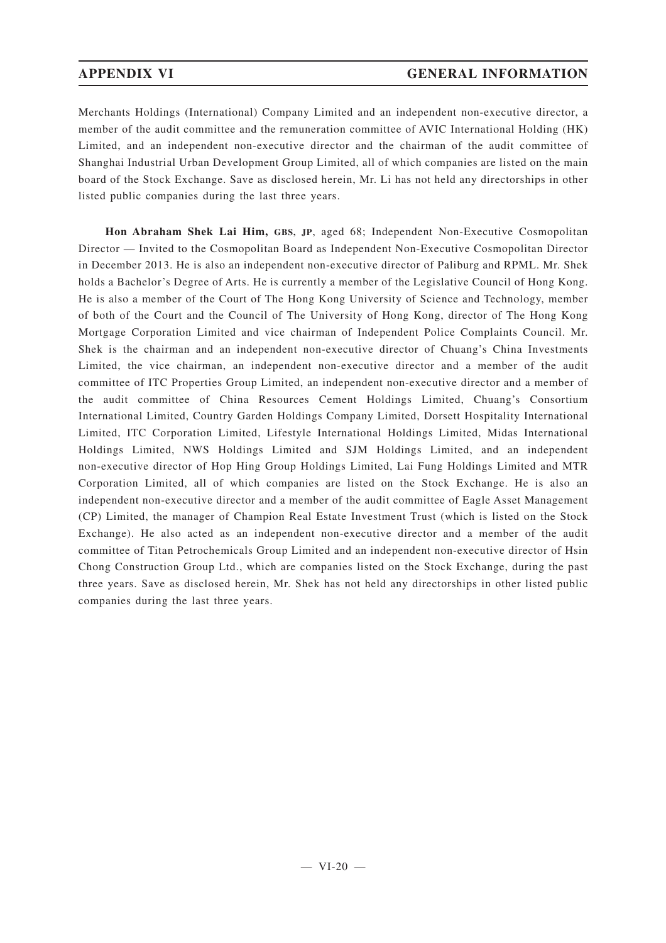Merchants Holdings (International) Company Limited and an independent non-executive director, a member of the audit committee and the remuneration committee of AVIC International Holding (HK) Limited, and an independent non-executive director and the chairman of the audit committee of Shanghai Industrial Urban Development Group Limited, all of which companies are listed on the main board of the Stock Exchange. Save as disclosed herein, Mr. Li has not held any directorships in other listed public companies during the last three years.

**Hon Abraham Shek Lai Him, GBS, JP**, aged 68; Independent Non-Executive Cosmopolitan Director — Invited to the Cosmopolitan Board as Independent Non-Executive Cosmopolitan Director in December 2013. He is also an independent non-executive director of Paliburg and RPML. Mr. Shek holds a Bachelor 's Degree of Arts. He is currently a member of the Legislative Council of Hong Kong. He is also a member of the Court of The Hong Kong University of Science and Technology, member of both of the Court and the Council of The University of Hong Kong, director of The Hong Kong Mortgage Corporation Limited and vice chairman of Independent Police Complaints Council. Mr. Shek is the chairman and an independent non-executive director of Chuang's China Investments Limited, the vice chairman, an independent non-executive director and a member of the audit committee of ITC Properties Group Limited, an independent non-executive director and a member of the audit committee of China Resources Cement Holdings Limited, Chuang's Consortium International Limited, Country Garden Holdings Company Limited, Dorsett Hospitality International Limited, ITC Corporation Limited, Lifestyle International Holdings Limited, Midas International Holdings Limited, NWS Holdings Limited and SJM Holdings Limited, and an independent non-executive director of Hop Hing Group Holdings Limited, Lai Fung Holdings Limited and MTR Corporation Limited, all of which companies are listed on the Stock Exchange. He is also an independent non-executive director and a member of the audit committee of Eagle Asset Management (CP) Limited, the manager of Champion Real Estate Investment Trust (which is listed on the Stock Exchange). He also acted as an independent non-executive director and a member of the audit committee of Titan Petrochemicals Group Limited and an independent non-executive director of Hsin Chong Construction Group Ltd., which are companies listed on the Stock Exchange, during the past three years. Save as disclosed herein, Mr. Shek has not held any directorships in other listed public companies during the last three years.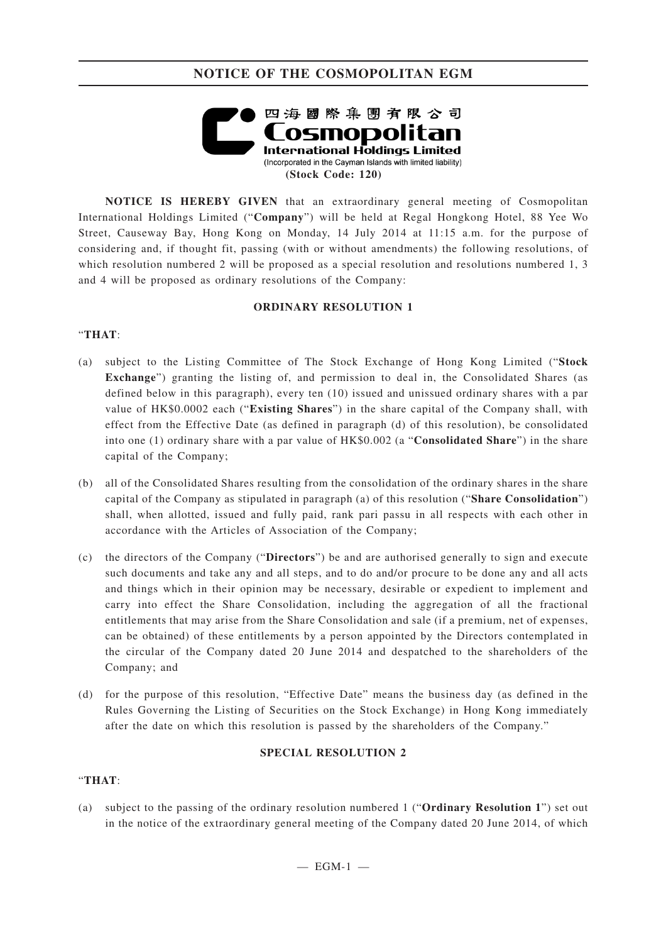

**NOTICE IS HEREBY GIVEN** that an extraordinary general meeting of Cosmopolitan International Holdings Limited ("**Company**") will be held at Regal Hongkong Hotel, 88 Yee Wo Street, Causeway Bay, Hong Kong on Monday, 14 July 2014 at 11:15 a.m. for the purpose of considering and, if thought fit, passing (with or without amendments) the following resolutions, of which resolution numbered 2 will be proposed as a special resolution and resolutions numbered 1, 3 and 4 will be proposed as ordinary resolutions of the Company:

## **ORDINARY RESOLUTION 1**

# "**THAT**:

- (a) subject to the Listing Committee of The Stock Exchange of Hong Kong Limited ("**Stock Exchange**") granting the listing of, and permission to deal in, the Consolidated Shares (as defined below in this paragraph), every ten (10) issued and unissued ordinary shares with a par value of HK\$0.0002 each ("**Existing Shares**") in the share capital of the Company shall, with effect from the Effective Date (as defined in paragraph (d) of this resolution), be consolidated into one (1) ordinary share with a par value of HK\$0.002 (a "**Consolidated Share**") in the share capital of the Company;
- (b) all of the Consolidated Shares resulting from the consolidation of the ordinary shares in the share capital of the Company as stipulated in paragraph (a) of this resolution ("**Share Consolidation**") shall, when allotted, issued and fully paid, rank pari passu in all respects with each other in accordance with the Articles of Association of the Company;
- (c) the directors of the Company ("**Directors**") be and are authorised generally to sign and execute such documents and take any and all steps, and to do and/or procure to be done any and all acts and things which in their opinion may be necessary, desirable or expedient to implement and carry into effect the Share Consolidation, including the aggregation of all the fractional entitlements that may arise from the Share Consolidation and sale (if a premium, net of expenses, can be obtained) of these entitlements by a person appointed by the Directors contemplated in the circular of the Company dated 20 June 2014 and despatched to the shareholders of the Company; and
- (d) for the purpose of this resolution, "Effective Date" means the business day (as defined in the Rules Governing the Listing of Securities on the Stock Exchange) in Hong Kong immediately after the date on which this resolution is passed by the shareholders of the Company."

## **SPECIAL RESOLUTION 2**

# "**THAT**:

(a) subject to the passing of the ordinary resolution numbered 1 ("**Ordinary Resolution 1**") set out in the notice of the extraordinary general meeting of the Company dated 20 June 2014, of which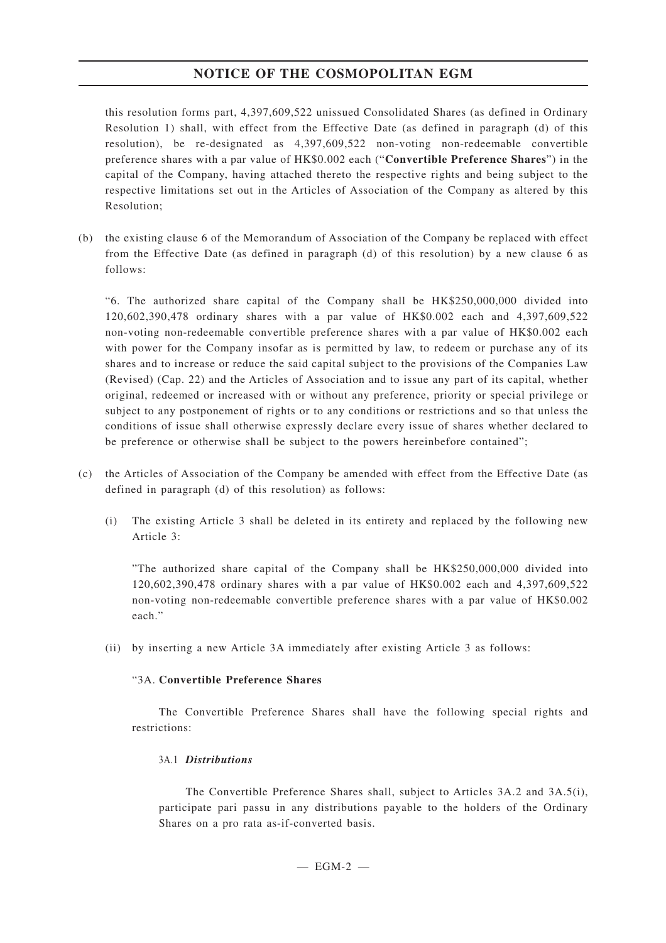this resolution forms part, 4,397,609,522 unissued Consolidated Shares (as defined in Ordinary Resolution 1) shall, with effect from the Effective Date (as defined in paragraph (d) of this resolution), be re-designated as 4,397,609,522 non-voting non-redeemable convertible preference shares with a par value of HK\$0.002 each ("**Convertible Preference Shares**") in the capital of the Company, having attached thereto the respective rights and being subject to the respective limitations set out in the Articles of Association of the Company as altered by this Resolution;

(b) the existing clause 6 of the Memorandum of Association of the Company be replaced with effect from the Effective Date (as defined in paragraph (d) of this resolution) by a new clause 6 as follows:

"6. The authorized share capital of the Company shall be HK\$250,000,000 divided into 120,602,390,478 ordinary shares with a par value of HK\$0.002 each and 4,397,609,522 non-voting non-redeemable convertible preference shares with a par value of HK\$0.002 each with power for the Company insofar as is permitted by law, to redeem or purchase any of its shares and to increase or reduce the said capital subject to the provisions of the Companies Law (Revised) (Cap. 22) and the Articles of Association and to issue any part of its capital, whether original, redeemed or increased with or without any preference, priority or special privilege or subject to any postponement of rights or to any conditions or restrictions and so that unless the conditions of issue shall otherwise expressly declare every issue of shares whether declared to be preference or otherwise shall be subject to the powers hereinbefore contained";

- (c) the Articles of Association of the Company be amended with effect from the Effective Date (as defined in paragraph (d) of this resolution) as follows:
	- (i) The existing Article 3 shall be deleted in its entirety and replaced by the following new Article 3:

"The authorized share capital of the Company shall be HK\$250,000,000 divided into 120,602,390,478 ordinary shares with a par value of HK\$0.002 each and 4,397,609,522 non-voting non-redeemable convertible preference shares with a par value of HK\$0.002 each."

(ii) by inserting a new Article 3A immediately after existing Article 3 as follows:

# "3A. **Convertible Preference Shares**

The Convertible Preference Shares shall have the following special rights and restrictions:

# 3A.1 *Distributions*

The Convertible Preference Shares shall, subject to Articles 3A.2 and 3A.5(i), participate pari passu in any distributions payable to the holders of the Ordinary Shares on a pro rata as-if-converted basis.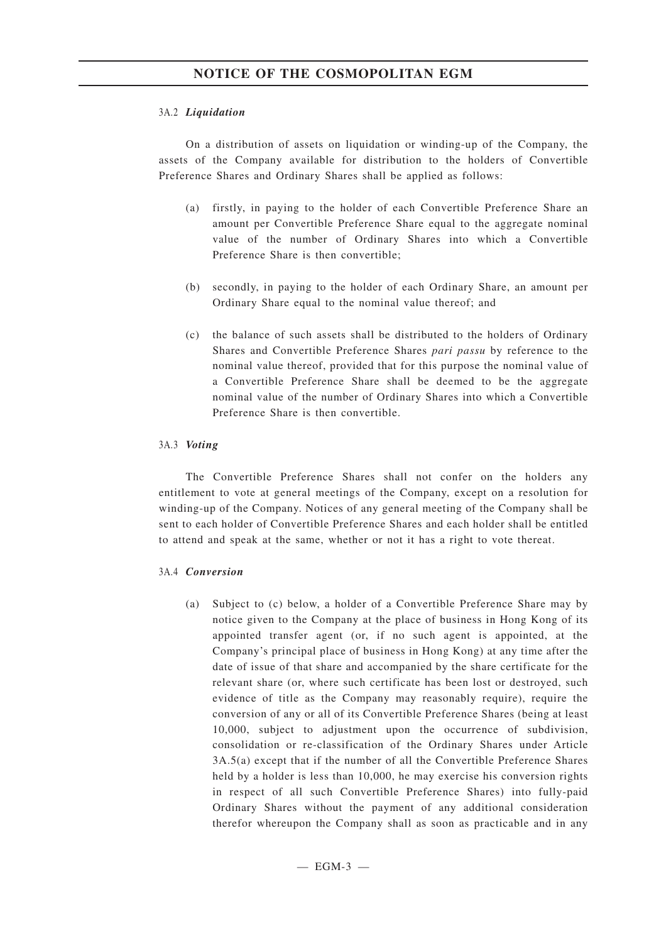### 3A.2 *Liquidation*

On a distribution of assets on liquidation or winding-up of the Company, the assets of the Company available for distribution to the holders of Convertible Preference Shares and Ordinary Shares shall be applied as follows:

- (a) firstly, in paying to the holder of each Convertible Preference Share an amount per Convertible Preference Share equal to the aggregate nominal value of the number of Ordinary Shares into which a Convertible Preference Share is then convertible;
- (b) secondly, in paying to the holder of each Ordinary Share, an amount per Ordinary Share equal to the nominal value thereof; and
- (c) the balance of such assets shall be distributed to the holders of Ordinary Shares and Convertible Preference Shares *pari passu* by reference to the nominal value thereof, provided that for this purpose the nominal value of a Convertible Preference Share shall be deemed to be the aggregate nominal value of the number of Ordinary Shares into which a Convertible Preference Share is then convertible.

### 3A.3 *Voting*

The Convertible Preference Shares shall not confer on the holders any entitlement to vote at general meetings of the Company, except on a resolution for winding-up of the Company. Notices of any general meeting of the Company shall be sent to each holder of Convertible Preference Shares and each holder shall be entitled to attend and speak at the same, whether or not it has a right to vote thereat.

### 3A.4 *Conversion*

(a) Subject to (c) below, a holder of a Convertible Preference Share may by notice given to the Company at the place of business in Hong Kong of its appointed transfer agent (or, if no such agent is appointed, at the Company's principal place of business in Hong Kong) at any time after the date of issue of that share and accompanied by the share certificate for the relevant share (or, where such certificate has been lost or destroyed, such evidence of title as the Company may reasonably require), require the conversion of any or all of its Convertible Preference Shares (being at least 10,000, subject to adjustment upon the occurrence of subdivision, consolidation or re-classification of the Ordinary Shares under Article 3A.5(a) except that if the number of all the Convertible Preference Shares held by a holder is less than 10,000, he may exercise his conversion rights in respect of all such Convertible Preference Shares) into fully-paid Ordinary Shares without the payment of any additional consideration therefor whereupon the Company shall as soon as practicable and in any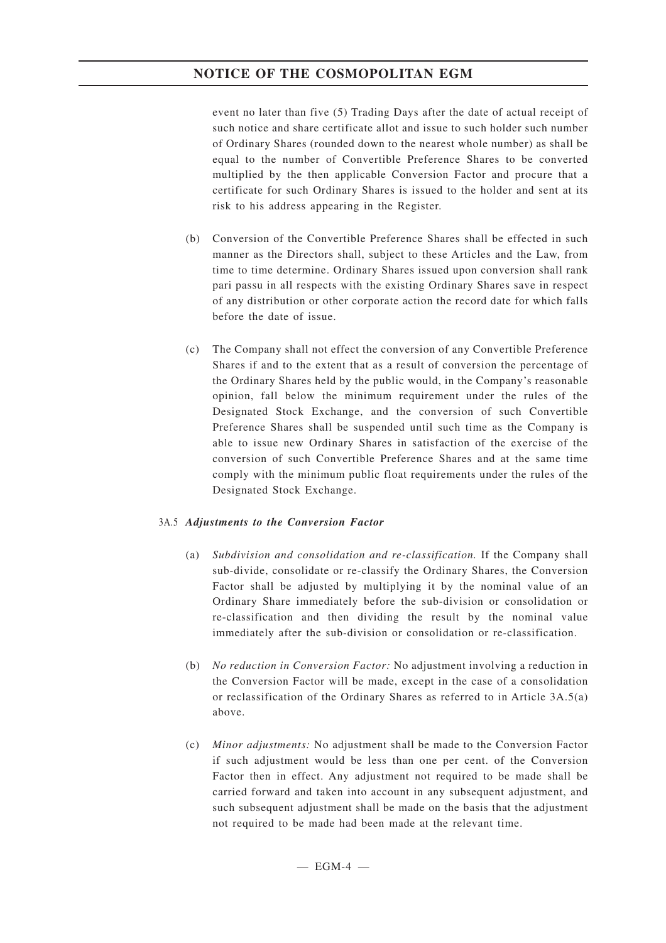event no later than five (5) Trading Days after the date of actual receipt of such notice and share certificate allot and issue to such holder such number of Ordinary Shares (rounded down to the nearest whole number) as shall be equal to the number of Convertible Preference Shares to be converted multiplied by the then applicable Conversion Factor and procure that a certificate for such Ordinary Shares is issued to the holder and sent at its risk to his address appearing in the Register.

- (b) Conversion of the Convertible Preference Shares shall be effected in such manner as the Directors shall, subject to these Articles and the Law, from time to time determine. Ordinary Shares issued upon conversion shall rank pari passu in all respects with the existing Ordinary Shares save in respect of any distribution or other corporate action the record date for which falls before the date of issue.
- (c) The Company shall not effect the conversion of any Convertible Preference Shares if and to the extent that as a result of conversion the percentage of the Ordinary Shares held by the public would, in the Company's reasonable opinion, fall below the minimum requirement under the rules of the Designated Stock Exchange, and the conversion of such Convertible Preference Shares shall be suspended until such time as the Company is able to issue new Ordinary Shares in satisfaction of the exercise of the conversion of such Convertible Preference Shares and at the same time comply with the minimum public float requirements under the rules of the Designated Stock Exchange.

# 3A.5 *Adjustments to the Conversion Factor*

- (a) *Subdivision and consolidation and re-classification.* If the Company shall sub-divide, consolidate or re-classify the Ordinary Shares, the Conversion Factor shall be adjusted by multiplying it by the nominal value of an Ordinary Share immediately before the sub-division or consolidation or re-classification and then dividing the result by the nominal value immediately after the sub-division or consolidation or re-classification.
- (b) *No reduction in Conversion Factor:* No adjustment involving a reduction in the Conversion Factor will be made, except in the case of a consolidation or reclassification of the Ordinary Shares as referred to in Article 3A.5(a) above.
- (c) *Minor adjustments:* No adjustment shall be made to the Conversion Factor if such adjustment would be less than one per cent. of the Conversion Factor then in effect. Any adjustment not required to be made shall be carried forward and taken into account in any subsequent adjustment, and such subsequent adjustment shall be made on the basis that the adjustment not required to be made had been made at the relevant time.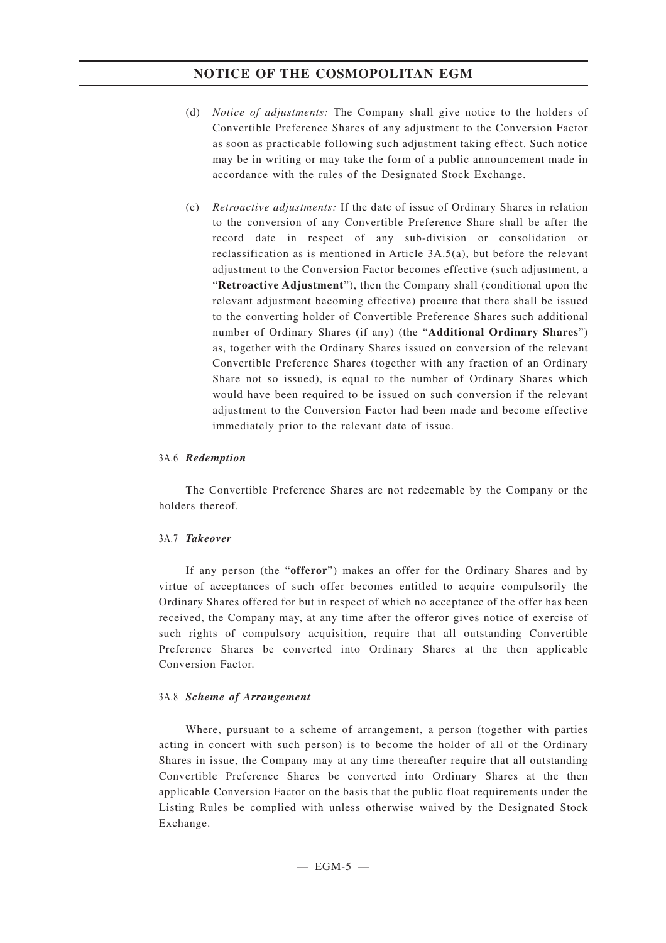- (d) *Notice of adjustments:* The Company shall give notice to the holders of Convertible Preference Shares of any adjustment to the Conversion Factor as soon as practicable following such adjustment taking effect. Such notice may be in writing or may take the form of a public announcement made in accordance with the rules of the Designated Stock Exchange.
- (e) *Retroactive adjustments:* If the date of issue of Ordinary Shares in relation to the conversion of any Convertible Preference Share shall be after the record date in respect of any sub-division or consolidation or reclassification as is mentioned in Article 3A.5(a), but before the relevant adjustment to the Conversion Factor becomes effective (such adjustment, a "**Retroactive Adjustment**"), then the Company shall (conditional upon the relevant adjustment becoming effective) procure that there shall be issued to the converting holder of Convertible Preference Shares such additional number of Ordinary Shares (if any) (the "**Additional Ordinary Shares**") as, together with the Ordinary Shares issued on conversion of the relevant Convertible Preference Shares (together with any fraction of an Ordinary Share not so issued), is equal to the number of Ordinary Shares which would have been required to be issued on such conversion if the relevant adjustment to the Conversion Factor had been made and become effective immediately prior to the relevant date of issue.

## 3A.6 *Redemption*

The Convertible Preference Shares are not redeemable by the Company or the holders thereof.

### 3A.7 *Takeover*

If any person (the "**offeror**") makes an offer for the Ordinary Shares and by virtue of acceptances of such offer becomes entitled to acquire compulsorily the Ordinary Shares offered for but in respect of which no acceptance of the offer has been received, the Company may, at any time after the offeror gives notice of exercise of such rights of compulsory acquisition, require that all outstanding Convertible Preference Shares be converted into Ordinary Shares at the then applicable Conversion Factor.

# 3A.8 *Scheme of Arrangement*

Where, pursuant to a scheme of arrangement, a person (together with parties acting in concert with such person) is to become the holder of all of the Ordinary Shares in issue, the Company may at any time thereafter require that all outstanding Convertible Preference Shares be converted into Ordinary Shares at the then applicable Conversion Factor on the basis that the public float requirements under the Listing Rules be complied with unless otherwise waived by the Designated Stock Exchange.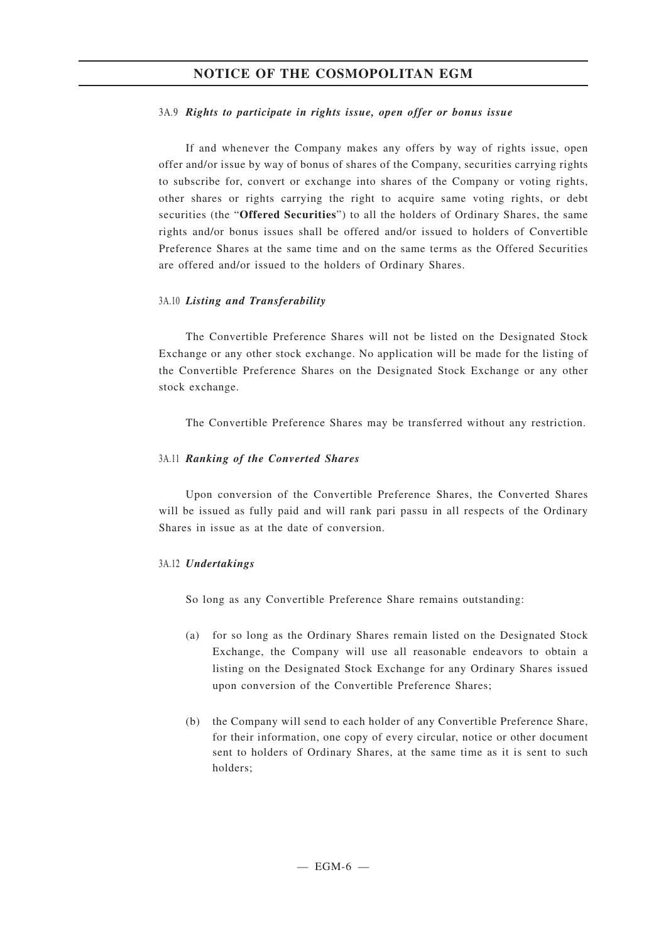## 3A.9 *Rights to participate in rights issue, open offer or bonus issue*

If and whenever the Company makes any offers by way of rights issue, open offer and/or issue by way of bonus of shares of the Company, securities carrying rights to subscribe for, convert or exchange into shares of the Company or voting rights, other shares or rights carrying the right to acquire same voting rights, or debt securities (the "**Offered Securities**") to all the holders of Ordinary Shares, the same rights and/or bonus issues shall be offered and/or issued to holders of Convertible Preference Shares at the same time and on the same terms as the Offered Securities are offered and/or issued to the holders of Ordinary Shares.

## 3A.10 *Listing and Transferability*

The Convertible Preference Shares will not be listed on the Designated Stock Exchange or any other stock exchange. No application will be made for the listing of the Convertible Preference Shares on the Designated Stock Exchange or any other stock exchange.

The Convertible Preference Shares may be transferred without any restriction.

## 3A.11 *Ranking of the Converted Shares*

Upon conversion of the Convertible Preference Shares, the Converted Shares will be issued as fully paid and will rank pari passu in all respects of the Ordinary Shares in issue as at the date of conversion.

# 3A.12 *Undertakings*

So long as any Convertible Preference Share remains outstanding:

- (a) for so long as the Ordinary Shares remain listed on the Designated Stock Exchange, the Company will use all reasonable endeavors to obtain a listing on the Designated Stock Exchange for any Ordinary Shares issued upon conversion of the Convertible Preference Shares;
- (b) the Company will send to each holder of any Convertible Preference Share, for their information, one copy of every circular, notice or other document sent to holders of Ordinary Shares, at the same time as it is sent to such holders;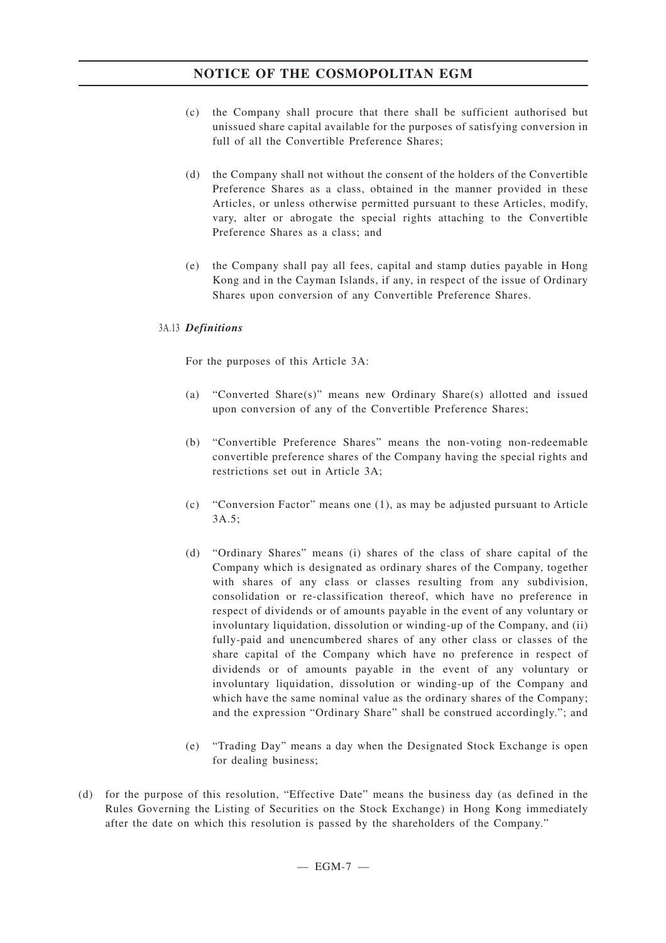- (c) the Company shall procure that there shall be sufficient authorised but unissued share capital available for the purposes of satisfying conversion in full of all the Convertible Preference Shares;
- (d) the Company shall not without the consent of the holders of the Convertible Preference Shares as a class, obtained in the manner provided in these Articles, or unless otherwise permitted pursuant to these Articles, modify, vary, alter or abrogate the special rights attaching to the Convertible Preference Shares as a class; and
- (e) the Company shall pay all fees, capital and stamp duties payable in Hong Kong and in the Cayman Islands, if any, in respect of the issue of Ordinary Shares upon conversion of any Convertible Preference Shares.

# 3A.13 *Definitions*

For the purposes of this Article 3A:

- (a) "Converted Share(s)" means new Ordinary Share(s) allotted and issued upon conversion of any of the Convertible Preference Shares;
- (b) "Convertible Preference Shares" means the non-voting non-redeemable convertible preference shares of the Company having the special rights and restrictions set out in Article 3A;
- (c) "Conversion Factor" means one (1), as may be adjusted pursuant to Article 3A.5;
- (d) "Ordinary Shares" means (i) shares of the class of share capital of the Company which is designated as ordinary shares of the Company, together with shares of any class or classes resulting from any subdivision, consolidation or re-classification thereof, which have no preference in respect of dividends or of amounts payable in the event of any voluntary or involuntary liquidation, dissolution or winding-up of the Company, and (ii) fully-paid and unencumbered shares of any other class or classes of the share capital of the Company which have no preference in respect of dividends or of amounts payable in the event of any voluntary or involuntary liquidation, dissolution or winding-up of the Company and which have the same nominal value as the ordinary shares of the Company; and the expression "Ordinary Share" shall be construed accordingly."; and
- (e) "Trading Day" means a day when the Designated Stock Exchange is open for dealing business;
- (d) for the purpose of this resolution, "Effective Date" means the business day (as defined in the Rules Governing the Listing of Securities on the Stock Exchange) in Hong Kong immediately after the date on which this resolution is passed by the shareholders of the Company."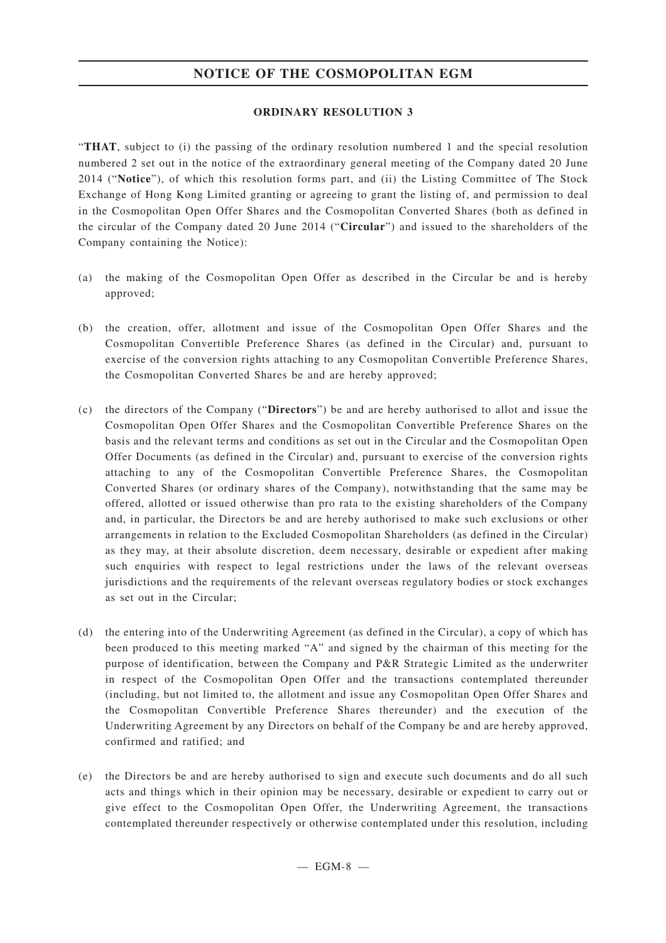## **ORDINARY RESOLUTION 3**

"**THAT**, subject to (i) the passing of the ordinary resolution numbered 1 and the special resolution numbered 2 set out in the notice of the extraordinary general meeting of the Company dated 20 June 2014 ("**Notice**"), of which this resolution forms part, and (ii) the Listing Committee of The Stock Exchange of Hong Kong Limited granting or agreeing to grant the listing of, and permission to deal in the Cosmopolitan Open Offer Shares and the Cosmopolitan Converted Shares (both as defined in the circular of the Company dated 20 June 2014 ("**Circular**") and issued to the shareholders of the Company containing the Notice):

- (a) the making of the Cosmopolitan Open Offer as described in the Circular be and is hereby approved;
- (b) the creation, offer, allotment and issue of the Cosmopolitan Open Offer Shares and the Cosmopolitan Convertible Preference Shares (as defined in the Circular) and, pursuant to exercise of the conversion rights attaching to any Cosmopolitan Convertible Preference Shares, the Cosmopolitan Converted Shares be and are hereby approved;
- (c) the directors of the Company ("**Directors**") be and are hereby authorised to allot and issue the Cosmopolitan Open Offer Shares and the Cosmopolitan Convertible Preference Shares on the basis and the relevant terms and conditions as set out in the Circular and the Cosmopolitan Open Offer Documents (as defined in the Circular) and, pursuant to exercise of the conversion rights attaching to any of the Cosmopolitan Convertible Preference Shares, the Cosmopolitan Converted Shares (or ordinary shares of the Company), notwithstanding that the same may be offered, allotted or issued otherwise than pro rata to the existing shareholders of the Company and, in particular, the Directors be and are hereby authorised to make such exclusions or other arrangements in relation to the Excluded Cosmopolitan Shareholders (as defined in the Circular) as they may, at their absolute discretion, deem necessary, desirable or expedient after making such enquiries with respect to legal restrictions under the laws of the relevant overseas jurisdictions and the requirements of the relevant overseas regulatory bodies or stock exchanges as set out in the Circular;
- (d) the entering into of the Underwriting Agreement (as defined in the Circular), a copy of which has been produced to this meeting marked "A" and signed by the chairman of this meeting for the purpose of identification, between the Company and P&R Strategic Limited as the underwriter in respect of the Cosmopolitan Open Offer and the transactions contemplated thereunder (including, but not limited to, the allotment and issue any Cosmopolitan Open Offer Shares and the Cosmopolitan Convertible Preference Shares thereunder) and the execution of the Underwriting Agreement by any Directors on behalf of the Company be and are hereby approved, confirmed and ratified; and
- (e) the Directors be and are hereby authorised to sign and execute such documents and do all such acts and things which in their opinion may be necessary, desirable or expedient to carry out or give effect to the Cosmopolitan Open Offer, the Underwriting Agreement, the transactions contemplated thereunder respectively or otherwise contemplated under this resolution, including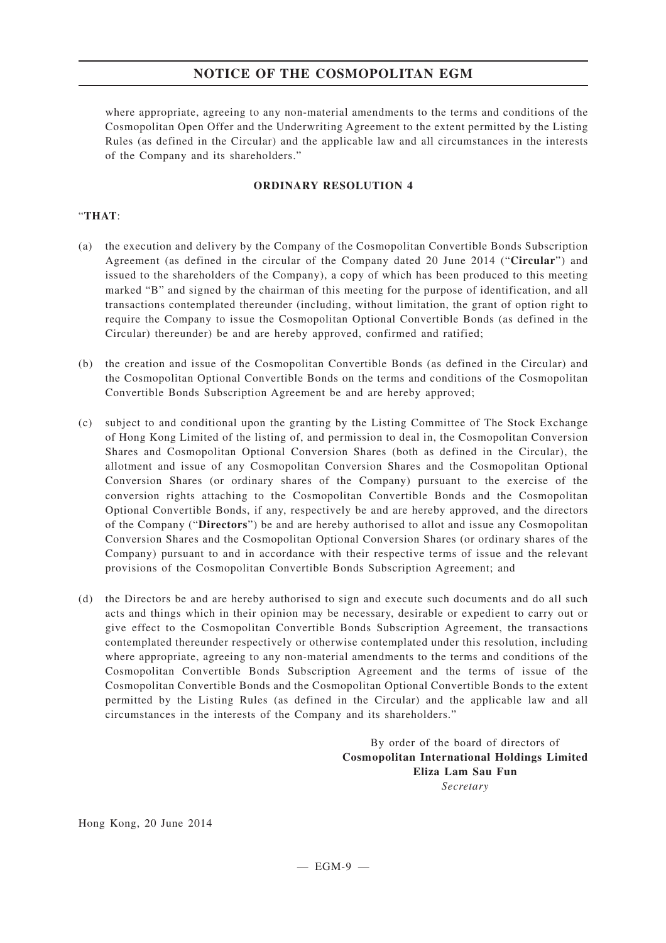where appropriate, agreeing to any non-material amendments to the terms and conditions of the Cosmopolitan Open Offer and the Underwriting Agreement to the extent permitted by the Listing Rules (as defined in the Circular) and the applicable law and all circumstances in the interests of the Company and its shareholders."

## **ORDINARY RESOLUTION 4**

### "**THAT**:

- (a) the execution and delivery by the Company of the Cosmopolitan Convertible Bonds Subscription Agreement (as defined in the circular of the Company dated 20 June 2014 ("**Circular**") and issued to the shareholders of the Company), a copy of which has been produced to this meeting marked "B" and signed by the chairman of this meeting for the purpose of identification, and all transactions contemplated thereunder (including, without limitation, the grant of option right to require the Company to issue the Cosmopolitan Optional Convertible Bonds (as defined in the Circular) thereunder) be and are hereby approved, confirmed and ratified;
- (b) the creation and issue of the Cosmopolitan Convertible Bonds (as defined in the Circular) and the Cosmopolitan Optional Convertible Bonds on the terms and conditions of the Cosmopolitan Convertible Bonds Subscription Agreement be and are hereby approved;
- (c) subject to and conditional upon the granting by the Listing Committee of The Stock Exchange of Hong Kong Limited of the listing of, and permission to deal in, the Cosmopolitan Conversion Shares and Cosmopolitan Optional Conversion Shares (both as defined in the Circular), the allotment and issue of any Cosmopolitan Conversion Shares and the Cosmopolitan Optional Conversion Shares (or ordinary shares of the Company) pursuant to the exercise of the conversion rights attaching to the Cosmopolitan Convertible Bonds and the Cosmopolitan Optional Convertible Bonds, if any, respectively be and are hereby approved, and the directors of the Company ("**Directors**") be and are hereby authorised to allot and issue any Cosmopolitan Conversion Shares and the Cosmopolitan Optional Conversion Shares (or ordinary shares of the Company) pursuant to and in accordance with their respective terms of issue and the relevant provisions of the Cosmopolitan Convertible Bonds Subscription Agreement; and
- (d) the Directors be and are hereby authorised to sign and execute such documents and do all such acts and things which in their opinion may be necessary, desirable or expedient to carry out or give effect to the Cosmopolitan Convertible Bonds Subscription Agreement, the transactions contemplated thereunder respectively or otherwise contemplated under this resolution, including where appropriate, agreeing to any non-material amendments to the terms and conditions of the Cosmopolitan Convertible Bonds Subscription Agreement and the terms of issue of the Cosmopolitan Convertible Bonds and the Cosmopolitan Optional Convertible Bonds to the extent permitted by the Listing Rules (as defined in the Circular) and the applicable law and all circumstances in the interests of the Company and its shareholders."

By order of the board of directors of **Cosmopolitan International Holdings Limited Eliza Lam Sau Fun** *Secretary*

Hong Kong, 20 June 2014